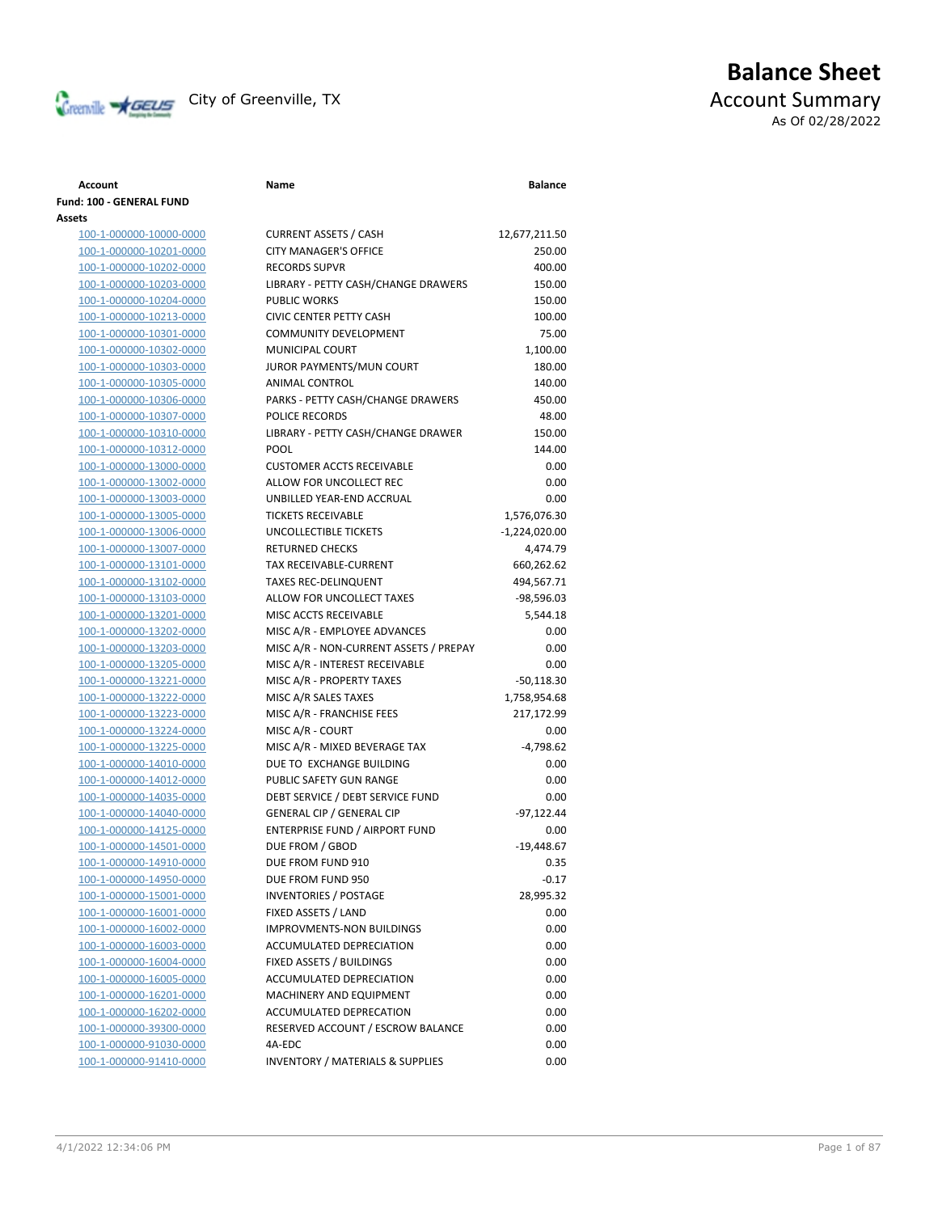

## **Balance Sheet** Creenville **AGEUS** City of Greenville, TX **ACCOUNT** ACCOUNT Summary As Of 02/28/2022

### **Account Name Balance Fund: 100 - GENERAL FUND Assets** 100-1-000000-10000-0000 CURRENT ASSETS / CASH 12,677,211.50 100-1-000000-10201-0000 CITY MANAGER'S OFFICE 250.00 100-1-000000-10202-0000 RECORDS SUPVR 400.00 100-1-000000-10203-0000 LIBRARY - PETTY CASH/CHANGE DRAWERS 150.00 100-1-000000-10204-0000 PUBLIC WORKS 150.00 100-1-000000-10213-0000 CIVIC CENTER PETTY CASH 100.00 100-1-000000-10301-0000 COMMUNITY DEVELOPMENT 75.00 100-1-000000-10302-0000 MUNICIPAL COURT 1,100.00 100-1-000000-10303-0000 JUROR PAYMENTS/MUN COURT 180.00 100-1-000000-10305-0000 ANIMAL CONTROL 140.00 100-1-000000-10306-0000 PARKS - PETTY CASH/CHANGE DRAWERS 450.00 100-1-000000-10307-0000 POLICE RECORDS 48.00 100-1-000000-10310-0000 LIBRARY - PETTY CASH/CHANGE DRAWER 150.00 100-1-000000-10312-0000 POOL 144.00 100-1-000000-13000-0000 CUSTOMER ACCTS RECEIVABLE 0.00 100-1-000000-13002-0000 ALLOW FOR UNCOLLECT REC 0.00 100-1-000000-13003-0000 UNBILLED YEAR-END ACCRUAL 0.00 100-1-000000-13005-0000 TICKETS RECEIVABLE 1,576,076.30 100-1-000000-13006-0000 UNCOLLECTIBLE TICKETS -1,224,020.00 100-1-000000-13007-0000 RETURNED CHECKS 4,474.79 100-1-000000-13101-0000 TAX RECEIVABLE-CURRENT 660,262.62 100-1-000000-13102-0000 TAXES REC-DELINQUENT 494,567.71 100-1-000000-13103-0000 ALLOW FOR UNCOLLECT TAXES -98,596.03 100-1-000000-13201-0000 MISC ACCTS RECEIVABLE 5,544.18 100-1-000000-13202-0000 MISC A/R - EMPLOYEE ADVANCES 0.00 100-1-000000-13203-0000 MISC A/R - NON-CURRENT ASSETS / PREPAY 0.00 100-1-000000-13205-0000 MISC A/R - INTEREST RECEIVABLE 0.00 100-1-000000-13221-0000 MISC A/R - PROPERTY TAXES -50,118.30 100-1-000000-13222-0000 MISC A/R SALES TAXES 1,758,954.68 100-1-000000-13223-0000 MISC A/R - FRANCHISE FEES 217,172.99 100-1-000000-13224-0000 MISC A/R - COURT 0.00 100-1-000000-13225-0000 MISC A/R - MIXED BEVERAGE TAX -4,798.62 100-1-000000-14010-0000 DUE TO EXCHANGE BUILDING 0.00 100-1-000000-14012-0000 PUBLIC SAFETY GUN RANGE 0.00 100-1-000000-14035-0000 DEBT SERVICE / DEBT SERVICE FUND 0.00 100-1-000000-14040-0000 GENERAL CIP / GENERAL CIP -97,122.44 100-1-000000-14125-0000 ENTERPRISE FUND / AIRPORT FUND 0.00 100-1-000000-14501-0000 DUE FROM / GBOD -19,448.67 100-1-000000-14910-0000 DUE FROM FUND 910 0.35 100-1-000000-14950-0000 DUE FROM FUND 950 -0.17 100-1-000000-15001-0000 INVENTORIES / POSTAGE 28,995.32 100-1-000000-16001-0000 FIXED ASSETS / LAND 0.00 100-1-000000-16002-0000 IMPROVMENTS-NON BUILDINGS 0.00 100-1-000000-16003-0000 ACCUMULATED DEPRECIATION 0.00 100-1-000000-16004-0000 FIXED ASSETS / BUILDINGS 0.00 100-1-000000-16005-0000 ACCUMULATED DEPRECIATION 0.00 100-1-000000-16201-0000 MACHINERY AND EQUIPMENT 0.00 100-1-000000-16202-0000 ACCUMULATED DEPRECATION 0.00 100-1-000000-39300-0000 RESERVED ACCOUNT / ESCROW BALANCE 0.00 100-1-000000-91030-0000 4A-EDC 0.00 100-1-000000-91410-0000 INVENTORY / MATERIALS & SUPPLIES 0.00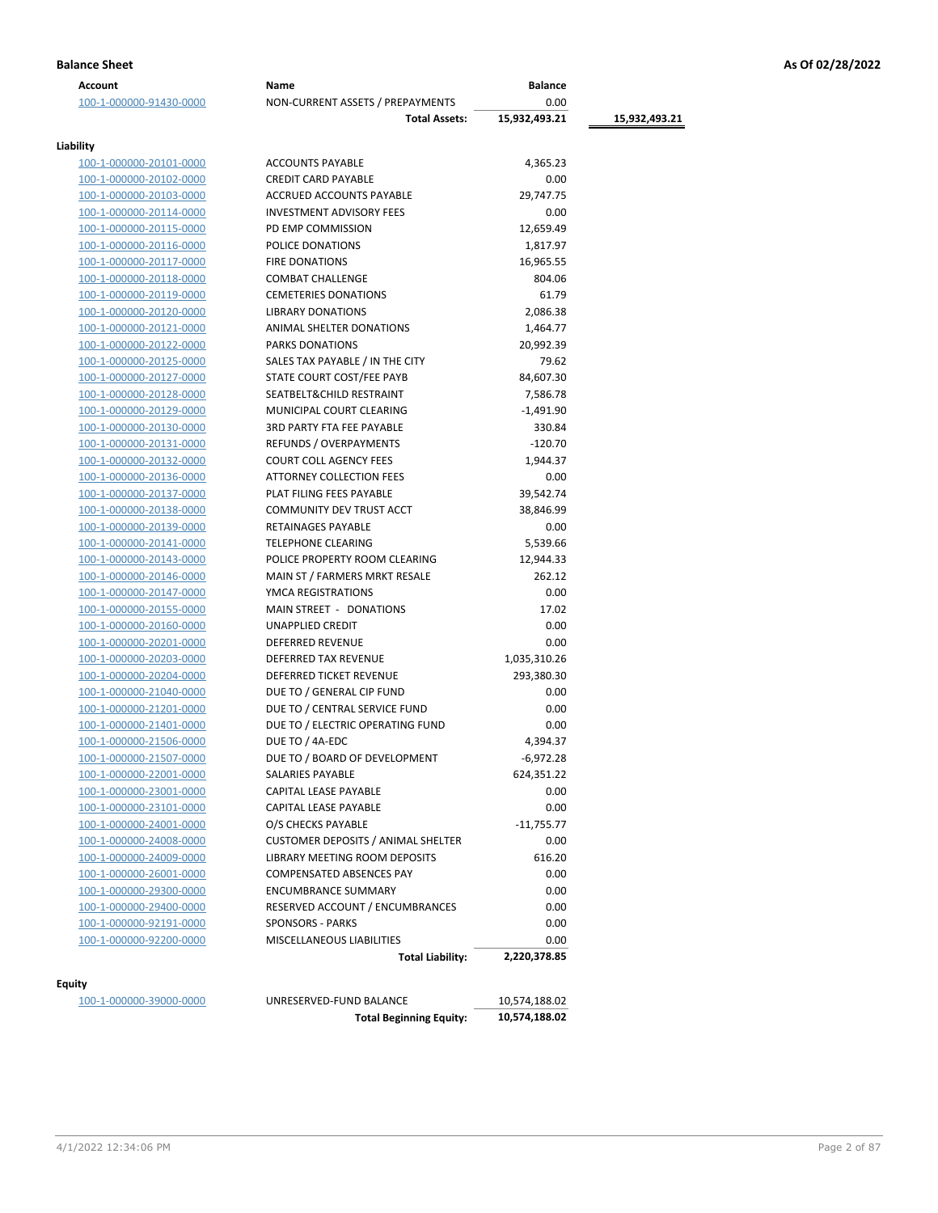| <b>Balance Sheet</b> | As Of 02/28/2022 |
|----------------------|------------------|
|                      |                  |

| Account                                            | Name                                      | <b>Balance</b>      |               |
|----------------------------------------------------|-------------------------------------------|---------------------|---------------|
| 100-1-000000-91430-0000                            | NON-CURRENT ASSETS / PREPAYMENTS          | 0.00                |               |
|                                                    | <b>Total Assets:</b>                      | 15,932,493.21       | 15,932,493.21 |
| Liability                                          |                                           |                     |               |
| 100-1-000000-20101-0000                            | <b>ACCOUNTS PAYABLE</b>                   | 4,365.23            |               |
| 100-1-000000-20102-0000                            | <b>CREDIT CARD PAYABLE</b>                | 0.00                |               |
| 100-1-000000-20103-0000                            | ACCRUED ACCOUNTS PAYABLE                  | 29,747.75           |               |
| 100-1-000000-20114-0000                            | <b>INVESTMENT ADVISORY FEES</b>           | 0.00                |               |
| 100-1-000000-20115-0000                            | PD EMP COMMISSION                         | 12,659.49           |               |
| 100-1-000000-20116-0000                            | POLICE DONATIONS                          | 1,817.97            |               |
| 100-1-000000-20117-0000                            | <b>FIRE DONATIONS</b>                     | 16,965.55           |               |
| 100-1-000000-20118-0000                            | <b>COMBAT CHALLENGE</b>                   | 804.06              |               |
| 100-1-000000-20119-0000                            | <b>CEMETERIES DONATIONS</b>               | 61.79               |               |
| 100-1-000000-20120-0000                            | <b>LIBRARY DONATIONS</b>                  | 2,086.38            |               |
| 100-1-000000-20121-0000                            | ANIMAL SHELTER DONATIONS                  | 1,464.77            |               |
| 100-1-000000-20122-0000                            | <b>PARKS DONATIONS</b>                    | 20,992.39           |               |
| 100-1-000000-20125-0000                            | SALES TAX PAYABLE / IN THE CITY           | 79.62               |               |
| 100-1-000000-20127-0000                            | STATE COURT COST/FEE PAYB                 | 84,607.30           |               |
| 100-1-000000-20128-0000                            | SEATBELT&CHILD RESTRAINT                  | 7,586.78            |               |
| 100-1-000000-20129-0000                            | MUNICIPAL COURT CLEARING                  | $-1,491.90$         |               |
| 100-1-000000-20130-0000                            | <b>3RD PARTY FTA FEE PAYABLE</b>          | 330.84              |               |
| 100-1-000000-20131-0000                            | REFUNDS / OVERPAYMENTS                    | $-120.70$           |               |
|                                                    | <b>COURT COLL AGENCY FEES</b>             |                     |               |
| 100-1-000000-20132-0000                            | ATTORNEY COLLECTION FEES                  | 1,944.37<br>0.00    |               |
| 100-1-000000-20136-0000                            | PLAT FILING FEES PAYABLE                  | 39,542.74           |               |
| 100-1-000000-20137-0000<br>100-1-000000-20138-0000 | COMMUNITY DEV TRUST ACCT                  | 38,846.99           |               |
|                                                    | RETAINAGES PAYABLE                        | 0.00                |               |
| 100-1-000000-20139-0000                            | TELEPHONE CLEARING                        |                     |               |
| 100-1-000000-20141-0000                            | POLICE PROPERTY ROOM CLEARING             | 5,539.66            |               |
| 100-1-000000-20143-0000                            |                                           | 12,944.33<br>262.12 |               |
| 100-1-000000-20146-0000                            | MAIN ST / FARMERS MRKT RESALE             |                     |               |
| 100-1-000000-20147-0000                            | YMCA REGISTRATIONS                        | 0.00                |               |
| 100-1-000000-20155-0000                            | MAIN STREET - DONATIONS                   | 17.02               |               |
| 100-1-000000-20160-0000                            | UNAPPLIED CREDIT                          | 0.00                |               |
| 100-1-000000-20201-0000                            | DEFERRED REVENUE                          | 0.00                |               |
| 100-1-000000-20203-0000                            | DEFERRED TAX REVENUE                      | 1,035,310.26        |               |
| 100-1-000000-20204-0000                            | DEFERRED TICKET REVENUE                   | 293,380.30          |               |
| 100-1-000000-21040-0000                            | DUE TO / GENERAL CIP FUND                 | 0.00                |               |
| 100-1-000000-21201-0000                            | DUE TO / CENTRAL SERVICE FUND             | 0.00                |               |
| 100-1-000000-21401-0000                            | DUE TO / ELECTRIC OPERATING FUND          | 0.00                |               |
| 100-1-000000-21506-0000                            | DUE TO / 4A-EDC                           | 4,394.37            |               |
| 100-1-000000-21507-0000                            | DUE TO / BOARD OF DEVELOPMENT             | $-6,972.28$         |               |
| 100-1-000000-22001-0000                            | SALARIES PAYABLE                          | 624,351.22          |               |
| 100-1-000000-23001-0000                            | CAPITAL LEASE PAYABLE                     | 0.00                |               |
| 100-1-000000-23101-0000                            | CAPITAL LEASE PAYABLE                     | 0.00                |               |
| 100-1-000000-24001-0000                            | O/S CHECKS PAYABLE                        | $-11,755.77$        |               |
| 100-1-000000-24008-0000                            | <b>CUSTOMER DEPOSITS / ANIMAL SHELTER</b> | 0.00                |               |
| 100-1-000000-24009-0000                            | LIBRARY MEETING ROOM DEPOSITS             | 616.20              |               |
| 100-1-000000-26001-0000                            | COMPENSATED ABSENCES PAY                  | 0.00                |               |
| 100-1-000000-29300-0000                            | <b>ENCUMBRANCE SUMMARY</b>                | 0.00                |               |
| 100-1-000000-29400-0000                            | RESERVED ACCOUNT / ENCUMBRANCES           | 0.00                |               |
| 100-1-000000-92191-0000                            | <b>SPONSORS - PARKS</b>                   | 0.00                |               |
| 100-1-000000-92200-0000                            | MISCELLANEOUS LIABILITIES                 | 0.00                |               |
|                                                    | <b>Total Liability:</b>                   | 2,220,378.85        |               |
| <b>Equity</b>                                      |                                           |                     |               |
| 100-1-000000-39000-0000                            | UNRESERVED-FUND BALANCE                   | 10,574,188.02       |               |

| UNKESEKVED-FUND BALANCE        | 10,574,188.02 |
|--------------------------------|---------------|
| <b>Total Beginning Equity:</b> | 10.574.188.02 |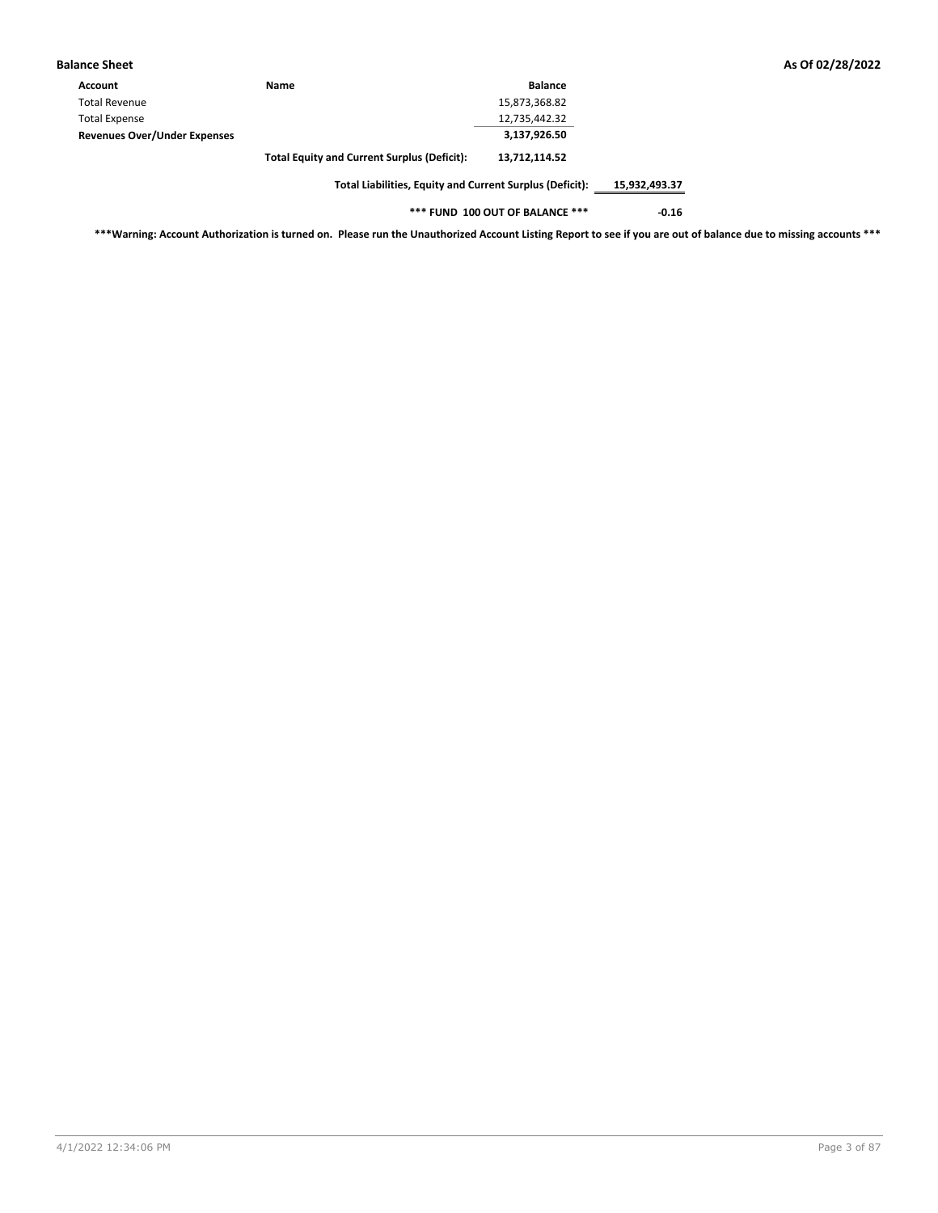| Balance Sheet                       |                                                    |                |
|-------------------------------------|----------------------------------------------------|----------------|
| <b>Account</b>                      | <b>Name</b>                                        | <b>Balance</b> |
| <b>Total Revenue</b>                |                                                    | 15,873,368.82  |
| <b>Total Expense</b>                |                                                    | 12,735,442.32  |
| <b>Revenues Over/Under Expenses</b> |                                                    | 3,137,926.50   |
|                                     | <b>Total Equity and Current Surplus (Deficit):</b> | 13.712.114.52  |

**\*\*\* FUND 100 OUT OF BALANCE \*\*\* -0.16**

**\*\*\*Warning: Account Authorization is turned on. Please run the Unauthorized Account Listing Report to see if you are out of balance due to missing accounts \*\*\***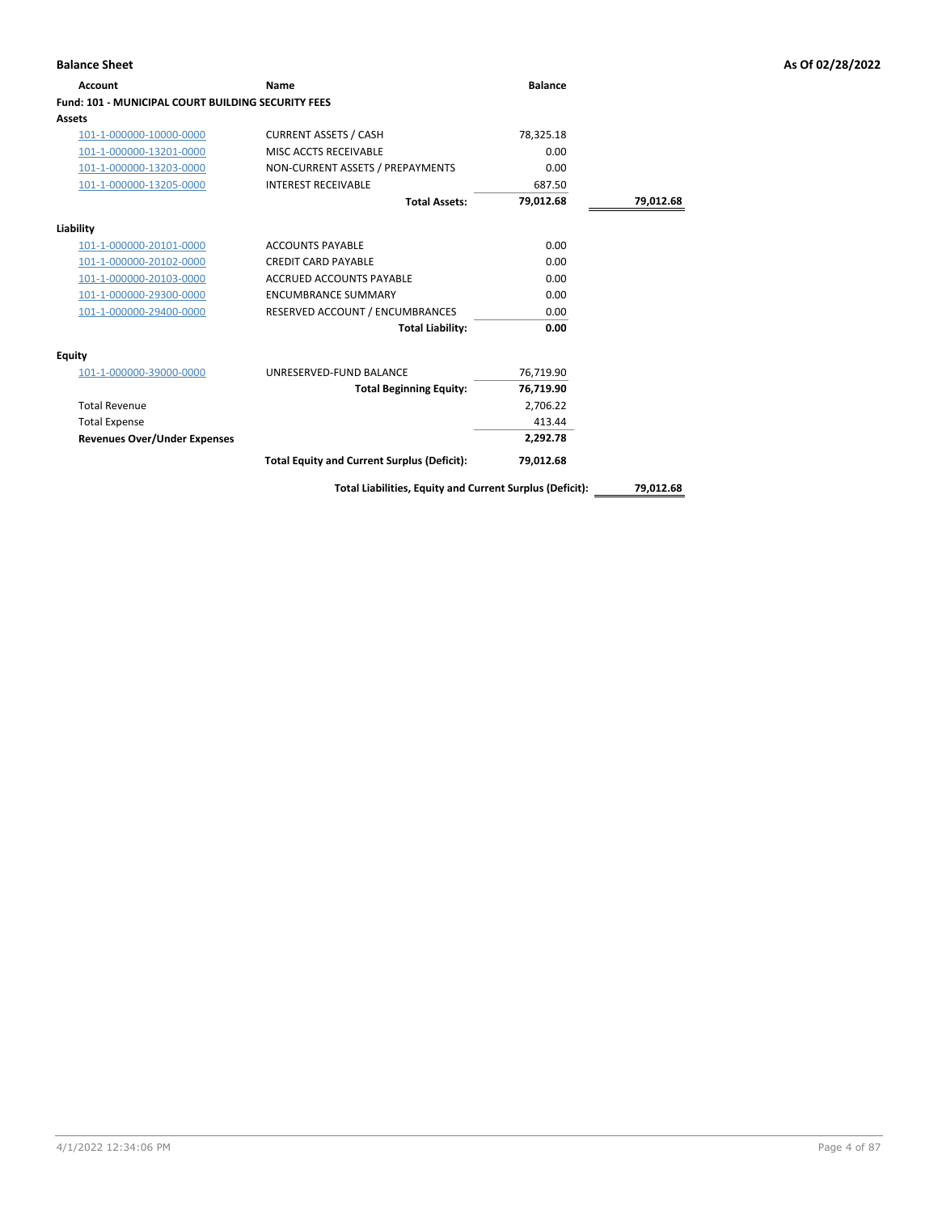### **Account Name Balance Fund: 101 - MUNICIPAL COURT BUILDING SECURITY FEES Assets** 101-1-000000-10000-0000 CURRENT ASSETS / CASH 78,325.18 101-1-000000-13201-0000 MISC ACCTS RECEIVABLE 0.00 101-1-000000-13203-0000 NON-CURRENT ASSETS / PREPAYMENTS 0.00 101-1-000000-13205-0000 INTEREST RECEIVABLE 687.50 **Total Assets: 79,012.68 79,012.68 Liability** 101-1-000000-20101-0000 ACCOUNTS PAYABLE 0.00 101-1-000000-20102-0000 CREDIT CARD PAYABLE 0.00 101-1-000000-20103-0000 ACCRUED ACCOUNTS PAYABLE 0.00 101-1-000000-29300-0000 ENCUMBRANCE SUMMARY 0.00 101-1-000000-29400-0000 RESERVED ACCOUNT / ENCUMBRANCES 0.00 **Total Liability: 0.00 Equity** 101-1-000000-39000-0000 UNRESERVED-FUND BALANCE 76,719.90 **Total Beginning Equity: 76,719.90** Total Revenue 2,706.22 Total Expense 413.44 **Revenues Over/Under Expenses 2,292.78 Total Equity and Current Surplus (Deficit): 79,012.68**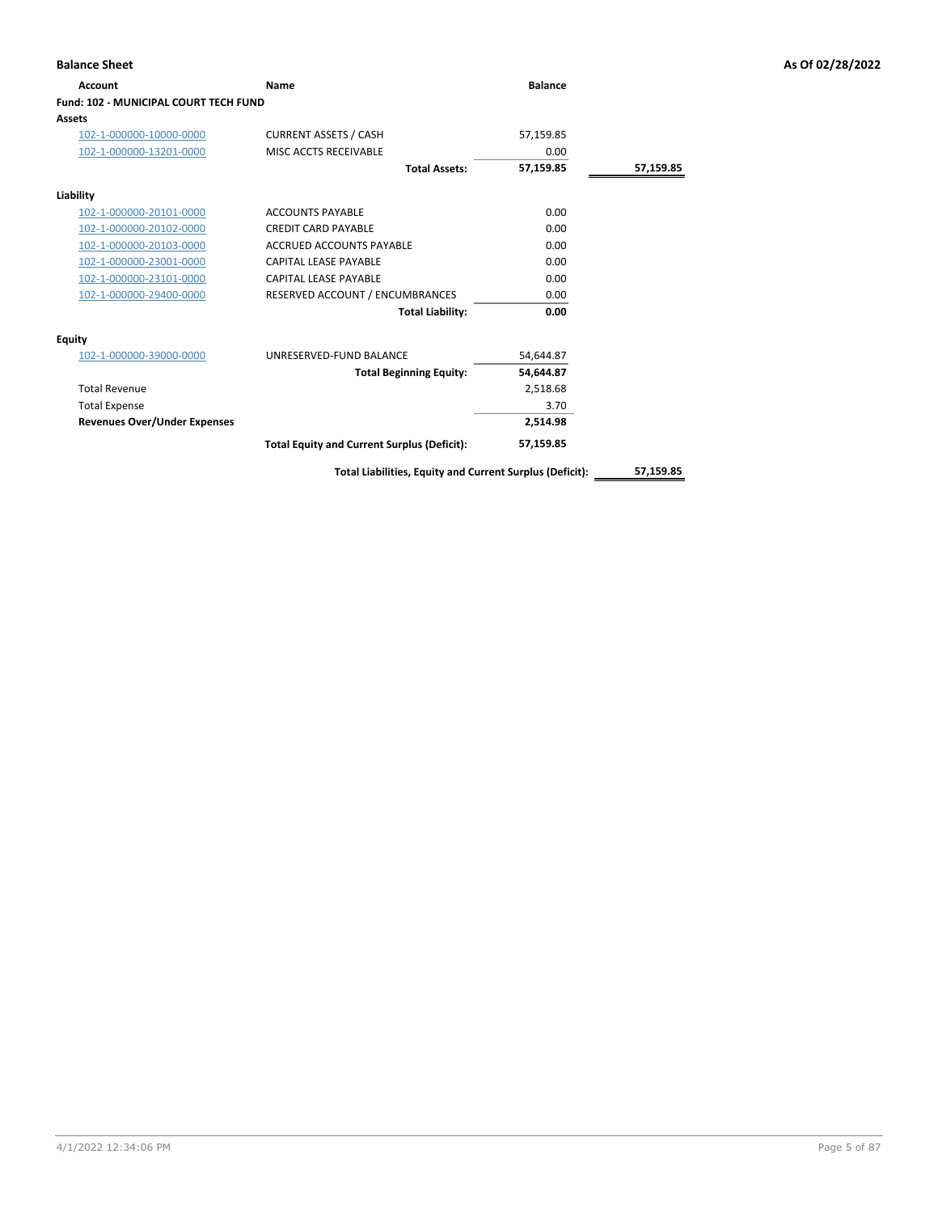| <b>Balance Sheet</b>                         |                                                          |                |           | As Of 02/28/2022 |
|----------------------------------------------|----------------------------------------------------------|----------------|-----------|------------------|
| Account                                      | Name                                                     | <b>Balance</b> |           |                  |
| <b>Fund: 102 - MUNICIPAL COURT TECH FUND</b> |                                                          |                |           |                  |
| <b>Assets</b>                                |                                                          |                |           |                  |
| 102-1-000000-10000-0000                      | <b>CURRENT ASSETS / CASH</b>                             | 57,159.85      |           |                  |
| 102-1-000000-13201-0000                      | MISC ACCTS RECEIVABLE                                    | 0.00           |           |                  |
|                                              | <b>Total Assets:</b>                                     | 57,159.85      | 57,159.85 |                  |
| Liability                                    |                                                          |                |           |                  |
| 102-1-000000-20101-0000                      | <b>ACCOUNTS PAYABLE</b>                                  | 0.00           |           |                  |
| 102-1-000000-20102-0000                      | <b>CREDIT CARD PAYABLE</b>                               | 0.00           |           |                  |
| 102-1-000000-20103-0000                      | ACCRUED ACCOUNTS PAYABLE                                 | 0.00           |           |                  |
| 102-1-000000-23001-0000                      | <b>CAPITAL LEASE PAYABLE</b>                             | 0.00           |           |                  |
| 102-1-000000-23101-0000                      | <b>CAPITAL LEASE PAYABLE</b>                             | 0.00           |           |                  |
| 102-1-000000-29400-0000                      | RESERVED ACCOUNT / ENCUMBRANCES                          | 0.00           |           |                  |
|                                              | <b>Total Liability:</b>                                  | 0.00           |           |                  |
| <b>Equity</b>                                |                                                          |                |           |                  |
| 102-1-000000-39000-0000                      | UNRESERVED-FUND BALANCE                                  | 54,644.87      |           |                  |
|                                              | <b>Total Beginning Equity:</b>                           | 54,644.87      |           |                  |
| <b>Total Revenue</b>                         |                                                          | 2,518.68       |           |                  |
| <b>Total Expense</b>                         |                                                          | 3.70           |           |                  |
| <b>Revenues Over/Under Expenses</b>          |                                                          | 2,514.98       |           |                  |
|                                              | <b>Total Equity and Current Surplus (Deficit):</b>       | 57,159.85      |           |                  |
|                                              | Total Liabilities, Equity and Current Surplus (Deficit): |                | 57,159.85 |                  |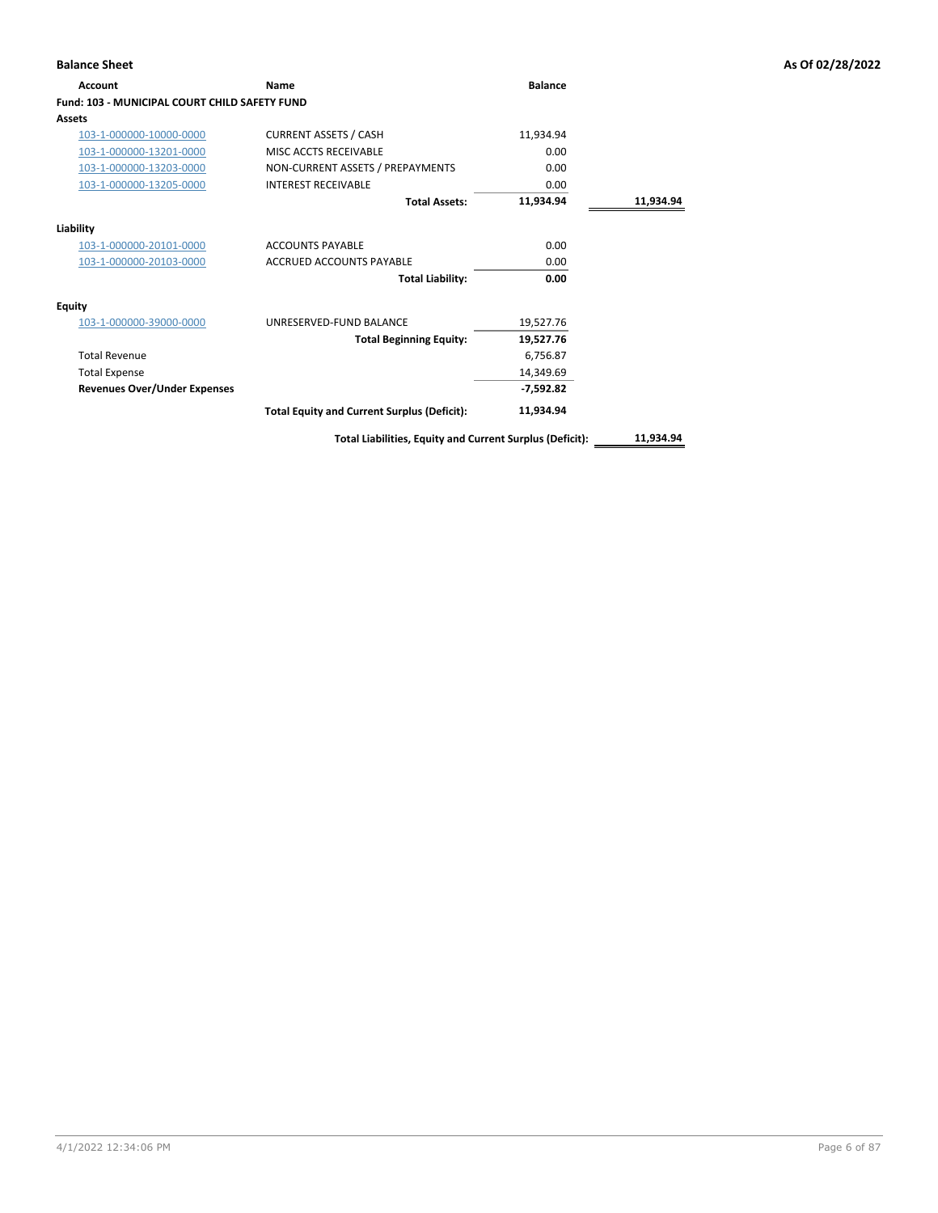| <b>Account</b>                                       | Name                                                     | <b>Balance</b> |           |
|------------------------------------------------------|----------------------------------------------------------|----------------|-----------|
| <b>Fund: 103 - MUNICIPAL COURT CHILD SAFETY FUND</b> |                                                          |                |           |
| <b>Assets</b>                                        |                                                          |                |           |
| 103-1-000000-10000-0000                              | <b>CURRENT ASSETS / CASH</b>                             | 11,934.94      |           |
| 103-1-000000-13201-0000                              | MISC ACCTS RECEIVABLE                                    | 0.00           |           |
| 103-1-000000-13203-0000                              | NON-CURRENT ASSETS / PREPAYMENTS                         | 0.00           |           |
| 103-1-000000-13205-0000                              | <b>INTEREST RECEIVABLE</b>                               | 0.00           |           |
|                                                      | <b>Total Assets:</b>                                     | 11,934.94      | 11,934.94 |
| Liability                                            |                                                          |                |           |
| 103-1-000000-20101-0000                              | <b>ACCOUNTS PAYABLE</b>                                  | 0.00           |           |
| 103-1-000000-20103-0000                              | <b>ACCRUED ACCOUNTS PAYABLE</b>                          | 0.00           |           |
|                                                      | <b>Total Liability:</b>                                  | 0.00           |           |
| Equity                                               |                                                          |                |           |
| 103-1-000000-39000-0000                              | UNRESERVED-FUND BALANCE                                  | 19,527.76      |           |
|                                                      | <b>Total Beginning Equity:</b>                           | 19,527.76      |           |
| <b>Total Revenue</b>                                 |                                                          | 6,756.87       |           |
| <b>Total Expense</b>                                 |                                                          | 14,349.69      |           |
| <b>Revenues Over/Under Expenses</b>                  |                                                          | $-7,592.82$    |           |
|                                                      | <b>Total Equity and Current Surplus (Deficit):</b>       | 11,934.94      |           |
|                                                      | Total Liabilities, Equity and Current Surplus (Deficit): |                | 11,934.94 |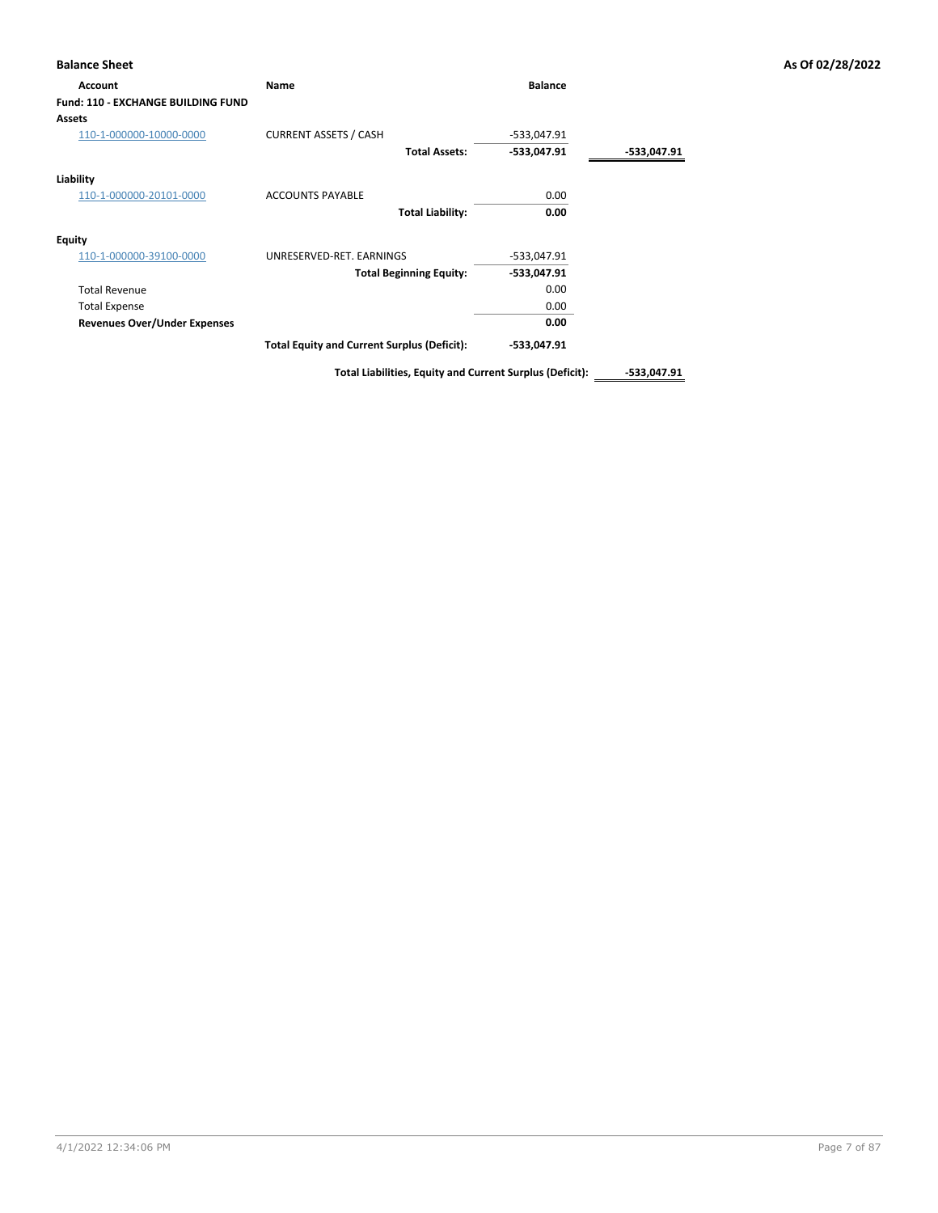## **Balance Sheet As Of 02/28/2022 Account Name Balance Fund: 110 - EXCHANGE BUILDING FUND Assets** 110-1-000000-10000-0000 CURRENT ASSETS / CASH -533,047.91 **Total Assets: -533,047.91 -533,047.91 Liability** 110-1-000000-20101-0000 ACCOUNTS PAYABLE 0.00 **Total Liability: 0.00 Equity** 110-1-000000-39100-0000 UNRESERVED-RET. EARNINGS -533,047.91 **Total Beginning Equity: -533,047.91** Total Revenue 0.00 Total Expense 0.00 **Revenues Over/Under Expenses 0.00 Total Equity and Current Surplus (Deficit): -533,047.91**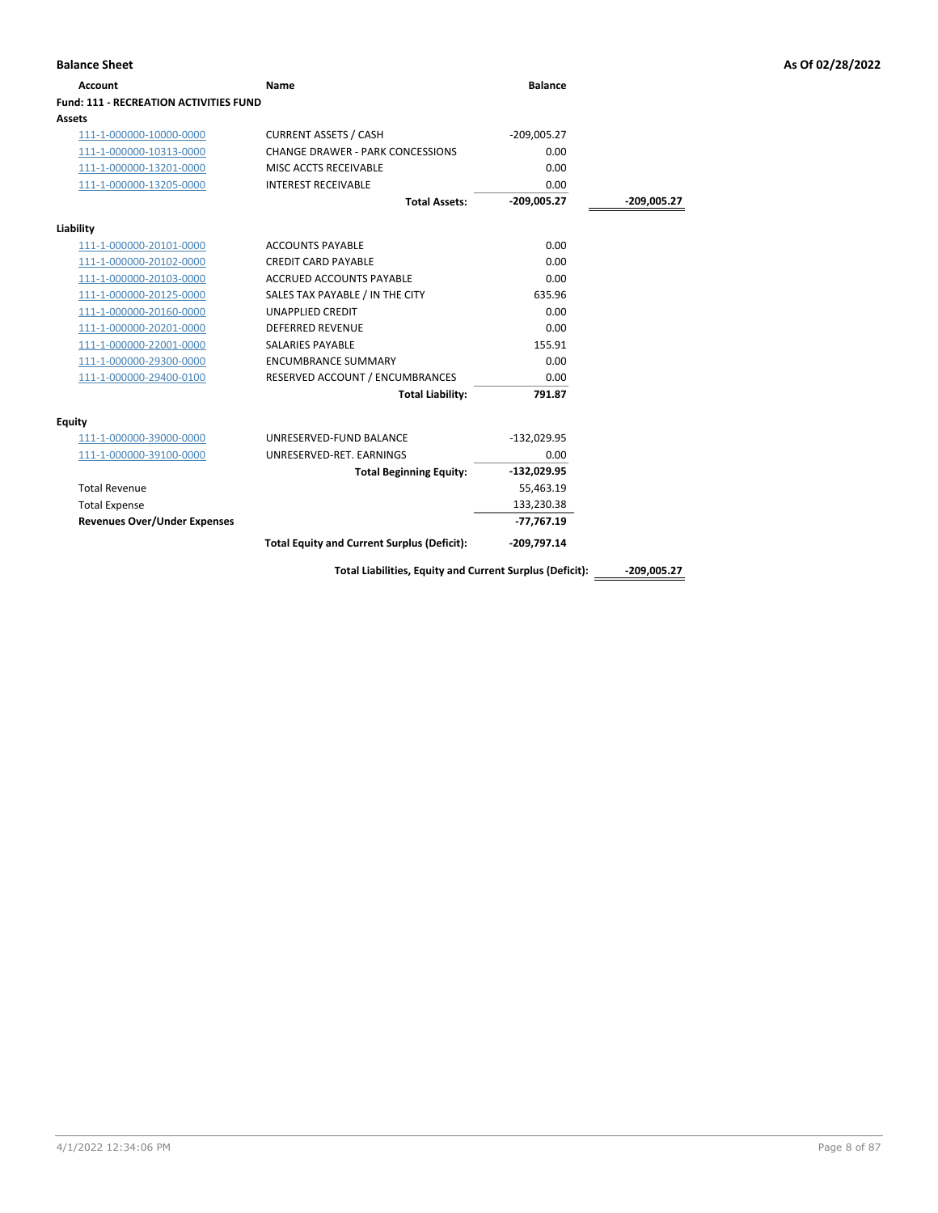| <b>Account</b>                         | <b>Name</b>                                              | <b>Balance</b> |               |
|----------------------------------------|----------------------------------------------------------|----------------|---------------|
| Fund: 111 - RECREATION ACTIVITIES FUND |                                                          |                |               |
| <b>Assets</b>                          |                                                          |                |               |
| 111-1-000000-10000-0000                | <b>CURRENT ASSETS / CASH</b>                             | $-209,005.27$  |               |
| 111-1-000000-10313-0000                | CHANGE DRAWER - PARK CONCESSIONS                         | 0.00           |               |
| 111-1-000000-13201-0000                | MISC ACCTS RECEIVABLE                                    | 0.00           |               |
| 111-1-000000-13205-0000                | <b>INTEREST RECEIVABLE</b>                               | 0.00           |               |
|                                        | <b>Total Assets:</b>                                     | $-209,005.27$  | $-209,005.27$ |
| Liability                              |                                                          |                |               |
| 111-1-000000-20101-0000                | <b>ACCOUNTS PAYABLE</b>                                  | 0.00           |               |
| 111-1-000000-20102-0000                | <b>CREDIT CARD PAYABLE</b>                               | 0.00           |               |
| 111-1-000000-20103-0000                | <b>ACCRUED ACCOUNTS PAYABLE</b>                          | 0.00           |               |
| 111-1-000000-20125-0000                | SALES TAX PAYABLE / IN THE CITY                          | 635.96         |               |
| 111-1-000000-20160-0000                | <b>UNAPPLIED CREDIT</b>                                  | 0.00           |               |
| 111-1-000000-20201-0000                | <b>DEFERRED REVENUE</b>                                  | 0.00           |               |
| 111-1-000000-22001-0000                | SALARIES PAYABLE                                         | 155.91         |               |
| 111-1-000000-29300-0000                | <b>ENCUMBRANCE SUMMARY</b>                               | 0.00           |               |
| 111-1-000000-29400-0100                | RESERVED ACCOUNT / ENCUMBRANCES                          | 0.00           |               |
|                                        | <b>Total Liability:</b>                                  | 791.87         |               |
| <b>Equity</b>                          |                                                          |                |               |
| 111-1-000000-39000-0000                | UNRESERVED-FUND BALANCE                                  | $-132,029.95$  |               |
| 111-1-000000-39100-0000                | UNRESERVED-RET. EARNINGS                                 | 0.00           |               |
|                                        | <b>Total Beginning Equity:</b>                           | $-132,029.95$  |               |
| <b>Total Revenue</b>                   |                                                          | 55,463.19      |               |
| <b>Total Expense</b>                   |                                                          | 133,230.38     |               |
| <b>Revenues Over/Under Expenses</b>    |                                                          | $-77,767.19$   |               |
|                                        | <b>Total Equity and Current Surplus (Deficit):</b>       | $-209,797.14$  |               |
|                                        | Total Liabilities, Equity and Current Surplus (Deficit): |                | $-209.005.27$ |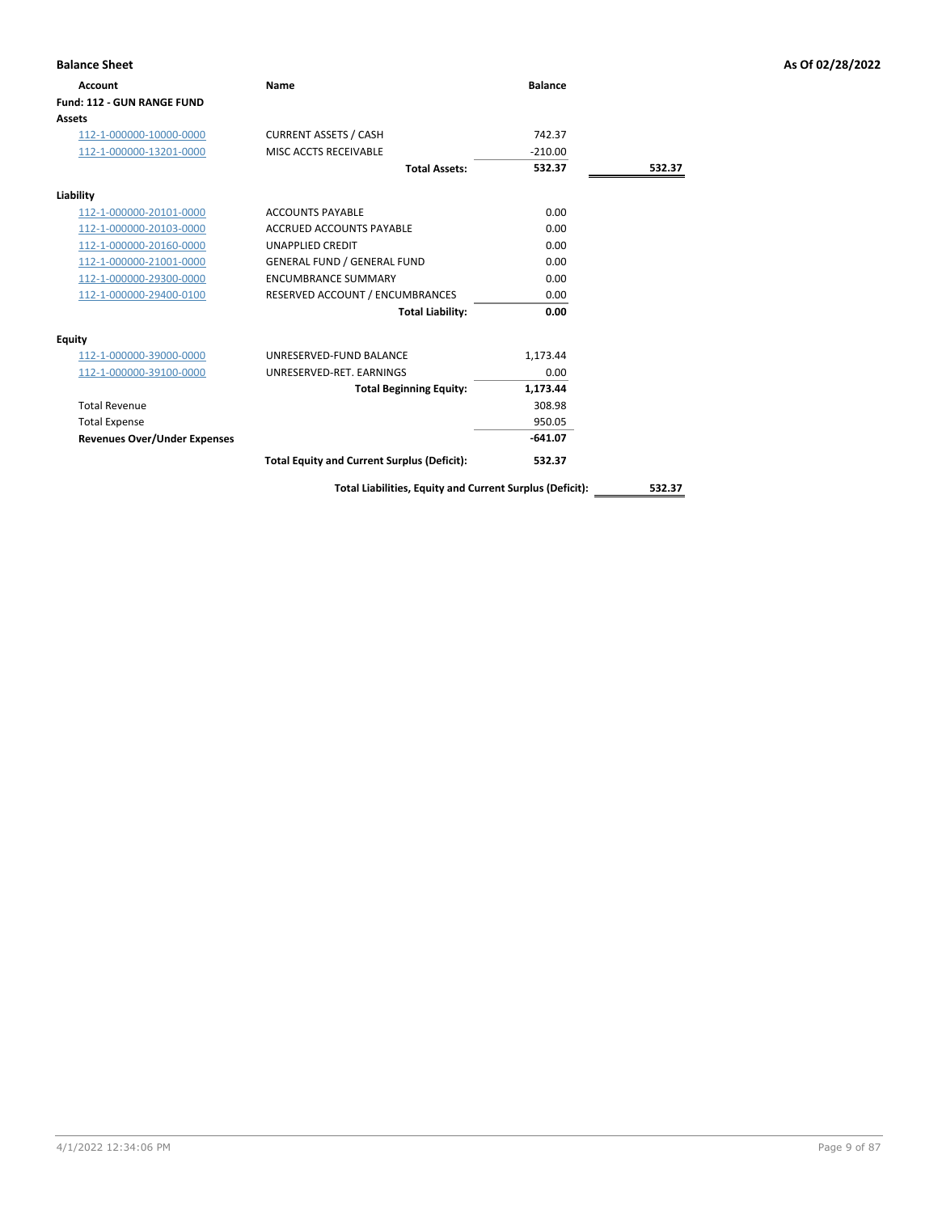| <b>Balance Sheet</b>                |                                                    |                |        | As Of 02/28/2022 |
|-------------------------------------|----------------------------------------------------|----------------|--------|------------------|
| Account                             | <b>Name</b>                                        | <b>Balance</b> |        |                  |
| Fund: 112 - GUN RANGE FUND          |                                                    |                |        |                  |
| <b>Assets</b>                       |                                                    |                |        |                  |
| 112-1-000000-10000-0000             | <b>CURRENT ASSETS / CASH</b>                       | 742.37         |        |                  |
| 112-1-000000-13201-0000             | MISC ACCTS RECEIVABLE                              | $-210.00$      |        |                  |
|                                     | <b>Total Assets:</b>                               | 532.37         | 532.37 |                  |
| Liability                           |                                                    |                |        |                  |
| 112-1-000000-20101-0000             | <b>ACCOUNTS PAYABLE</b>                            | 0.00           |        |                  |
| 112-1-000000-20103-0000             | <b>ACCRUED ACCOUNTS PAYABLE</b>                    | 0.00           |        |                  |
| 112-1-000000-20160-0000             | <b>UNAPPLIED CREDIT</b>                            | 0.00           |        |                  |
| 112-1-000000-21001-0000             | <b>GENERAL FUND / GENERAL FUND</b>                 | 0.00           |        |                  |
| 112-1-000000-29300-0000             | <b>ENCUMBRANCE SUMMARY</b>                         | 0.00           |        |                  |
| 112-1-000000-29400-0100             | RESERVED ACCOUNT / ENCUMBRANCES                    | 0.00           |        |                  |
|                                     | <b>Total Liability:</b>                            | 0.00           |        |                  |
| Equity                              |                                                    |                |        |                  |
| 112-1-000000-39000-0000             | UNRESERVED-FUND BALANCE                            | 1,173.44       |        |                  |
| 112-1-000000-39100-0000             | UNRESERVED-RET. EARNINGS                           | 0.00           |        |                  |
|                                     | <b>Total Beginning Equity:</b>                     | 1,173.44       |        |                  |
| <b>Total Revenue</b>                |                                                    | 308.98         |        |                  |
| <b>Total Expense</b>                |                                                    | 950.05         |        |                  |
| <b>Revenues Over/Under Expenses</b> |                                                    | $-641.07$      |        |                  |
|                                     | <b>Total Equity and Current Surplus (Deficit):</b> | 532.37         |        |                  |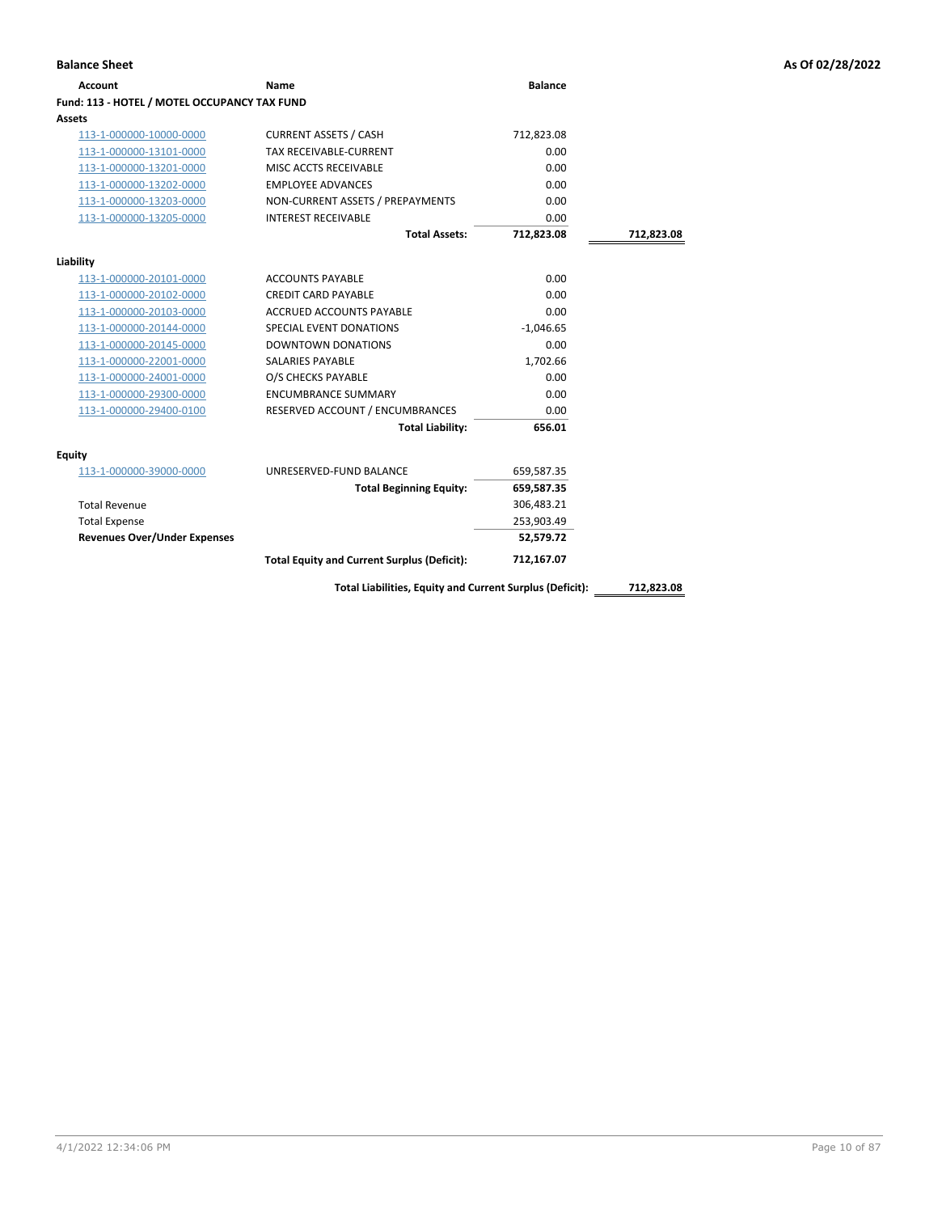| <b>Balance Sheet</b> | As Of 02/28/2022 |
|----------------------|------------------|
|                      |                  |

| <b>Account</b>                               | Name                                                     | <b>Balance</b> |            |
|----------------------------------------------|----------------------------------------------------------|----------------|------------|
| Fund: 113 - HOTEL / MOTEL OCCUPANCY TAX FUND |                                                          |                |            |
| Assets                                       |                                                          |                |            |
| 113-1-000000-10000-0000                      | <b>CURRENT ASSETS / CASH</b>                             | 712,823.08     |            |
| 113-1-000000-13101-0000                      | <b>TAX RECEIVABLE-CURRENT</b>                            | 0.00           |            |
| 113-1-000000-13201-0000                      | MISC ACCTS RECEIVABLE                                    | 0.00           |            |
| 113-1-000000-13202-0000                      | <b>EMPLOYEE ADVANCES</b>                                 | 0.00           |            |
| 113-1-000000-13203-0000                      | NON-CURRENT ASSETS / PREPAYMENTS                         | 0.00           |            |
| 113-1-000000-13205-0000                      | <b>INTEREST RECEIVABLE</b>                               | 0.00           |            |
|                                              | <b>Total Assets:</b>                                     | 712,823.08     | 712,823.08 |
| Liability                                    |                                                          |                |            |
| 113-1-000000-20101-0000                      | <b>ACCOUNTS PAYABLE</b>                                  | 0.00           |            |
| 113-1-000000-20102-0000                      | <b>CREDIT CARD PAYABLE</b>                               | 0.00           |            |
| 113-1-000000-20103-0000                      | <b>ACCRUED ACCOUNTS PAYABLE</b>                          | 0.00           |            |
| 113-1-000000-20144-0000                      | SPECIAL EVENT DONATIONS                                  | $-1,046.65$    |            |
| 113-1-000000-20145-0000                      | <b>DOWNTOWN DONATIONS</b>                                | 0.00           |            |
| 113-1-000000-22001-0000                      | <b>SALARIES PAYABLE</b>                                  | 1,702.66       |            |
| 113-1-000000-24001-0000                      | O/S CHECKS PAYABLE                                       | 0.00           |            |
| 113-1-000000-29300-0000                      | <b>ENCUMBRANCE SUMMARY</b>                               | 0.00           |            |
| 113-1-000000-29400-0100                      | RESERVED ACCOUNT / ENCUMBRANCES                          | 0.00           |            |
|                                              | <b>Total Liability:</b>                                  | 656.01         |            |
| Equity                                       |                                                          |                |            |
| 113-1-000000-39000-0000                      | UNRESERVED-FUND BALANCE                                  | 659,587.35     |            |
|                                              | <b>Total Beginning Equity:</b>                           | 659,587.35     |            |
| <b>Total Revenue</b>                         |                                                          | 306,483.21     |            |
| <b>Total Expense</b>                         |                                                          | 253,903.49     |            |
| <b>Revenues Over/Under Expenses</b>          |                                                          | 52,579.72      |            |
|                                              | <b>Total Equity and Current Surplus (Deficit):</b>       | 712,167.07     |            |
|                                              | Total Liabilities, Equity and Current Surplus (Deficit): |                | 712,823.08 |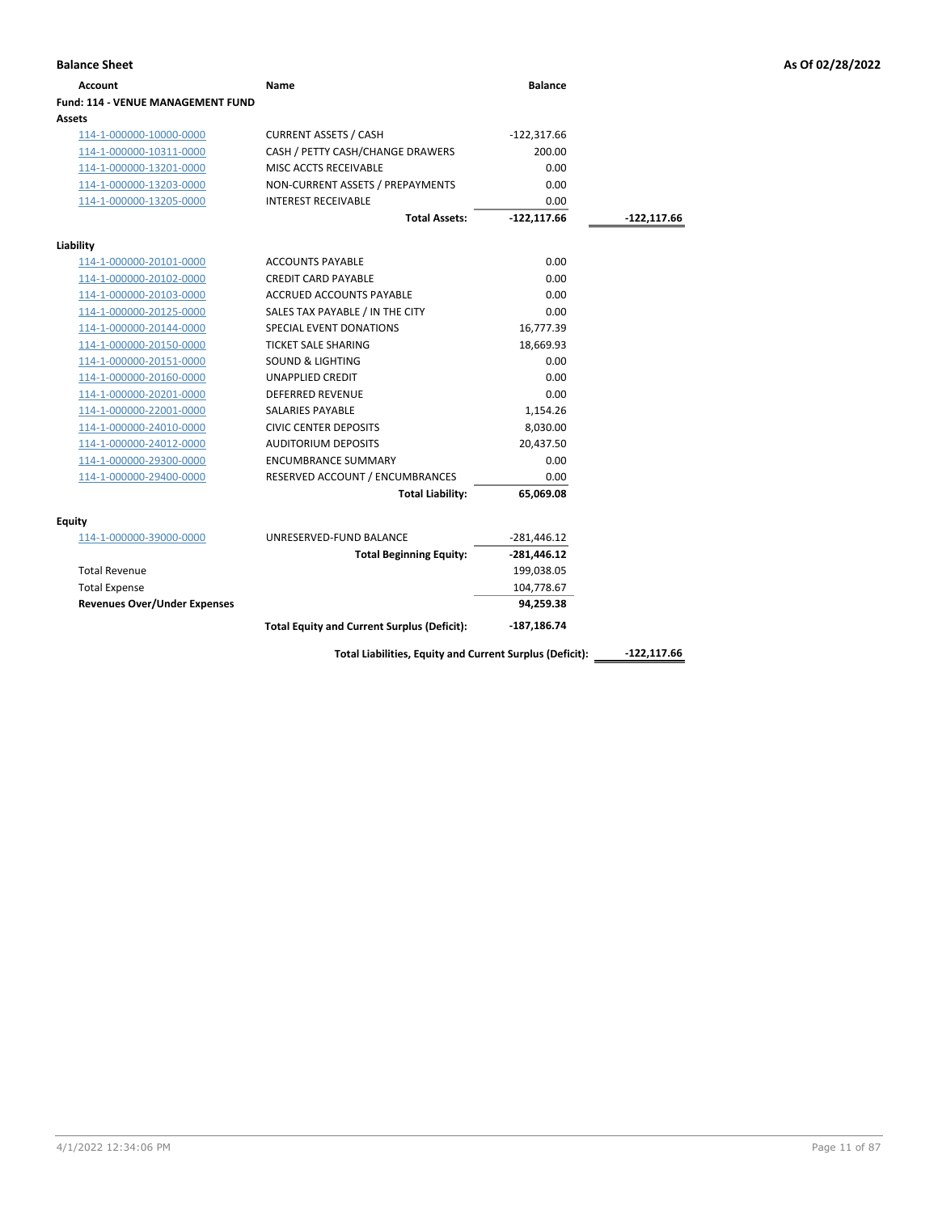| <b>Account</b>                           | Name                                               | <b>Balance</b> |             |
|------------------------------------------|----------------------------------------------------|----------------|-------------|
| <b>Fund: 114 - VENUE MANAGEMENT FUND</b> |                                                    |                |             |
| Assets                                   |                                                    |                |             |
| 114-1-000000-10000-0000                  | <b>CURRENT ASSETS / CASH</b>                       | $-122,317.66$  |             |
| 114-1-000000-10311-0000                  | CASH / PETTY CASH/CHANGE DRAWERS                   | 200.00         |             |
| 114-1-000000-13201-0000                  | MISC ACCTS RECEIVABLE                              | 0.00           |             |
| 114-1-000000-13203-0000                  | NON-CURRENT ASSETS / PREPAYMENTS                   | 0.00           |             |
| 114-1-000000-13205-0000                  | <b>INTEREST RECEIVABLE</b>                         | 0.00           |             |
|                                          | <b>Total Assets:</b>                               | $-122, 117.66$ | -122,117.66 |
| Liability                                |                                                    |                |             |
| 114-1-000000-20101-0000                  | <b>ACCOUNTS PAYABLE</b>                            | 0.00           |             |
| 114-1-000000-20102-0000                  | <b>CREDIT CARD PAYABLE</b>                         | 0.00           |             |
| 114-1-000000-20103-0000                  | ACCRUED ACCOUNTS PAYABLE                           | 0.00           |             |
| 114-1-000000-20125-0000                  | SALES TAX PAYABLE / IN THE CITY                    | 0.00           |             |
| 114-1-000000-20144-0000                  | SPECIAL EVENT DONATIONS                            | 16,777.39      |             |
| 114-1-000000-20150-0000                  | <b>TICKET SALE SHARING</b>                         | 18,669.93      |             |
| 114-1-000000-20151-0000                  | <b>SOUND &amp; LIGHTING</b>                        | 0.00           |             |
| 114-1-000000-20160-0000                  | <b>UNAPPLIED CREDIT</b>                            | 0.00           |             |
| 114-1-000000-20201-0000                  | <b>DEFERRED REVENUE</b>                            | 0.00           |             |
| 114-1-000000-22001-0000                  | <b>SALARIES PAYABLE</b>                            | 1,154.26       |             |
| 114-1-000000-24010-0000                  | <b>CIVIC CENTER DEPOSITS</b>                       | 8,030.00       |             |
| 114-1-000000-24012-0000                  | <b>AUDITORIUM DEPOSITS</b>                         | 20,437.50      |             |
| 114-1-000000-29300-0000                  | <b>ENCUMBRANCE SUMMARY</b>                         | 0.00           |             |
| 114-1-000000-29400-0000                  | RESERVED ACCOUNT / ENCUMBRANCES                    | 0.00           |             |
|                                          | <b>Total Liability:</b>                            | 65,069.08      |             |
|                                          |                                                    |                |             |
| <b>Equity</b>                            |                                                    |                |             |
| 114-1-000000-39000-0000                  | UNRESERVED-FUND BALANCE                            | $-281,446.12$  |             |
|                                          | <b>Total Beginning Equity:</b>                     | $-281,446.12$  |             |
| <b>Total Revenue</b>                     |                                                    | 199,038.05     |             |
| <b>Total Expense</b>                     |                                                    | 104,778.67     |             |
| <b>Revenues Over/Under Expenses</b>      |                                                    | 94,259.38      |             |
|                                          | <b>Total Equity and Current Surplus (Deficit):</b> | $-187,186.74$  |             |

Total Liabilities, Equity and Current Surplus (Deficit): \_\_\_\_\_\_\_\_\_\_\_\_\_\_\_\_\_\_\_\_\_\_\_\_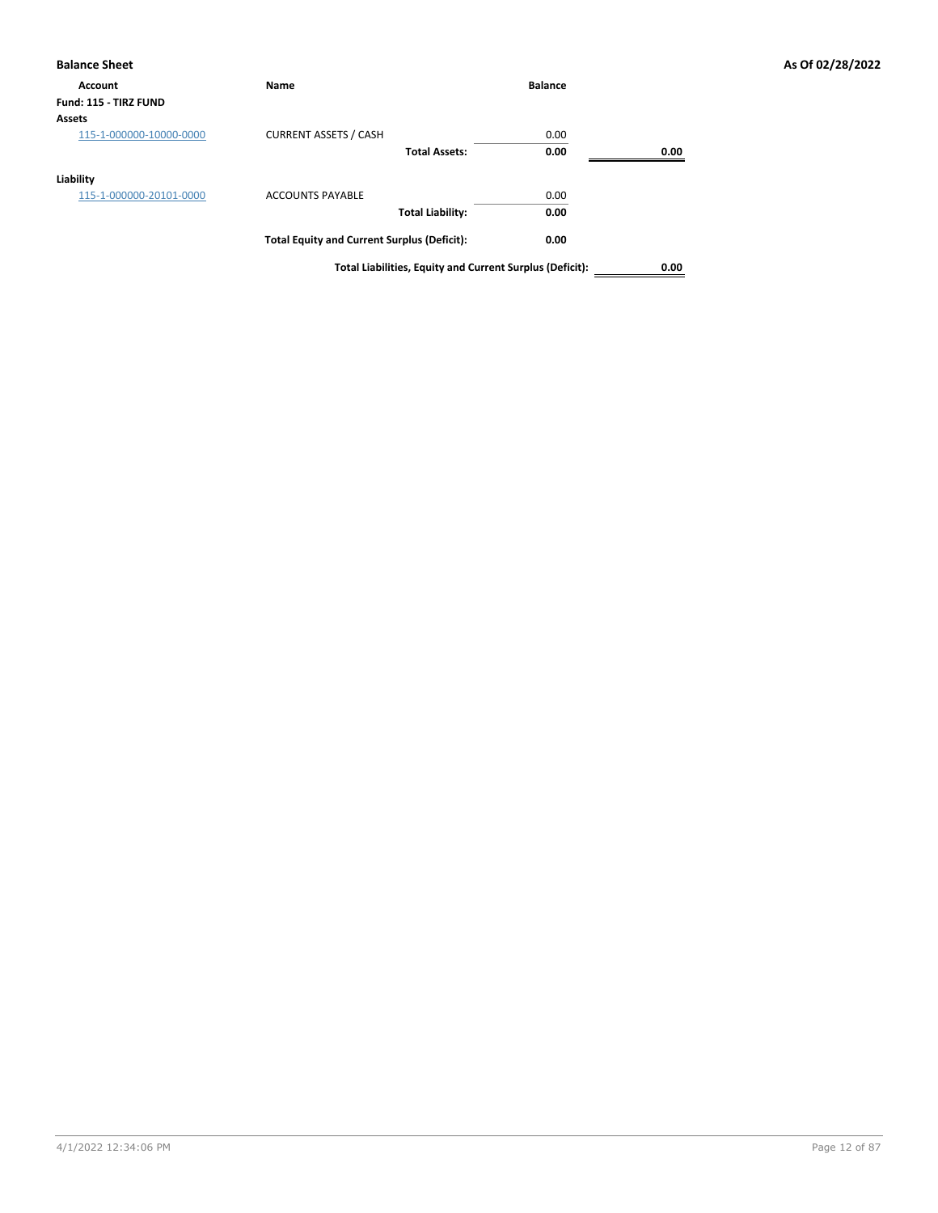| <b>Balance Sheet</b>    |                                                          |                |      | As Of 02/28/2022 |
|-------------------------|----------------------------------------------------------|----------------|------|------------------|
| Account                 | Name                                                     | <b>Balance</b> |      |                  |
| Fund: 115 - TIRZ FUND   |                                                          |                |      |                  |
| Assets                  |                                                          |                |      |                  |
| 115-1-000000-10000-0000 | <b>CURRENT ASSETS / CASH</b>                             | 0.00           |      |                  |
|                         | <b>Total Assets:</b>                                     | 0.00           | 0.00 |                  |
| Liability               |                                                          |                |      |                  |
| 115-1-000000-20101-0000 | <b>ACCOUNTS PAYABLE</b>                                  | 0.00           |      |                  |
|                         | <b>Total Liability:</b>                                  | 0.00           |      |                  |
|                         | <b>Total Equity and Current Surplus (Deficit):</b>       | 0.00           |      |                  |
|                         | Total Liabilities, Equity and Current Surplus (Deficit): |                | 0.00 |                  |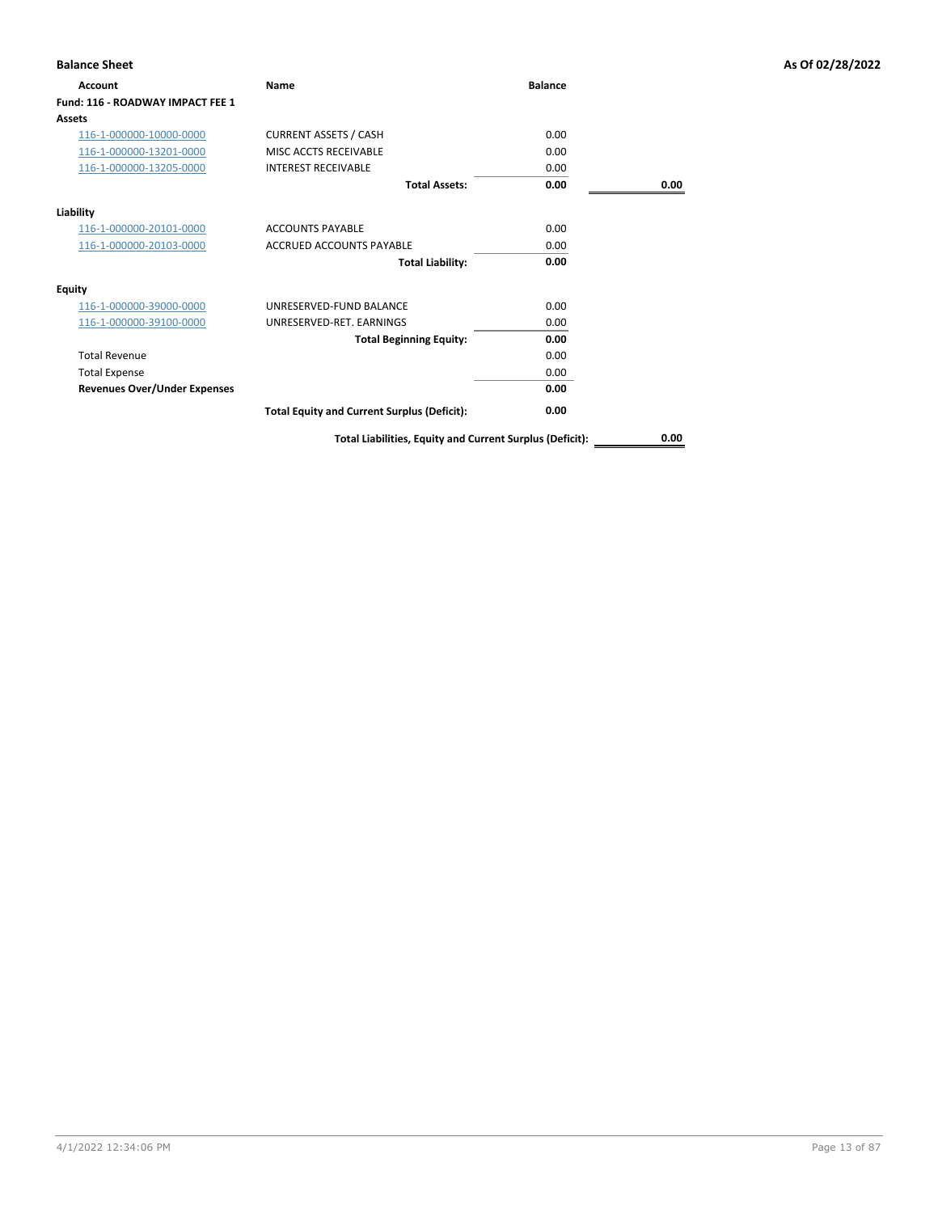| <b>Balance Sheet</b>                |                                                          |                |      | As Of 02/28/2022 |
|-------------------------------------|----------------------------------------------------------|----------------|------|------------------|
| Account                             | Name                                                     | <b>Balance</b> |      |                  |
| Fund: 116 - ROADWAY IMPACT FEE 1    |                                                          |                |      |                  |
| <b>Assets</b>                       |                                                          |                |      |                  |
| 116-1-000000-10000-0000             | <b>CURRENT ASSETS / CASH</b>                             | 0.00           |      |                  |
| 116-1-000000-13201-0000             | MISC ACCTS RECEIVABLE                                    | 0.00           |      |                  |
| 116-1-000000-13205-0000             | <b>INTEREST RECEIVABLE</b>                               | 0.00           |      |                  |
|                                     | <b>Total Assets:</b>                                     | 0.00           | 0.00 |                  |
| Liability                           |                                                          |                |      |                  |
| 116-1-000000-20101-0000             | <b>ACCOUNTS PAYABLE</b>                                  | 0.00           |      |                  |
| 116-1-000000-20103-0000             | <b>ACCRUED ACCOUNTS PAYABLE</b>                          | 0.00           |      |                  |
|                                     | <b>Total Liability:</b>                                  | 0.00           |      |                  |
| <b>Equity</b>                       |                                                          |                |      |                  |
| 116-1-000000-39000-0000             | UNRESERVED-FUND BALANCE                                  | 0.00           |      |                  |
| 116-1-000000-39100-0000             | UNRESERVED-RET. EARNINGS                                 | 0.00           |      |                  |
|                                     | <b>Total Beginning Equity:</b>                           | 0.00           |      |                  |
| <b>Total Revenue</b>                |                                                          | 0.00           |      |                  |
| <b>Total Expense</b>                |                                                          | 0.00           |      |                  |
| <b>Revenues Over/Under Expenses</b> |                                                          | 0.00           |      |                  |
|                                     | <b>Total Equity and Current Surplus (Deficit):</b>       | 0.00           |      |                  |
|                                     | Total Liabilities, Equity and Current Surplus (Deficit): |                | 0.00 |                  |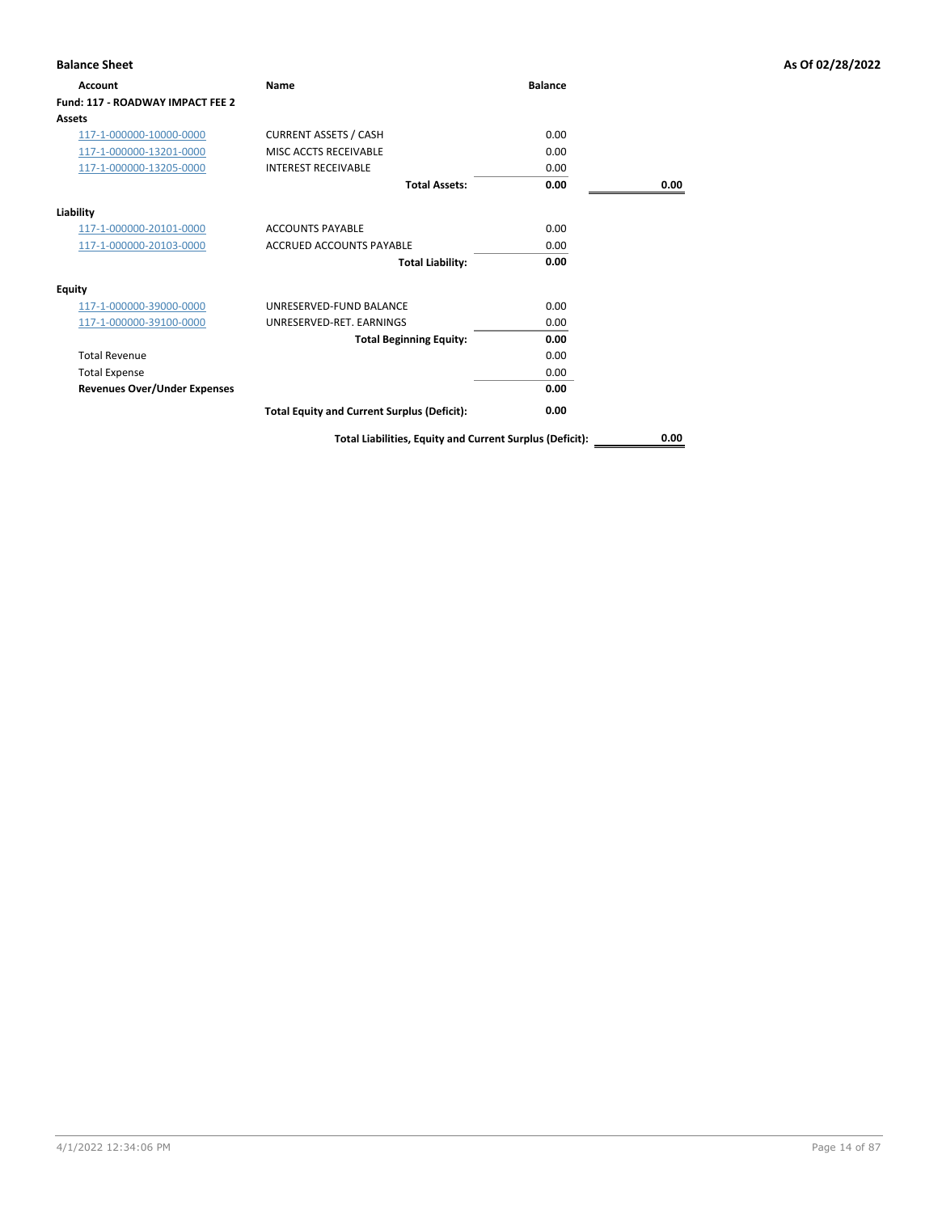| <b>Balance Sheet</b>                |                                                          |                |      | As Of 02/28/2022 |
|-------------------------------------|----------------------------------------------------------|----------------|------|------------------|
| Account                             | Name                                                     | <b>Balance</b> |      |                  |
| Fund: 117 - ROADWAY IMPACT FEE 2    |                                                          |                |      |                  |
| Assets                              |                                                          |                |      |                  |
| 117-1-000000-10000-0000             | <b>CURRENT ASSETS / CASH</b>                             | 0.00           |      |                  |
| 117-1-000000-13201-0000             | MISC ACCTS RECEIVABLE                                    | 0.00           |      |                  |
| 117-1-000000-13205-0000             | <b>INTEREST RECEIVABLE</b>                               | 0.00           |      |                  |
|                                     | <b>Total Assets:</b>                                     | 0.00           | 0.00 |                  |
| Liability                           |                                                          |                |      |                  |
| 117-1-000000-20101-0000             | <b>ACCOUNTS PAYABLE</b>                                  | 0.00           |      |                  |
| 117-1-000000-20103-0000             | <b>ACCRUED ACCOUNTS PAYABLE</b>                          | 0.00           |      |                  |
|                                     | <b>Total Liability:</b>                                  | 0.00           |      |                  |
| <b>Equity</b>                       |                                                          |                |      |                  |
| 117-1-000000-39000-0000             | UNRESERVED-FUND BALANCE                                  | 0.00           |      |                  |
| 117-1-000000-39100-0000             | UNRESERVED-RET. EARNINGS                                 | 0.00           |      |                  |
|                                     | <b>Total Beginning Equity:</b>                           | 0.00           |      |                  |
| <b>Total Revenue</b>                |                                                          | 0.00           |      |                  |
| <b>Total Expense</b>                |                                                          | 0.00           |      |                  |
| <b>Revenues Over/Under Expenses</b> |                                                          | 0.00           |      |                  |
|                                     | <b>Total Equity and Current Surplus (Deficit):</b>       | 0.00           |      |                  |
|                                     | Total Liabilities, Equity and Current Surplus (Deficit): |                | 0.00 |                  |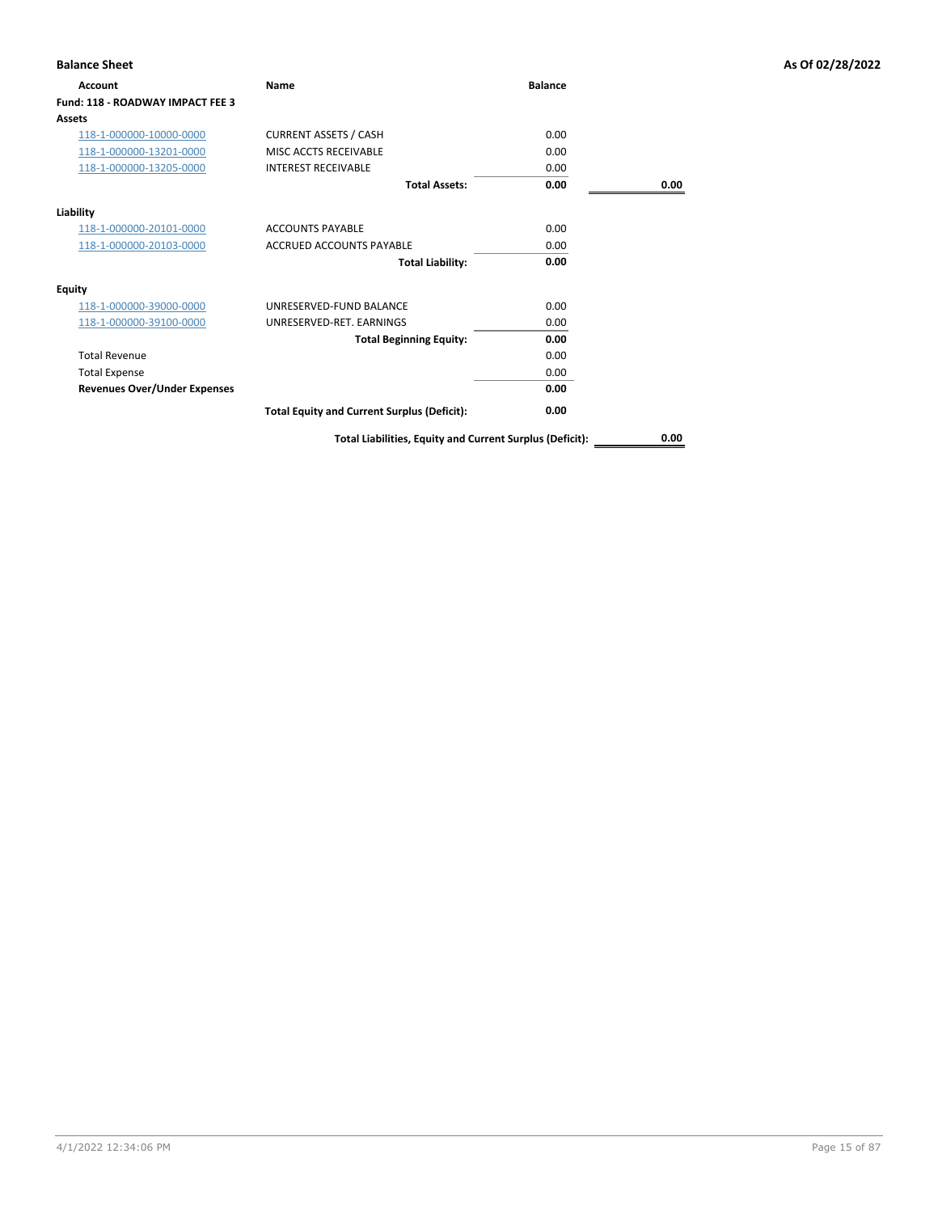| <b>Balance Sheet</b>                |                                                          |                |      | As Of 02/28/2022 |
|-------------------------------------|----------------------------------------------------------|----------------|------|------------------|
| Account                             | Name                                                     | <b>Balance</b> |      |                  |
| Fund: 118 - ROADWAY IMPACT FEE 3    |                                                          |                |      |                  |
| <b>Assets</b>                       |                                                          |                |      |                  |
| 118-1-000000-10000-0000             | <b>CURRENT ASSETS / CASH</b>                             | 0.00           |      |                  |
| 118-1-000000-13201-0000             | MISC ACCTS RECEIVABLE                                    | 0.00           |      |                  |
| 118-1-000000-13205-0000             | <b>INTEREST RECEIVABLE</b>                               | 0.00           |      |                  |
|                                     | <b>Total Assets:</b>                                     | 0.00           | 0.00 |                  |
| Liability                           |                                                          |                |      |                  |
| 118-1-000000-20101-0000             | <b>ACCOUNTS PAYABLE</b>                                  | 0.00           |      |                  |
| 118-1-000000-20103-0000             | <b>ACCRUED ACCOUNTS PAYABLE</b>                          | 0.00           |      |                  |
|                                     | <b>Total Liability:</b>                                  | 0.00           |      |                  |
| <b>Equity</b>                       |                                                          |                |      |                  |
| 118-1-000000-39000-0000             | UNRESERVED-FUND BALANCE                                  | 0.00           |      |                  |
| 118-1-000000-39100-0000             | UNRESERVED-RET. EARNINGS                                 | 0.00           |      |                  |
|                                     | <b>Total Beginning Equity:</b>                           | 0.00           |      |                  |
| <b>Total Revenue</b>                |                                                          | 0.00           |      |                  |
| <b>Total Expense</b>                |                                                          | 0.00           |      |                  |
| <b>Revenues Over/Under Expenses</b> |                                                          | 0.00           |      |                  |
|                                     | <b>Total Equity and Current Surplus (Deficit):</b>       | 0.00           |      |                  |
|                                     | Total Liabilities, Equity and Current Surplus (Deficit): |                | 0.00 |                  |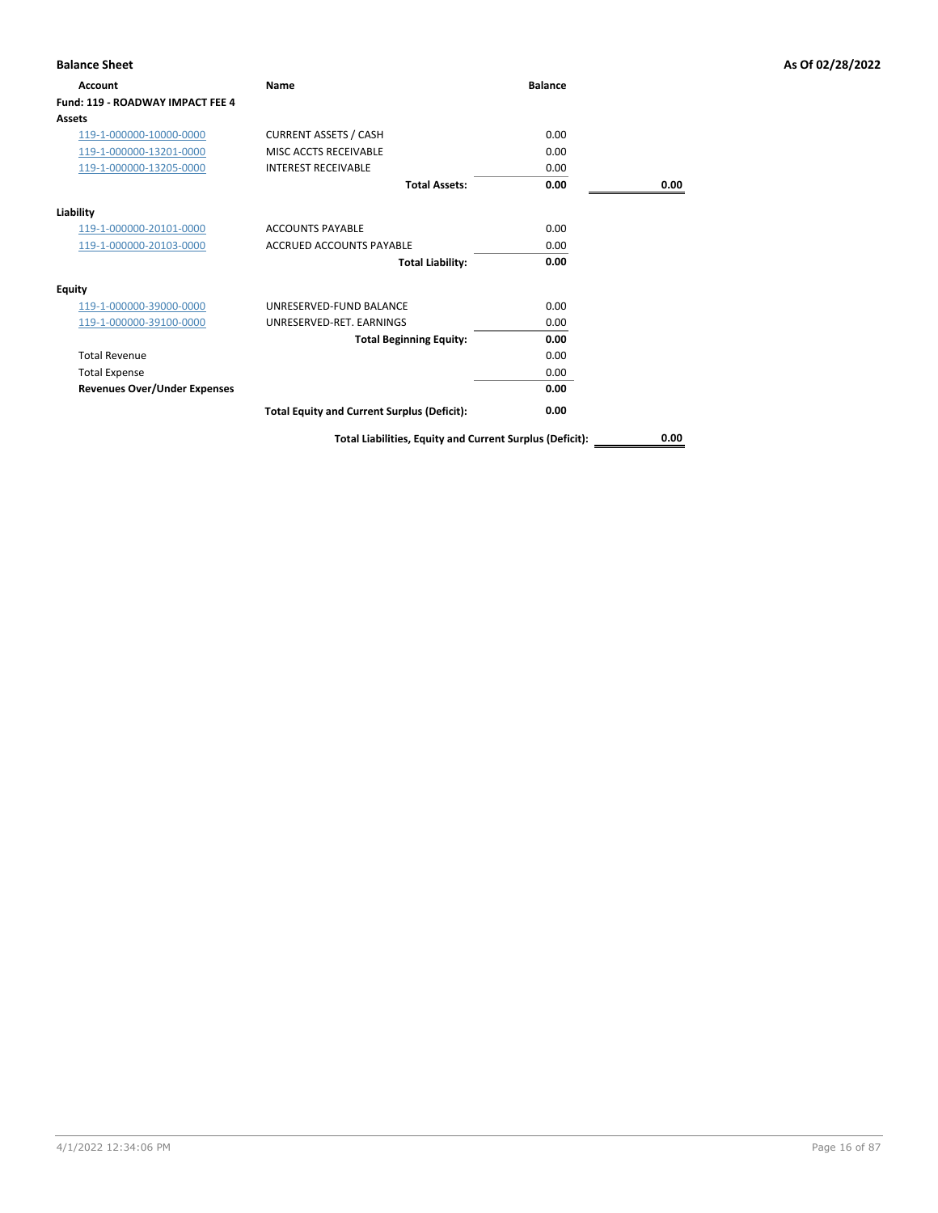| <b>Balance Sheet</b>                |                                                          |                |      | As Of 02/28/2022 |
|-------------------------------------|----------------------------------------------------------|----------------|------|------------------|
| Account                             | Name                                                     | <b>Balance</b> |      |                  |
| Fund: 119 - ROADWAY IMPACT FEE 4    |                                                          |                |      |                  |
| <b>Assets</b>                       |                                                          |                |      |                  |
| 119-1-000000-10000-0000             | <b>CURRENT ASSETS / CASH</b>                             | 0.00           |      |                  |
| 119-1-000000-13201-0000             | MISC ACCTS RECEIVABLE                                    | 0.00           |      |                  |
| 119-1-000000-13205-0000             | <b>INTEREST RECEIVABLE</b>                               | 0.00           |      |                  |
|                                     | <b>Total Assets:</b>                                     | 0.00           | 0.00 |                  |
| Liability                           |                                                          |                |      |                  |
| 119-1-000000-20101-0000             | <b>ACCOUNTS PAYABLE</b>                                  | 0.00           |      |                  |
| 119-1-000000-20103-0000             | <b>ACCRUED ACCOUNTS PAYABLE</b>                          | 0.00           |      |                  |
|                                     | <b>Total Liability:</b>                                  | 0.00           |      |                  |
| <b>Equity</b>                       |                                                          |                |      |                  |
| 119-1-000000-39000-0000             | UNRESERVED-FUND BALANCE                                  | 0.00           |      |                  |
| 119-1-000000-39100-0000             | UNRESERVED-RET. EARNINGS                                 | 0.00           |      |                  |
|                                     | <b>Total Beginning Equity:</b>                           | 0.00           |      |                  |
| <b>Total Revenue</b>                |                                                          | 0.00           |      |                  |
| <b>Total Expense</b>                |                                                          | 0.00           |      |                  |
| <b>Revenues Over/Under Expenses</b> |                                                          | 0.00           |      |                  |
|                                     | <b>Total Equity and Current Surplus (Deficit):</b>       | 0.00           |      |                  |
|                                     | Total Liabilities, Equity and Current Surplus (Deficit): |                | 0.00 |                  |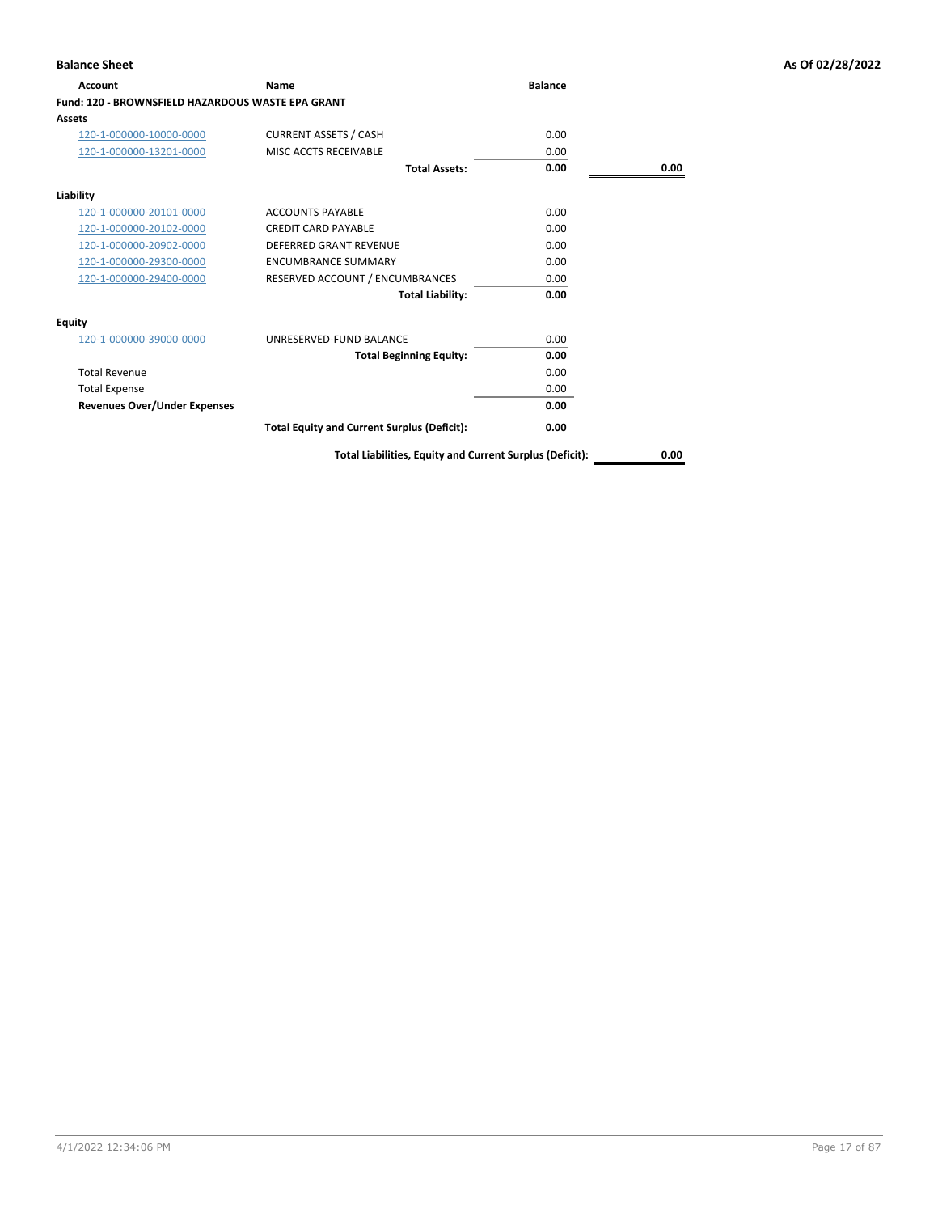| <b>Account</b>                                           | <b>Name</b>                                        | <b>Balance</b> |      |
|----------------------------------------------------------|----------------------------------------------------|----------------|------|
| <b>Fund: 120 - BROWNSFIELD HAZARDOUS WASTE EPA GRANT</b> |                                                    |                |      |
| Assets                                                   |                                                    |                |      |
| 120-1-000000-10000-0000                                  | <b>CURRENT ASSETS / CASH</b>                       | 0.00           |      |
| 120-1-000000-13201-0000                                  | MISC ACCTS RECEIVABLE                              | 0.00           |      |
|                                                          | <b>Total Assets:</b>                               | 0.00           | 0.00 |
| Liability                                                |                                                    |                |      |
| 120-1-000000-20101-0000                                  | <b>ACCOUNTS PAYABLE</b>                            | 0.00           |      |
| 120-1-000000-20102-0000                                  | <b>CREDIT CARD PAYABLE</b>                         | 0.00           |      |
| 120-1-000000-20902-0000                                  | <b>DEFERRED GRANT REVENUE</b>                      | 0.00           |      |
| 120-1-000000-29300-0000                                  | <b>ENCUMBRANCE SUMMARY</b>                         | 0.00           |      |
| 120-1-000000-29400-0000                                  | RESERVED ACCOUNT / ENCUMBRANCES                    | 0.00           |      |
|                                                          | <b>Total Liability:</b>                            | 0.00           |      |
| <b>Equity</b>                                            |                                                    |                |      |
| 120-1-000000-39000-0000                                  | UNRESERVED-FUND BALANCE                            | 0.00           |      |
|                                                          | <b>Total Beginning Equity:</b>                     | 0.00           |      |
| <b>Total Revenue</b>                                     |                                                    | 0.00           |      |
| <b>Total Expense</b>                                     |                                                    | 0.00           |      |
| <b>Revenues Over/Under Expenses</b>                      |                                                    | 0.00           |      |
|                                                          | <b>Total Equity and Current Surplus (Deficit):</b> | 0.00           |      |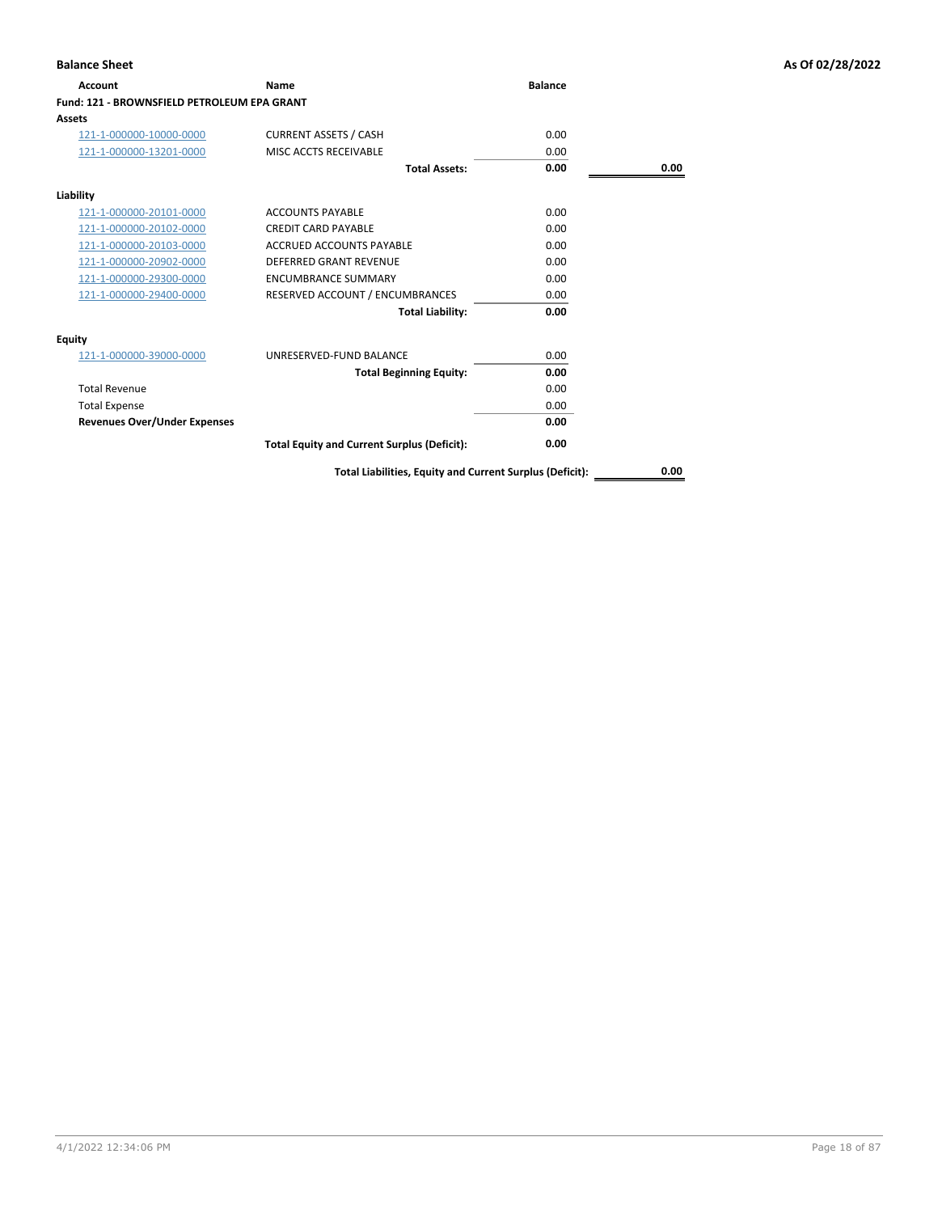| <b>Account</b>                                     | Name                                               | <b>Balance</b> |      |
|----------------------------------------------------|----------------------------------------------------|----------------|------|
| <b>Fund: 121 - BROWNSFIELD PETROLEUM EPA GRANT</b> |                                                    |                |      |
| Assets                                             |                                                    |                |      |
| 121-1-000000-10000-0000                            | <b>CURRENT ASSETS / CASH</b>                       | 0.00           |      |
| 121-1-000000-13201-0000                            | MISC ACCTS RECEIVABLE                              | 0.00           |      |
|                                                    | <b>Total Assets:</b>                               | 0.00           | 0.00 |
| Liability                                          |                                                    |                |      |
| 121-1-000000-20101-0000                            | <b>ACCOUNTS PAYABLE</b>                            | 0.00           |      |
| 121-1-000000-20102-0000                            | <b>CREDIT CARD PAYABLE</b>                         | 0.00           |      |
| 121-1-000000-20103-0000                            | <b>ACCRUED ACCOUNTS PAYABLE</b>                    | 0.00           |      |
| 121-1-000000-20902-0000                            | <b>DEFERRED GRANT REVENUE</b>                      | 0.00           |      |
| 121-1-000000-29300-0000                            | <b>ENCUMBRANCE SUMMARY</b>                         | 0.00           |      |
| 121-1-000000-29400-0000                            | RESERVED ACCOUNT / ENCUMBRANCES                    | 0.00           |      |
|                                                    | <b>Total Liability:</b>                            | 0.00           |      |
| <b>Equity</b>                                      |                                                    |                |      |
| 121-1-000000-39000-0000                            | UNRESERVED-FUND BALANCE                            | 0.00           |      |
|                                                    | <b>Total Beginning Equity:</b>                     | 0.00           |      |
| <b>Total Revenue</b>                               |                                                    | 0.00           |      |
| <b>Total Expense</b>                               |                                                    | 0.00           |      |
| <b>Revenues Over/Under Expenses</b>                |                                                    | 0.00           |      |
|                                                    | <b>Total Equity and Current Surplus (Deficit):</b> | 0.00           |      |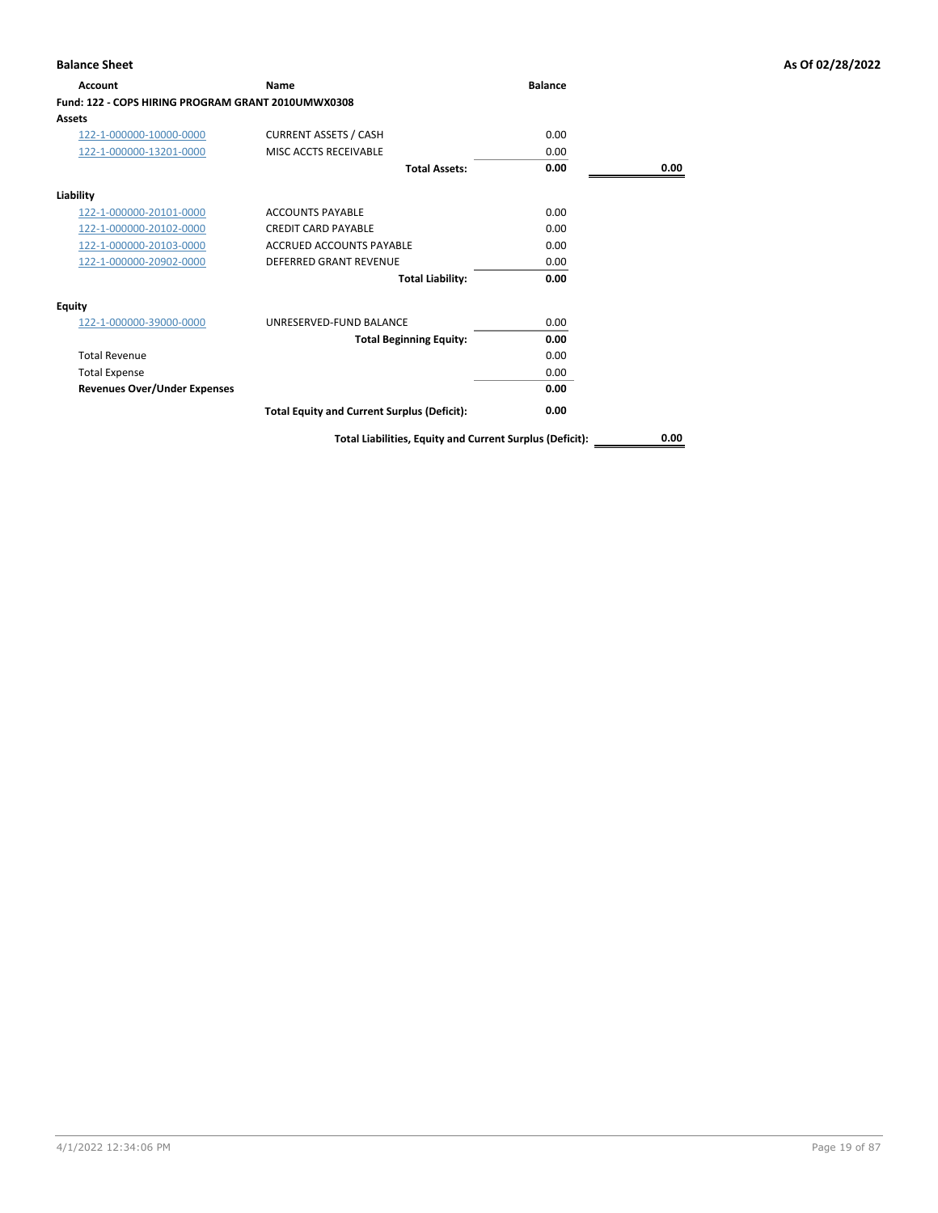| Account                                            | <b>Name</b>                                              | <b>Balance</b> |      |
|----------------------------------------------------|----------------------------------------------------------|----------------|------|
| Fund: 122 - COPS HIRING PROGRAM GRANT 2010UMWX0308 |                                                          |                |      |
| Assets                                             |                                                          |                |      |
| 122-1-000000-10000-0000                            | <b>CURRENT ASSETS / CASH</b>                             | 0.00           |      |
| 122-1-000000-13201-0000                            | MISC ACCTS RECEIVABLE                                    | 0.00           |      |
|                                                    | <b>Total Assets:</b>                                     | 0.00           | 0.00 |
| Liability                                          |                                                          |                |      |
| 122-1-000000-20101-0000                            | <b>ACCOUNTS PAYABLE</b>                                  | 0.00           |      |
| 122-1-000000-20102-0000                            | <b>CREDIT CARD PAYABLE</b>                               | 0.00           |      |
| 122-1-000000-20103-0000                            | <b>ACCRUED ACCOUNTS PAYABLE</b>                          | 0.00           |      |
| 122-1-000000-20902-0000                            | <b>DEFERRED GRANT REVENUE</b>                            | 0.00           |      |
|                                                    | <b>Total Liability:</b>                                  | 0.00           |      |
| Equity                                             |                                                          |                |      |
| 122-1-000000-39000-0000                            | UNRESERVED-FUND BALANCE                                  | 0.00           |      |
|                                                    | <b>Total Beginning Equity:</b>                           | 0.00           |      |
| <b>Total Revenue</b>                               |                                                          | 0.00           |      |
| <b>Total Expense</b>                               |                                                          | 0.00           |      |
| <b>Revenues Over/Under Expenses</b>                |                                                          | 0.00           |      |
|                                                    | <b>Total Equity and Current Surplus (Deficit):</b>       | 0.00           |      |
|                                                    | Total Liabilities, Equity and Current Surplus (Deficit): |                | 0.00 |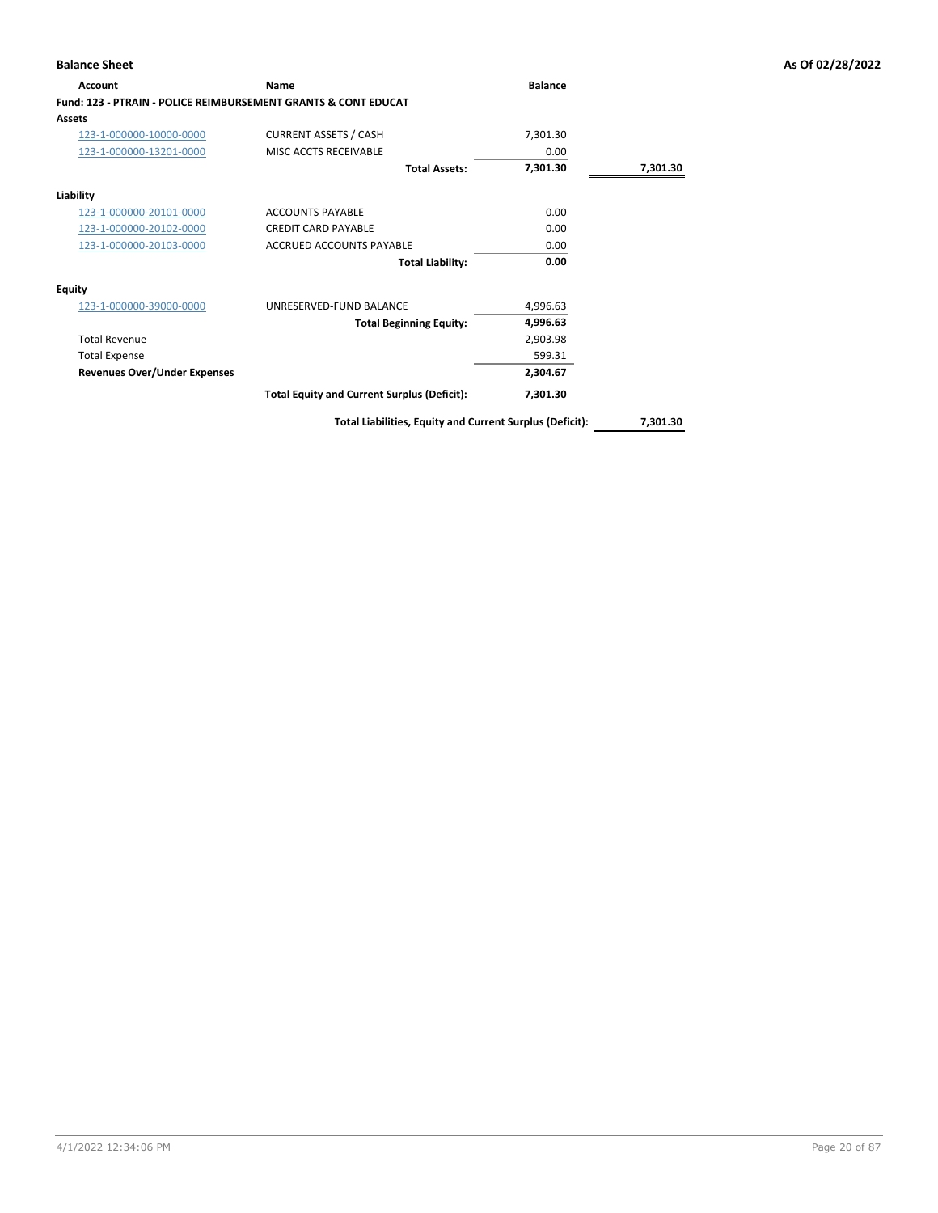| Account                                                                   | Name                                               | <b>Balance</b> |          |
|---------------------------------------------------------------------------|----------------------------------------------------|----------------|----------|
| <b>Fund: 123 - PTRAIN - POLICE REIMBURSEMENT GRANTS &amp; CONT EDUCAT</b> |                                                    |                |          |
| <b>Assets</b>                                                             |                                                    |                |          |
| 123-1-000000-10000-0000                                                   | <b>CURRENT ASSETS / CASH</b>                       | 7,301.30       |          |
| 123-1-000000-13201-0000                                                   | MISC ACCTS RECEIVABLE                              | 0.00           |          |
|                                                                           | <b>Total Assets:</b>                               | 7,301.30       | 7,301.30 |
| Liability                                                                 |                                                    |                |          |
| 123-1-000000-20101-0000                                                   | <b>ACCOUNTS PAYABLE</b>                            | 0.00           |          |
| 123-1-000000-20102-0000                                                   | <b>CREDIT CARD PAYABLE</b>                         | 0.00           |          |
| 123-1-000000-20103-0000                                                   | ACCRUED ACCOUNTS PAYABLE                           | 0.00           |          |
|                                                                           | <b>Total Liability:</b>                            | 0.00           |          |
| <b>Equity</b>                                                             |                                                    |                |          |
| 123-1-000000-39000-0000                                                   | UNRESERVED-FUND BALANCE                            | 4,996.63       |          |
|                                                                           | <b>Total Beginning Equity:</b>                     | 4,996.63       |          |
| <b>Total Revenue</b>                                                      |                                                    | 2,903.98       |          |
| <b>Total Expense</b>                                                      |                                                    | 599.31         |          |
| <b>Revenues Over/Under Expenses</b>                                       |                                                    | 2,304.67       |          |
|                                                                           | <b>Total Equity and Current Surplus (Deficit):</b> | 7,301.30       |          |
|                                                                           |                                                    |                |          |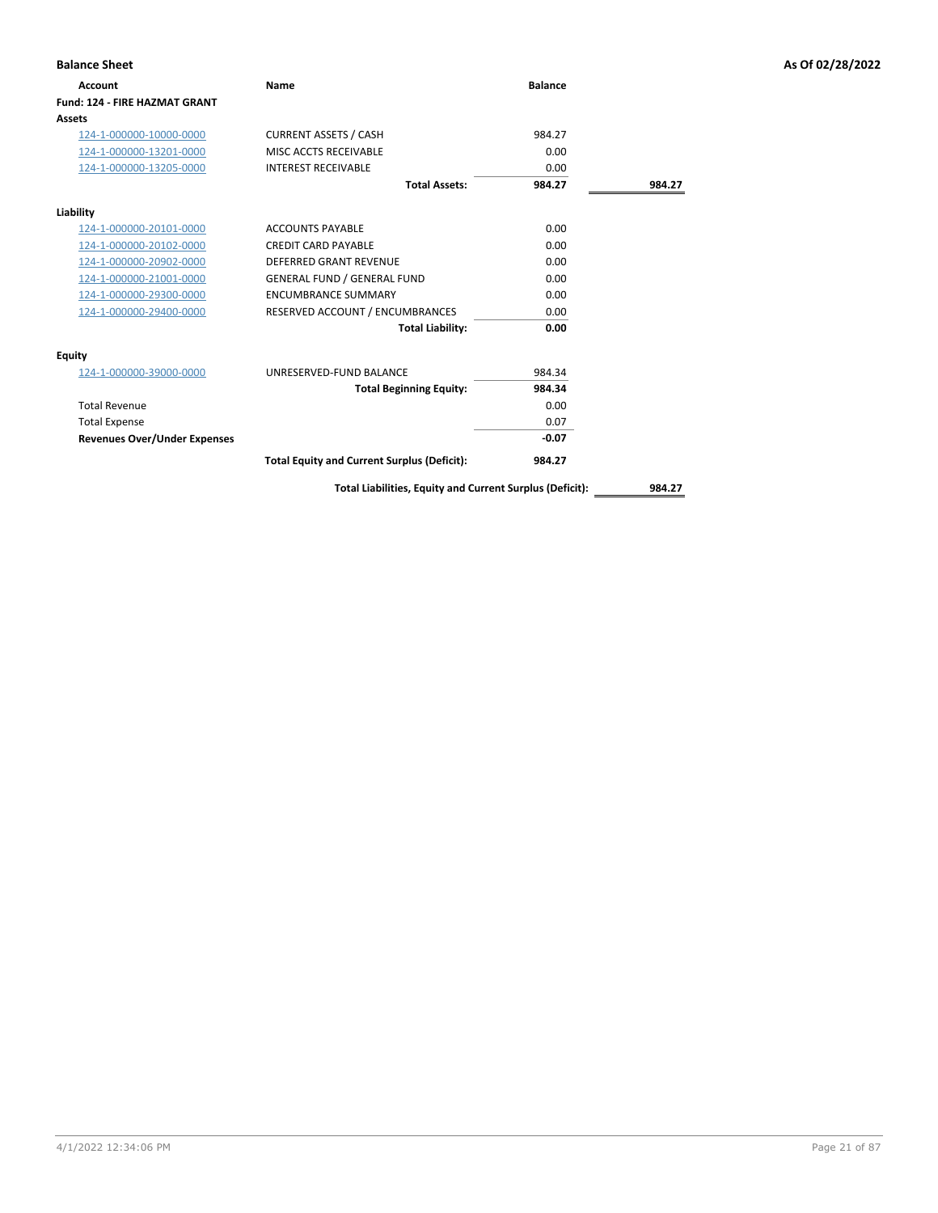| <b>Balance Sheet</b>                |                                                    |                |        | As Of 02/28/2022 |
|-------------------------------------|----------------------------------------------------|----------------|--------|------------------|
| <b>Account</b>                      | Name                                               | <b>Balance</b> |        |                  |
| Fund: 124 - FIRE HAZMAT GRANT       |                                                    |                |        |                  |
| <b>Assets</b>                       |                                                    |                |        |                  |
| 124-1-000000-10000-0000             | <b>CURRENT ASSETS / CASH</b>                       | 984.27         |        |                  |
| 124-1-000000-13201-0000             | MISC ACCTS RECEIVABLE                              | 0.00           |        |                  |
| 124-1-000000-13205-0000             | <b>INTEREST RECEIVABLE</b>                         | 0.00           |        |                  |
|                                     | <b>Total Assets:</b>                               | 984.27         | 984.27 |                  |
| Liability                           |                                                    |                |        |                  |
| 124-1-000000-20101-0000             | <b>ACCOUNTS PAYABLE</b>                            | 0.00           |        |                  |
| 124-1-000000-20102-0000             | <b>CREDIT CARD PAYABLE</b>                         | 0.00           |        |                  |
| 124-1-000000-20902-0000             | <b>DEFERRED GRANT REVENUE</b>                      | 0.00           |        |                  |
| 124-1-000000-21001-0000             | <b>GENERAL FUND / GENERAL FUND</b>                 | 0.00           |        |                  |
| 124-1-000000-29300-0000             | <b>ENCUMBRANCE SUMMARY</b>                         | 0.00           |        |                  |
| 124-1-000000-29400-0000             | RESERVED ACCOUNT / ENCUMBRANCES                    | 0.00           |        |                  |
|                                     | <b>Total Liability:</b>                            | 0.00           |        |                  |
| <b>Equity</b>                       |                                                    |                |        |                  |
| 124-1-000000-39000-0000             | UNRESERVED-FUND BALANCE                            | 984.34         |        |                  |
|                                     | <b>Total Beginning Equity:</b>                     | 984.34         |        |                  |
| <b>Total Revenue</b>                |                                                    | 0.00           |        |                  |
| <b>Total Expense</b>                |                                                    | 0.07           |        |                  |
| <b>Revenues Over/Under Expenses</b> |                                                    | $-0.07$        |        |                  |
|                                     | <b>Total Equity and Current Surplus (Deficit):</b> | 984.27         |        |                  |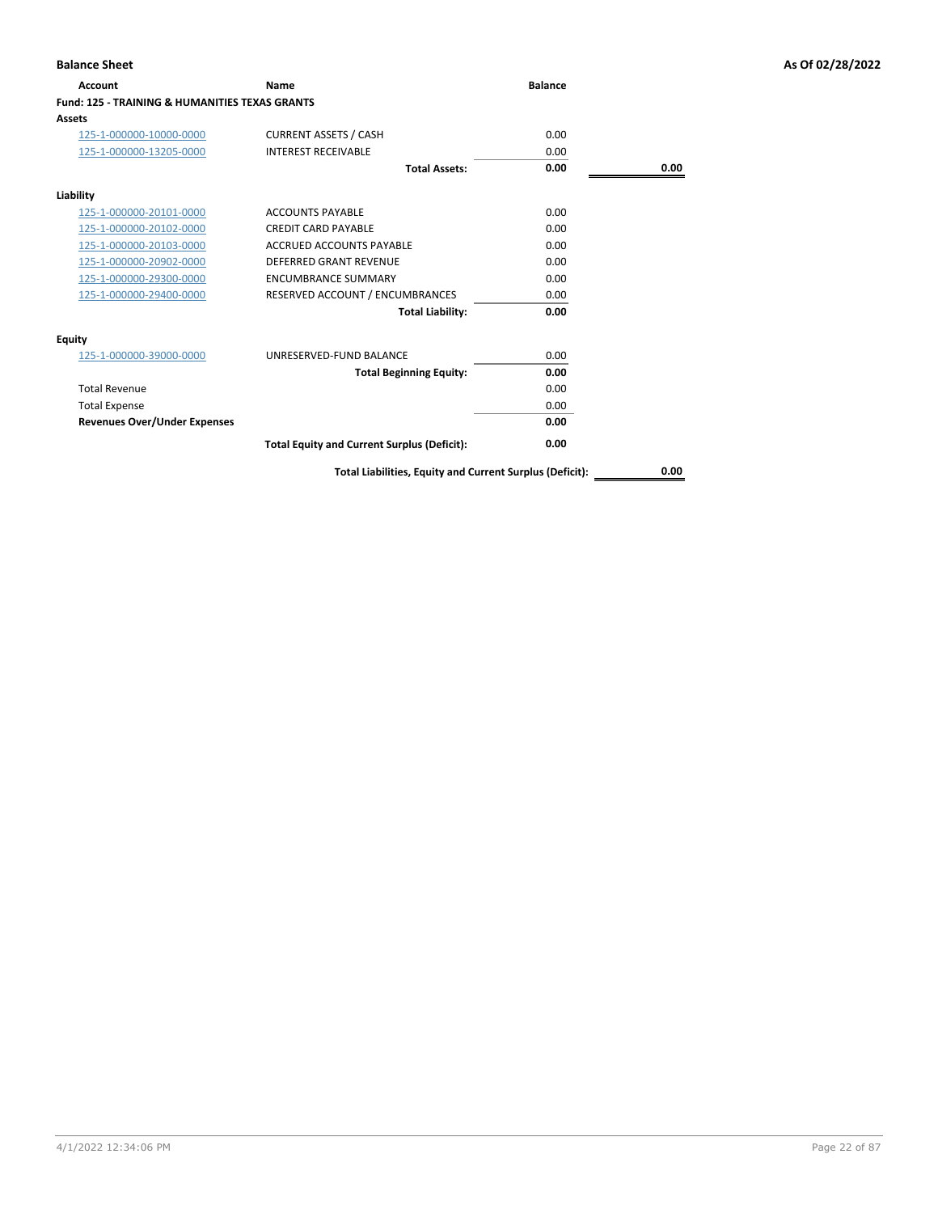| Account                                                   | Name                                               | <b>Balance</b> |      |
|-----------------------------------------------------------|----------------------------------------------------|----------------|------|
| <b>Fund: 125 - TRAINING &amp; HUMANITIES TEXAS GRANTS</b> |                                                    |                |      |
| Assets                                                    |                                                    |                |      |
| 125-1-000000-10000-0000                                   | <b>CURRENT ASSETS / CASH</b>                       | 0.00           |      |
| 125-1-000000-13205-0000                                   | <b>INTEREST RECEIVABLE</b>                         | 0.00           |      |
|                                                           | <b>Total Assets:</b>                               | 0.00           | 0.00 |
| Liability                                                 |                                                    |                |      |
| 125-1-000000-20101-0000                                   | <b>ACCOUNTS PAYABLE</b>                            | 0.00           |      |
| 125-1-000000-20102-0000                                   | <b>CREDIT CARD PAYABLE</b>                         | 0.00           |      |
| 125-1-000000-20103-0000                                   | <b>ACCRUED ACCOUNTS PAYABLE</b>                    | 0.00           |      |
| 125-1-000000-20902-0000                                   | <b>DEFERRED GRANT REVENUE</b>                      | 0.00           |      |
| 125-1-000000-29300-0000                                   | <b>ENCUMBRANCE SUMMARY</b>                         | 0.00           |      |
| 125-1-000000-29400-0000                                   | RESERVED ACCOUNT / ENCUMBRANCES                    | 0.00           |      |
|                                                           | <b>Total Liability:</b>                            | 0.00           |      |
| Equity                                                    |                                                    |                |      |
| 125-1-000000-39000-0000                                   | UNRESERVED-FUND BALANCE                            | 0.00           |      |
|                                                           | <b>Total Beginning Equity:</b>                     | 0.00           |      |
| <b>Total Revenue</b>                                      |                                                    | 0.00           |      |
| <b>Total Expense</b>                                      |                                                    | 0.00           |      |
| <b>Revenues Over/Under Expenses</b>                       |                                                    | 0.00           |      |
|                                                           | <b>Total Equity and Current Surplus (Deficit):</b> | 0.00           |      |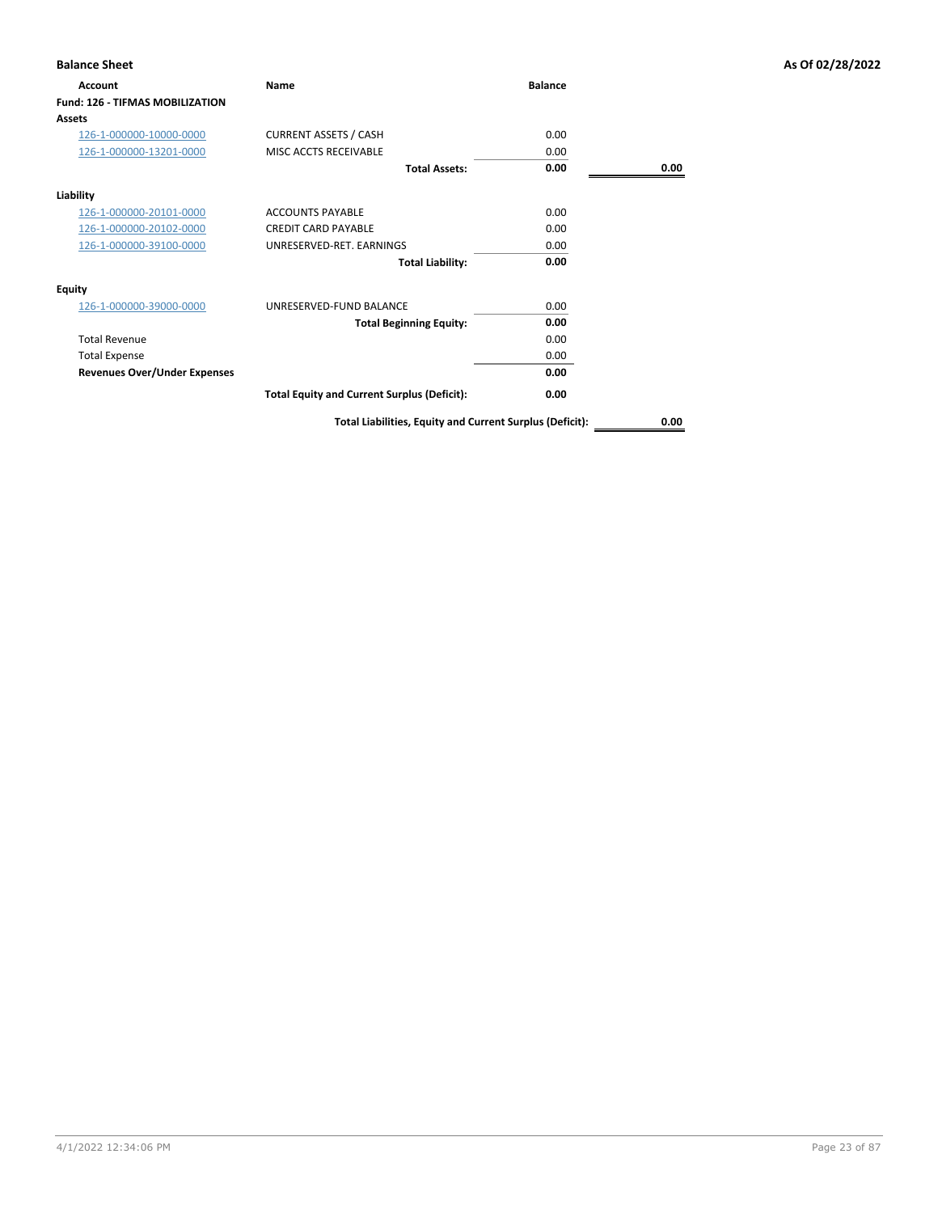| <b>Balance Sheet</b>                   |                                                          |                |      | As Of 02/28/2022 |
|----------------------------------------|----------------------------------------------------------|----------------|------|------------------|
| Account                                | Name                                                     | <b>Balance</b> |      |                  |
| <b>Fund: 126 - TIFMAS MOBILIZATION</b> |                                                          |                |      |                  |
| <b>Assets</b>                          |                                                          |                |      |                  |
| 126-1-000000-10000-0000                | <b>CURRENT ASSETS / CASH</b>                             | 0.00           |      |                  |
| 126-1-000000-13201-0000                | MISC ACCTS RECEIVABLE                                    | 0.00           |      |                  |
|                                        | <b>Total Assets:</b>                                     | 0.00           | 0.00 |                  |
| Liability                              |                                                          |                |      |                  |
| 126-1-000000-20101-0000                | <b>ACCOUNTS PAYABLE</b>                                  | 0.00           |      |                  |
| 126-1-000000-20102-0000                | <b>CREDIT CARD PAYABLE</b>                               | 0.00           |      |                  |
| 126-1-000000-39100-0000                | UNRESERVED-RET. EARNINGS                                 | 0.00           |      |                  |
|                                        | <b>Total Liability:</b>                                  | 0.00           |      |                  |
| Equity                                 |                                                          |                |      |                  |
| 126-1-000000-39000-0000                | UNRESERVED-FUND BALANCE                                  | 0.00           |      |                  |
|                                        | <b>Total Beginning Equity:</b>                           | 0.00           |      |                  |
| <b>Total Revenue</b>                   |                                                          | 0.00           |      |                  |
| <b>Total Expense</b>                   |                                                          | 0.00           |      |                  |
| <b>Revenues Over/Under Expenses</b>    |                                                          | 0.00           |      |                  |
|                                        | <b>Total Equity and Current Surplus (Deficit):</b>       | 0.00           |      |                  |
|                                        | Total Liabilities, Equity and Current Surplus (Deficit): |                | 0.00 |                  |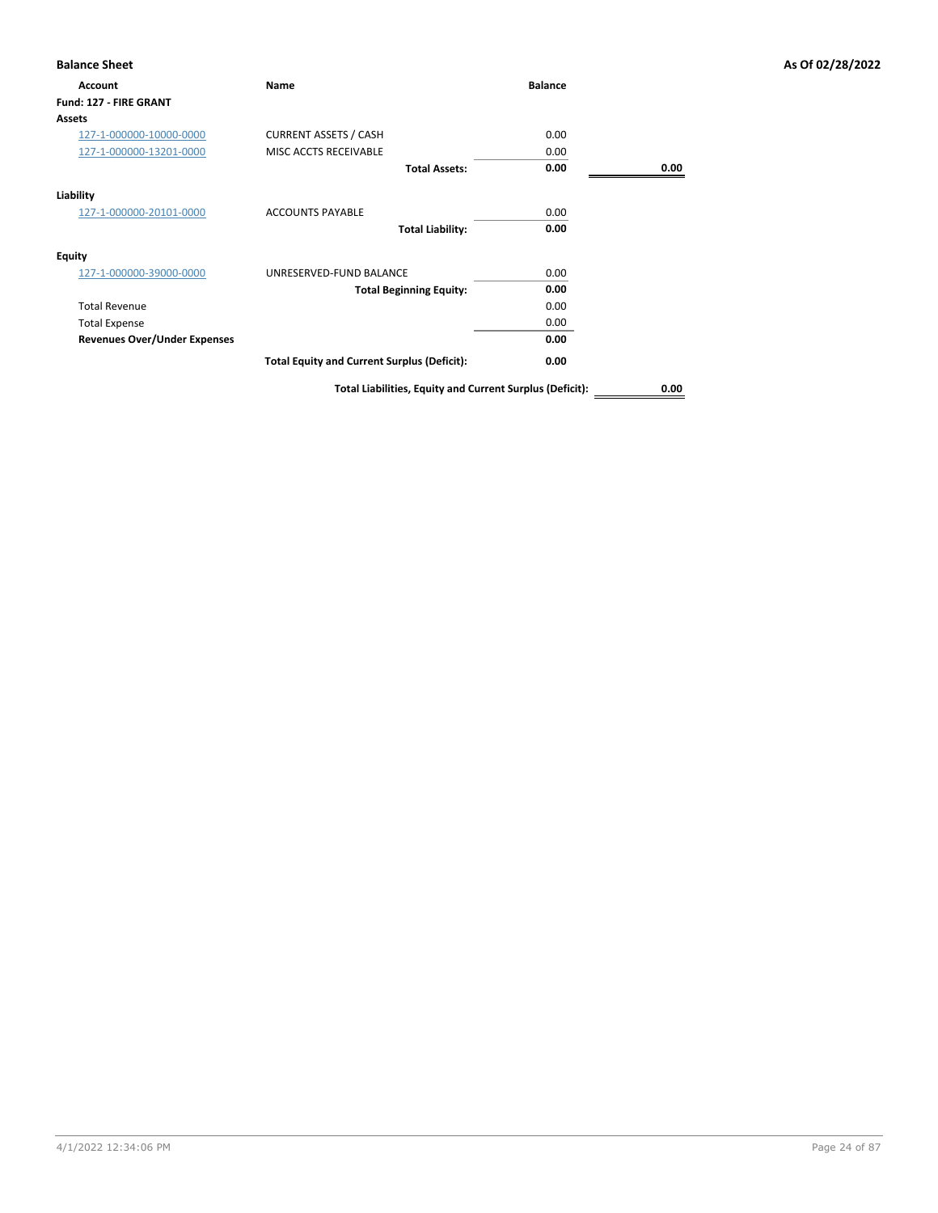| Account                             | <b>Name</b>                                        | <b>Balance</b> |      |
|-------------------------------------|----------------------------------------------------|----------------|------|
| Fund: 127 - FIRE GRANT              |                                                    |                |      |
| <b>Assets</b>                       |                                                    |                |      |
| 127-1-000000-10000-0000             | <b>CURRENT ASSETS / CASH</b>                       | 0.00           |      |
| 127-1-000000-13201-0000             | MISC ACCTS RECEIVABLE                              | 0.00           |      |
|                                     | <b>Total Assets:</b>                               | 0.00           | 0.00 |
| Liability                           |                                                    |                |      |
| 127-1-000000-20101-0000             | <b>ACCOUNTS PAYABLE</b>                            | 0.00           |      |
|                                     | <b>Total Liability:</b>                            | 0.00           |      |
| <b>Equity</b>                       |                                                    |                |      |
| 127-1-000000-39000-0000             | UNRESERVED-FUND BALANCE                            | 0.00           |      |
|                                     | <b>Total Beginning Equity:</b>                     | 0.00           |      |
| <b>Total Revenue</b>                |                                                    | 0.00           |      |
| <b>Total Expense</b>                |                                                    | 0.00           |      |
| <b>Revenues Over/Under Expenses</b> |                                                    | 0.00           |      |
|                                     | <b>Total Equity and Current Surplus (Deficit):</b> | 0.00           |      |
|                                     |                                                    |                |      |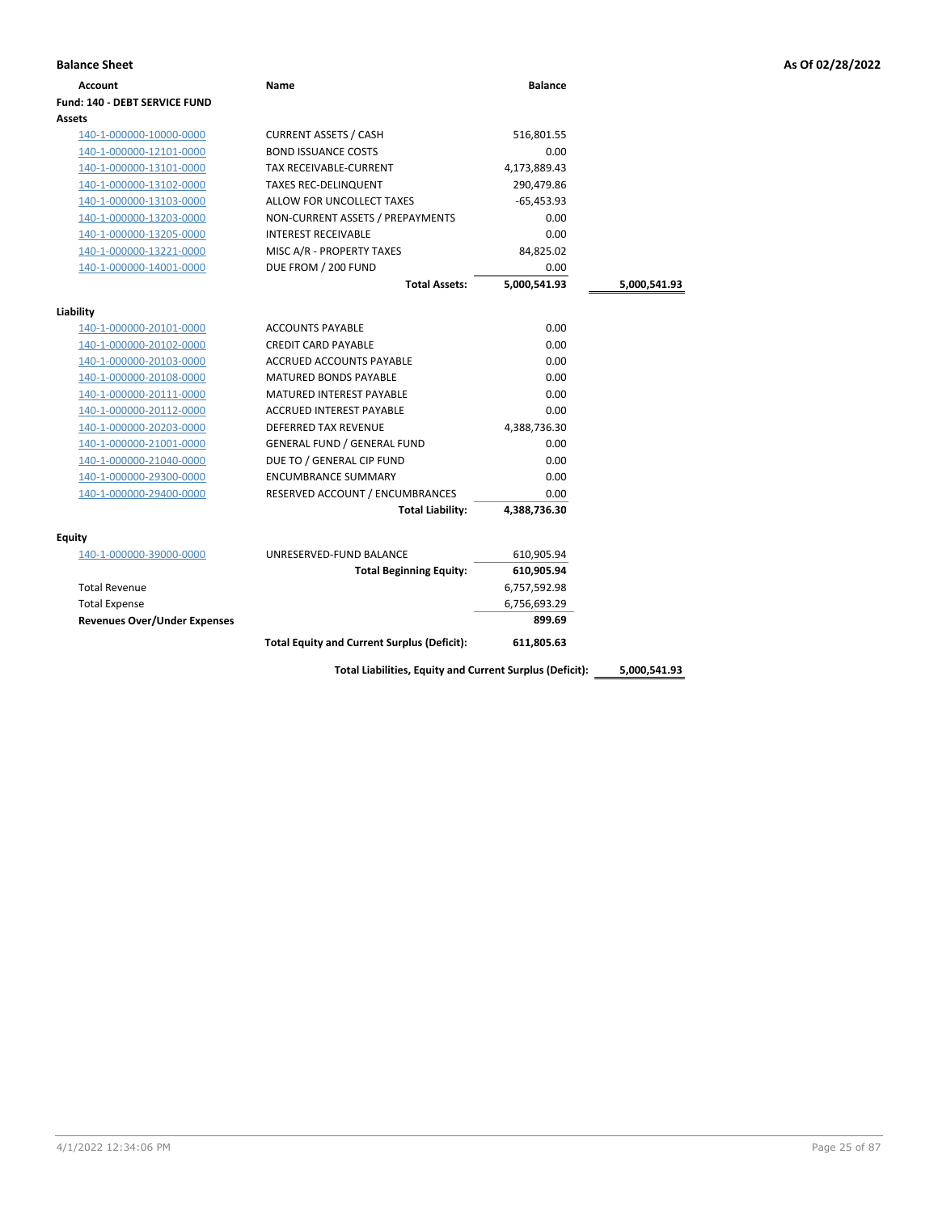| <b>Account</b>                       | Name                               | <b>Balance</b> |              |
|--------------------------------------|------------------------------------|----------------|--------------|
| <b>Fund: 140 - DEBT SERVICE FUND</b> |                                    |                |              |
| <b>Assets</b>                        |                                    |                |              |
| 140-1-000000-10000-0000              | <b>CURRENT ASSETS / CASH</b>       | 516,801.55     |              |
| 140-1-000000-12101-0000              | <b>BOND ISSUANCE COSTS</b>         | 0.00           |              |
| 140-1-000000-13101-0000              | <b>TAX RECEIVABLE-CURRENT</b>      | 4,173,889.43   |              |
| 140-1-000000-13102-0000              | <b>TAXES REC-DELINQUENT</b>        | 290,479.86     |              |
| 140-1-000000-13103-0000              | ALLOW FOR UNCOLLECT TAXES          | $-65,453.93$   |              |
| 140-1-000000-13203-0000              | NON-CURRENT ASSETS / PREPAYMENTS   | 0.00           |              |
| 140-1-000000-13205-0000              | <b>INTEREST RECEIVABLE</b>         | 0.00           |              |
| 140-1-000000-13221-0000              | MISC A/R - PROPERTY TAXES          | 84,825.02      |              |
| 140-1-000000-14001-0000              | DUE FROM / 200 FUND                | 0.00           |              |
|                                      | <b>Total Assets:</b>               | 5,000,541.93   | 5,000,541.93 |
|                                      |                                    |                |              |
| Liability                            |                                    |                |              |
| 140-1-000000-20101-0000              | <b>ACCOUNTS PAYABLE</b>            | 0.00           |              |
| 140-1-000000-20102-0000              | <b>CREDIT CARD PAYABLE</b>         | 0.00           |              |
| 140-1-000000-20103-0000              | ACCRUED ACCOUNTS PAYABLE           | 0.00           |              |
| 140-1-000000-20108-0000              | <b>MATURED BONDS PAYABLE</b>       | 0.00           |              |
| 140-1-000000-20111-0000              | <b>MATURED INTEREST PAYABLE</b>    | 0.00           |              |
| 140-1-000000-20112-0000              | <b>ACCRUED INTEREST PAYABLE</b>    | 0.00           |              |
| 140-1-000000-20203-0000              | <b>DEFERRED TAX REVENUE</b>        | 4,388,736.30   |              |
|                                      |                                    |                |              |
| 140-1-000000-21001-0000              | <b>GENERAL FUND / GENERAL FUND</b> | 0.00           |              |

|                              | <b>Total Equity and Current Surplus (Deficit):</b> | 611,805.63   |
|------------------------------|----------------------------------------------------|--------------|
| Revenues Over/Under Expenses |                                                    | 899.69       |
| <b>Total Expense</b>         |                                                    | 6,756,693.29 |
| Total Revenue                |                                                    | 6,757,592.98 |
|                              | <b>Total Beginning Equity:</b>                     | 610,905.94   |
| 140-1-000000-39000-0000      | UNRESERVED-FUND BALANCE                            | 610.905.94   |
| tν                           |                                                    |              |
|                              |                                                    |              |

140-1-000000-29300-0000 ENCUMBRANCE SUMMARY 0.00 140-1-000000-29400-0000 RESERVED ACCOUNT / ENCUMBRANCES 0.00

**Total Liabilities, Equity and Current Surplus (Deficit): 5,000,541.93**

**Total Liability: 4,388,736.30**

**Equity**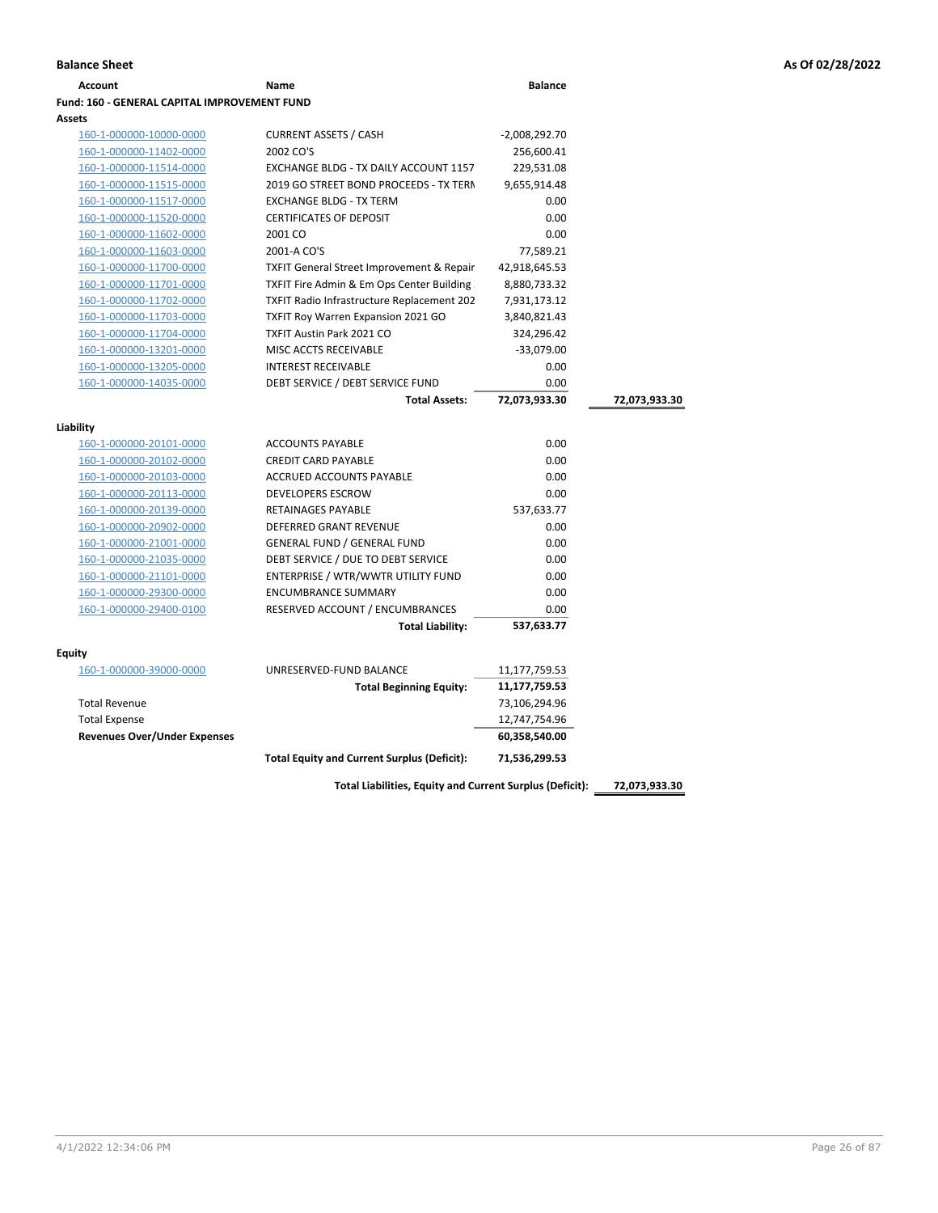| Account                                             | Name                                                 | <b>Balance</b>  |               |
|-----------------------------------------------------|------------------------------------------------------|-----------------|---------------|
| <b>Fund: 160 - GENERAL CAPITAL IMPROVEMENT FUND</b> |                                                      |                 |               |
| Assets                                              |                                                      |                 |               |
| 160-1-000000-10000-0000                             | <b>CURRENT ASSETS / CASH</b>                         | $-2,008,292.70$ |               |
| 160-1-000000-11402-0000                             | 2002 CO'S                                            | 256,600.41      |               |
| 160-1-000000-11514-0000                             | EXCHANGE BLDG - TX DAILY ACCOUNT 1157                | 229,531.08      |               |
| 160-1-000000-11515-0000                             | 2019 GO STREET BOND PROCEEDS - TX TERN               | 9,655,914.48    |               |
| 160-1-000000-11517-0000                             | <b>EXCHANGE BLDG - TX TERM</b>                       | 0.00            |               |
| 160-1-000000-11520-0000                             | <b>CERTIFICATES OF DEPOSIT</b>                       | 0.00            |               |
| 160-1-000000-11602-0000                             | 2001 CO                                              | 0.00            |               |
| 160-1-000000-11603-0000                             | 2001-A CO'S                                          | 77,589.21       |               |
| 160-1-000000-11700-0000                             | <b>TXFIT General Street Improvement &amp; Repair</b> | 42,918,645.53   |               |
| 160-1-000000-11701-0000                             | TXFIT Fire Admin & Em Ops Center Building            | 8,880,733.32    |               |
| 160-1-000000-11702-0000                             | TXFIT Radio Infrastructure Replacement 202           | 7,931,173.12    |               |
| 160-1-000000-11703-0000                             | <b>TXFIT Roy Warren Expansion 2021 GO</b>            | 3,840,821.43    |               |
| 160-1-000000-11704-0000                             | <b>TXFIT Austin Park 2021 CO</b>                     | 324,296.42      |               |
| 160-1-000000-13201-0000                             | MISC ACCTS RECEIVABLE                                | $-33,079.00$    |               |
| 160-1-000000-13205-0000                             | <b>INTEREST RECEIVABLE</b>                           | 0.00            |               |
| 160-1-000000-14035-0000                             | DEBT SERVICE / DEBT SERVICE FUND                     | 0.00            |               |
|                                                     | <b>Total Assets:</b>                                 | 72,073,933.30   | 72,073,933.30 |
|                                                     |                                                      |                 |               |
| Liability                                           |                                                      |                 |               |
| 160-1-000000-20101-0000                             | <b>ACCOUNTS PAYABLE</b>                              | 0.00            |               |
| 160-1-000000-20102-0000                             | <b>CREDIT CARD PAYABLE</b>                           | 0.00            |               |
| 160-1-000000-20103-0000                             | ACCRUED ACCOUNTS PAYABLE                             | 0.00            |               |
| 160-1-000000-20113-0000                             | <b>DEVELOPERS ESCROW</b>                             | 0.00            |               |
| 160-1-000000-20139-0000                             | <b>RETAINAGES PAYABLE</b>                            | 537,633.77      |               |
| 160-1-000000-20902-0000                             | <b>DEFERRED GRANT REVENUE</b>                        | 0.00            |               |
| 160-1-000000-21001-0000                             | <b>GENERAL FUND / GENERAL FUND</b>                   | 0.00            |               |
| 160-1-000000-21035-0000                             | DEBT SERVICE / DUE TO DEBT SERVICE                   | 0.00            |               |
| 160-1-000000-21101-0000                             | ENTERPRISE / WTR/WWTR UTILITY FUND                   | 0.00            |               |
| 160-1-000000-29300-0000                             | <b>ENCUMBRANCE SUMMARY</b>                           | 0.00            |               |
| 160-1-000000-29400-0100                             | RESERVED ACCOUNT / ENCUMBRANCES                      | 0.00            |               |
|                                                     | <b>Total Liability:</b>                              | 537,633.77      |               |
| <b>Equity</b>                                       |                                                      |                 |               |
| 160-1-000000-39000-0000                             | UNRESERVED-FUND BALANCE                              | 11,177,759.53   |               |
|                                                     | <b>Total Beginning Equity:</b>                       | 11,177,759.53   |               |
| <b>Total Revenue</b>                                |                                                      | 73,106,294.96   |               |
| <b>Total Expense</b>                                |                                                      | 12,747,754.96   |               |
| <b>Revenues Over/Under Expenses</b>                 |                                                      | 60,358,540.00   |               |
|                                                     |                                                      |                 |               |
|                                                     | <b>Total Equity and Current Surplus (Deficit):</b>   | 71,536,299.53   |               |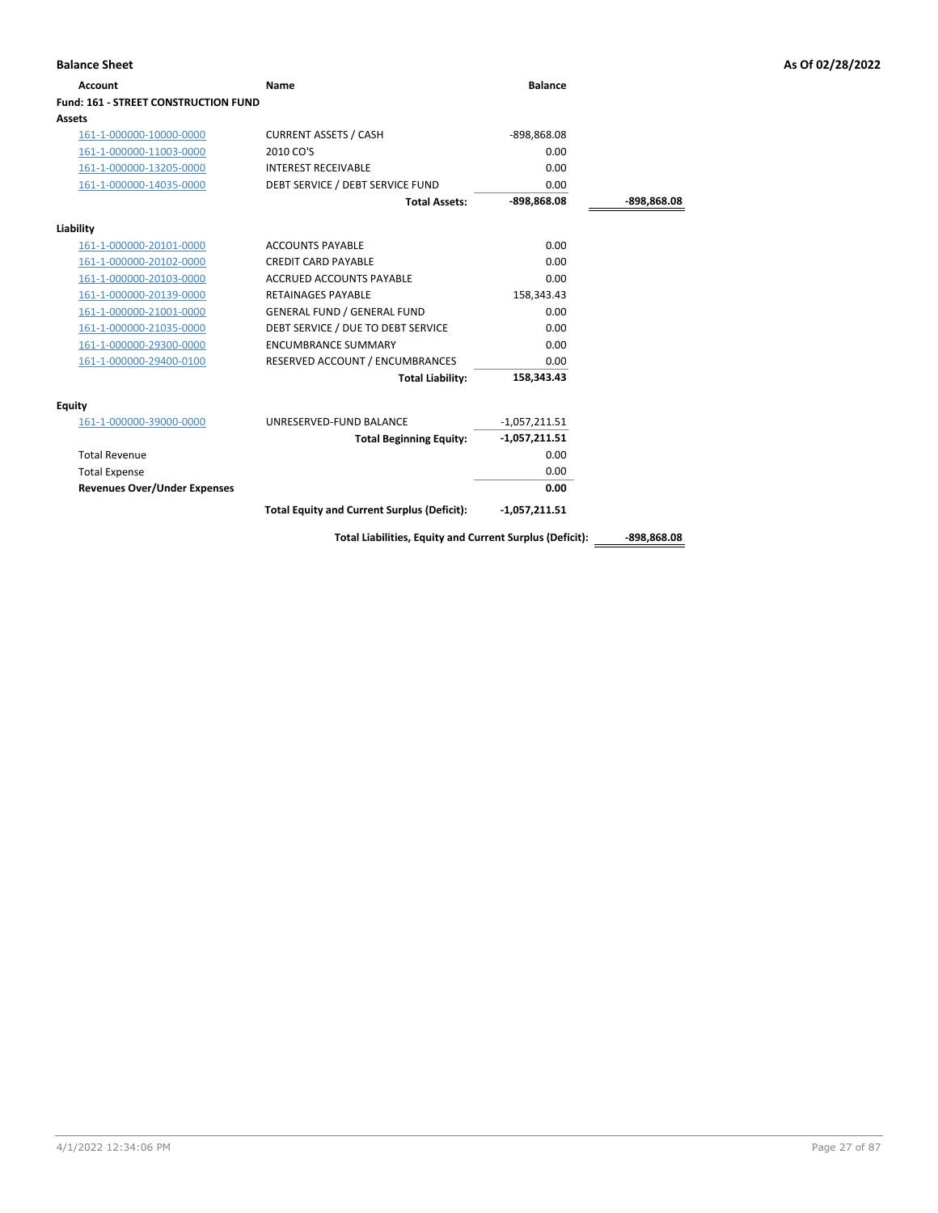| <b>Account</b>                              | Name                                                     | <b>Balance</b>  |               |
|---------------------------------------------|----------------------------------------------------------|-----------------|---------------|
| <b>Fund: 161 - STREET CONSTRUCTION FUND</b> |                                                          |                 |               |
| Assets                                      |                                                          |                 |               |
| 161-1-000000-10000-0000                     | <b>CURRENT ASSETS / CASH</b>                             | -898,868.08     |               |
| 161-1-000000-11003-0000                     | 2010 CO'S                                                | 0.00            |               |
| 161-1-000000-13205-0000                     | <b>INTEREST RECEIVABLE</b>                               | 0.00            |               |
| 161-1-000000-14035-0000                     | DEBT SERVICE / DEBT SERVICE FUND                         | 0.00            |               |
|                                             | <b>Total Assets:</b>                                     | $-898,868.08$   | -898,868.08   |
| Liability                                   |                                                          |                 |               |
| 161-1-000000-20101-0000                     | <b>ACCOUNTS PAYABLE</b>                                  | 0.00            |               |
| 161-1-000000-20102-0000                     | <b>CREDIT CARD PAYABLE</b>                               | 0.00            |               |
| 161-1-000000-20103-0000                     | <b>ACCRUED ACCOUNTS PAYABLE</b>                          | 0.00            |               |
| 161-1-000000-20139-0000                     | <b>RETAINAGES PAYABLE</b>                                | 158,343.43      |               |
| 161-1-000000-21001-0000                     | <b>GENERAL FUND / GENERAL FUND</b>                       | 0.00            |               |
| 161-1-000000-21035-0000                     | DEBT SERVICE / DUE TO DEBT SERVICE                       | 0.00            |               |
| 161-1-000000-29300-0000                     | <b>ENCUMBRANCE SUMMARY</b>                               | 0.00            |               |
| 161-1-000000-29400-0100                     | RESERVED ACCOUNT / ENCUMBRANCES                          | 0.00            |               |
|                                             | <b>Total Liability:</b>                                  | 158,343.43      |               |
| <b>Equity</b>                               |                                                          |                 |               |
| 161-1-000000-39000-0000                     | UNRESERVED-FUND BALANCE                                  | $-1,057,211.51$ |               |
|                                             | <b>Total Beginning Equity:</b>                           | $-1,057,211.51$ |               |
| <b>Total Revenue</b>                        |                                                          | 0.00            |               |
| <b>Total Expense</b>                        |                                                          | 0.00            |               |
| <b>Revenues Over/Under Expenses</b>         |                                                          | 0.00            |               |
|                                             | <b>Total Equity and Current Surplus (Deficit):</b>       | $-1,057,211.51$ |               |
|                                             | Total Liabilities, Equity and Current Surplus (Deficit): |                 | $-898,868.08$ |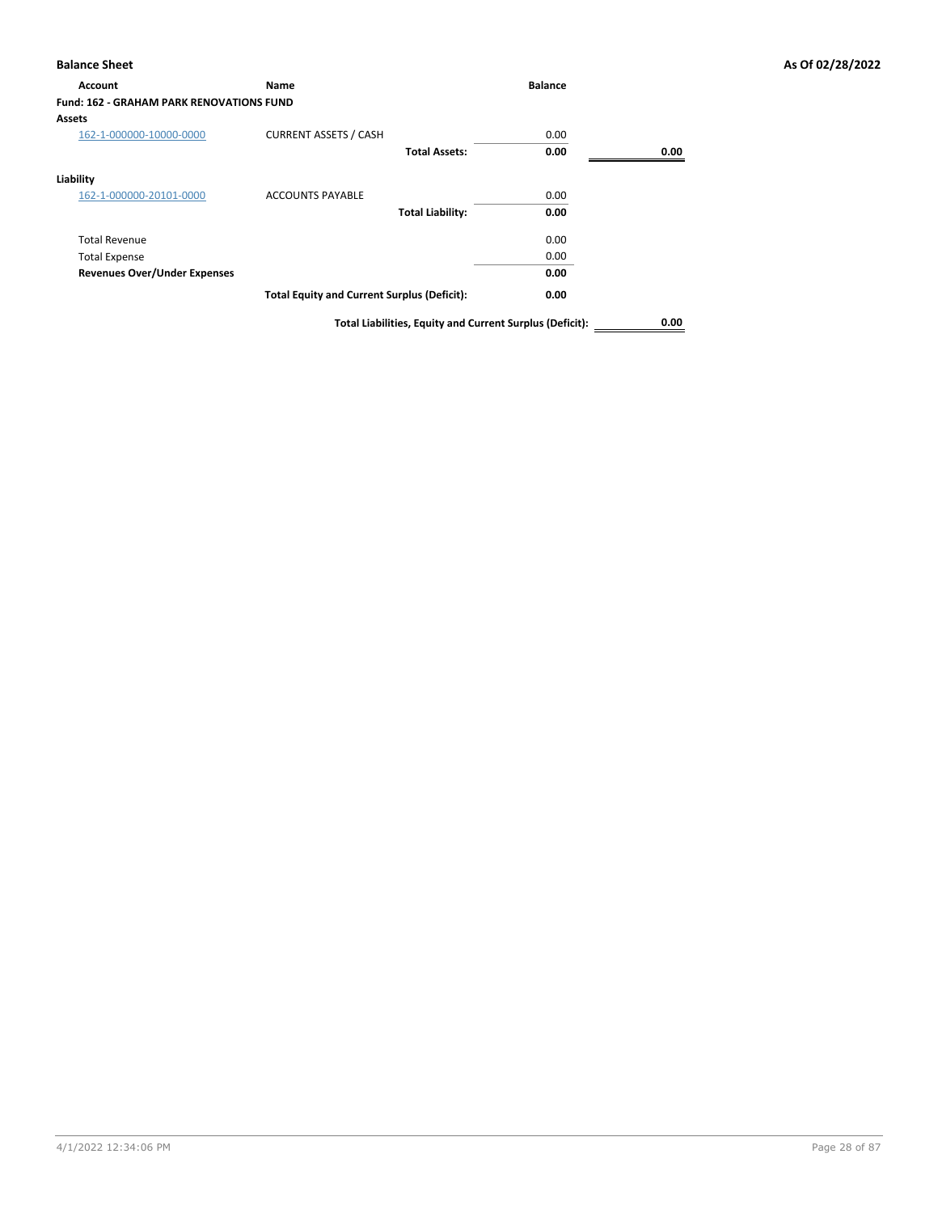# **Balance Sheet As Of 02/28/2022**

| As Of 02/28/2022 |  |  |  |  |  |
|------------------|--|--|--|--|--|
|------------------|--|--|--|--|--|

| <b>Account</b>                                  | Name                                                     | <b>Balance</b> |      |
|-------------------------------------------------|----------------------------------------------------------|----------------|------|
| <b>Fund: 162 - GRAHAM PARK RENOVATIONS FUND</b> |                                                          |                |      |
| <b>Assets</b>                                   |                                                          |                |      |
| 162-1-000000-10000-0000                         | <b>CURRENT ASSETS / CASH</b>                             | 0.00           |      |
|                                                 | <b>Total Assets:</b>                                     | 0.00           | 0.00 |
| Liability                                       |                                                          |                |      |
| 162-1-000000-20101-0000                         | <b>ACCOUNTS PAYABLE</b>                                  | 0.00           |      |
|                                                 | <b>Total Liability:</b>                                  | 0.00           |      |
| <b>Total Revenue</b>                            |                                                          | 0.00           |      |
| <b>Total Expense</b>                            |                                                          | 0.00           |      |
| <b>Revenues Over/Under Expenses</b>             |                                                          | 0.00           |      |
|                                                 | <b>Total Equity and Current Surplus (Deficit):</b>       | 0.00           |      |
|                                                 | Total Liabilities, Equity and Current Surplus (Deficit): |                | 0.00 |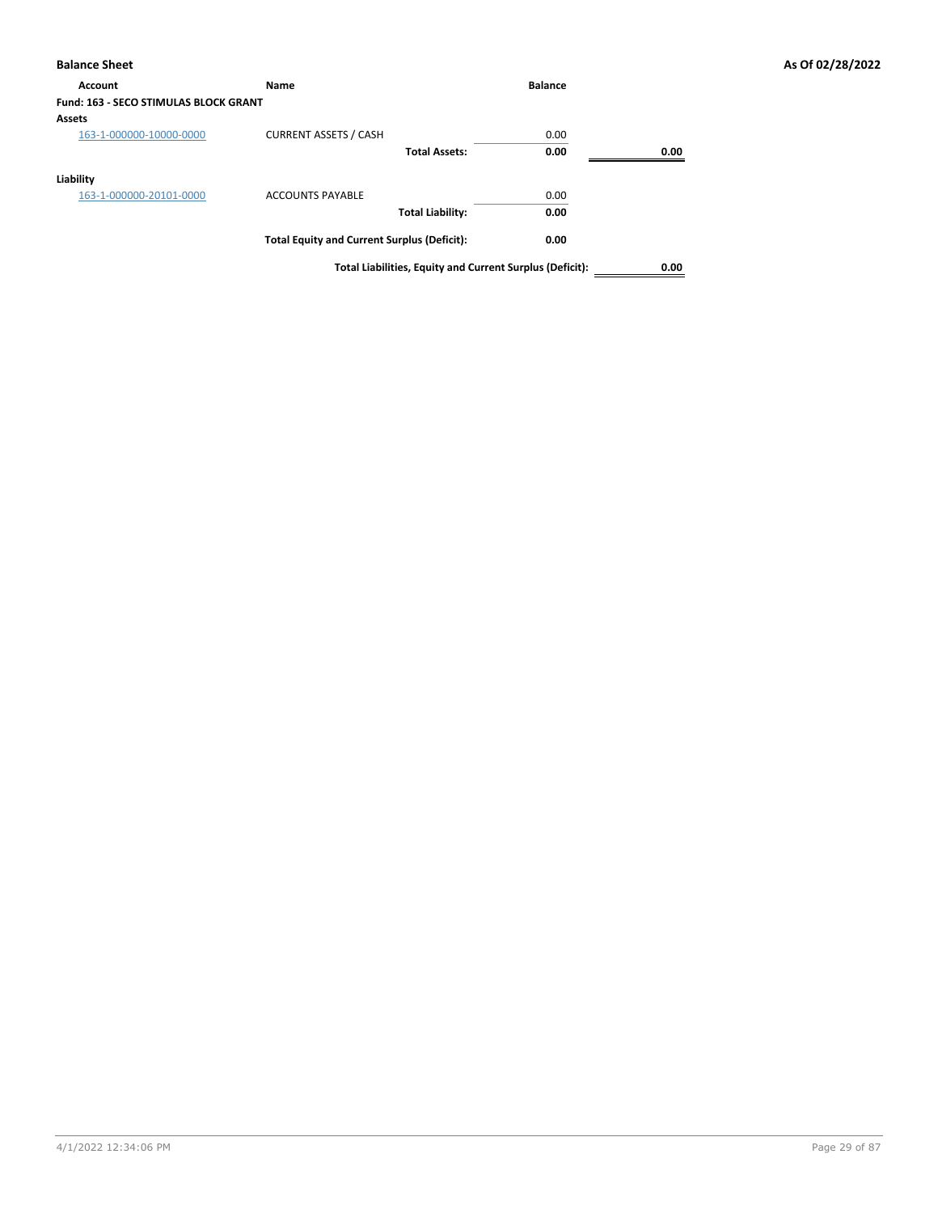| Account                                      | <b>Name</b>                                        | <b>Balance</b>                                           |      |
|----------------------------------------------|----------------------------------------------------|----------------------------------------------------------|------|
| <b>Fund: 163 - SECO STIMULAS BLOCK GRANT</b> |                                                    |                                                          |      |
| <b>Assets</b>                                |                                                    |                                                          |      |
| 163-1-000000-10000-0000                      | <b>CURRENT ASSETS / CASH</b>                       | 0.00                                                     |      |
|                                              | <b>Total Assets:</b>                               | 0.00                                                     | 0.00 |
| Liability                                    |                                                    |                                                          |      |
| 163-1-000000-20101-0000                      | <b>ACCOUNTS PAYABLE</b>                            | 0.00                                                     |      |
|                                              | <b>Total Liability:</b>                            | 0.00                                                     |      |
|                                              | <b>Total Equity and Current Surplus (Deficit):</b> | 0.00                                                     |      |
|                                              |                                                    | Total Liabilities, Equity and Current Surplus (Deficit): | 0.00 |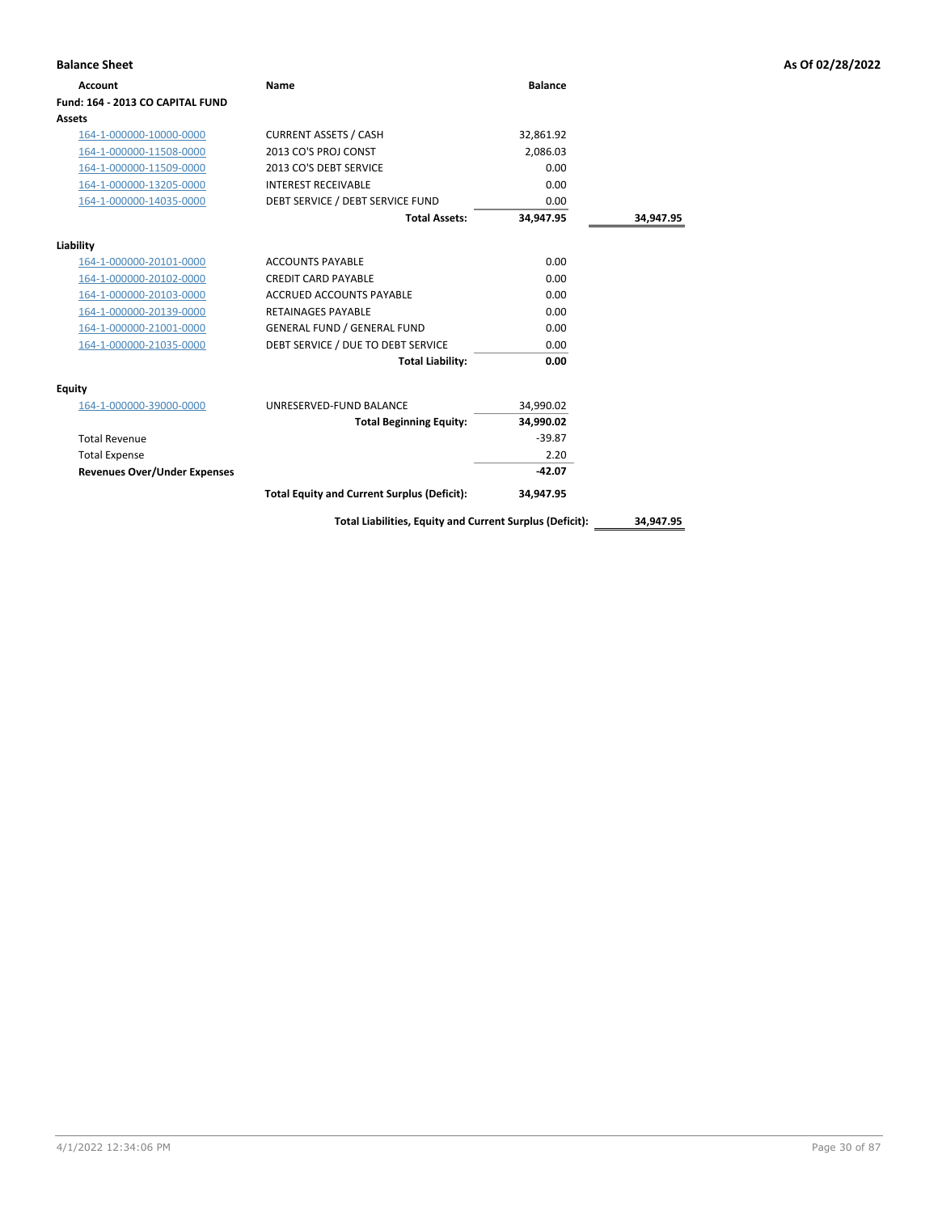| <b>Balance Sheet</b>                |                                                          |                |           | As Of 02/28/2022 |
|-------------------------------------|----------------------------------------------------------|----------------|-----------|------------------|
| <b>Account</b>                      | <b>Name</b>                                              | <b>Balance</b> |           |                  |
| Fund: 164 - 2013 CO CAPITAL FUND    |                                                          |                |           |                  |
| <b>Assets</b>                       |                                                          |                |           |                  |
| 164-1-000000-10000-0000             | <b>CURRENT ASSETS / CASH</b>                             | 32,861.92      |           |                  |
| 164-1-000000-11508-0000             | 2013 CO'S PROJ CONST                                     | 2,086.03       |           |                  |
| 164-1-000000-11509-0000             | 2013 CO'S DEBT SERVICE                                   | 0.00           |           |                  |
| 164-1-000000-13205-0000             | <b>INTEREST RECEIVABLE</b>                               | 0.00           |           |                  |
| 164-1-000000-14035-0000             | DEBT SERVICE / DEBT SERVICE FUND                         | 0.00           |           |                  |
|                                     | <b>Total Assets:</b>                                     | 34,947.95      | 34,947.95 |                  |
| Liability                           |                                                          |                |           |                  |
| 164-1-000000-20101-0000             | <b>ACCOUNTS PAYABLE</b>                                  | 0.00           |           |                  |
| 164-1-000000-20102-0000             | <b>CREDIT CARD PAYABLE</b>                               | 0.00           |           |                  |
| 164-1-000000-20103-0000             | ACCRUED ACCOUNTS PAYABLE                                 | 0.00           |           |                  |
| 164-1-000000-20139-0000             | <b>RETAINAGES PAYABLE</b>                                | 0.00           |           |                  |
| 164-1-000000-21001-0000             | <b>GENERAL FUND / GENERAL FUND</b>                       | 0.00           |           |                  |
| 164-1-000000-21035-0000             | DEBT SERVICE / DUE TO DEBT SERVICE                       | 0.00           |           |                  |
|                                     | <b>Total Liability:</b>                                  | 0.00           |           |                  |
| Equity                              |                                                          |                |           |                  |
| 164-1-000000-39000-0000             | UNRESERVED-FUND BALANCE                                  | 34,990.02      |           |                  |
|                                     | <b>Total Beginning Equity:</b>                           | 34,990.02      |           |                  |
| <b>Total Revenue</b>                |                                                          | $-39.87$       |           |                  |
| <b>Total Expense</b>                |                                                          | 2.20           |           |                  |
| <b>Revenues Over/Under Expenses</b> |                                                          | $-42.07$       |           |                  |
|                                     | <b>Total Equity and Current Surplus (Deficit):</b>       | 34,947.95      |           |                  |
|                                     | Total Liabilities, Equity and Current Surplus (Deficit): |                | 34,947.95 |                  |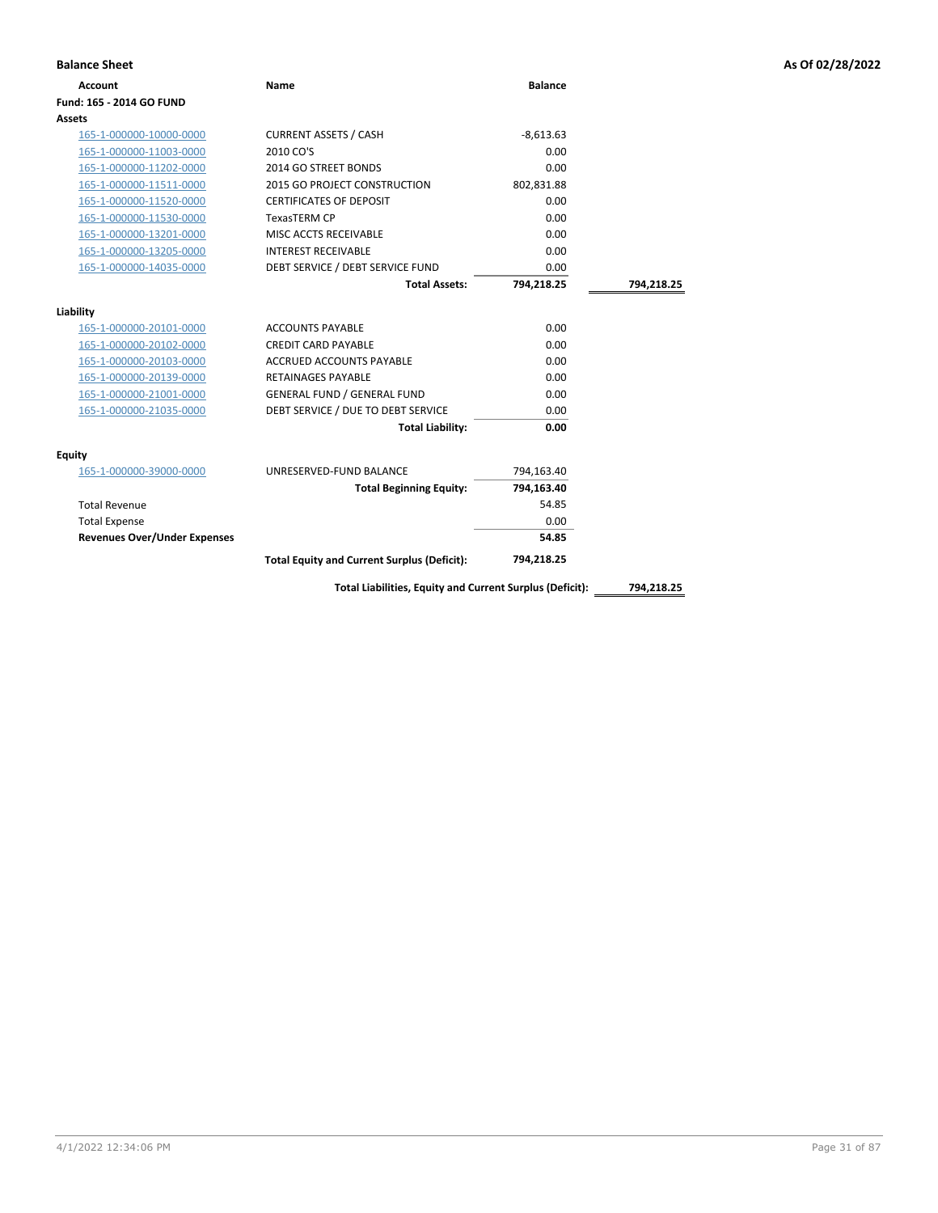| <b>Account</b>                      | Name                                                     | <b>Balance</b> |            |
|-------------------------------------|----------------------------------------------------------|----------------|------------|
| Fund: 165 - 2014 GO FUND            |                                                          |                |            |
| Assets                              |                                                          |                |            |
| 165-1-000000-10000-0000             | <b>CURRENT ASSETS / CASH</b>                             | $-8,613.63$    |            |
| 165-1-000000-11003-0000             | 2010 CO'S                                                | 0.00           |            |
| 165-1-000000-11202-0000             | 2014 GO STREET BONDS                                     | 0.00           |            |
| 165-1-000000-11511-0000             | 2015 GO PROJECT CONSTRUCTION                             | 802,831.88     |            |
| 165-1-000000-11520-0000             | <b>CERTIFICATES OF DEPOSIT</b>                           | 0.00           |            |
| 165-1-000000-11530-0000             | <b>TexasTERM CP</b>                                      | 0.00           |            |
| 165-1-000000-13201-0000             | MISC ACCTS RECEIVABLE                                    | 0.00           |            |
| 165-1-000000-13205-0000             | <b>INTEREST RECEIVABLE</b>                               | 0.00           |            |
| 165-1-000000-14035-0000             | DEBT SERVICE / DEBT SERVICE FUND                         | 0.00           |            |
|                                     | <b>Total Assets:</b>                                     | 794,218.25     | 794,218.25 |
|                                     |                                                          |                |            |
| Liability                           |                                                          |                |            |
| 165-1-000000-20101-0000             | <b>ACCOUNTS PAYABLE</b>                                  | 0.00           |            |
| 165-1-000000-20102-0000             | <b>CREDIT CARD PAYABLE</b>                               | 0.00           |            |
| 165-1-000000-20103-0000             | ACCRUED ACCOUNTS PAYABLE                                 | 0.00           |            |
| 165-1-000000-20139-0000             | <b>RETAINAGES PAYABLE</b>                                | 0.00           |            |
| 165-1-000000-21001-0000             | <b>GENERAL FUND / GENERAL FUND</b>                       | 0.00           |            |
| 165-1-000000-21035-0000             | DEBT SERVICE / DUE TO DEBT SERVICE                       | 0.00           |            |
|                                     | <b>Total Liability:</b>                                  | 0.00           |            |
| Equity                              |                                                          |                |            |
| 165-1-000000-39000-0000             | UNRESERVED-FUND BALANCE                                  | 794,163.40     |            |
|                                     | <b>Total Beginning Equity:</b>                           | 794,163.40     |            |
| <b>Total Revenue</b>                |                                                          | 54.85          |            |
| <b>Total Expense</b>                |                                                          | 0.00           |            |
| <b>Revenues Over/Under Expenses</b> |                                                          | 54.85          |            |
|                                     | <b>Total Equity and Current Surplus (Deficit):</b>       | 794,218.25     |            |
|                                     |                                                          |                |            |
|                                     | Total Liabilities, Equity and Current Surplus (Deficit): |                | 794,218.25 |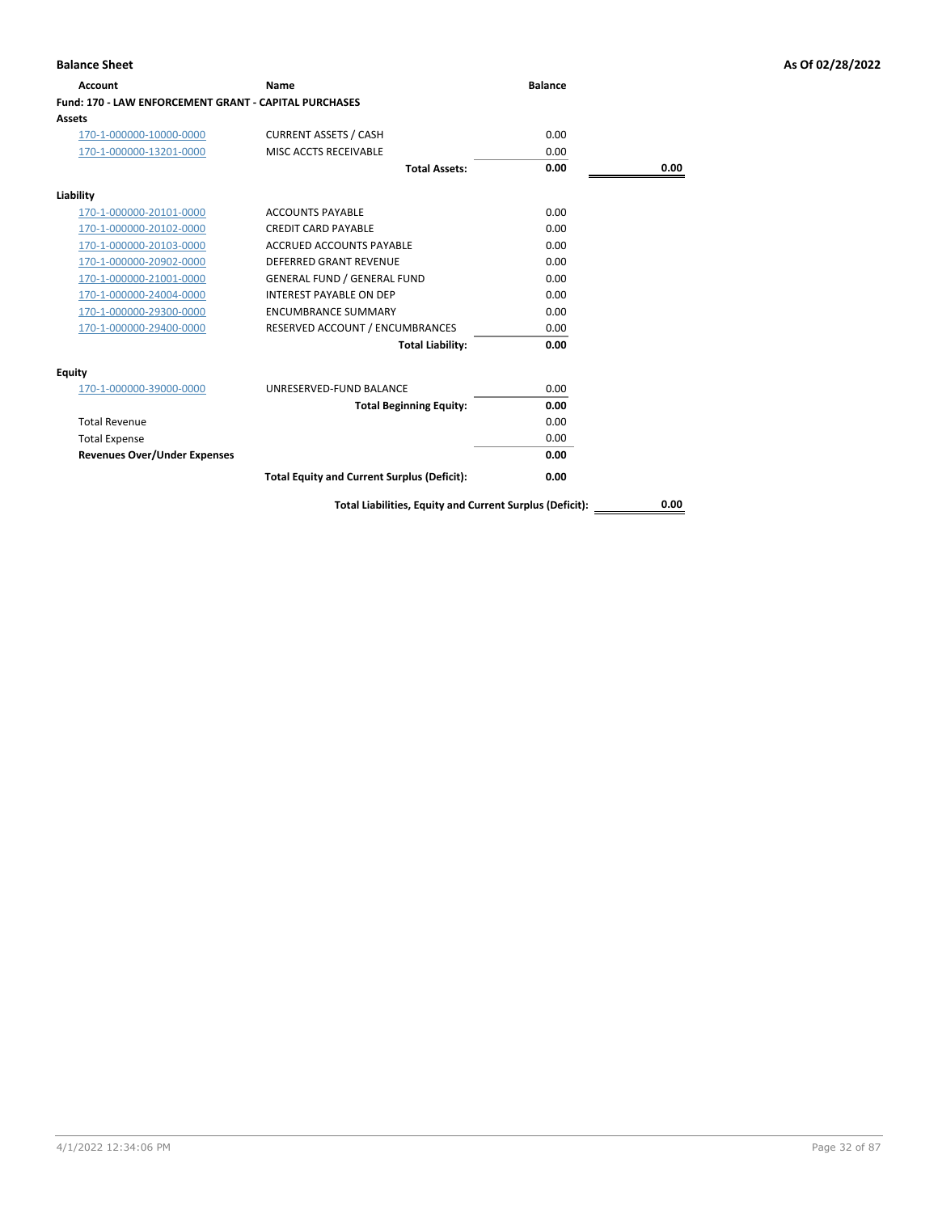| Name                                               | <b>Balance</b>                                        |      |
|----------------------------------------------------|-------------------------------------------------------|------|
|                                                    |                                                       |      |
|                                                    |                                                       |      |
| <b>CURRENT ASSETS / CASH</b>                       | 0.00                                                  |      |
| MISC ACCTS RECEIVABLE                              | 0.00                                                  |      |
| <b>Total Assets:</b>                               | 0.00                                                  | 0.00 |
|                                                    |                                                       |      |
| <b>ACCOUNTS PAYABLE</b>                            | 0.00                                                  |      |
| <b>CREDIT CARD PAYABLE</b>                         | 0.00                                                  |      |
| ACCRUED ACCOUNTS PAYABLE                           | 0.00                                                  |      |
| DEFERRED GRANT REVENUE                             | 0.00                                                  |      |
| <b>GENERAL FUND / GENERAL FUND</b>                 | 0.00                                                  |      |
| <b>INTEREST PAYABLE ON DEP</b>                     | 0.00                                                  |      |
| <b>ENCUMBRANCE SUMMARY</b>                         | 0.00                                                  |      |
| RESERVED ACCOUNT / ENCUMBRANCES                    | 0.00                                                  |      |
| <b>Total Liability:</b>                            | 0.00                                                  |      |
|                                                    |                                                       |      |
| UNRESERVED-FUND BALANCE                            | 0.00                                                  |      |
| <b>Total Beginning Equity:</b>                     | 0.00                                                  |      |
|                                                    | 0.00                                                  |      |
|                                                    | 0.00                                                  |      |
|                                                    | 0.00                                                  |      |
| <b>Total Equity and Current Surplus (Deficit):</b> | 0.00                                                  |      |
|                                                    | Fund: 170 - LAW ENFORCEMENT GRANT - CAPITAL PURCHASES |      |

**Balance Sheet As Of 02/28/2022**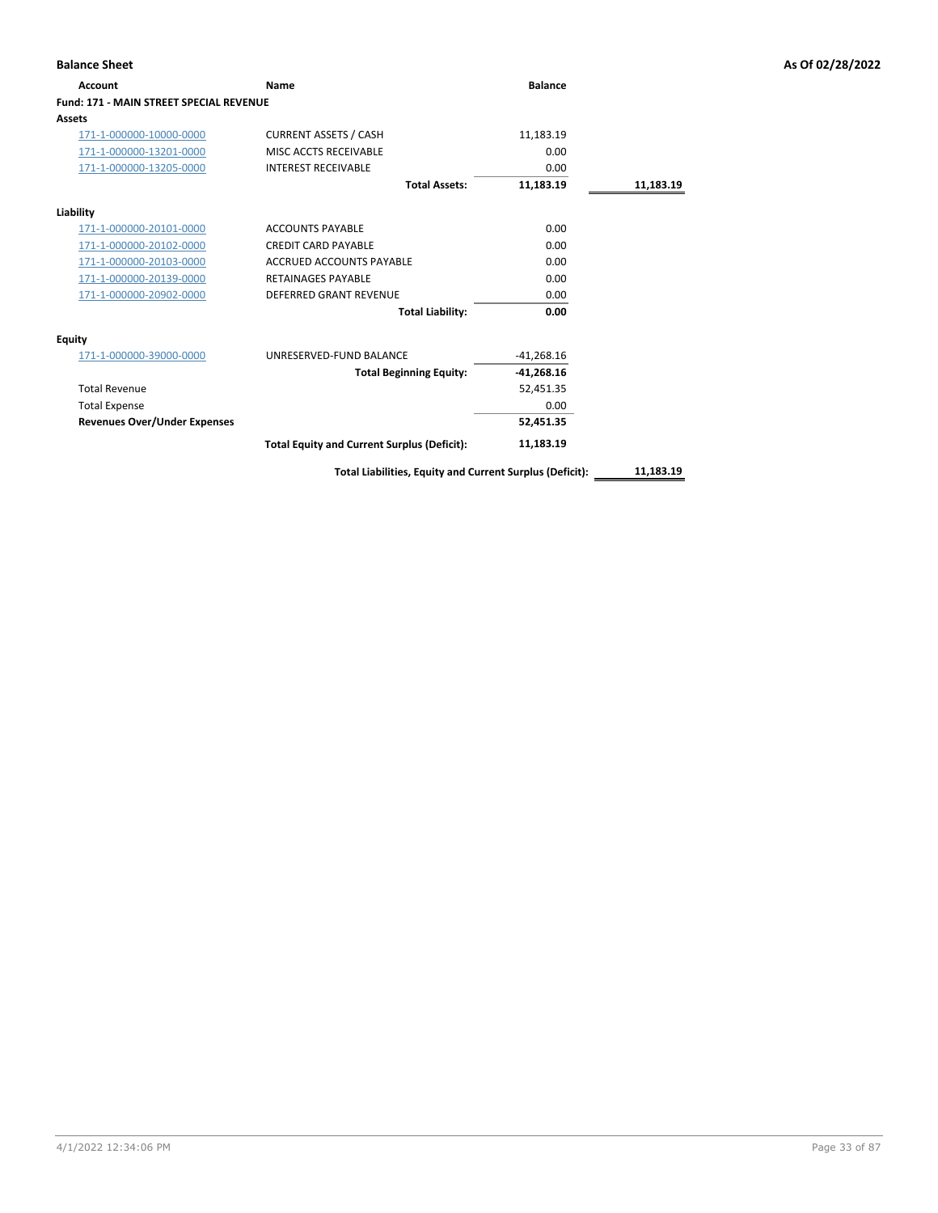| Account                                        | Name                                                     | <b>Balance</b> |           |
|------------------------------------------------|----------------------------------------------------------|----------------|-----------|
| <b>Fund: 171 - MAIN STREET SPECIAL REVENUE</b> |                                                          |                |           |
| Assets                                         |                                                          |                |           |
| 171-1-000000-10000-0000                        | <b>CURRENT ASSETS / CASH</b>                             | 11,183.19      |           |
| 171-1-000000-13201-0000                        | MISC ACCTS RECEIVABLE                                    | 0.00           |           |
| 171-1-000000-13205-0000                        | <b>INTEREST RECEIVABLE</b>                               | 0.00           |           |
|                                                | <b>Total Assets:</b>                                     | 11,183.19      | 11,183.19 |
| Liability                                      |                                                          |                |           |
| 171-1-000000-20101-0000                        | <b>ACCOUNTS PAYABLE</b>                                  | 0.00           |           |
| 171-1-000000-20102-0000                        | <b>CREDIT CARD PAYABLE</b>                               | 0.00           |           |
| 171-1-000000-20103-0000                        | ACCRUED ACCOUNTS PAYABLE                                 | 0.00           |           |
| 171-1-000000-20139-0000                        | <b>RETAINAGES PAYABLE</b>                                | 0.00           |           |
| 171-1-000000-20902-0000                        | <b>DEFERRED GRANT REVENUE</b>                            | 0.00           |           |
|                                                | <b>Total Liability:</b>                                  | 0.00           |           |
| <b>Equity</b>                                  |                                                          |                |           |
| 171-1-000000-39000-0000                        | UNRESERVED-FUND BALANCE                                  | $-41,268.16$   |           |
|                                                | <b>Total Beginning Equity:</b>                           | $-41,268.16$   |           |
| <b>Total Revenue</b>                           |                                                          | 52,451.35      |           |
| <b>Total Expense</b>                           |                                                          | 0.00           |           |
| <b>Revenues Over/Under Expenses</b>            |                                                          | 52,451.35      |           |
|                                                | <b>Total Equity and Current Surplus (Deficit):</b>       | 11,183.19      |           |
|                                                | Total Liabilities, Equity and Current Surplus (Deficit): |                | 11,183.19 |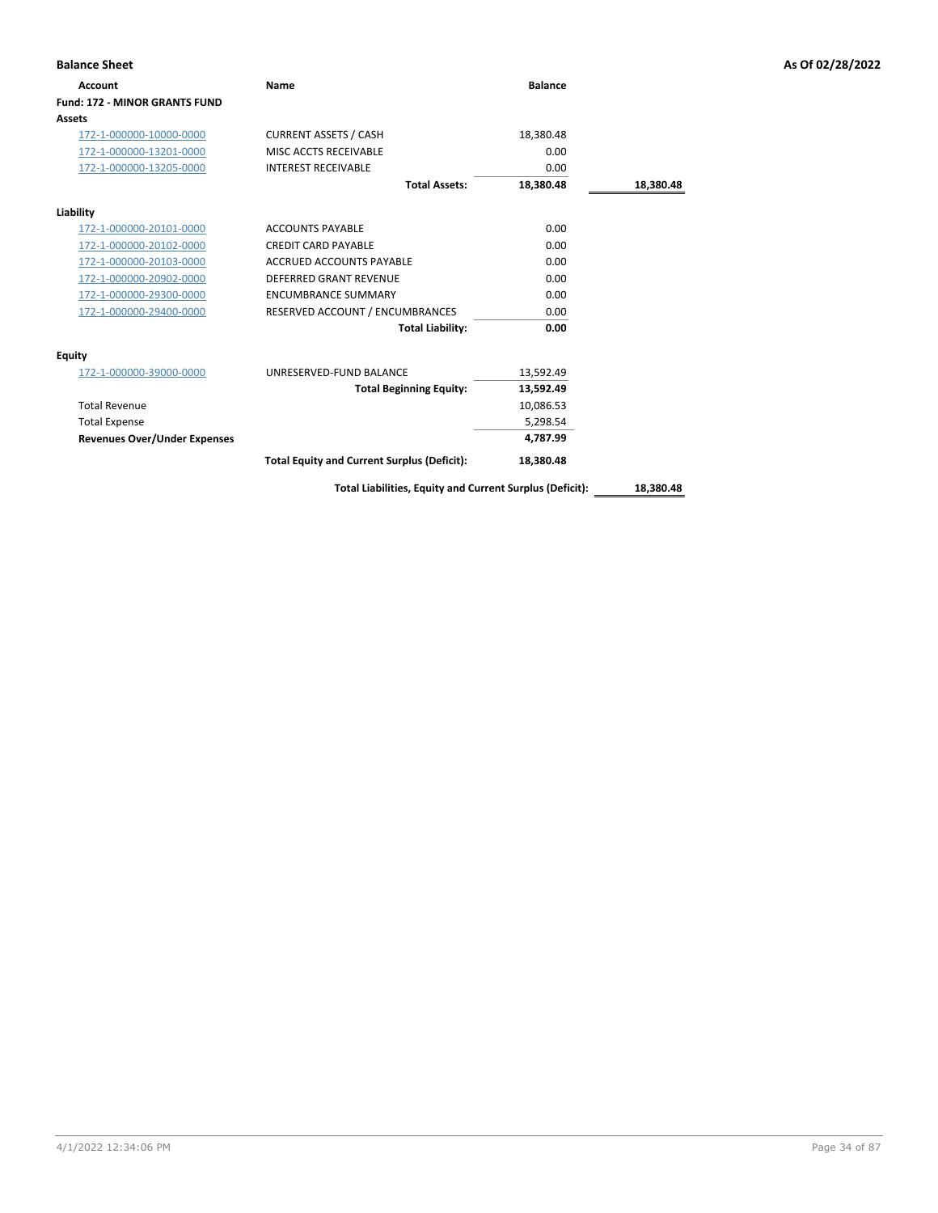| <b>Balance Sheet</b>                 |                                                    |                |           | As Of 02/28/2022 |
|--------------------------------------|----------------------------------------------------|----------------|-----------|------------------|
| <b>Account</b>                       | <b>Name</b>                                        | <b>Balance</b> |           |                  |
| <b>Fund: 172 - MINOR GRANTS FUND</b> |                                                    |                |           |                  |
| <b>Assets</b>                        |                                                    |                |           |                  |
| 172-1-000000-10000-0000              | <b>CURRENT ASSETS / CASH</b>                       | 18,380.48      |           |                  |
| 172-1-000000-13201-0000              | MISC ACCTS RECEIVABLE                              | 0.00           |           |                  |
| 172-1-000000-13205-0000              | <b>INTEREST RECEIVABLE</b>                         | 0.00           |           |                  |
|                                      | <b>Total Assets:</b>                               | 18,380.48      | 18,380.48 |                  |
| Liability                            |                                                    |                |           |                  |
| 172-1-000000-20101-0000              | <b>ACCOUNTS PAYABLE</b>                            | 0.00           |           |                  |
| 172-1-000000-20102-0000              | <b>CREDIT CARD PAYABLE</b>                         | 0.00           |           |                  |
| 172-1-000000-20103-0000              | <b>ACCRUED ACCOUNTS PAYABLE</b>                    | 0.00           |           |                  |
| 172-1-000000-20902-0000              | <b>DEFERRED GRANT REVENUE</b>                      | 0.00           |           |                  |
| 172-1-000000-29300-0000              | <b>ENCUMBRANCE SUMMARY</b>                         | 0.00           |           |                  |
| 172-1-000000-29400-0000              | RESERVED ACCOUNT / ENCUMBRANCES                    | 0.00           |           |                  |
|                                      | <b>Total Liability:</b>                            | 0.00           |           |                  |
| <b>Equity</b>                        |                                                    |                |           |                  |
| 172-1-000000-39000-0000              | UNRESERVED-FUND BALANCE                            | 13,592.49      |           |                  |
|                                      | <b>Total Beginning Equity:</b>                     | 13,592.49      |           |                  |
| <b>Total Revenue</b>                 |                                                    | 10,086.53      |           |                  |
| <b>Total Expense</b>                 |                                                    | 5,298.54       |           |                  |
| <b>Revenues Over/Under Expenses</b>  |                                                    | 4,787.99       |           |                  |
|                                      | <b>Total Equity and Current Surplus (Deficit):</b> | 18,380.48      |           |                  |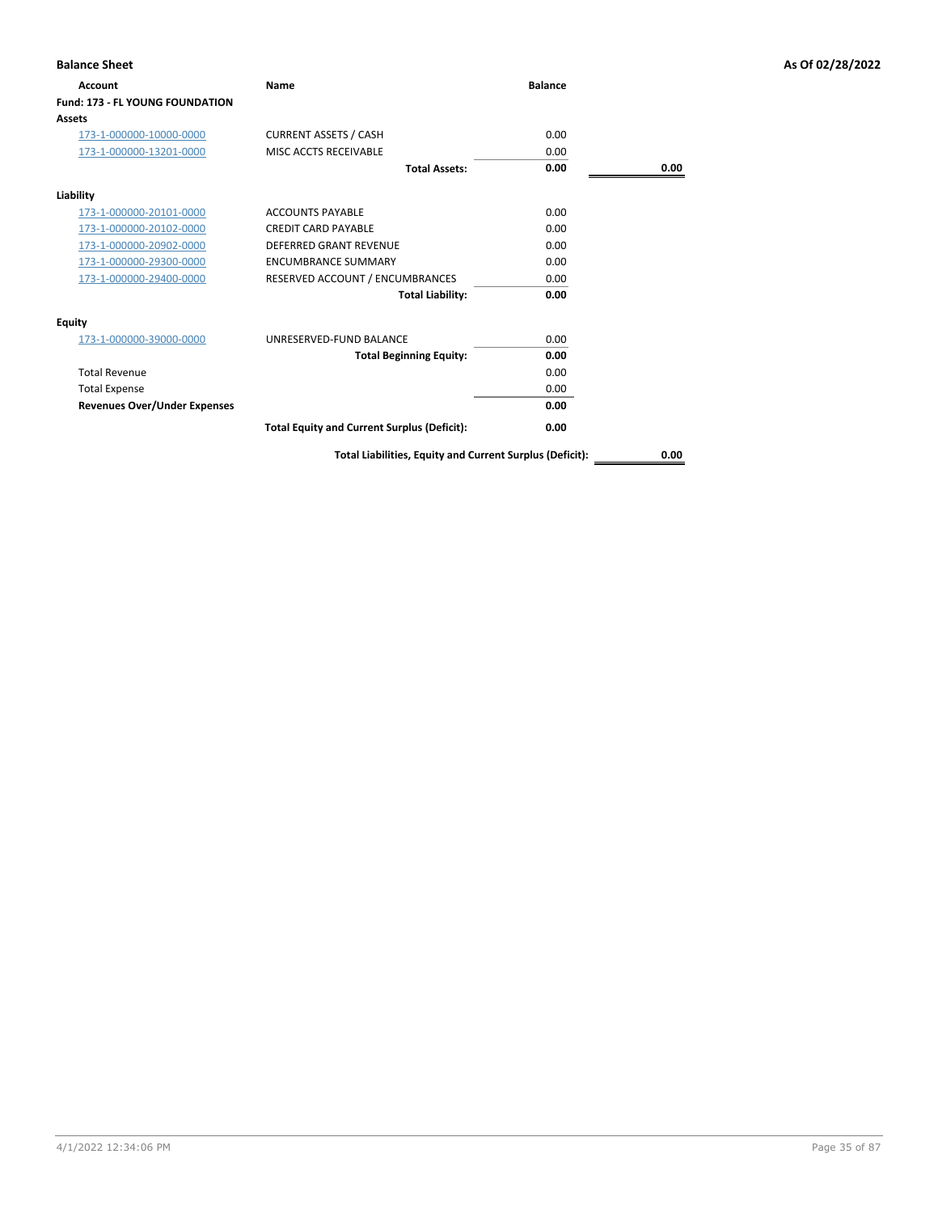| <b>Balance Sheet</b>                |                                                          |                |      | As Of 02/28/2022 |
|-------------------------------------|----------------------------------------------------------|----------------|------|------------------|
| Account                             | Name                                                     | <b>Balance</b> |      |                  |
| Fund: 173 - FL YOUNG FOUNDATION     |                                                          |                |      |                  |
| <b>Assets</b>                       |                                                          |                |      |                  |
| 173-1-000000-10000-0000             | <b>CURRENT ASSETS / CASH</b>                             | 0.00           |      |                  |
| 173-1-000000-13201-0000             | MISC ACCTS RECEIVABLE                                    | 0.00           |      |                  |
|                                     | <b>Total Assets:</b>                                     | 0.00           | 0.00 |                  |
| Liability                           |                                                          |                |      |                  |
| 173-1-000000-20101-0000             | <b>ACCOUNTS PAYABLE</b>                                  | 0.00           |      |                  |
| 173-1-000000-20102-0000             | <b>CREDIT CARD PAYABLE</b>                               | 0.00           |      |                  |
| 173-1-000000-20902-0000             | <b>DEFERRED GRANT REVENUE</b>                            | 0.00           |      |                  |
| 173-1-000000-29300-0000             | <b>ENCUMBRANCE SUMMARY</b>                               | 0.00           |      |                  |
| 173-1-000000-29400-0000             | RESERVED ACCOUNT / ENCUMBRANCES                          | 0.00           |      |                  |
|                                     | <b>Total Liability:</b>                                  | 0.00           |      |                  |
| <b>Equity</b>                       |                                                          |                |      |                  |
| 173-1-000000-39000-0000             | UNRESERVED-FUND BALANCE                                  | 0.00           |      |                  |
|                                     | <b>Total Beginning Equity:</b>                           | 0.00           |      |                  |
| <b>Total Revenue</b>                |                                                          | 0.00           |      |                  |
| <b>Total Expense</b>                |                                                          | 0.00           |      |                  |
| <b>Revenues Over/Under Expenses</b> |                                                          | 0.00           |      |                  |
|                                     | <b>Total Equity and Current Surplus (Deficit):</b>       | 0.00           |      |                  |
|                                     | Total Liabilities, Equity and Current Surplus (Deficit): |                | 0.00 |                  |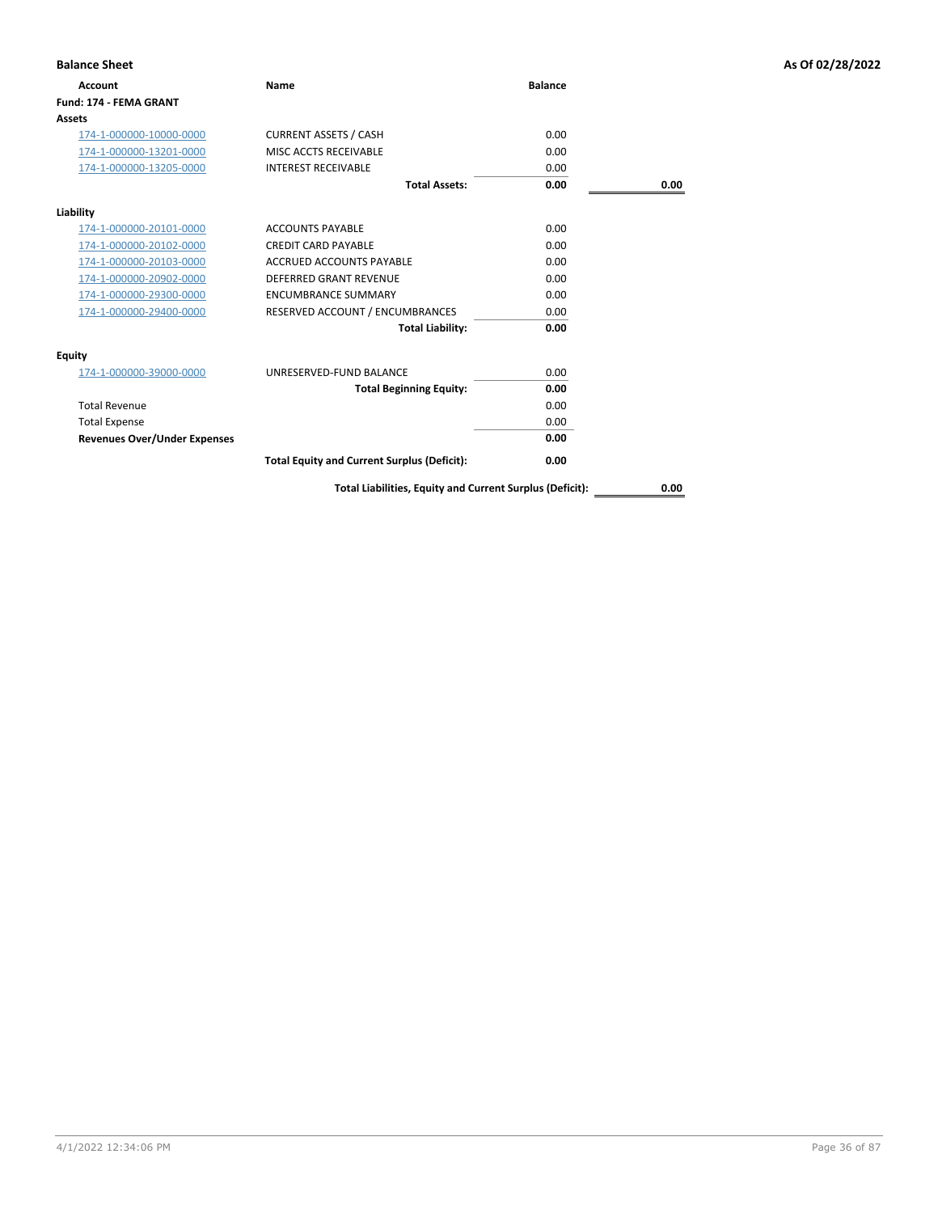| <b>Balance Sheet</b>                |                                                    |                |      | As Of 02/28/2022 |
|-------------------------------------|----------------------------------------------------|----------------|------|------------------|
| <b>Account</b>                      | Name                                               | <b>Balance</b> |      |                  |
| Fund: 174 - FEMA GRANT              |                                                    |                |      |                  |
| <b>Assets</b>                       |                                                    |                |      |                  |
| 174-1-000000-10000-0000             | <b>CURRENT ASSETS / CASH</b>                       | 0.00           |      |                  |
| 174-1-000000-13201-0000             | MISC ACCTS RECEIVABLE                              | 0.00           |      |                  |
| 174-1-000000-13205-0000             | <b>INTEREST RECEIVABLE</b>                         | 0.00           |      |                  |
|                                     | <b>Total Assets:</b>                               | 0.00           | 0.00 |                  |
| Liability                           |                                                    |                |      |                  |
| 174-1-000000-20101-0000             | <b>ACCOUNTS PAYABLE</b>                            | 0.00           |      |                  |
| 174-1-000000-20102-0000             | <b>CREDIT CARD PAYABLE</b>                         | 0.00           |      |                  |
| 174-1-000000-20103-0000             | <b>ACCRUED ACCOUNTS PAYABLE</b>                    | 0.00           |      |                  |
| 174-1-000000-20902-0000             | DEFERRED GRANT REVENUE                             | 0.00           |      |                  |
| 174-1-000000-29300-0000             | <b>ENCUMBRANCE SUMMARY</b>                         | 0.00           |      |                  |
| 174-1-000000-29400-0000             | RESERVED ACCOUNT / ENCUMBRANCES                    | 0.00           |      |                  |
|                                     | <b>Total Liability:</b>                            | 0.00           |      |                  |
| <b>Equity</b>                       |                                                    |                |      |                  |
| 174-1-000000-39000-0000             | UNRESERVED-FUND BALANCE                            | 0.00           |      |                  |
|                                     | <b>Total Beginning Equity:</b>                     | 0.00           |      |                  |
| <b>Total Revenue</b>                |                                                    | 0.00           |      |                  |
| <b>Total Expense</b>                |                                                    | 0.00           |      |                  |
| <b>Revenues Over/Under Expenses</b> |                                                    | 0.00           |      |                  |
|                                     | <b>Total Equity and Current Surplus (Deficit):</b> | 0.00           |      |                  |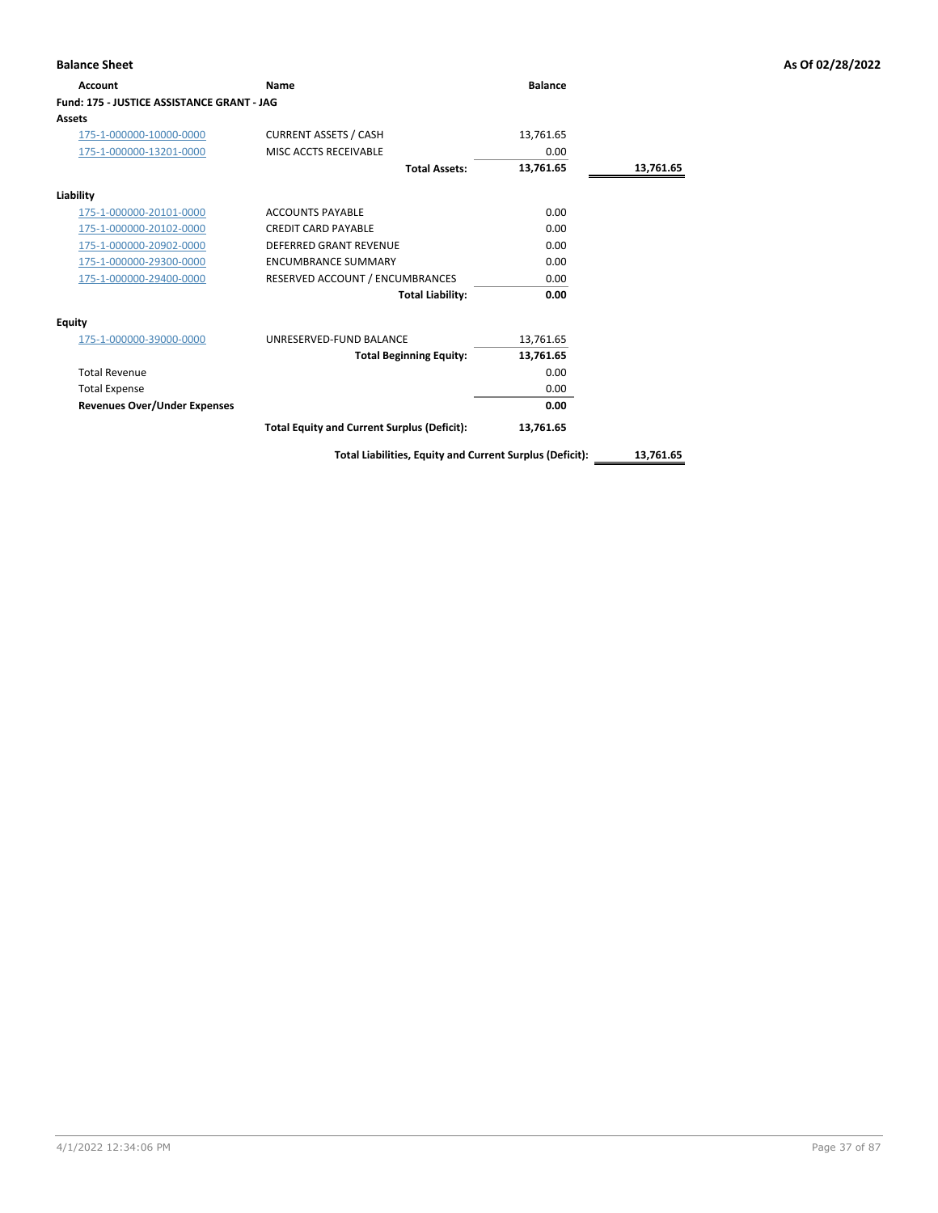| <b>Balance Sheet</b>                       |                                                    |                |           | As Of 02/28/2022 |
|--------------------------------------------|----------------------------------------------------|----------------|-----------|------------------|
| Account                                    | Name                                               | <b>Balance</b> |           |                  |
| Fund: 175 - JUSTICE ASSISTANCE GRANT - JAG |                                                    |                |           |                  |
| <b>Assets</b>                              |                                                    |                |           |                  |
| 175-1-000000-10000-0000                    | <b>CURRENT ASSETS / CASH</b>                       | 13,761.65      |           |                  |
| 175-1-000000-13201-0000                    | MISC ACCTS RECEIVABLE                              | 0.00           |           |                  |
|                                            | <b>Total Assets:</b>                               | 13,761.65      | 13,761.65 |                  |
| Liability                                  |                                                    |                |           |                  |
| 175-1-000000-20101-0000                    | <b>ACCOUNTS PAYABLE</b>                            | 0.00           |           |                  |
| 175-1-000000-20102-0000                    | <b>CREDIT CARD PAYABLE</b>                         | 0.00           |           |                  |
| 175-1-000000-20902-0000                    | <b>DEFERRED GRANT REVENUE</b>                      | 0.00           |           |                  |
| 175-1-000000-29300-0000                    | <b>ENCUMBRANCE SUMMARY</b>                         | 0.00           |           |                  |
| 175-1-000000-29400-0000                    | RESERVED ACCOUNT / ENCUMBRANCES                    | 0.00           |           |                  |
|                                            | <b>Total Liability:</b>                            | 0.00           |           |                  |
| <b>Equity</b>                              |                                                    |                |           |                  |
| 175-1-000000-39000-0000                    | UNRESERVED-FUND BALANCE                            | 13,761.65      |           |                  |
|                                            | <b>Total Beginning Equity:</b>                     | 13,761.65      |           |                  |
| <b>Total Revenue</b>                       |                                                    | 0.00           |           |                  |
| <b>Total Expense</b>                       |                                                    | 0.00           |           |                  |
| <b>Revenues Over/Under Expenses</b>        |                                                    | 0.00           |           |                  |
|                                            | <b>Total Equity and Current Surplus (Deficit):</b> | 13,761.65      |           |                  |

**Total Liabilities, Equity and Current Surplus (Deficit): 13,761.65**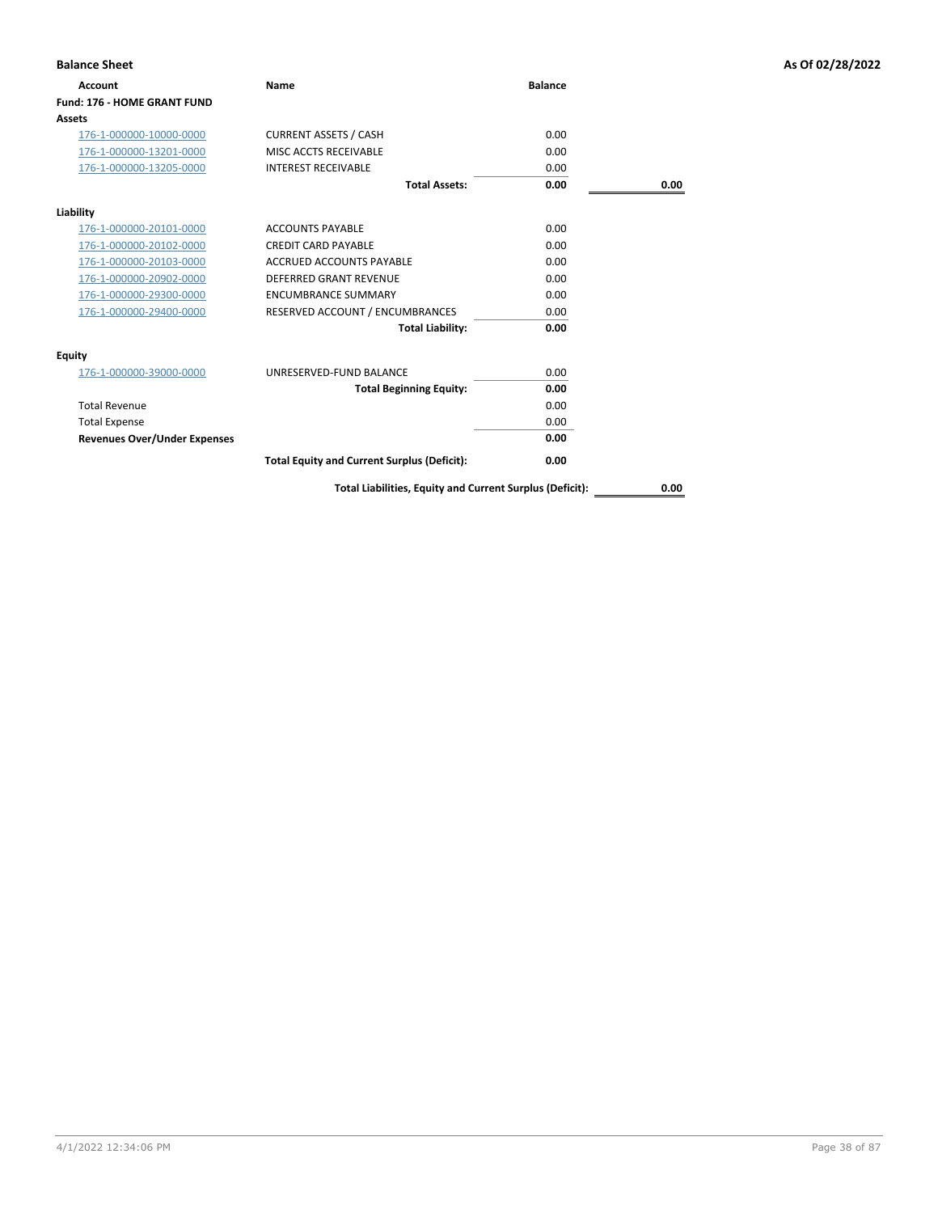| <b>Balance Sheet</b>                |                                                    |                |      | As Of 02/28/2022 |
|-------------------------------------|----------------------------------------------------|----------------|------|------------------|
| <b>Account</b>                      | Name                                               | <b>Balance</b> |      |                  |
| <b>Fund: 176 - HOME GRANT FUND</b>  |                                                    |                |      |                  |
| <b>Assets</b>                       |                                                    |                |      |                  |
| 176-1-000000-10000-0000             | <b>CURRENT ASSETS / CASH</b>                       | 0.00           |      |                  |
| 176-1-000000-13201-0000             | MISC ACCTS RECEIVABLE                              | 0.00           |      |                  |
| 176-1-000000-13205-0000             | <b>INTEREST RECEIVABLE</b>                         | 0.00           |      |                  |
|                                     | <b>Total Assets:</b>                               | 0.00           | 0.00 |                  |
| Liability                           |                                                    |                |      |                  |
| 176-1-000000-20101-0000             | <b>ACCOUNTS PAYABLE</b>                            | 0.00           |      |                  |
| 176-1-000000-20102-0000             | <b>CREDIT CARD PAYABLE</b>                         | 0.00           |      |                  |
| 176-1-000000-20103-0000             | <b>ACCRUED ACCOUNTS PAYABLE</b>                    | 0.00           |      |                  |
| 176-1-000000-20902-0000             | DEFERRED GRANT REVENUE                             | 0.00           |      |                  |
| 176-1-000000-29300-0000             | <b>ENCUMBRANCE SUMMARY</b>                         | 0.00           |      |                  |
| 176-1-000000-29400-0000             | RESERVED ACCOUNT / ENCUMBRANCES                    | 0.00           |      |                  |
|                                     | <b>Total Liability:</b>                            | 0.00           |      |                  |
| <b>Equity</b>                       |                                                    |                |      |                  |
| 176-1-000000-39000-0000             | UNRESERVED-FUND BALANCE                            | 0.00           |      |                  |
|                                     | <b>Total Beginning Equity:</b>                     | 0.00           |      |                  |
| <b>Total Revenue</b>                |                                                    | 0.00           |      |                  |
| <b>Total Expense</b>                |                                                    | 0.00           |      |                  |
| <b>Revenues Over/Under Expenses</b> |                                                    | 0.00           |      |                  |
|                                     | <b>Total Equity and Current Surplus (Deficit):</b> | 0.00           |      |                  |

**Total Liabilities, Equity and Current Surplus (Deficit): 0.00**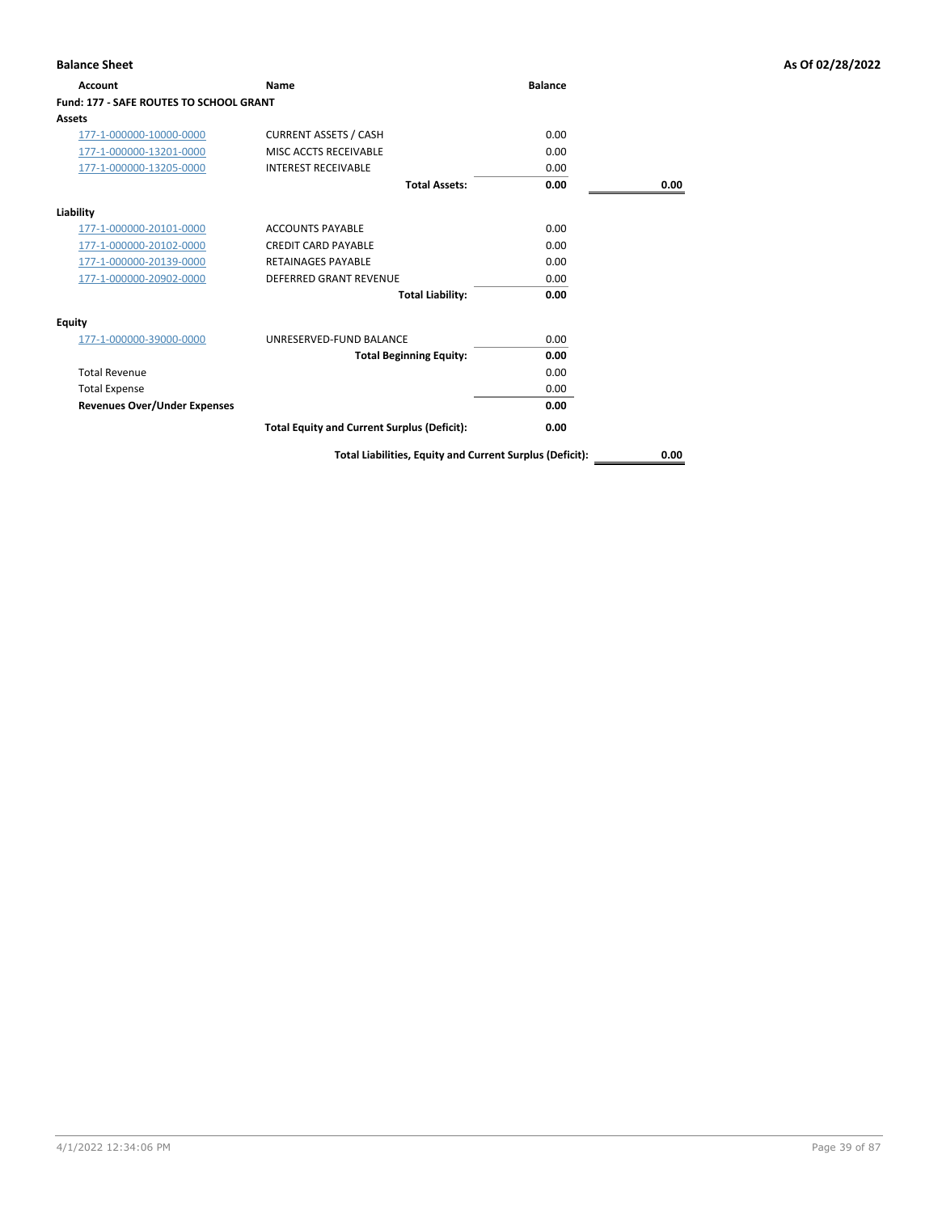| Account                                        | <b>Name</b>                                        | <b>Balance</b> |      |
|------------------------------------------------|----------------------------------------------------|----------------|------|
| <b>Fund: 177 - SAFE ROUTES TO SCHOOL GRANT</b> |                                                    |                |      |
| Assets                                         |                                                    |                |      |
| 177-1-000000-10000-0000                        | <b>CURRENT ASSETS / CASH</b>                       | 0.00           |      |
| 177-1-000000-13201-0000                        | MISC ACCTS RECEIVABLE                              | 0.00           |      |
| 177-1-000000-13205-0000                        | <b>INTEREST RECEIVABLE</b>                         | 0.00           |      |
|                                                | <b>Total Assets:</b>                               | 0.00           | 0.00 |
| Liability                                      |                                                    |                |      |
| 177-1-000000-20101-0000                        | <b>ACCOUNTS PAYABLE</b>                            | 0.00           |      |
| 177-1-000000-20102-0000                        | <b>CREDIT CARD PAYABLE</b>                         | 0.00           |      |
| 177-1-000000-20139-0000                        | <b>RETAINAGES PAYABLE</b>                          | 0.00           |      |
| 177-1-000000-20902-0000                        | <b>DEFERRED GRANT REVENUE</b>                      | 0.00           |      |
|                                                | <b>Total Liability:</b>                            | 0.00           |      |
| Equity                                         |                                                    |                |      |
| 177-1-000000-39000-0000                        | UNRESERVED-FUND BALANCE                            | 0.00           |      |
|                                                | <b>Total Beginning Equity:</b>                     | 0.00           |      |
| <b>Total Revenue</b>                           |                                                    | 0.00           |      |
| <b>Total Expense</b>                           |                                                    | 0.00           |      |
| <b>Revenues Over/Under Expenses</b>            |                                                    | 0.00           |      |
|                                                | <b>Total Equity and Current Surplus (Deficit):</b> | 0.00           |      |

**Total Liabilities, Equity and Current Surplus (Deficit): 0.00**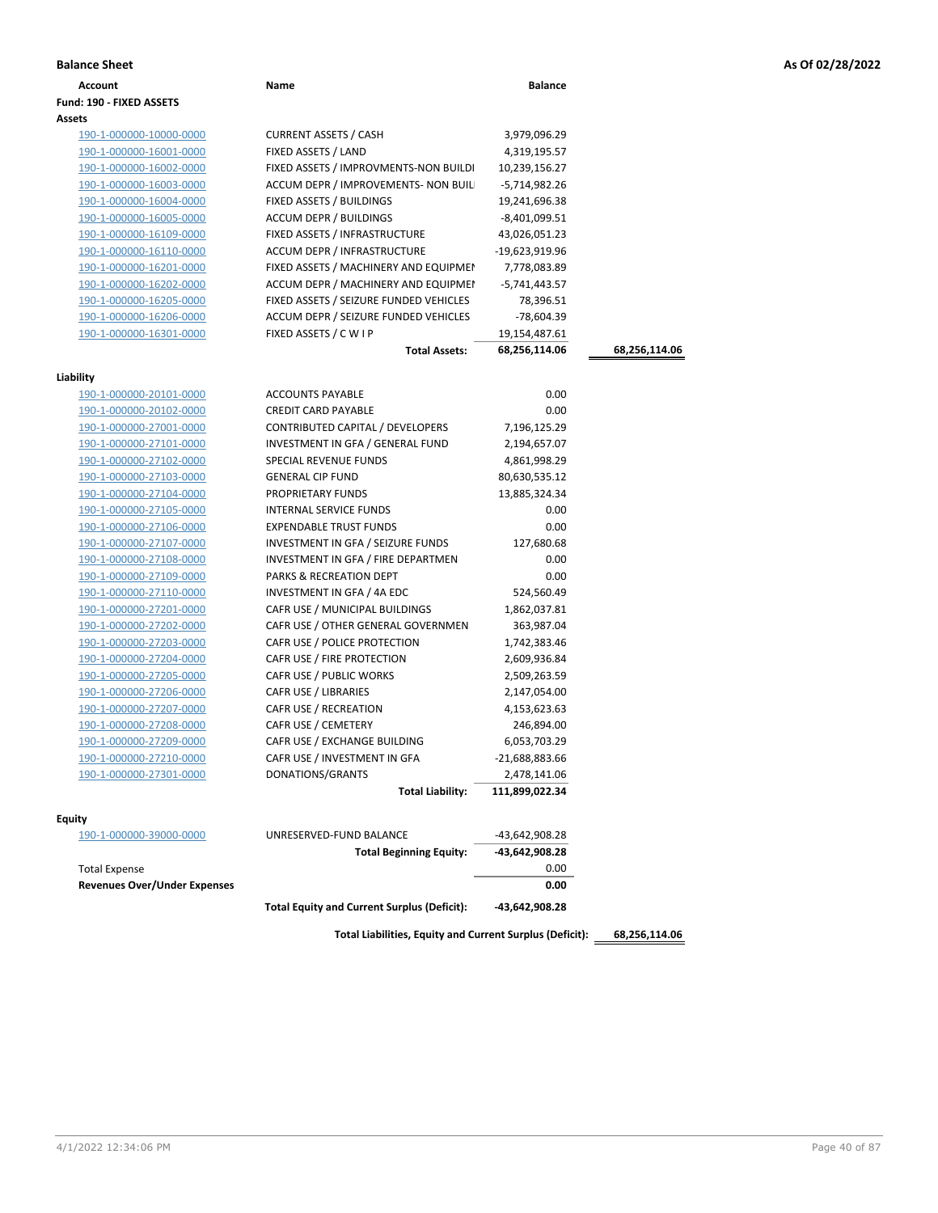|  |  |  | As Of 02/28/2022 |
|--|--|--|------------------|
|--|--|--|------------------|

| <b>Balance Sheet</b>                               |                                                           |                                |               | As Of 02/28/2022 |
|----------------------------------------------------|-----------------------------------------------------------|--------------------------------|---------------|------------------|
| Account                                            | Name                                                      | <b>Balance</b>                 |               |                  |
| Fund: 190 - FIXED ASSETS                           |                                                           |                                |               |                  |
| Assets                                             |                                                           |                                |               |                  |
| 190-1-000000-10000-0000                            | <b>CURRENT ASSETS / CASH</b>                              | 3,979,096.29                   |               |                  |
| 190-1-000000-16001-0000                            | FIXED ASSETS / LAND                                       | 4,319,195.57                   |               |                  |
| 190-1-000000-16002-0000                            | FIXED ASSETS / IMPROVMENTS-NON BUILDI                     | 10,239,156.27                  |               |                  |
| 190-1-000000-16003-0000                            | ACCUM DEPR / IMPROVEMENTS- NON BUIL                       | -5,714,982.26                  |               |                  |
| 190-1-000000-16004-0000                            | FIXED ASSETS / BUILDINGS                                  | 19,241,696.38                  |               |                  |
| 190-1-000000-16005-0000                            | ACCUM DEPR / BUILDINGS                                    | -8,401,099.51                  |               |                  |
| 190-1-000000-16109-0000                            | FIXED ASSETS / INFRASTRUCTURE                             | 43,026,051.23                  |               |                  |
| 190-1-000000-16110-0000                            | ACCUM DEPR / INFRASTRUCTURE                               | -19,623,919.96                 |               |                  |
| 190-1-000000-16201-0000                            | FIXED ASSETS / MACHINERY AND EQUIPMEN                     | 7,778,083.89                   |               |                  |
| 190-1-000000-16202-0000                            | ACCUM DEPR / MACHINERY AND EQUIPMEI                       | -5,741,443.57                  |               |                  |
| 190-1-000000-16205-0000                            | FIXED ASSETS / SEIZURE FUNDED VEHICLES                    | 78,396.51                      |               |                  |
| 190-1-000000-16206-0000                            | ACCUM DEPR / SEIZURE FUNDED VEHICLES                      | -78,604.39                     |               |                  |
| 190-1-000000-16301-0000                            | FIXED ASSETS / C W I P                                    | 19,154,487.61                  |               |                  |
|                                                    | <b>Total Assets:</b>                                      | 68,256,114.06                  | 68,256,114.06 |                  |
|                                                    |                                                           |                                |               |                  |
| Liability                                          |                                                           |                                |               |                  |
| 190-1-000000-20101-0000                            | <b>ACCOUNTS PAYABLE</b>                                   | 0.00                           |               |                  |
| 190-1-000000-20102-0000                            | <b>CREDIT CARD PAYABLE</b>                                | 0.00                           |               |                  |
| 190-1-000000-27001-0000                            | CONTRIBUTED CAPITAL / DEVELOPERS                          | 7,196,125.29                   |               |                  |
| 190-1-000000-27101-0000                            | INVESTMENT IN GFA / GENERAL FUND<br>SPECIAL REVENUE FUNDS | 2,194,657.07                   |               |                  |
| 190-1-000000-27102-0000<br>190-1-000000-27103-0000 | <b>GENERAL CIP FUND</b>                                   | 4,861,998.29                   |               |                  |
| 190-1-000000-27104-0000                            | PROPRIETARY FUNDS                                         | 80,630,535.12<br>13,885,324.34 |               |                  |
| 190-1-000000-27105-0000                            | INTERNAL SERVICE FUNDS                                    | 0.00                           |               |                  |
| 190-1-000000-27106-0000                            | <b>EXPENDABLE TRUST FUNDS</b>                             | 0.00                           |               |                  |
| 190-1-000000-27107-0000                            | INVESTMENT IN GFA / SEIZURE FUNDS                         | 127,680.68                     |               |                  |
| 190-1-000000-27108-0000                            | INVESTMENT IN GFA / FIRE DEPARTMEN                        | 0.00                           |               |                  |
| 190-1-000000-27109-0000                            | PARKS & RECREATION DEPT                                   | 0.00                           |               |                  |
| 190-1-000000-27110-0000                            | INVESTMENT IN GFA / 4A EDC                                | 524,560.49                     |               |                  |
| 190-1-000000-27201-0000                            | CAFR USE / MUNICIPAL BUILDINGS                            | 1,862,037.81                   |               |                  |
| 190-1-000000-27202-0000                            | CAFR USE / OTHER GENERAL GOVERNMEN                        | 363,987.04                     |               |                  |
| 190-1-000000-27203-0000                            | CAFR USE / POLICE PROTECTION                              | 1,742,383.46                   |               |                  |
| 190-1-000000-27204-0000                            | CAFR USE / FIRE PROTECTION                                | 2,609,936.84                   |               |                  |
| 190-1-000000-27205-0000                            | CAFR USE / PUBLIC WORKS                                   | 2,509,263.59                   |               |                  |
| 190-1-000000-27206-0000                            | <b>CAFR USE / LIBRARIES</b>                               | 2,147,054.00                   |               |                  |
| 190-1-000000-27207-0000                            | CAFR USE / RECREATION                                     | 4,153,623.63                   |               |                  |
| 190-1-000000-27208-0000                            | CAFR USE / CEMETERY                                       | 246,894.00                     |               |                  |
| 190-1-000000-27209-0000                            | CAFR USE / EXCHANGE BUILDING                              | 6,053,703.29                   |               |                  |
| 190-1-000000-27210-0000                            | CAFR USE / INVESTMENT IN GFA                              | -21,688,883.66                 |               |                  |
| 190-1-000000-27301-0000                            | DONATIONS/GRANTS                                          | 2,478,141.06                   |               |                  |
|                                                    | <b>Total Liability:</b>                                   | 111,899,022.34                 |               |                  |
|                                                    |                                                           |                                |               |                  |
| <b>Equity</b>                                      |                                                           |                                |               |                  |
| 190-1-000000-39000-0000                            | UNRESERVED-FUND BALANCE                                   | -43,642,908.28                 |               |                  |
|                                                    | <b>Total Beginning Equity:</b>                            | -43,642,908.28                 |               |                  |
| <b>Total Expense</b>                               |                                                           | 0.00                           |               |                  |
| <b>Revenues Over/Under Expenses</b>                |                                                           | 0.00                           |               |                  |
|                                                    | <b>Total Equity and Current Surplus (Deficit):</b>        | -43,642,908.28                 |               |                  |
|                                                    |                                                           |                                |               |                  |

**Total Liabilities, Equity and Current Surplus (Deficit): 68,256,114.06**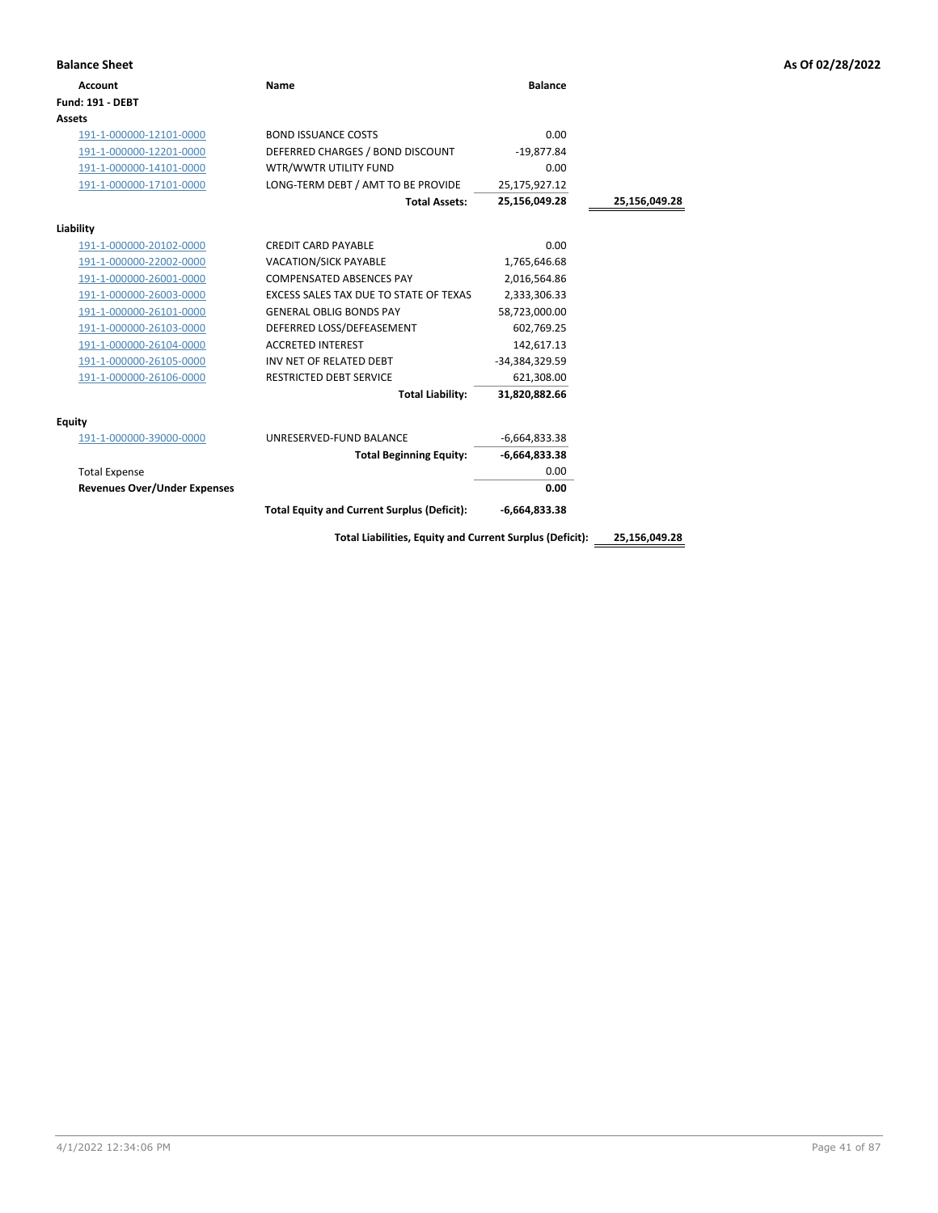|  |  | As Of 02/28/2022 |
|--|--|------------------|
|  |  |                  |

| <b>Balance Sheet</b>                |                                                          |                 |               | As Of 02/28/2022 |
|-------------------------------------|----------------------------------------------------------|-----------------|---------------|------------------|
| <b>Account</b>                      | <b>Name</b>                                              | <b>Balance</b>  |               |                  |
| <b>Fund: 191 - DEBT</b>             |                                                          |                 |               |                  |
| <b>Assets</b>                       |                                                          |                 |               |                  |
| 191-1-000000-12101-0000             | <b>BOND ISSUANCE COSTS</b>                               | 0.00            |               |                  |
| 191-1-000000-12201-0000             | DEFERRED CHARGES / BOND DISCOUNT                         | $-19,877.84$    |               |                  |
| 191-1-000000-14101-0000             | WTR/WWTR UTILITY FUND                                    | 0.00            |               |                  |
| 191-1-000000-17101-0000             | LONG-TERM DEBT / AMT TO BE PROVIDE                       | 25,175,927.12   |               |                  |
|                                     | <b>Total Assets:</b>                                     | 25,156,049.28   | 25,156,049.28 |                  |
| Liability                           |                                                          |                 |               |                  |
| 191-1-000000-20102-0000             | <b>CREDIT CARD PAYABLE</b>                               | 0.00            |               |                  |
| 191-1-000000-22002-0000             | <b>VACATION/SICK PAYABLE</b>                             | 1,765,646.68    |               |                  |
| 191-1-000000-26001-0000             | <b>COMPENSATED ABSENCES PAY</b>                          | 2,016,564.86    |               |                  |
| 191-1-000000-26003-0000             | EXCESS SALES TAX DUE TO STATE OF TEXAS                   | 2,333,306.33    |               |                  |
| 191-1-000000-26101-0000             | <b>GENERAL OBLIG BONDS PAY</b>                           | 58,723,000.00   |               |                  |
| 191-1-000000-26103-0000             | DEFERRED LOSS/DEFEASEMENT                                | 602,769.25      |               |                  |
| 191-1-000000-26104-0000             | <b>ACCRETED INTEREST</b>                                 | 142,617.13      |               |                  |
| 191-1-000000-26105-0000             | INV NET OF RELATED DEBT                                  | -34,384,329.59  |               |                  |
| 191-1-000000-26106-0000             | <b>RESTRICTED DEBT SERVICE</b>                           | 621,308.00      |               |                  |
|                                     | <b>Total Liability:</b>                                  | 31,820,882.66   |               |                  |
| <b>Equity</b>                       |                                                          |                 |               |                  |
| 191-1-000000-39000-0000             | UNRESERVED-FUND BALANCE                                  | $-6,664,833.38$ |               |                  |
|                                     | <b>Total Beginning Equity:</b>                           | $-6,664,833.38$ |               |                  |
| <b>Total Expense</b>                |                                                          | 0.00            |               |                  |
| <b>Revenues Over/Under Expenses</b> |                                                          | 0.00            |               |                  |
|                                     | <b>Total Equity and Current Surplus (Deficit):</b>       | $-6,664,833.38$ |               |                  |
|                                     | Total Liabilities, Equity and Current Surplus (Deficit): |                 | 25,156,049.28 |                  |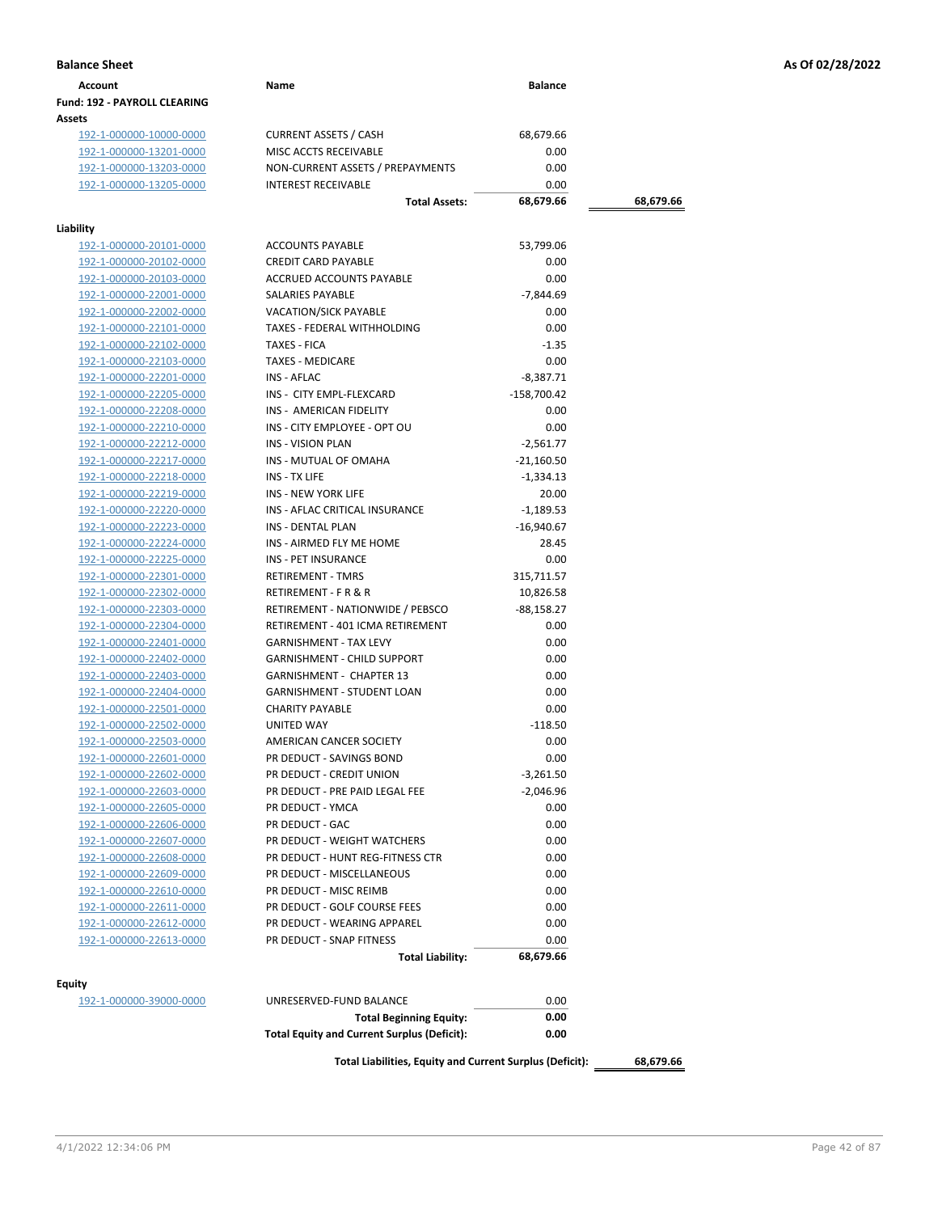| Account                             | Name | <b>Balance</b> |
|-------------------------------------|------|----------------|
| <b>Fund: 192 - PAYROLL CLEARING</b> |      |                |
| Assets                              |      |                |

192-1-000000-10000-0000 CURRENT ASSETS / CASH 68,679.66<br>192-1-000000-13201-0000 MISC ACCTS RECEIVABLE 0.00 192-1-000000-13201-0000 192-1-000000-13203-0000 NON-CURRENT ASSETS / PREPAYMENTS 0.00 192-1-000000-13205-0000 INTEREST RECEIVABLE 0.00

## **Liability**

| <b>ACCOUNTS PAYABLE</b>                            | 53,799.06                                                                                                                                                                                                                                                                                                                                                                                                                                                                                                                                                                                                                                                                                              |
|----------------------------------------------------|--------------------------------------------------------------------------------------------------------------------------------------------------------------------------------------------------------------------------------------------------------------------------------------------------------------------------------------------------------------------------------------------------------------------------------------------------------------------------------------------------------------------------------------------------------------------------------------------------------------------------------------------------------------------------------------------------------|
| <b>CREDIT CARD PAYABLE</b>                         | 0.00                                                                                                                                                                                                                                                                                                                                                                                                                                                                                                                                                                                                                                                                                                   |
| <b>ACCRUED ACCOUNTS PAYABLE</b>                    | 0.00                                                                                                                                                                                                                                                                                                                                                                                                                                                                                                                                                                                                                                                                                                   |
| SALARIES PAYABLE                                   | $-7,844.69$                                                                                                                                                                                                                                                                                                                                                                                                                                                                                                                                                                                                                                                                                            |
| <b>VACATION/SICK PAYABLE</b>                       | 0.00                                                                                                                                                                                                                                                                                                                                                                                                                                                                                                                                                                                                                                                                                                   |
| TAXES - FEDERAL WITHHOLDING                        | 0.00                                                                                                                                                                                                                                                                                                                                                                                                                                                                                                                                                                                                                                                                                                   |
| TAXES - FICA                                       | $-1.35$                                                                                                                                                                                                                                                                                                                                                                                                                                                                                                                                                                                                                                                                                                |
| <b>TAXES - MEDICARE</b>                            | 0.00                                                                                                                                                                                                                                                                                                                                                                                                                                                                                                                                                                                                                                                                                                   |
| INS - AFLAC                                        | $-8,387.71$                                                                                                                                                                                                                                                                                                                                                                                                                                                                                                                                                                                                                                                                                            |
| INS - CITY EMPL-FLEXCARD                           | $-158,700.42$                                                                                                                                                                                                                                                                                                                                                                                                                                                                                                                                                                                                                                                                                          |
| INS - AMERICAN FIDELITY                            | 0.00                                                                                                                                                                                                                                                                                                                                                                                                                                                                                                                                                                                                                                                                                                   |
|                                                    | 0.00                                                                                                                                                                                                                                                                                                                                                                                                                                                                                                                                                                                                                                                                                                   |
|                                                    | $-2,561.77$                                                                                                                                                                                                                                                                                                                                                                                                                                                                                                                                                                                                                                                                                            |
|                                                    | $-21,160.50$                                                                                                                                                                                                                                                                                                                                                                                                                                                                                                                                                                                                                                                                                           |
|                                                    | $-1,334.13$                                                                                                                                                                                                                                                                                                                                                                                                                                                                                                                                                                                                                                                                                            |
| INS - NEW YORK LIFE                                | 20.00                                                                                                                                                                                                                                                                                                                                                                                                                                                                                                                                                                                                                                                                                                  |
|                                                    | $-1,189.53$                                                                                                                                                                                                                                                                                                                                                                                                                                                                                                                                                                                                                                                                                            |
|                                                    | $-16,940.67$                                                                                                                                                                                                                                                                                                                                                                                                                                                                                                                                                                                                                                                                                           |
|                                                    | 28.45                                                                                                                                                                                                                                                                                                                                                                                                                                                                                                                                                                                                                                                                                                  |
|                                                    | 0.00                                                                                                                                                                                                                                                                                                                                                                                                                                                                                                                                                                                                                                                                                                   |
|                                                    | 315,711.57                                                                                                                                                                                                                                                                                                                                                                                                                                                                                                                                                                                                                                                                                             |
|                                                    | 10,826.58                                                                                                                                                                                                                                                                                                                                                                                                                                                                                                                                                                                                                                                                                              |
|                                                    | $-88,158.27$                                                                                                                                                                                                                                                                                                                                                                                                                                                                                                                                                                                                                                                                                           |
|                                                    | 0.00                                                                                                                                                                                                                                                                                                                                                                                                                                                                                                                                                                                                                                                                                                   |
|                                                    | 0.00                                                                                                                                                                                                                                                                                                                                                                                                                                                                                                                                                                                                                                                                                                   |
|                                                    | 0.00                                                                                                                                                                                                                                                                                                                                                                                                                                                                                                                                                                                                                                                                                                   |
|                                                    | 0.00                                                                                                                                                                                                                                                                                                                                                                                                                                                                                                                                                                                                                                                                                                   |
|                                                    |                                                                                                                                                                                                                                                                                                                                                                                                                                                                                                                                                                                                                                                                                                        |
|                                                    | 0.00                                                                                                                                                                                                                                                                                                                                                                                                                                                                                                                                                                                                                                                                                                   |
|                                                    | 0.00                                                                                                                                                                                                                                                                                                                                                                                                                                                                                                                                                                                                                                                                                                   |
|                                                    | $-118.50$                                                                                                                                                                                                                                                                                                                                                                                                                                                                                                                                                                                                                                                                                              |
|                                                    | 0.00                                                                                                                                                                                                                                                                                                                                                                                                                                                                                                                                                                                                                                                                                                   |
|                                                    | 0.00                                                                                                                                                                                                                                                                                                                                                                                                                                                                                                                                                                                                                                                                                                   |
|                                                    | $-3,261.50$                                                                                                                                                                                                                                                                                                                                                                                                                                                                                                                                                                                                                                                                                            |
|                                                    | $-2,046.96$                                                                                                                                                                                                                                                                                                                                                                                                                                                                                                                                                                                                                                                                                            |
|                                                    | 0.00                                                                                                                                                                                                                                                                                                                                                                                                                                                                                                                                                                                                                                                                                                   |
|                                                    | 0.00                                                                                                                                                                                                                                                                                                                                                                                                                                                                                                                                                                                                                                                                                                   |
| PR DEDUCT - WEIGHT WATCHERS                        | 0.00                                                                                                                                                                                                                                                                                                                                                                                                                                                                                                                                                                                                                                                                                                   |
| PR DEDUCT - HUNT REG-FITNESS CTR                   | 0.00                                                                                                                                                                                                                                                                                                                                                                                                                                                                                                                                                                                                                                                                                                   |
| PR DEDUCT - MISCELLANEOUS                          | 0.00                                                                                                                                                                                                                                                                                                                                                                                                                                                                                                                                                                                                                                                                                                   |
| PR DEDUCT - MISC REIMB                             | 0.00                                                                                                                                                                                                                                                                                                                                                                                                                                                                                                                                                                                                                                                                                                   |
| PR DEDUCT - GOLF COURSE FEES                       | 0.00                                                                                                                                                                                                                                                                                                                                                                                                                                                                                                                                                                                                                                                                                                   |
| PR DEDUCT - WEARING APPAREL                        | 0.00                                                                                                                                                                                                                                                                                                                                                                                                                                                                                                                                                                                                                                                                                                   |
| PR DEDUCT - SNAP FITNESS                           | 0.00                                                                                                                                                                                                                                                                                                                                                                                                                                                                                                                                                                                                                                                                                                   |
| <b>Total Liability:</b>                            | 68,679.66                                                                                                                                                                                                                                                                                                                                                                                                                                                                                                                                                                                                                                                                                              |
|                                                    |                                                                                                                                                                                                                                                                                                                                                                                                                                                                                                                                                                                                                                                                                                        |
| UNRESERVED-FUND BALANCE                            | 0.00                                                                                                                                                                                                                                                                                                                                                                                                                                                                                                                                                                                                                                                                                                   |
| <b>Total Beginning Equity:</b>                     | 0.00                                                                                                                                                                                                                                                                                                                                                                                                                                                                                                                                                                                                                                                                                                   |
| <b>Total Equity and Current Surplus (Deficit):</b> | 0.00                                                                                                                                                                                                                                                                                                                                                                                                                                                                                                                                                                                                                                                                                                   |
|                                                    | INS - CITY EMPLOYEE - OPT OU<br><b>INS - VISION PLAN</b><br>INS - MUTUAL OF OMAHA<br>INS - TX LIFE<br>INS - AFLAC CRITICAL INSURANCE<br><b>INS - DENTAL PLAN</b><br>INS - AIRMED FLY ME HOME<br>INS - PET INSURANCE<br><b>RETIREMENT - TMRS</b><br><b>RETIREMENT - F R &amp; R</b><br>RETIREMENT - NATIONWIDE / PEBSCO<br>RETIREMENT - 401 ICMA RETIREMENT<br><b>GARNISHMENT - TAX LEVY</b><br><b>GARNISHMENT - CHILD SUPPORT</b><br><b>GARNISHMENT - CHAPTER 13</b><br>GARNISHMENT - STUDENT LOAN<br><b>CHARITY PAYABLE</b><br>UNITED WAY<br>AMERICAN CANCER SOCIETY<br>PR DEDUCT - SAVINGS BOND<br>PR DEDUCT - CREDIT UNION<br>PR DEDUCT - PRE PAID LEGAL FEE<br>PR DEDUCT - YMCA<br>PR DEDUCT - GAC |

**Total Assets: 68,679.66 68,679.66**

**Balance Sheet As Of 02/28/2022**

Total Liabilities, Equity and Current Surplus (Deficit): **68,679.66**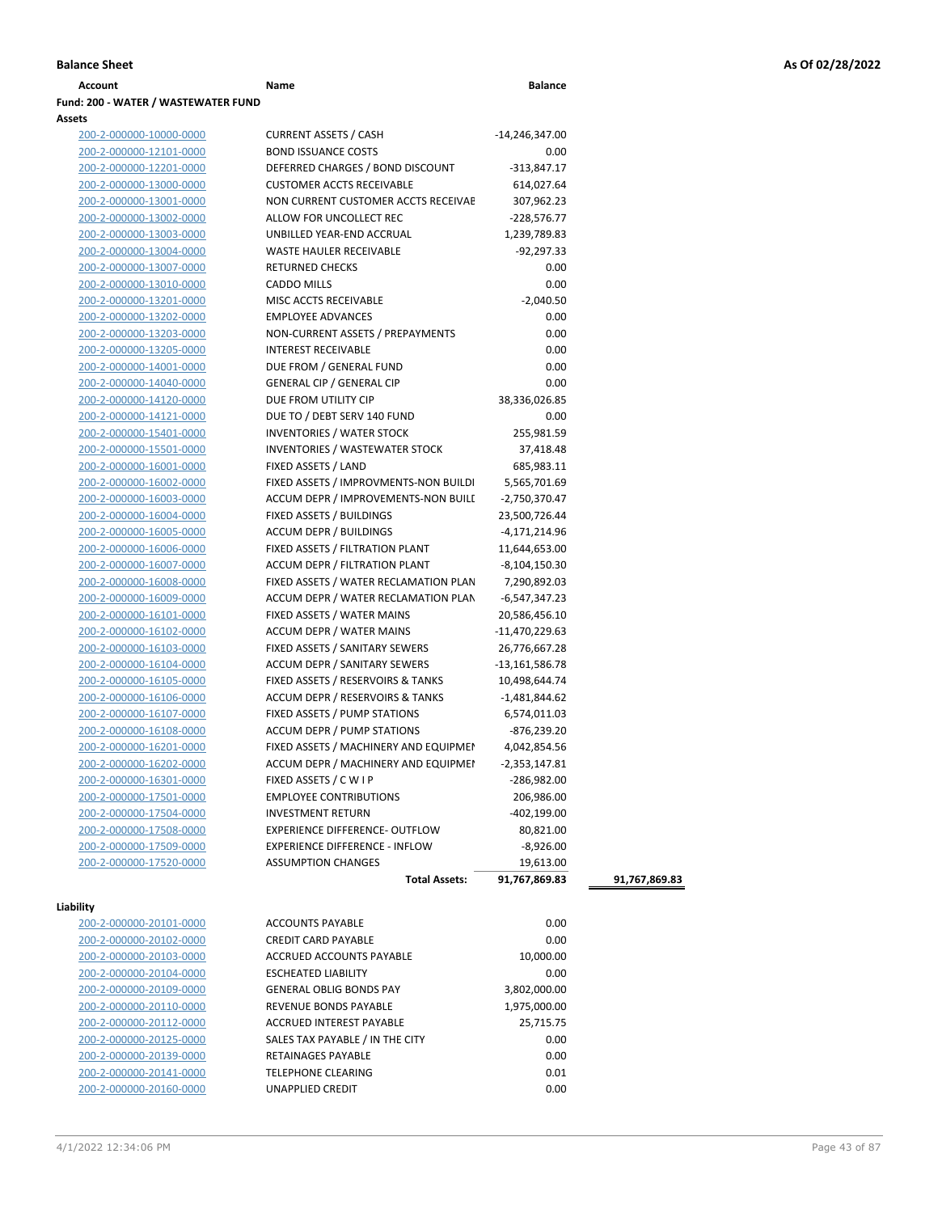| Account                             | Name | <b>Balance</b> |
|-------------------------------------|------|----------------|
| Fund: 200 - WATER / WASTEWATER FUND |      |                |

# **Assets** 200-2-000000-10000-0000 200-2-000000-12101-0000 200-2-000000-12201-0000 200-2-000000-13000-0000 200-2-000000-13001-0000 200-2-000000-13002-0000 200-2-000000-13003-0000 200-2-000000-13004-0000 200-2-000000-13007-0000 200-2-000000-13010-0000 200-2-000000-13201-0000 200-2-000000-13202-0000 200-2-000000-13203-0000 200-2-000000-13205-0000 200-2-000000-14001-0000 200-2-000000-14040-0000 200-2-000000-14120-0000 200-2-000000-14121-0000 200-2-000000-15401-0000 200-2-000000-15501-0000 200-2-000000-16001-0000 200-2-000000-16002-0000

| 200-2-000000-16003-0000 |
|-------------------------|
| 200-2-000000-16004-0000 |
| 200-2-000000-16005-0000 |
| 200-2-000000-16006-0000 |
| 200-2-000000-16007-0000 |
| 200-2-000000-16008-0000 |
| 200-2-000000-16009-0000 |
| 200-2-000000-16101-0000 |
| 200-2-000000-16102-0000 |
| 200-2-000000-16103-0000 |
| 200-2-000000-16104-0000 |
| 200-2-000000-16105-0000 |
| 200-2-000000-16106-0000 |
| 200-2-000000-16107-0000 |
| 200-2-000000-16108-0000 |
| 200-2-000000-16201-0000 |
| 200-2-000000-16202-0000 |
| 200-2-000000-16301-0000 |
| 200-2-000000-17501-0000 |
| 200-2-000000-17504-0000 |
| 200-2-000000-17508-0000 |
| 200-2-000000-17509-0000 |
|                         |

### **Liability**

| 200-2-000000-20101-0000 |
|-------------------------|
| 200-2-000000-20102-0000 |
| 200-2-000000-20103-0000 |
| 200-2-000000-20104-0000 |
| 200-2-000000-20109-0000 |
| 200-2-000000-20110-0000 |
| 200-2-000000-20112-0000 |
| 200-2-000000-20125-0000 |
| 200-2-000000-20139-0000 |
| 200-2-000000-20141-0000 |
| 200-2-000000-20160-0000 |

| 200-2-000000-10000-0000 | <b>CURRENT ASSETS / CASH</b>          | -14,246,347.00   |
|-------------------------|---------------------------------------|------------------|
| 200-2-000000-12101-0000 | <b>BOND ISSUANCE COSTS</b>            | 0.00             |
| 200-2-000000-12201-0000 | DEFERRED CHARGES / BOND DISCOUNT      | $-313,847.17$    |
| 200-2-000000-13000-0000 | <b>CUSTOMER ACCTS RECEIVABLE</b>      | 614,027.64       |
| 200-2-000000-13001-0000 | NON CURRENT CUSTOMER ACCTS RECEIVAE   | 307,962.23       |
| 200-2-000000-13002-0000 | ALLOW FOR UNCOLLECT REC               | $-228,576.77$    |
| 200-2-000000-13003-0000 | UNBILLED YEAR-END ACCRUAL             | 1,239,789.83     |
| 200-2-000000-13004-0000 | WASTE HAULER RECEIVABLE               | -92,297.33       |
| 200-2-000000-13007-0000 | <b>RETURNED CHECKS</b>                | 0.00             |
| 200-2-000000-13010-0000 | <b>CADDO MILLS</b>                    | 0.00             |
| 200-2-000000-13201-0000 | MISC ACCTS RECEIVABLE                 | $-2,040.50$      |
| 200-2-000000-13202-0000 | <b>EMPLOYEE ADVANCES</b>              | 0.00             |
| 200-2-000000-13203-0000 | NON-CURRENT ASSETS / PREPAYMENTS      | 0.00             |
| 200-2-000000-13205-0000 | <b>INTEREST RECEIVABLE</b>            | 0.00             |
| 200-2-000000-14001-0000 | DUE FROM / GENERAL FUND               | 0.00             |
| 200-2-000000-14040-0000 | <b>GENERAL CIP / GENERAL CIP</b>      | 0.00             |
| 200-2-000000-14120-0000 | DUE FROM UTILITY CIP                  | 38,336,026.85    |
| 200-2-000000-14121-0000 | DUE TO / DEBT SERV 140 FUND           | 0.00             |
| 200-2-000000-15401-0000 | <b>INVENTORIES / WATER STOCK</b>      | 255,981.59       |
| 200-2-000000-15501-0000 | <b>INVENTORIES / WASTEWATER STOCK</b> | 37,418.48        |
| 200-2-000000-16001-0000 | FIXED ASSETS / LAND                   | 685,983.11       |
| 200-2-000000-16002-0000 | FIXED ASSETS / IMPROVMENTS-NON BUILDI | 5,565,701.69     |
| 200-2-000000-16003-0000 | ACCUM DEPR / IMPROVEMENTS-NON BUILI   | $-2,750,370.47$  |
| 200-2-000000-16004-0000 | FIXED ASSETS / BUILDINGS              | 23,500,726.44    |
| 200-2-000000-16005-0000 | <b>ACCUM DEPR / BUILDINGS</b>         | -4,171,214.96    |
| 200-2-000000-16006-0000 | FIXED ASSETS / FILTRATION PLANT       | 11,644,653.00    |
| 200-2-000000-16007-0000 | ACCUM DEPR / FILTRATION PLANT         | $-8,104,150.30$  |
| 200-2-000000-16008-0000 | FIXED ASSETS / WATER RECLAMATION PLAN | 7,290,892.03     |
| 200-2-000000-16009-0000 | ACCUM DEPR / WATER RECLAMATION PLAN   | $-6,547,347.23$  |
| 200-2-000000-16101-0000 | FIXED ASSETS / WATER MAINS            | 20,586,456.10    |
| 200-2-000000-16102-0000 | <b>ACCUM DEPR / WATER MAINS</b>       | -11,470,229.63   |
| 200-2-000000-16103-0000 | FIXED ASSETS / SANITARY SEWERS        | 26,776,667.28    |
| 200-2-000000-16104-0000 | ACCUM DEPR / SANITARY SEWERS          | $-13,161,586.78$ |
| 200-2-000000-16105-0000 | FIXED ASSETS / RESERVOIRS & TANKS     | 10,498,644.74    |
| 200-2-000000-16106-0000 | ACCUM DEPR / RESERVOIRS & TANKS       | -1,481,844.62    |
| 200-2-000000-16107-0000 | FIXED ASSETS / PUMP STATIONS          | 6,574,011.03     |
| 200-2-000000-16108-0000 | <b>ACCUM DEPR / PUMP STATIONS</b>     | $-876,239.20$    |
| 200-2-000000-16201-0000 | FIXED ASSETS / MACHINERY AND EQUIPMEN | 4,042,854.56     |
| 200-2-000000-16202-0000 | ACCUM DEPR / MACHINERY AND EQUIPMEI   | $-2,353,147.81$  |
| 200-2-000000-16301-0000 | FIXED ASSETS / C W I P                | -286,982.00      |
| 200-2-000000-17501-0000 | <b>EMPLOYEE CONTRIBUTIONS</b>         | 206,986.00       |
| 200-2-000000-17504-0000 | <b>INVESTMENT RETURN</b>              | $-402,199.00$    |
| 200-2-000000-17508-0000 | EXPERIENCE DIFFERENCE- OUTFLOW        | 80,821.00        |
| 200-2-000000-17509-0000 | <b>EXPERIENCE DIFFERENCE - INFLOW</b> | $-8,926.00$      |
| 200-2-000000-17520-0000 | <b>ASSUMPTION CHANGES</b>             | 19,613.00        |
|                         | <b>Total Assets:</b>                  | 91,767,869.83    |
|                         |                                       |                  |
| lity                    |                                       |                  |
| 200-2-000000-20101-0000 | <b>ACCOUNTS PAYABLE</b>               | 0.00             |
| 200-2-000000-20102-0000 | <b>CREDIT CARD PAYABLE</b>            | 0.00             |
| 200-2-000000-20103-0000 | ACCRUED ACCOUNTS PAYABLE              | 10,000.00        |
| 200-2-000000-20104-0000 | <b>ESCHEATED LIABILITY</b>            | 0.00             |
| 200-2-000000-20109-0000 | <b>GENERAL OBLIG BONDS PAY</b>        | 3,802,000.00     |
| 200-2-000000-20110-0000 | <b>REVENUE BONDS PAYABLE</b>          | 1,975,000.00     |
| 200-2-000000-20112-0000 | ACCRUED INTEREST PAYABLE              | 25,715.75        |
| 200-2-000000-20125-0000 | SALES TAX PAYABLE / IN THE CITY       | 0.00             |

200-2-000000-20139-0000 RETAINAGES PAYABLE 0.00 TELEPHONE CLEARING 0.01 200-2-000000-20160-0000 UNAPPLIED CREDIT 0.00 **Total Assets: 91,767,869.83 91,767,869.83**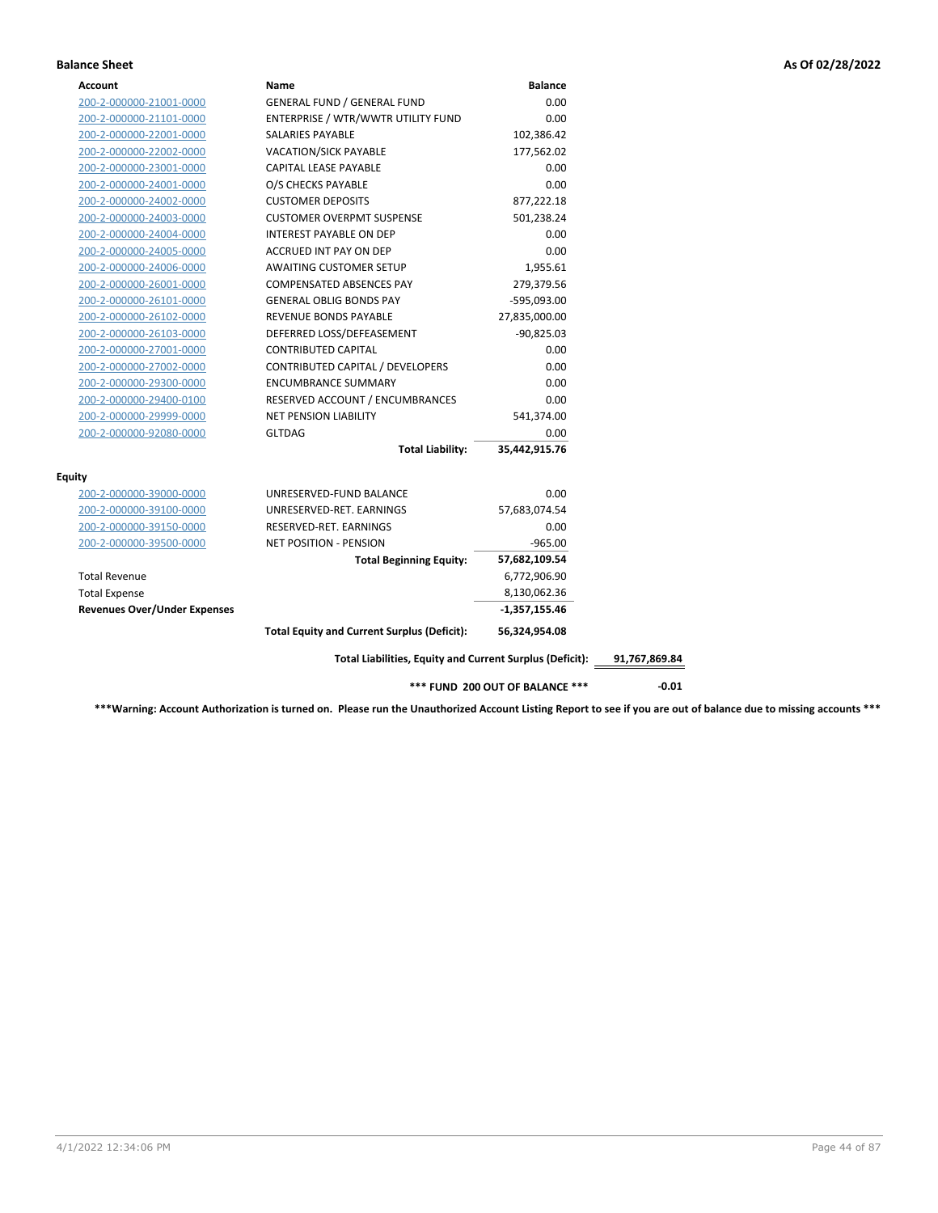### **Balance Sheet As Of 02/28/2022**

| Account                             | Name                                                     | <b>Balance</b>                         |               |
|-------------------------------------|----------------------------------------------------------|----------------------------------------|---------------|
| 200-2-000000-21001-0000             | <b>GENERAL FUND / GENERAL FUND</b>                       | 0.00                                   |               |
| 200-2-000000-21101-0000             | ENTERPRISE / WTR/WWTR UTILITY FUND                       | 0.00                                   |               |
| 200-2-000000-22001-0000             | SALARIES PAYABLE                                         | 102,386.42                             |               |
| 200-2-000000-22002-0000             | <b>VACATION/SICK PAYABLE</b>                             | 177,562.02                             |               |
| 200-2-000000-23001-0000             | CAPITAL LEASE PAYABLE                                    | 0.00                                   |               |
| 200-2-000000-24001-0000             | O/S CHECKS PAYABLE                                       | 0.00                                   |               |
| 200-2-000000-24002-0000             | <b>CUSTOMER DEPOSITS</b>                                 | 877,222.18                             |               |
| 200-2-000000-24003-0000             | <b>CUSTOMER OVERPMT SUSPENSE</b>                         | 501,238.24                             |               |
| 200-2-000000-24004-0000             | INTEREST PAYABLE ON DEP                                  | 0.00                                   |               |
| 200-2-000000-24005-0000             | ACCRUED INT PAY ON DEP                                   | 0.00                                   |               |
| 200-2-000000-24006-0000             | <b>AWAITING CUSTOMER SETUP</b>                           | 1,955.61                               |               |
| 200-2-000000-26001-0000             | COMPENSATED ABSENCES PAY                                 | 279,379.56                             |               |
| 200-2-000000-26101-0000             | <b>GENERAL OBLIG BONDS PAY</b>                           | -595,093.00                            |               |
| 200-2-000000-26102-0000             | REVENUE BONDS PAYABLE                                    | 27,835,000.00                          |               |
| 200-2-000000-26103-0000             | DEFERRED LOSS/DEFEASEMENT                                | $-90,825.03$                           |               |
| 200-2-000000-27001-0000             | <b>CONTRIBUTED CAPITAL</b>                               | 0.00                                   |               |
| 200-2-000000-27002-0000             | CONTRIBUTED CAPITAL / DEVELOPERS                         | 0.00                                   |               |
| 200-2-000000-29300-0000             | <b>ENCUMBRANCE SUMMARY</b>                               | 0.00                                   |               |
| 200-2-000000-29400-0100             | RESERVED ACCOUNT / ENCUMBRANCES                          | 0.00                                   |               |
| 200-2-000000-29999-0000             | <b>NET PENSION LIABILITY</b>                             | 541,374.00                             |               |
| 200-2-000000-92080-0000             | <b>GLTDAG</b>                                            | 0.00                                   |               |
|                                     | <b>Total Liability:</b>                                  | 35,442,915.76                          |               |
| <b>Equity</b>                       |                                                          |                                        |               |
| 200-2-000000-39000-0000             | UNRESERVED-FUND BALANCE                                  | 0.00                                   |               |
| 200-2-000000-39100-0000             | UNRESERVED-RET. EARNINGS                                 | 57,683,074.54                          |               |
| 200-2-000000-39150-0000             | RESERVED-RET. EARNINGS                                   | 0.00                                   |               |
| 200-2-000000-39500-0000             | <b>NET POSITION - PENSION</b>                            | $-965.00$                              |               |
|                                     | <b>Total Beginning Equity:</b>                           | 57,682,109.54                          |               |
| <b>Total Revenue</b>                |                                                          | 6,772,906.90                           |               |
| <b>Total Expense</b>                |                                                          | 8,130,062.36                           |               |
| <b>Revenues Over/Under Expenses</b> |                                                          | -1,357,155.46                          |               |
|                                     | <b>Total Equity and Current Surplus (Deficit):</b>       | 56,324,954.08                          |               |
|                                     | Total Liabilities, Equity and Current Surplus (Deficit): |                                        | 91,767,869.84 |
|                                     |                                                          | <b>*** FUND 200 OUT OF BALANCE ***</b> | $-0.01$       |

**\*\*\*Warning: Account Authorization is turned on. Please run the Unauthorized Account Listing Report to see if you are out of balance due to missing accounts \*\*\***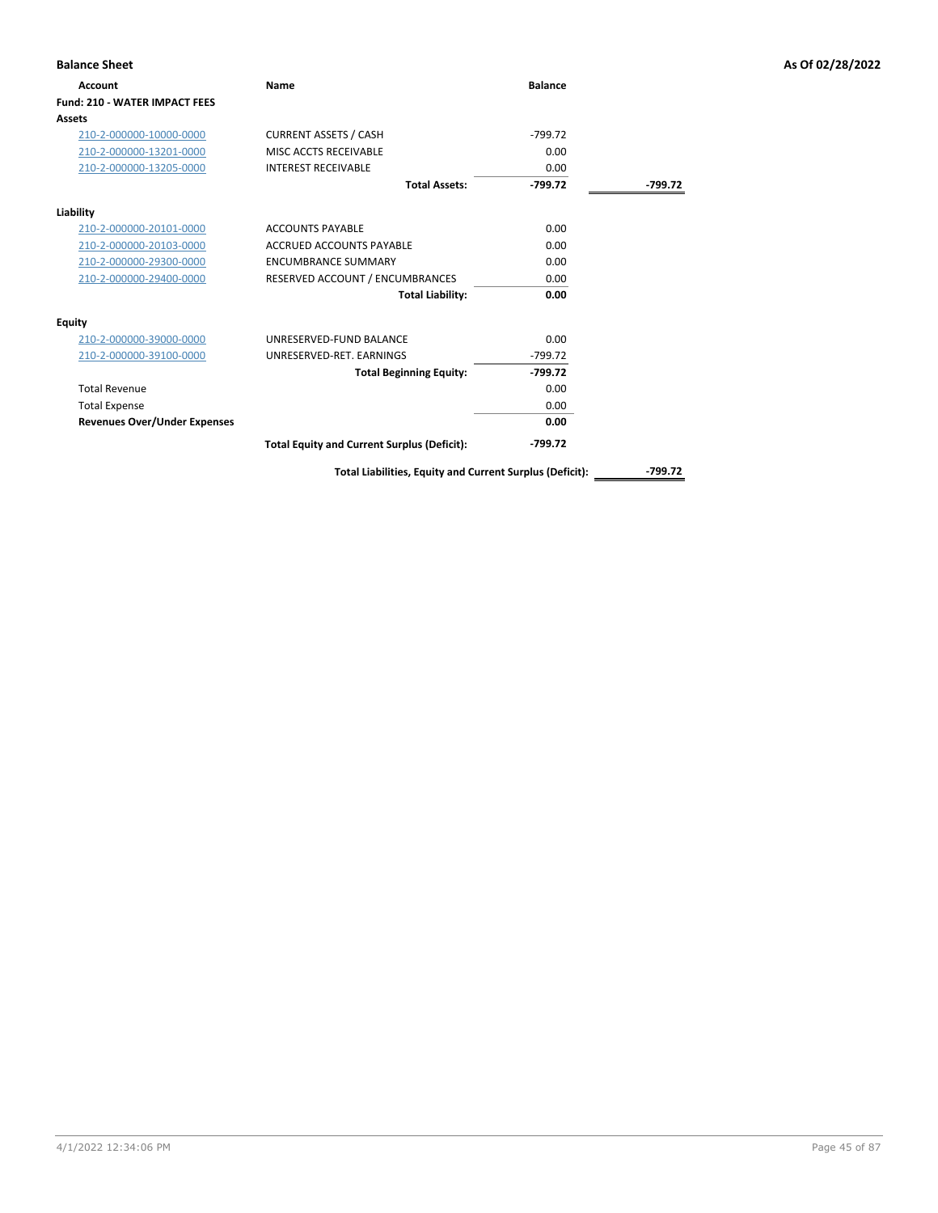| <b>Balance Sheet</b>                 |                                                    |                |         | As Of 02/28/2022 |
|--------------------------------------|----------------------------------------------------|----------------|---------|------------------|
| Account                              | <b>Name</b>                                        | <b>Balance</b> |         |                  |
| <b>Fund: 210 - WATER IMPACT FEES</b> |                                                    |                |         |                  |
| Assets                               |                                                    |                |         |                  |
| 210-2-000000-10000-0000              | <b>CURRENT ASSETS / CASH</b>                       | $-799.72$      |         |                  |
| 210-2-000000-13201-0000              | MISC ACCTS RECEIVABLE                              | 0.00           |         |                  |
| 210-2-000000-13205-0000              | <b>INTEREST RECEIVABLE</b>                         | 0.00           |         |                  |
|                                      | <b>Total Assets:</b>                               | $-799.72$      | -799.72 |                  |
| Liability                            |                                                    |                |         |                  |
| 210-2-000000-20101-0000              | <b>ACCOUNTS PAYABLE</b>                            | 0.00           |         |                  |
| 210-2-000000-20103-0000              | <b>ACCRUED ACCOUNTS PAYABLE</b>                    | 0.00           |         |                  |
| 210-2-000000-29300-0000              | <b>ENCUMBRANCE SUMMARY</b>                         | 0.00           |         |                  |
| 210-2-000000-29400-0000              | RESERVED ACCOUNT / ENCUMBRANCES                    | 0.00           |         |                  |
|                                      | <b>Total Liability:</b>                            | 0.00           |         |                  |
| <b>Equity</b>                        |                                                    |                |         |                  |
| 210-2-000000-39000-0000              | UNRESERVED-FUND BALANCE                            | 0.00           |         |                  |
| 210-2-000000-39100-0000              | UNRESERVED-RET. EARNINGS                           | $-799.72$      |         |                  |
|                                      | <b>Total Beginning Equity:</b>                     | $-799.72$      |         |                  |
| <b>Total Revenue</b>                 |                                                    | 0.00           |         |                  |
| <b>Total Expense</b>                 |                                                    | 0.00           |         |                  |
| <b>Revenues Over/Under Expenses</b>  |                                                    | 0.00           |         |                  |
|                                      | <b>Total Equity and Current Surplus (Deficit):</b> | $-799.72$      |         |                  |

**Total Liabilities, Equity and Current Surplus (Deficit): -799.72**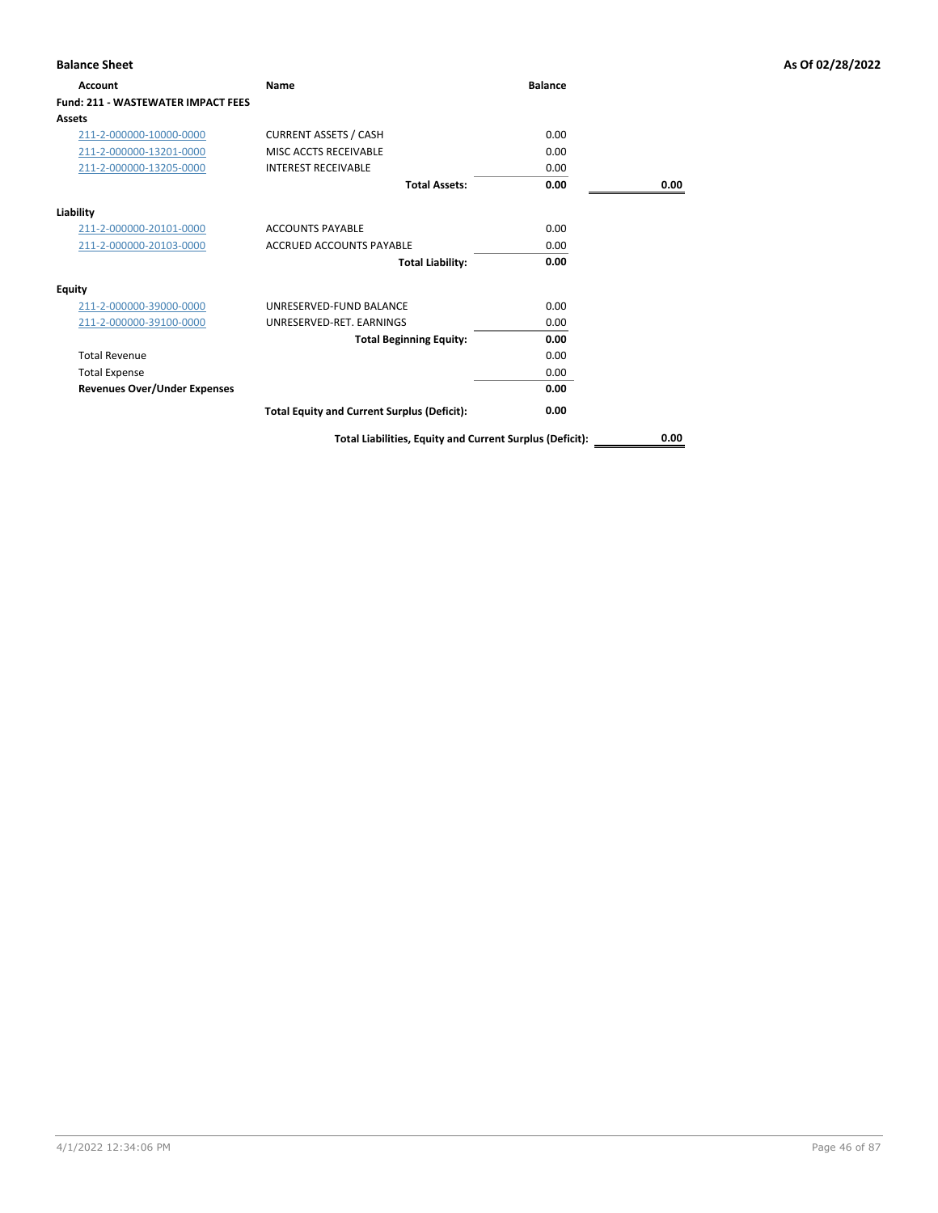| <b>Account</b>                            | Name                                                     | <b>Balance</b> |      |
|-------------------------------------------|----------------------------------------------------------|----------------|------|
| <b>Fund: 211 - WASTEWATER IMPACT FEES</b> |                                                          |                |      |
| <b>Assets</b>                             |                                                          |                |      |
| 211-2-000000-10000-0000                   | <b>CURRENT ASSETS / CASH</b>                             | 0.00           |      |
| 211-2-000000-13201-0000                   | MISC ACCTS RECEIVABLE                                    | 0.00           |      |
| 211-2-000000-13205-0000                   | <b>INTEREST RECEIVABLE</b>                               | 0.00           |      |
|                                           | <b>Total Assets:</b>                                     | 0.00           | 0.00 |
| Liability                                 |                                                          |                |      |
| 211-2-000000-20101-0000                   | <b>ACCOUNTS PAYABLE</b>                                  | 0.00           |      |
| 211-2-000000-20103-0000                   | <b>ACCRUED ACCOUNTS PAYABLE</b>                          | 0.00           |      |
|                                           | <b>Total Liability:</b>                                  | 0.00           |      |
| <b>Equity</b>                             |                                                          |                |      |
| 211-2-000000-39000-0000                   | UNRESERVED-FUND BALANCE                                  | 0.00           |      |
| 211-2-000000-39100-0000                   | UNRESERVED-RET, EARNINGS                                 | 0.00           |      |
|                                           | <b>Total Beginning Equity:</b>                           | 0.00           |      |
| <b>Total Revenue</b>                      |                                                          | 0.00           |      |
| <b>Total Expense</b>                      |                                                          | 0.00           |      |
| <b>Revenues Over/Under Expenses</b>       |                                                          | 0.00           |      |
|                                           | <b>Total Equity and Current Surplus (Deficit):</b>       | 0.00           |      |
|                                           | Total Liabilities, Equity and Current Surplus (Deficit): |                | 0.00 |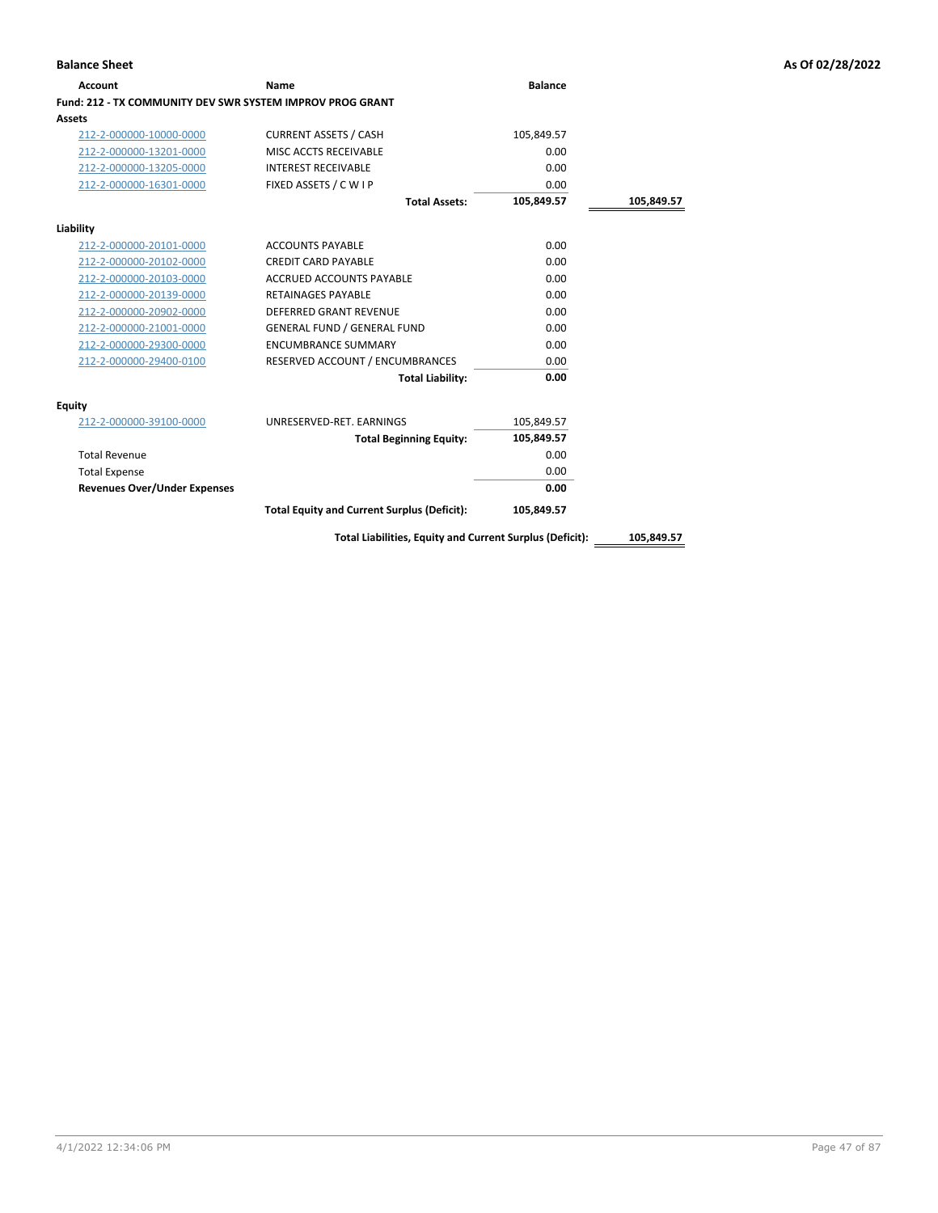| Account                                                   | Name                                                     | <b>Balance</b> |            |
|-----------------------------------------------------------|----------------------------------------------------------|----------------|------------|
| Fund: 212 - TX COMMUNITY DEV SWR SYSTEM IMPROV PROG GRANT |                                                          |                |            |
| Assets                                                    |                                                          |                |            |
| 212-2-000000-10000-0000                                   | <b>CURRENT ASSETS / CASH</b>                             | 105,849.57     |            |
| 212-2-000000-13201-0000                                   | MISC ACCTS RECEIVABLE                                    | 0.00           |            |
| 212-2-000000-13205-0000                                   | <b>INTEREST RECEIVABLE</b>                               | 0.00           |            |
| 212-2-000000-16301-0000                                   | FIXED ASSETS / C W I P                                   | 0.00           |            |
|                                                           | <b>Total Assets:</b>                                     | 105,849.57     | 105,849.57 |
| Liability                                                 |                                                          |                |            |
| 212-2-000000-20101-0000                                   | <b>ACCOUNTS PAYABLE</b>                                  | 0.00           |            |
| 212-2-000000-20102-0000                                   | <b>CREDIT CARD PAYABLE</b>                               | 0.00           |            |
| 212-2-000000-20103-0000                                   | <b>ACCRUED ACCOUNTS PAYABLE</b>                          | 0.00           |            |
| 212-2-000000-20139-0000                                   | <b>RETAINAGES PAYABLE</b>                                | 0.00           |            |
| 212-2-000000-20902-0000                                   | <b>DEFERRED GRANT REVENUE</b>                            | 0.00           |            |
| 212-2-000000-21001-0000                                   | <b>GENERAL FUND / GENERAL FUND</b>                       | 0.00           |            |
| 212-2-000000-29300-0000                                   | <b>ENCUMBRANCE SUMMARY</b>                               | 0.00           |            |
| 212-2-000000-29400-0100                                   | RESERVED ACCOUNT / ENCUMBRANCES                          | 0.00           |            |
|                                                           | <b>Total Liability:</b>                                  | 0.00           |            |
| Equity                                                    |                                                          |                |            |
| 212-2-000000-39100-0000                                   | UNRESERVED-RET. EARNINGS                                 | 105,849.57     |            |
|                                                           | <b>Total Beginning Equity:</b>                           | 105,849.57     |            |
| <b>Total Revenue</b>                                      |                                                          | 0.00           |            |
| <b>Total Expense</b>                                      |                                                          | 0.00           |            |
| <b>Revenues Over/Under Expenses</b>                       |                                                          | 0.00           |            |
|                                                           | <b>Total Equity and Current Surplus (Deficit):</b>       | 105,849.57     |            |
|                                                           | Total Liabilities, Equity and Current Surplus (Deficit): |                | 105,849.57 |

**Balance Sheet As Of 02/28/2022**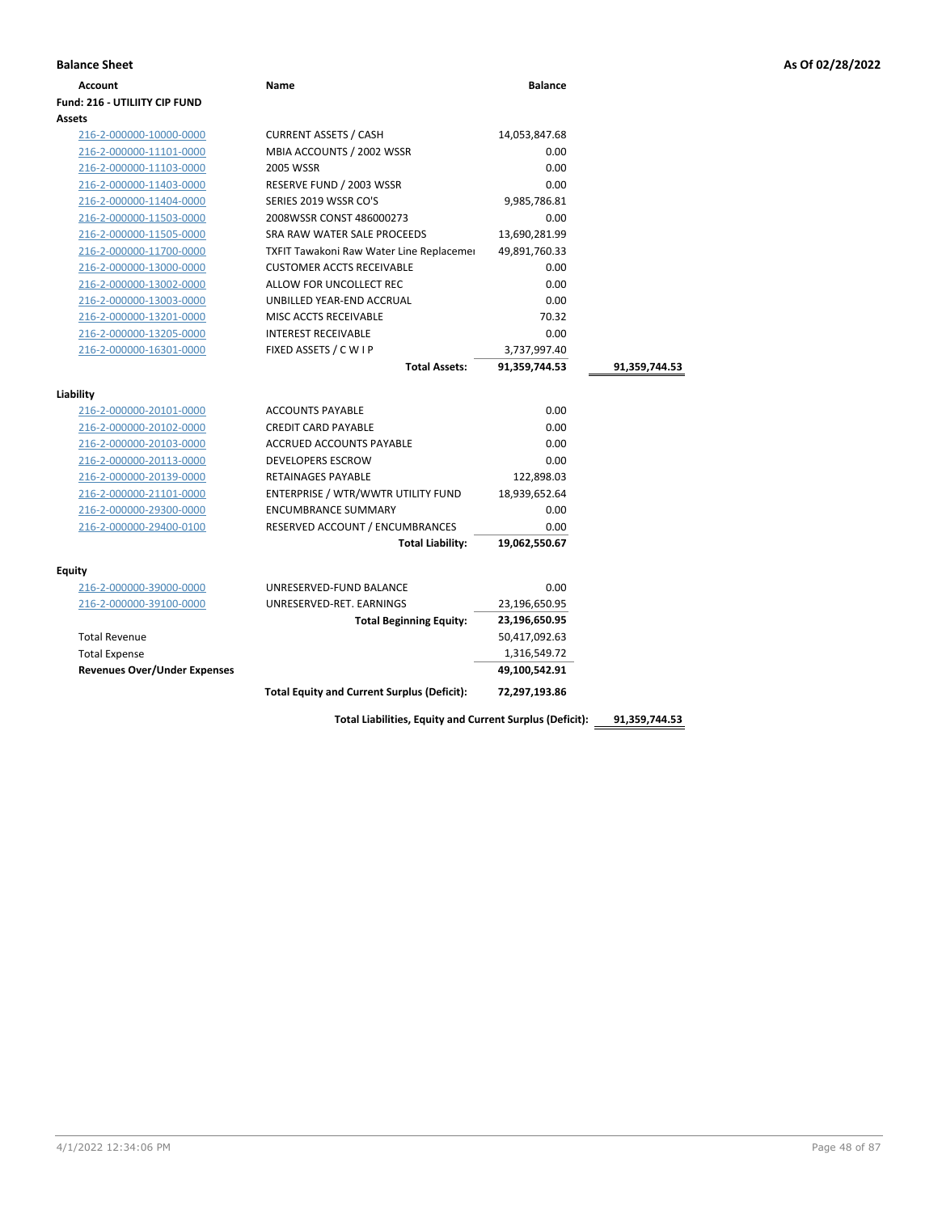| <b>Balance Sheet</b>                 |                                                                                                                |                | As Of 02/28/2022 |
|--------------------------------------|----------------------------------------------------------------------------------------------------------------|----------------|------------------|
| Account                              | Name                                                                                                           | <b>Balance</b> |                  |
| <b>Fund: 216 - UTILIITY CIP FUND</b> |                                                                                                                |                |                  |
| <b>Assets</b>                        |                                                                                                                |                |                  |
| 216-2-000000-10000-0000              | <b>CURRENT ASSETS / CASH</b>                                                                                   | 14,053,847.68  |                  |
| 216-2-000000-11101-0000              | MBIA ACCOUNTS / 2002 WSSR                                                                                      | 0.00           |                  |
| 345.3.000000.44403.0000              | $\begin{array}{c} \n\text{A} & \text{B} & \text{B} & \text{B} & \text{B} & \text{B} & \text{B} \\ \end{array}$ | $\sim$ $\sim$  |                  |

| Assets                                             |                                                    |               |               |
|----------------------------------------------------|----------------------------------------------------|---------------|---------------|
| 216-2-000000-10000-0000                            | <b>CURRENT ASSETS / CASH</b>                       | 14,053,847.68 |               |
| 216-2-000000-11101-0000                            | MBIA ACCOUNTS / 2002 WSSR                          | 0.00          |               |
| 216-2-000000-11103-0000                            | 2005 WSSR                                          | 0.00          |               |
| 216-2-000000-11403-0000                            | RESERVE FUND / 2003 WSSR                           | 0.00          |               |
| 216-2-000000-11404-0000                            | SERIES 2019 WSSR CO'S                              | 9,985,786.81  |               |
| 216-2-000000-11503-0000                            | 2008WSSR CONST 486000273                           | 0.00          |               |
| 216-2-000000-11505-0000                            | SRA RAW WATER SALE PROCEEDS                        | 13,690,281.99 |               |
| 216-2-000000-11700-0000                            | TXFIT Tawakoni Raw Water Line Replacemer           | 49,891,760.33 |               |
| 216-2-000000-13000-0000                            | <b>CUSTOMER ACCTS RECEIVABLE</b>                   | 0.00          |               |
| 216-2-000000-13002-0000                            | ALLOW FOR UNCOLLECT REC                            | 0.00          |               |
| 216-2-000000-13003-0000                            | UNBILLED YEAR-END ACCRUAL                          | 0.00          |               |
| 216-2-000000-13201-0000                            | MISC ACCTS RECEIVABLE                              | 70.32         |               |
| 216-2-000000-13205-0000                            | <b>INTEREST RECEIVABLE</b>                         | 0.00          |               |
| 216-2-000000-16301-0000                            | FIXED ASSETS / C W I P                             | 3,737,997.40  |               |
|                                                    | <b>Total Assets:</b>                               | 91,359,744.53 | 91,359,744.53 |
|                                                    |                                                    |               |               |
| Liability                                          | <b>ACCOUNTS PAYABLE</b>                            | 0.00          |               |
| 216-2-000000-20101-0000                            | <b>CREDIT CARD PAYABLE</b>                         | 0.00          |               |
| 216-2-000000-20102-0000<br>216-2-000000-20103-0000 | <b>ACCRUED ACCOUNTS PAYABLE</b>                    | 0.00          |               |
|                                                    | <b>DEVELOPERS ESCROW</b>                           | 0.00          |               |
| 216-2-000000-20113-0000                            | <b>RETAINAGES PAYABLE</b>                          | 122,898.03    |               |
| 216-2-000000-20139-0000                            | ENTERPRISE / WTR/WWTR UTILITY FUND                 | 18,939,652.64 |               |
| 216-2-000000-21101-0000                            | <b>ENCUMBRANCE SUMMARY</b>                         | 0.00          |               |
| 216-2-000000-29300-0000                            |                                                    | 0.00          |               |
| 216-2-000000-29400-0100                            | RESERVED ACCOUNT / ENCUMBRANCES                    | 19,062,550.67 |               |
|                                                    | <b>Total Liability:</b>                            |               |               |
| Equity                                             |                                                    |               |               |
| 216-2-000000-39000-0000                            | UNRESERVED-FUND BALANCE                            | 0.00          |               |
| 216-2-000000-39100-0000                            | UNRESERVED-RET. EARNINGS                           | 23,196,650.95 |               |
|                                                    | <b>Total Beginning Equity:</b>                     | 23,196,650.95 |               |
| <b>Total Revenue</b>                               |                                                    | 50,417,092.63 |               |
| <b>Total Expense</b>                               |                                                    | 1,316,549.72  |               |
| <b>Revenues Over/Under Expenses</b>                |                                                    | 49,100,542.91 |               |
|                                                    | <b>Total Equity and Current Surplus (Deficit):</b> | 72,297,193.86 |               |

**Total Liabilities, Equity and Current Surplus (Deficit): 91,359,744.53**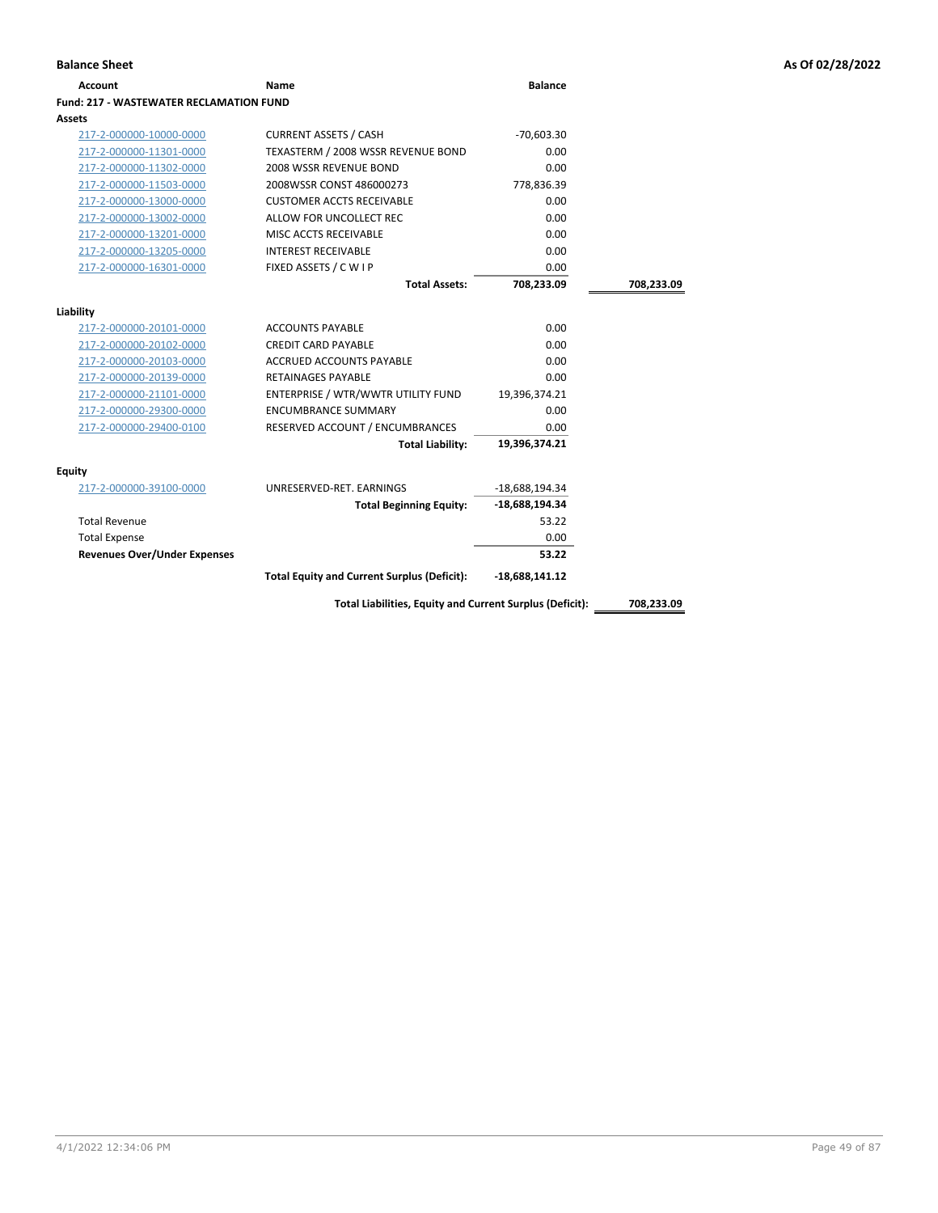| Name                                    | <b>Balance</b>                                                                                                                                                                                                                                                                                                                                                              |                                                                                                                                                                                                                                |
|-----------------------------------------|-----------------------------------------------------------------------------------------------------------------------------------------------------------------------------------------------------------------------------------------------------------------------------------------------------------------------------------------------------------------------------|--------------------------------------------------------------------------------------------------------------------------------------------------------------------------------------------------------------------------------|
| Fund: 217 - WASTEWATER RECLAMATION FUND |                                                                                                                                                                                                                                                                                                                                                                             |                                                                                                                                                                                                                                |
|                                         |                                                                                                                                                                                                                                                                                                                                                                             |                                                                                                                                                                                                                                |
| <b>CURRENT ASSETS / CASH</b>            | $-70,603.30$                                                                                                                                                                                                                                                                                                                                                                |                                                                                                                                                                                                                                |
| TEXASTERM / 2008 WSSR REVENUE BOND      | 0.00                                                                                                                                                                                                                                                                                                                                                                        |                                                                                                                                                                                                                                |
| 2008 WSSR REVENUE BOND                  | 0.00                                                                                                                                                                                                                                                                                                                                                                        |                                                                                                                                                                                                                                |
| 2008WSSR CONST 486000273                | 778,836.39                                                                                                                                                                                                                                                                                                                                                                  |                                                                                                                                                                                                                                |
| <b>CUSTOMER ACCTS RECEIVABLE</b>        | 0.00                                                                                                                                                                                                                                                                                                                                                                        |                                                                                                                                                                                                                                |
| ALLOW FOR UNCOLLECT REC                 | 0.00                                                                                                                                                                                                                                                                                                                                                                        |                                                                                                                                                                                                                                |
| MISC ACCTS RECEIVABLE                   | 0.00                                                                                                                                                                                                                                                                                                                                                                        |                                                                                                                                                                                                                                |
| <b>INTEREST RECEIVABLE</b>              | 0.00                                                                                                                                                                                                                                                                                                                                                                        |                                                                                                                                                                                                                                |
| FIXED ASSETS / C W I P                  | 0.00                                                                                                                                                                                                                                                                                                                                                                        |                                                                                                                                                                                                                                |
| <b>Total Assets:</b>                    | 708,233.09                                                                                                                                                                                                                                                                                                                                                                  | 708,233.09                                                                                                                                                                                                                     |
|                                         |                                                                                                                                                                                                                                                                                                                                                                             |                                                                                                                                                                                                                                |
|                                         |                                                                                                                                                                                                                                                                                                                                                                             |                                                                                                                                                                                                                                |
|                                         |                                                                                                                                                                                                                                                                                                                                                                             |                                                                                                                                                                                                                                |
|                                         |                                                                                                                                                                                                                                                                                                                                                                             |                                                                                                                                                                                                                                |
|                                         |                                                                                                                                                                                                                                                                                                                                                                             |                                                                                                                                                                                                                                |
|                                         |                                                                                                                                                                                                                                                                                                                                                                             |                                                                                                                                                                                                                                |
|                                         |                                                                                                                                                                                                                                                                                                                                                                             |                                                                                                                                                                                                                                |
|                                         |                                                                                                                                                                                                                                                                                                                                                                             |                                                                                                                                                                                                                                |
|                                         |                                                                                                                                                                                                                                                                                                                                                                             |                                                                                                                                                                                                                                |
|                                         |                                                                                                                                                                                                                                                                                                                                                                             |                                                                                                                                                                                                                                |
|                                         |                                                                                                                                                                                                                                                                                                                                                                             |                                                                                                                                                                                                                                |
|                                         |                                                                                                                                                                                                                                                                                                                                                                             |                                                                                                                                                                                                                                |
|                                         |                                                                                                                                                                                                                                                                                                                                                                             |                                                                                                                                                                                                                                |
|                                         |                                                                                                                                                                                                                                                                                                                                                                             |                                                                                                                                                                                                                                |
|                                         |                                                                                                                                                                                                                                                                                                                                                                             |                                                                                                                                                                                                                                |
|                                         |                                                                                                                                                                                                                                                                                                                                                                             |                                                                                                                                                                                                                                |
|                                         |                                                                                                                                                                                                                                                                                                                                                                             |                                                                                                                                                                                                                                |
|                                         |                                                                                                                                                                                                                                                                                                                                                                             |                                                                                                                                                                                                                                |
|                                         |                                                                                                                                                                                                                                                                                                                                                                             | 708,233.09                                                                                                                                                                                                                     |
|                                         | <b>ACCOUNTS PAYABLE</b><br><b>CREDIT CARD PAYABLE</b><br><b>ACCRUED ACCOUNTS PAYABLE</b><br><b>RETAINAGES PAYABLE</b><br>ENTERPRISE / WTR/WWTR UTILITY FUND<br><b>ENCUMBRANCE SUMMARY</b><br>RESERVED ACCOUNT / ENCUMBRANCES<br><b>Total Liability:</b><br>UNRESERVED-RET. EARNINGS<br><b>Total Beginning Equity:</b><br><b>Total Equity and Current Surplus (Deficit):</b> | 0.00<br>0.00<br>0.00<br>0.00<br>19,396,374.21<br>0.00<br>0.00<br>19,396,374.21<br>$-18,688,194.34$<br>-18,688,194.34<br>53.22<br>0.00<br>53.22<br>$-18,688,141.12$<br>Total Liabilities, Equity and Current Surplus (Deficit): |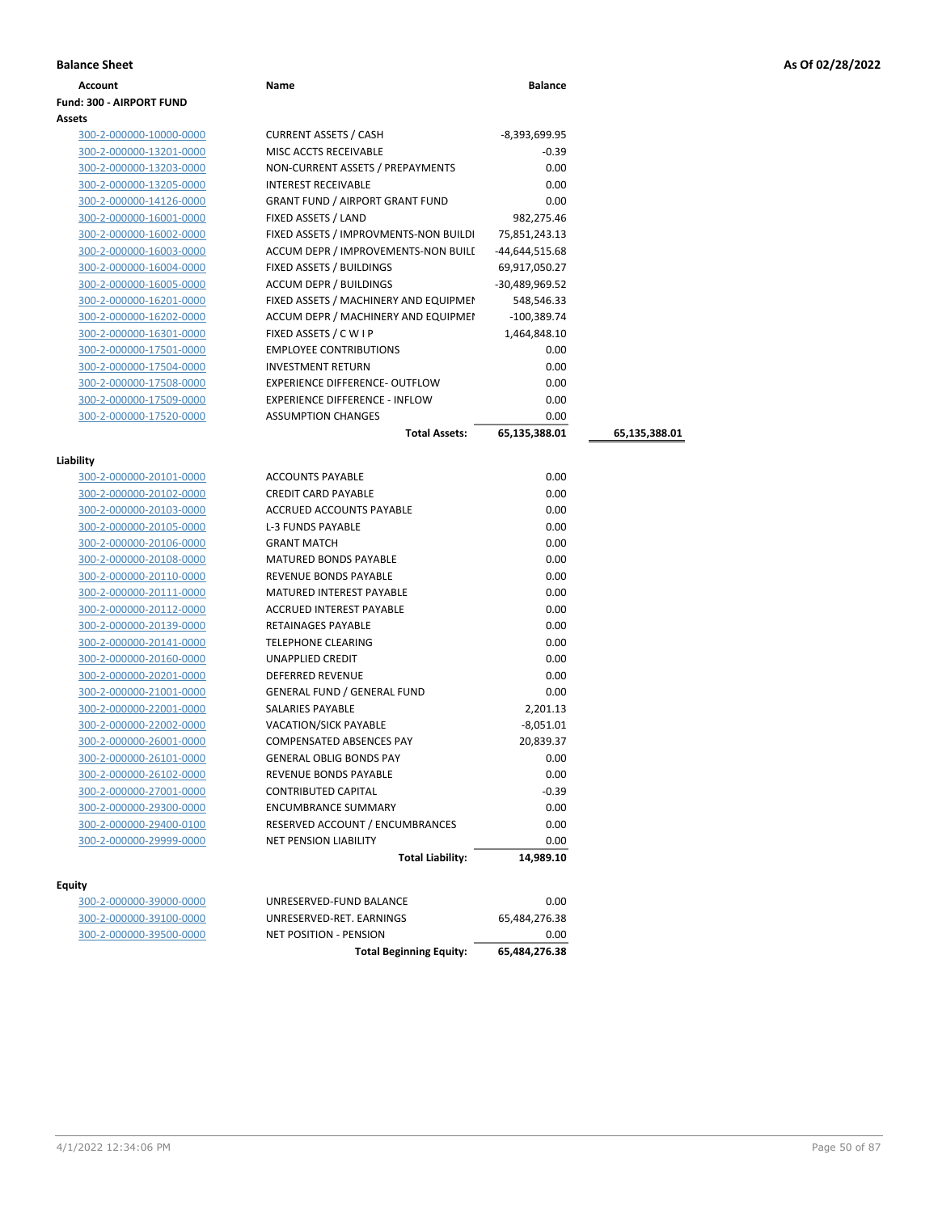|  |  |  |  | As Of 02/28/2022 |
|--|--|--|--|------------------|
|--|--|--|--|------------------|

| <b>Balance Sheet</b>            |                                        |                 |               | As Of 02/28/2022 |
|---------------------------------|----------------------------------------|-----------------|---------------|------------------|
| <b>Account</b>                  | Name                                   | <b>Balance</b>  |               |                  |
| <b>Fund: 300 - AIRPORT FUND</b> |                                        |                 |               |                  |
| Assets                          |                                        |                 |               |                  |
| 300-2-000000-10000-0000         | <b>CURRENT ASSETS / CASH</b>           | $-8,393,699.95$ |               |                  |
| 300-2-000000-13201-0000         | MISC ACCTS RECEIVABLE                  | $-0.39$         |               |                  |
| 300-2-000000-13203-0000         | NON-CURRENT ASSETS / PREPAYMENTS       | 0.00            |               |                  |
| 300-2-000000-13205-0000         | <b>INTEREST RECEIVABLE</b>             | 0.00            |               |                  |
| 300-2-000000-14126-0000         | <b>GRANT FUND / AIRPORT GRANT FUND</b> | 0.00            |               |                  |
| 300-2-000000-16001-0000         | FIXED ASSETS / LAND                    | 982,275.46      |               |                  |
| 300-2-000000-16002-0000         | FIXED ASSETS / IMPROVMENTS-NON BUILDI  | 75,851,243.13   |               |                  |
| 300-2-000000-16003-0000         | ACCUM DEPR / IMPROVEMENTS-NON BUILI    | -44,644,515.68  |               |                  |
| 300-2-000000-16004-0000         | FIXED ASSETS / BUILDINGS               | 69,917,050.27   |               |                  |
| 300-2-000000-16005-0000         | <b>ACCUM DEPR / BUILDINGS</b>          | -30,489,969.52  |               |                  |
| 300-2-000000-16201-0000         | FIXED ASSETS / MACHINERY AND EQUIPMEN  | 548,546.33      |               |                  |
| 300-2-000000-16202-0000         | ACCUM DEPR / MACHINERY AND EQUIPMEI    | $-100,389.74$   |               |                  |
| 300-2-000000-16301-0000         | FIXED ASSETS / C W I P                 | 1,464,848.10    |               |                  |
| 300-2-000000-17501-0000         | <b>EMPLOYEE CONTRIBUTIONS</b>          | 0.00            |               |                  |
| 300-2-000000-17504-0000         | <b>INVESTMENT RETURN</b>               | 0.00            |               |                  |
| 300-2-000000-17508-0000         | <b>EXPERIENCE DIFFERENCE- OUTFLOW</b>  | 0.00            |               |                  |
| 300-2-000000-17509-0000         | <b>EXPERIENCE DIFFERENCE - INFLOW</b>  | 0.00            |               |                  |
| 300-2-000000-17520-0000         | <b>ASSUMPTION CHANGES</b>              | 0.00            |               |                  |
|                                 | <b>Total Assets:</b>                   | 65,135,388.01   | 65,135,388.01 |                  |
| Liability                       |                                        |                 |               |                  |
| 300-2-000000-20101-0000         | <b>ACCOUNTS PAYABLE</b>                | 0.00            |               |                  |
| 300-2-000000-20102-0000         | <b>CREDIT CARD PAYABLE</b>             | 0.00            |               |                  |
| 300-2-000000-20103-0000         | ACCRUED ACCOUNTS PAYABLE               | 0.00            |               |                  |
| 300-2-000000-20105-0000         | <b>L-3 FUNDS PAYABLE</b>               | 0.00            |               |                  |
| 300-2-000000-20106-0000         | <b>GRANT MATCH</b>                     | 0.00            |               |                  |
| 300-2-000000-20108-0000         | MATURED BONDS PAYABLE                  | 0.00            |               |                  |
| 300-2-000000-20110-0000         | REVENUE BONDS PAYABLE                  | 0.00            |               |                  |
| 300-2-000000-20111-0000         | <b>MATURED INTEREST PAYABLE</b>        | 0.00            |               |                  |
| 300-2-000000-20112-0000         | ACCRUED INTEREST PAYABLE               | 0.00            |               |                  |
| 300-2-000000-20139-0000         | <b>RETAINAGES PAYABLE</b>              | 0.00            |               |                  |
| 300-2-000000-20141-0000         | <b>TELEPHONE CLEARING</b>              | 0.00            |               |                  |
| 300-2-000000-20160-0000         | <b>UNAPPLIED CREDIT</b>                | 0.00            |               |                  |
| 300-2-000000-20201-0000         | DEFERRED REVENUE                       | 0.00            |               |                  |
| 300-2-000000-21001-0000         | <b>GENERAL FUND / GENERAL FUND</b>     | 0.00            |               |                  |
| 300-2-000000-22001-0000         | SALARIES PAYABLE                       | 2,201.13        |               |                  |
| 300-2-000000-22002-0000         | <b>VACATION/SICK PAYABLE</b>           | $-8,051.01$     |               |                  |
| 300-2-000000-26001-0000         | COMPENSATED ABSENCES PAY               | 20,839.37       |               |                  |
| 300-2-000000-26101-0000         | <b>GENERAL OBLIG BONDS PAY</b>         | 0.00            |               |                  |
| 300-2-000000-26102-0000         | REVENUE BONDS PAYABLE                  | 0.00            |               |                  |
| 300-2-000000-27001-0000         | <b>CONTRIBUTED CAPITAL</b>             | $-0.39$         |               |                  |
| 300-2-000000-29300-0000         | <b>ENCUMBRANCE SUMMARY</b>             | 0.00            |               |                  |

### **Equity**

|                         | <b>Total Liability:</b>        | 14,989.10     |
|-------------------------|--------------------------------|---------------|
| itv                     |                                |               |
| 300-2-000000-39000-0000 | UNRESERVED-FUND BALANCE        | 0.00          |
| 300-2-000000-39100-0000 | UNRESERVED-RET. EARNINGS       | 65.484.276.38 |
| 300-2-000000-39500-0000 | <b>NET POSITION - PENSION</b>  | 0.00          |
|                         | <b>Total Beginning Equity:</b> | 65.484.276.38 |

300-2-000000-29400-0100 RESERVED ACCOUNT / ENCUMBRANCES 0.00 300-2-000000-29999-0000 NET PENSION LIABILITY 0.00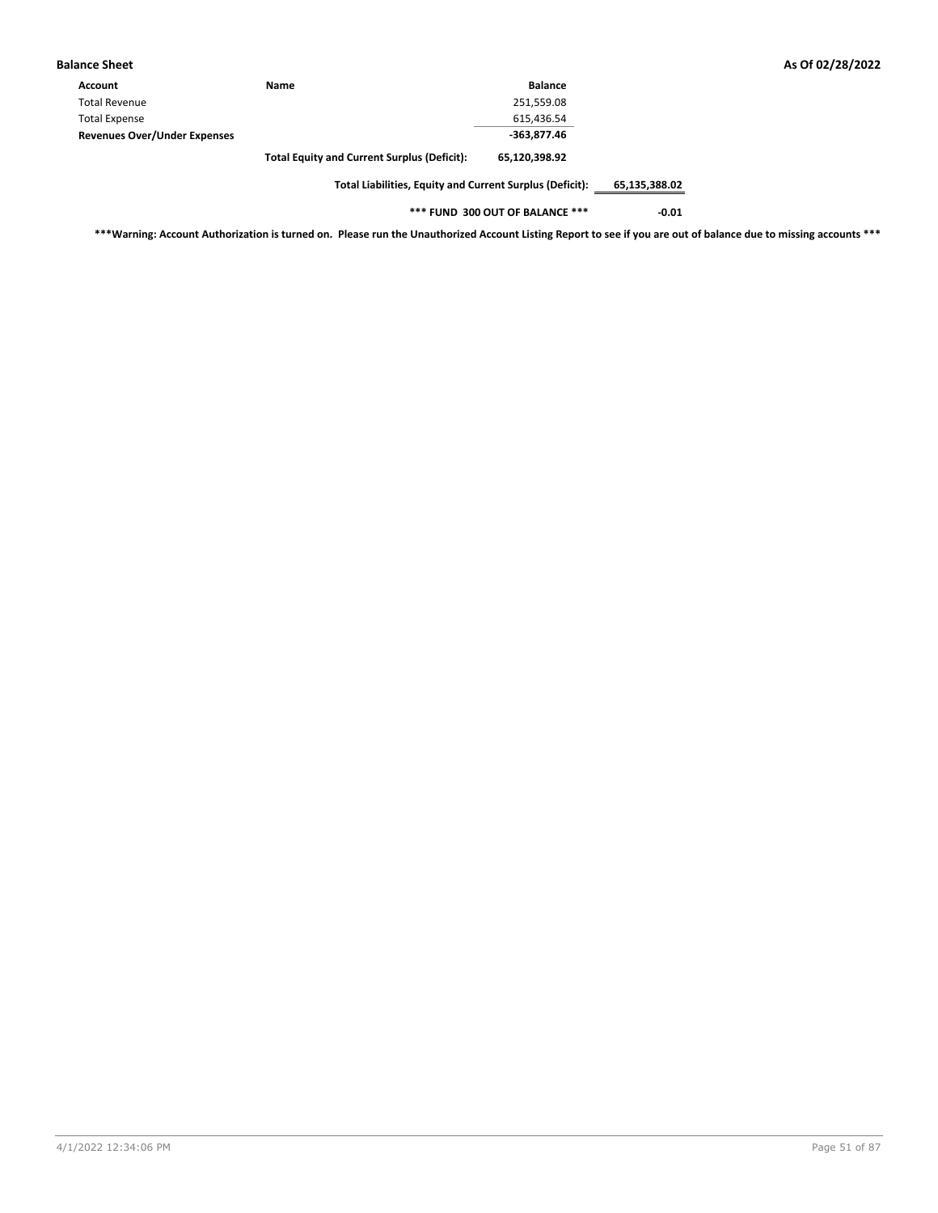| <b>Balance Sheet</b>                |                                                    |                |
|-------------------------------------|----------------------------------------------------|----------------|
| <b>Account</b>                      | <b>Name</b>                                        | <b>Balance</b> |
| <b>Total Revenue</b>                |                                                    | 251,559.08     |
| <b>Total Expense</b>                |                                                    | 615,436.54     |
| <b>Revenues Over/Under Expenses</b> |                                                    | -363,877.46    |
|                                     | <b>Total Equity and Current Surplus (Deficit):</b> | 65,120,398.92  |

**Total Liabilities, Equity and Current Surplus (Deficit): 65,135,388.02**

**\*\*\* FUND 300 OUT OF BALANCE \*\*\* -0.01**

**\*\*\*Warning: Account Authorization is turned on. Please run the Unauthorized Account Listing Report to see if you are out of balance due to missing accounts \*\*\***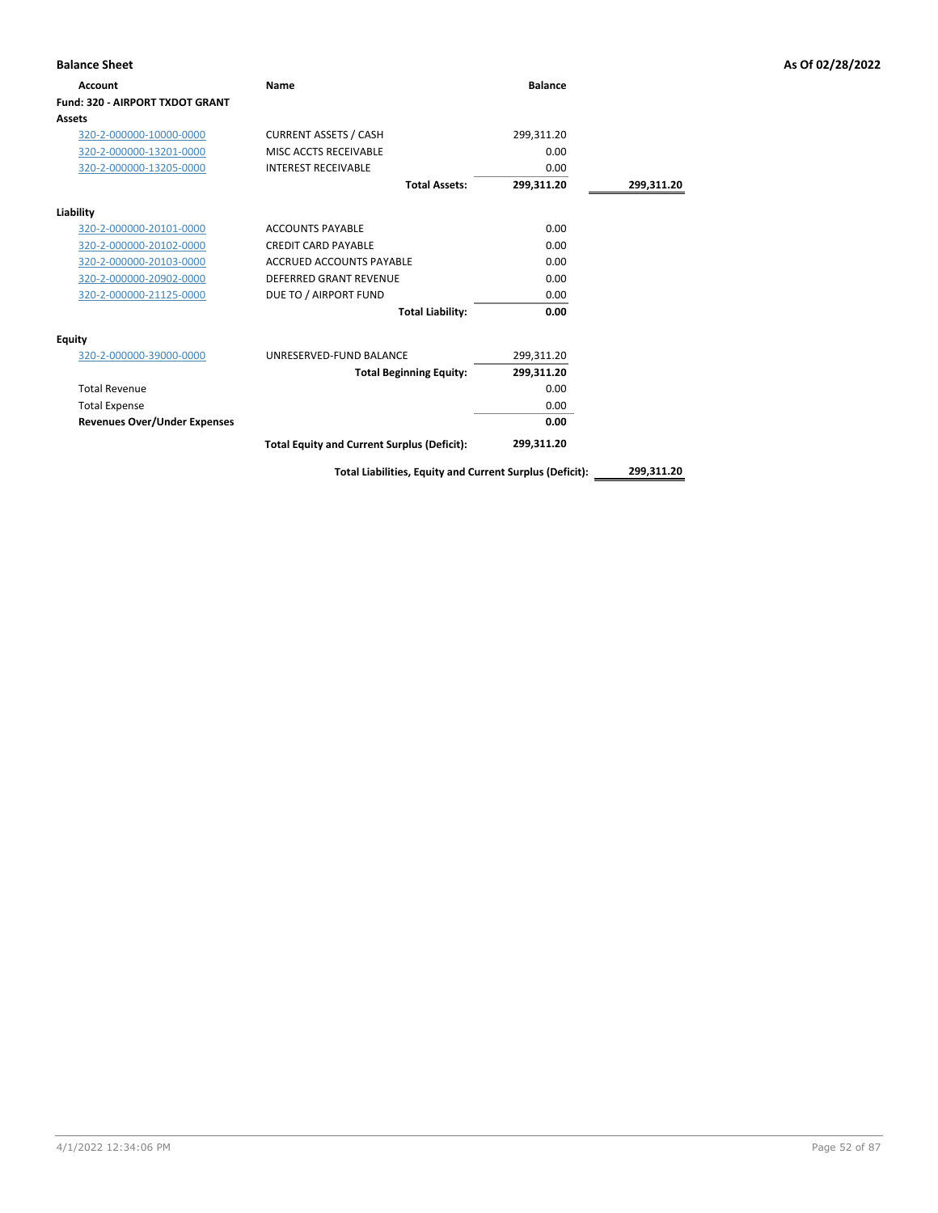| <b>Balance Sheet</b>                |                                                    |                |            | As Of 02/28/2022 |
|-------------------------------------|----------------------------------------------------|----------------|------------|------------------|
| Account                             | Name                                               | <b>Balance</b> |            |                  |
| Fund: 320 - AIRPORT TXDOT GRANT     |                                                    |                |            |                  |
| Assets                              |                                                    |                |            |                  |
| 320-2-000000-10000-0000             | <b>CURRENT ASSETS / CASH</b>                       | 299,311.20     |            |                  |
| 320-2-000000-13201-0000             | MISC ACCTS RECEIVABLE                              | 0.00           |            |                  |
| 320-2-000000-13205-0000             | <b>INTEREST RECEIVABLE</b>                         | 0.00           |            |                  |
|                                     | <b>Total Assets:</b>                               | 299,311.20     | 299,311.20 |                  |
| Liability                           |                                                    |                |            |                  |
| 320-2-000000-20101-0000             | <b>ACCOUNTS PAYABLE</b>                            | 0.00           |            |                  |
| 320-2-000000-20102-0000             | <b>CREDIT CARD PAYABLE</b>                         | 0.00           |            |                  |
| 320-2-000000-20103-0000             | ACCRUED ACCOUNTS PAYABLE                           | 0.00           |            |                  |
| 320-2-000000-20902-0000             | <b>DEFERRED GRANT REVENUE</b>                      | 0.00           |            |                  |
| 320-2-000000-21125-0000             | DUE TO / AIRPORT FUND                              | 0.00           |            |                  |
|                                     | <b>Total Liability:</b>                            | 0.00           |            |                  |
| <b>Equity</b>                       |                                                    |                |            |                  |
| 320-2-000000-39000-0000             | UNRESERVED-FUND BALANCE                            | 299,311.20     |            |                  |
|                                     | <b>Total Beginning Equity:</b>                     | 299,311.20     |            |                  |
| <b>Total Revenue</b>                |                                                    | 0.00           |            |                  |
| <b>Total Expense</b>                |                                                    | 0.00           |            |                  |
| <b>Revenues Over/Under Expenses</b> |                                                    | 0.00           |            |                  |
|                                     | <b>Total Equity and Current Surplus (Deficit):</b> | 299,311.20     |            |                  |

**Total Liabilities, Equity and Current Surplus (Deficit): 299,311.20**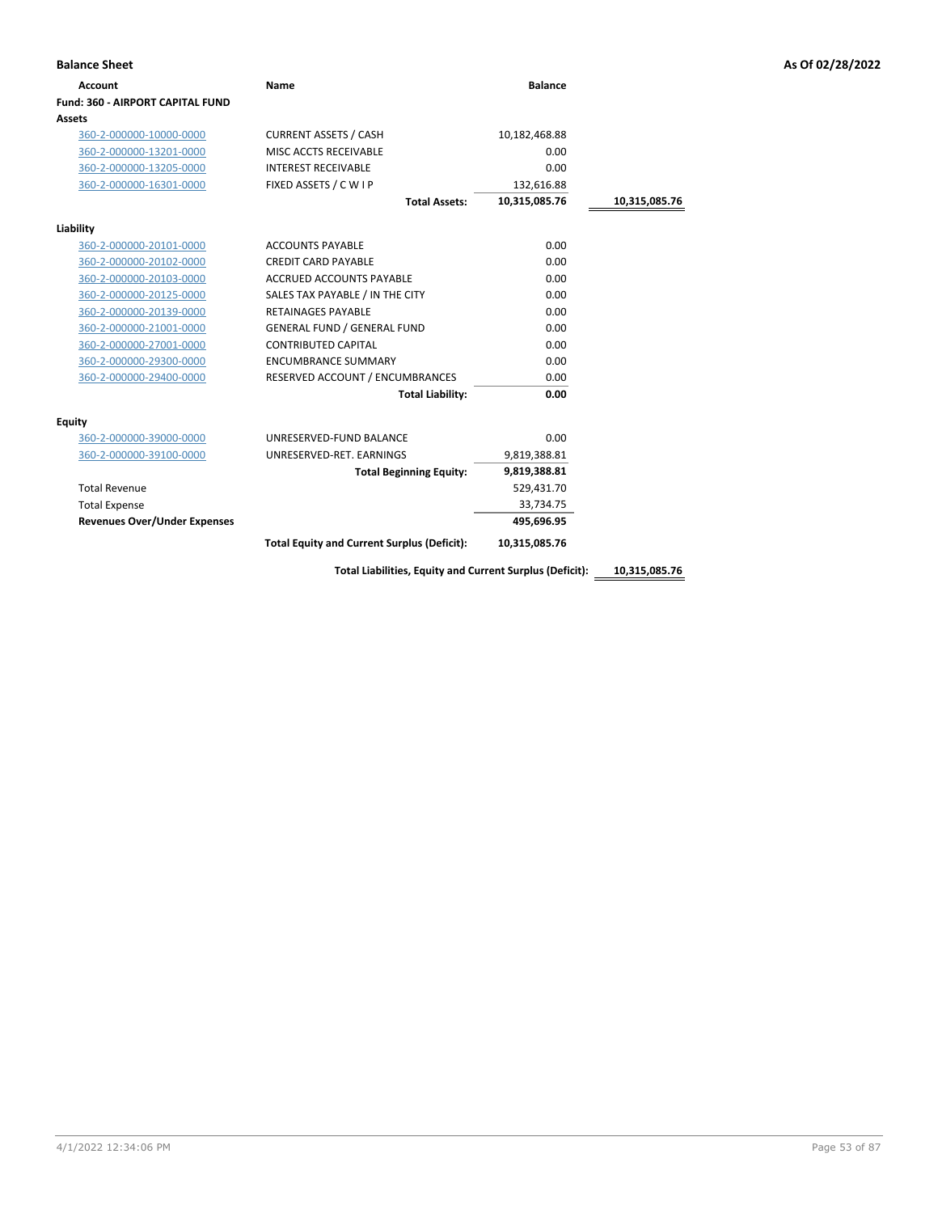| <b>Account</b>                          | <b>Name</b>                                        | <b>Balance</b> |               |
|-----------------------------------------|----------------------------------------------------|----------------|---------------|
| <b>Fund: 360 - AIRPORT CAPITAL FUND</b> |                                                    |                |               |
| Assets                                  |                                                    |                |               |
| 360-2-000000-10000-0000                 | <b>CURRENT ASSETS / CASH</b>                       | 10,182,468.88  |               |
| 360-2-000000-13201-0000                 | MISC ACCTS RECEIVABLE                              | 0.00           |               |
| 360-2-000000-13205-0000                 | <b>INTEREST RECEIVABLE</b>                         | 0.00           |               |
| 360-2-000000-16301-0000                 | FIXED ASSETS / C W I P                             | 132,616.88     |               |
|                                         | <b>Total Assets:</b>                               | 10,315,085.76  | 10,315,085.76 |
| Liability                               |                                                    |                |               |
| 360-2-000000-20101-0000                 | <b>ACCOUNTS PAYABLE</b>                            | 0.00           |               |
| 360-2-000000-20102-0000                 | <b>CREDIT CARD PAYABLE</b>                         | 0.00           |               |
| 360-2-000000-20103-0000                 | <b>ACCRUED ACCOUNTS PAYABLE</b>                    | 0.00           |               |
| 360-2-000000-20125-0000                 | SALES TAX PAYABLE / IN THE CITY                    | 0.00           |               |
| 360-2-000000-20139-0000                 | <b>RETAINAGES PAYABLE</b>                          | 0.00           |               |
| 360-2-000000-21001-0000                 | <b>GENERAL FUND / GENERAL FUND</b>                 | 0.00           |               |
| 360-2-000000-27001-0000                 | <b>CONTRIBUTED CAPITAL</b>                         | 0.00           |               |
| 360-2-000000-29300-0000                 | <b>ENCUMBRANCE SUMMARY</b>                         | 0.00           |               |
| 360-2-000000-29400-0000                 | RESERVED ACCOUNT / ENCUMBRANCES                    | 0.00           |               |
|                                         | <b>Total Liability:</b>                            | 0.00           |               |
| Equity                                  |                                                    |                |               |
| 360-2-000000-39000-0000                 | UNRESERVED-FUND BALANCE                            | 0.00           |               |
| 360-2-000000-39100-0000                 | UNRESERVED-RET. EARNINGS                           | 9,819,388.81   |               |
|                                         | <b>Total Beginning Equity:</b>                     | 9,819,388.81   |               |
| <b>Total Revenue</b>                    |                                                    | 529,431.70     |               |
| <b>Total Expense</b>                    |                                                    | 33,734.75      |               |
| <b>Revenues Over/Under Expenses</b>     |                                                    | 495,696.95     |               |
|                                         | <b>Total Equity and Current Surplus (Deficit):</b> | 10,315,085.76  |               |

**Total Liabilities, Equity and Current Surplus (Deficit): 10,315,085.76**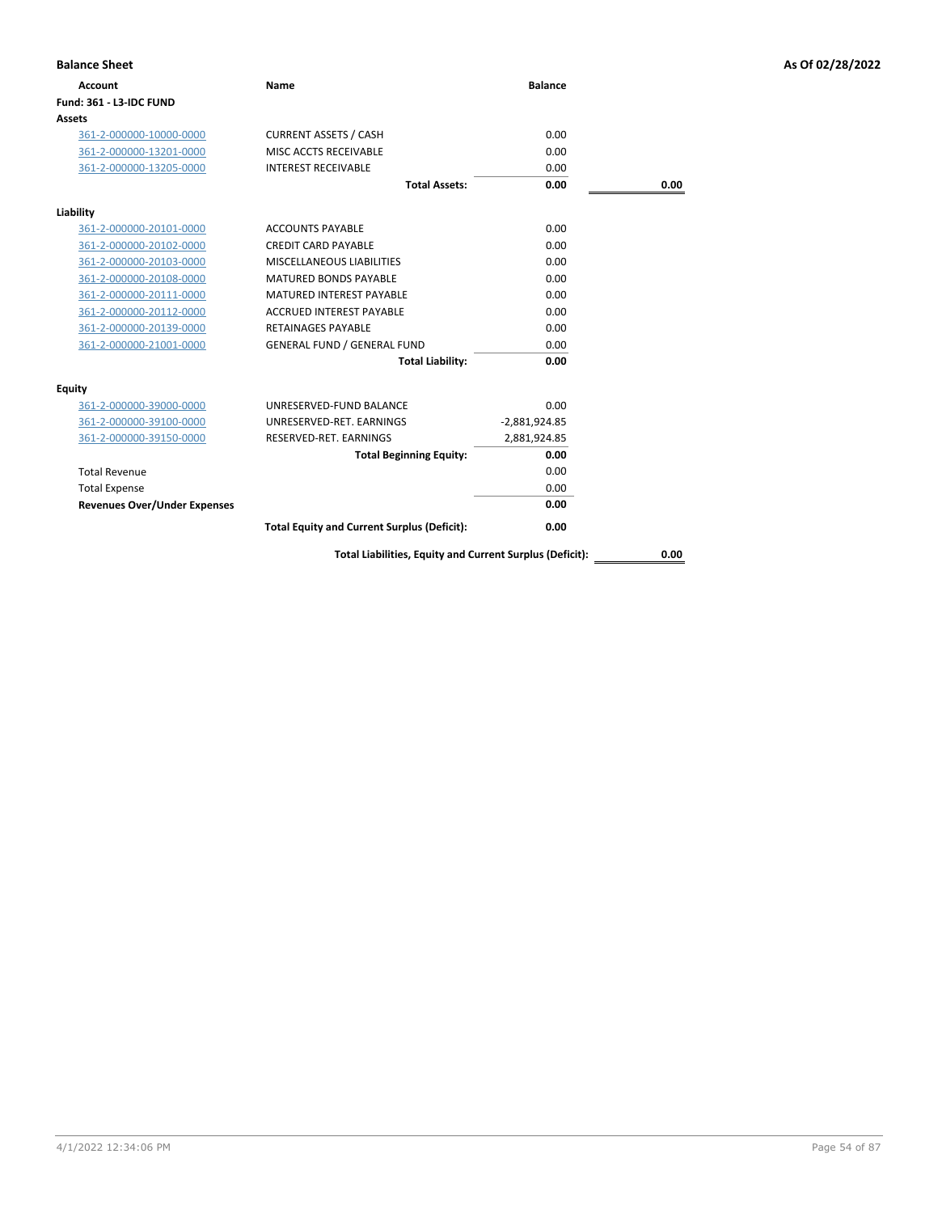| <b>Balance Sheet</b>                |                                                          |                 |      | As Of 02/28/2022 |
|-------------------------------------|----------------------------------------------------------|-----------------|------|------------------|
| <b>Account</b>                      | <b>Name</b>                                              | <b>Balance</b>  |      |                  |
| <b>Fund: 361 - L3-IDC FUND</b>      |                                                          |                 |      |                  |
| Assets                              |                                                          |                 |      |                  |
| 361-2-000000-10000-0000             | <b>CURRENT ASSETS / CASH</b>                             | 0.00            |      |                  |
| 361-2-000000-13201-0000             | MISC ACCTS RECEIVABLE                                    | 0.00            |      |                  |
| 361-2-000000-13205-0000             | <b>INTEREST RECEIVABLE</b>                               | 0.00            |      |                  |
|                                     | <b>Total Assets:</b>                                     | 0.00            | 0.00 |                  |
| Liability                           |                                                          |                 |      |                  |
| 361-2-000000-20101-0000             | <b>ACCOUNTS PAYABLE</b>                                  | 0.00            |      |                  |
| 361-2-000000-20102-0000             | <b>CREDIT CARD PAYABLE</b>                               | 0.00            |      |                  |
| 361-2-000000-20103-0000             | MISCELLANEOUS LIABILITIES                                | 0.00            |      |                  |
| 361-2-000000-20108-0000             | <b>MATURED BONDS PAYABLE</b>                             | 0.00            |      |                  |
| 361-2-000000-20111-0000             | <b>MATURED INTEREST PAYABLE</b>                          | 0.00            |      |                  |
| 361-2-000000-20112-0000             | <b>ACCRUED INTEREST PAYABLE</b>                          | 0.00            |      |                  |
| 361-2-000000-20139-0000             | <b>RETAINAGES PAYABLE</b>                                | 0.00            |      |                  |
| 361-2-000000-21001-0000             | <b>GENERAL FUND / GENERAL FUND</b>                       | 0.00            |      |                  |
|                                     | <b>Total Liability:</b>                                  | 0.00            |      |                  |
| <b>Equity</b>                       |                                                          |                 |      |                  |
| 361-2-000000-39000-0000             | UNRESERVED-FUND BALANCE                                  | 0.00            |      |                  |
| 361-2-000000-39100-0000             | UNRESERVED-RET. EARNINGS                                 | $-2,881,924.85$ |      |                  |
| 361-2-000000-39150-0000             | RESERVED-RET. EARNINGS                                   | 2,881,924.85    |      |                  |
|                                     | <b>Total Beginning Equity:</b>                           | 0.00            |      |                  |
| <b>Total Revenue</b>                |                                                          | 0.00            |      |                  |
| <b>Total Expense</b>                |                                                          | 0.00            |      |                  |
| <b>Revenues Over/Under Expenses</b> |                                                          | 0.00            |      |                  |
|                                     | <b>Total Equity and Current Surplus (Deficit):</b>       | 0.00            |      |                  |
|                                     | Total Liabilities, Equity and Current Surplus (Deficit): |                 | 0.00 |                  |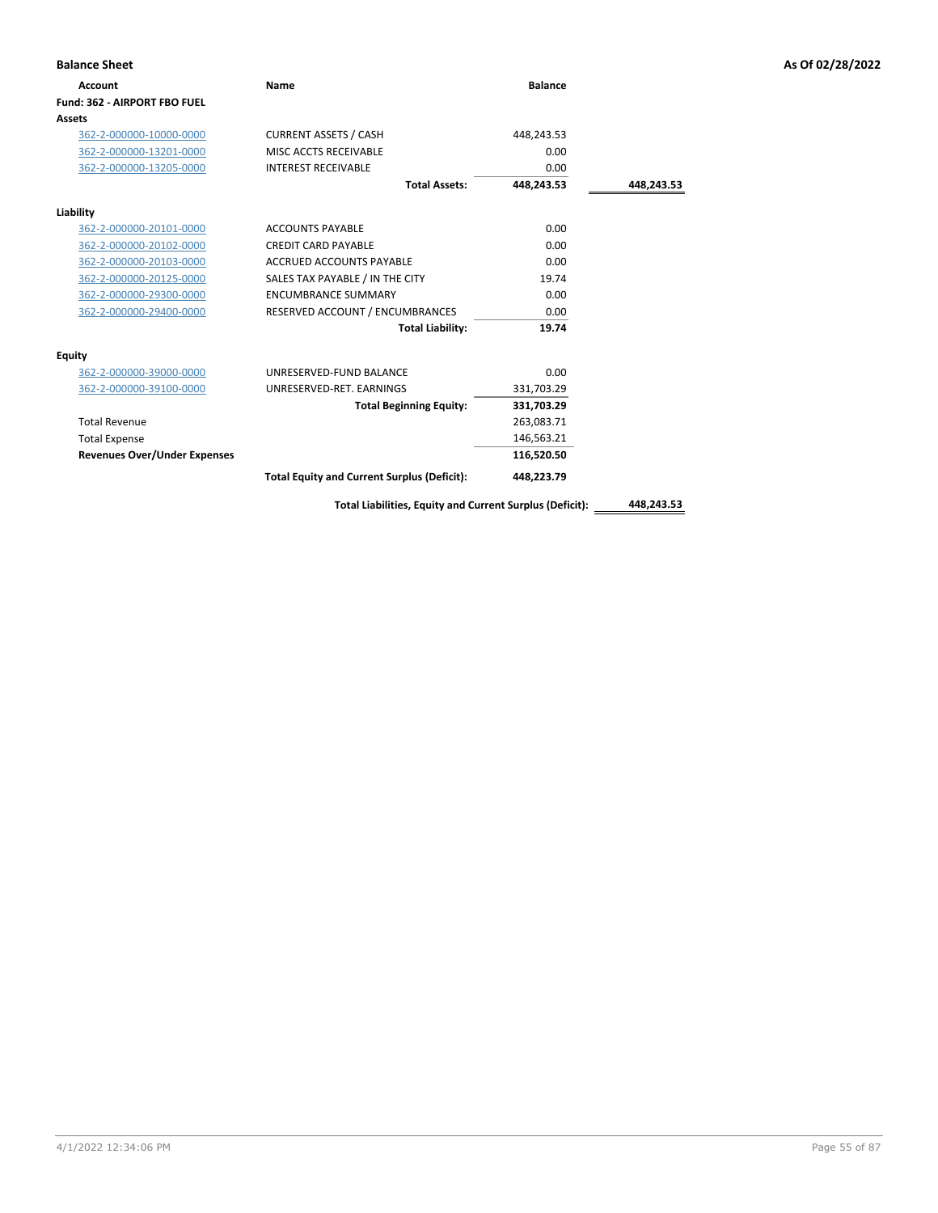| <b>Balance Sheet</b>                |                                                          |                |            | As Of 02/28/2022 |
|-------------------------------------|----------------------------------------------------------|----------------|------------|------------------|
| <b>Account</b>                      | <b>Name</b>                                              | <b>Balance</b> |            |                  |
| Fund: 362 - AIRPORT FBO FUEL        |                                                          |                |            |                  |
| Assets                              |                                                          |                |            |                  |
| 362-2-000000-10000-0000             | <b>CURRENT ASSETS / CASH</b>                             | 448,243.53     |            |                  |
| 362-2-000000-13201-0000             | MISC ACCTS RECEIVABLE                                    | 0.00           |            |                  |
| 362-2-000000-13205-0000             | <b>INTEREST RECEIVABLE</b>                               | 0.00           |            |                  |
|                                     | <b>Total Assets:</b>                                     | 448,243.53     | 448,243.53 |                  |
| Liability                           |                                                          |                |            |                  |
| 362-2-000000-20101-0000             | <b>ACCOUNTS PAYABLE</b>                                  | 0.00           |            |                  |
| 362-2-000000-20102-0000             | <b>CREDIT CARD PAYABLE</b>                               | 0.00           |            |                  |
| 362-2-000000-20103-0000             | <b>ACCRUED ACCOUNTS PAYABLE</b>                          | 0.00           |            |                  |
| 362-2-000000-20125-0000             | SALES TAX PAYABLE / IN THE CITY                          | 19.74          |            |                  |
| 362-2-000000-29300-0000             | <b>ENCUMBRANCE SUMMARY</b>                               | 0.00           |            |                  |
| 362-2-000000-29400-0000             | RESERVED ACCOUNT / ENCUMBRANCES                          | 0.00           |            |                  |
|                                     | <b>Total Liability:</b>                                  | 19.74          |            |                  |
| <b>Equity</b>                       |                                                          |                |            |                  |
| 362-2-000000-39000-0000             | UNRESERVED-FUND BALANCE                                  | 0.00           |            |                  |
| 362-2-000000-39100-0000             | UNRESERVED-RET. EARNINGS                                 | 331,703.29     |            |                  |
|                                     | <b>Total Beginning Equity:</b>                           | 331,703.29     |            |                  |
| <b>Total Revenue</b>                |                                                          | 263,083.71     |            |                  |
| <b>Total Expense</b>                |                                                          | 146,563.21     |            |                  |
| <b>Revenues Over/Under Expenses</b> |                                                          | 116,520.50     |            |                  |
|                                     | <b>Total Equity and Current Surplus (Deficit):</b>       | 448,223.79     |            |                  |
|                                     | Total Liabilities, Equity and Current Surplus (Deficit): |                | 448,243.53 |                  |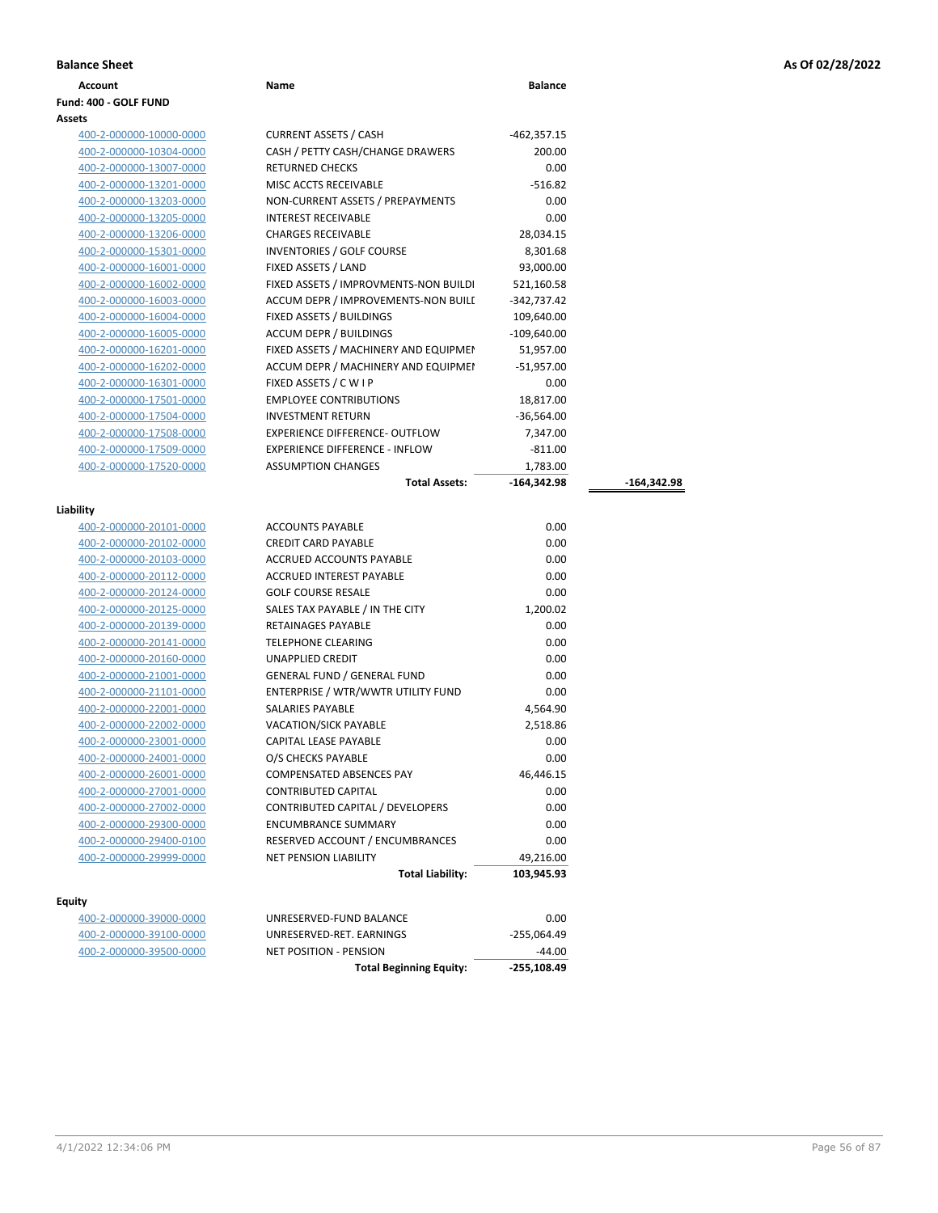| <b>Balance Sheet</b>           |                                       |                |               | As Of 02/28/2022 |
|--------------------------------|---------------------------------------|----------------|---------------|------------------|
| <b>Account</b>                 | Name                                  | <b>Balance</b> |               |                  |
| Fund: 400 - GOLF FUND          |                                       |                |               |                  |
| Assets                         |                                       |                |               |                  |
| 400-2-000000-10000-0000        | <b>CURRENT ASSETS / CASH</b>          | $-462,357.15$  |               |                  |
| 400-2-000000-10304-0000        | CASH / PETTY CASH/CHANGE DRAWERS      | 200.00         |               |                  |
| 400-2-000000-13007-0000        | <b>RETURNED CHECKS</b>                | 0.00           |               |                  |
| 400-2-000000-13201-0000        | MISC ACCTS RECEIVABLE                 | $-516.82$      |               |                  |
| 400-2-000000-13203-0000        | NON-CURRENT ASSETS / PREPAYMENTS      | 0.00           |               |                  |
| 400-2-000000-13205-0000        | INTEREST RECEIVABLE                   | 0.00           |               |                  |
| 400-2-000000-13206-0000        | <b>CHARGES RECEIVABLE</b>             | 28,034.15      |               |                  |
| 400-2-000000-15301-0000        | INVENTORIES / GOLF COURSE             | 8,301.68       |               |                  |
| 400-2-000000-16001-0000        | FIXED ASSETS / LAND                   | 93,000.00      |               |                  |
| 400-2-000000-16002-0000        | FIXED ASSETS / IMPROVMENTS-NON BUILDI | 521,160.58     |               |                  |
| 400-2-000000-16003-0000        | ACCUM DEPR / IMPROVEMENTS-NON BUILE   | -342,737.42    |               |                  |
| 400-2-000000-16004-0000        | FIXED ASSETS / BUILDINGS              | 109,640.00     |               |                  |
| 400-2-000000-16005-0000        | <b>ACCUM DEPR / BUILDINGS</b>         | $-109,640.00$  |               |                  |
| 400-2-000000-16201-0000        | FIXED ASSETS / MACHINERY AND EQUIPMEN | 51,957.00      |               |                  |
| 400-2-000000-16202-0000        | ACCUM DEPR / MACHINERY AND EQUIPMEI   | $-51,957.00$   |               |                  |
| 400-2-000000-16301-0000        | FIXED ASSETS / C W I P                | 0.00           |               |                  |
| 400-2-000000-17501-0000        | <b>EMPLOYEE CONTRIBUTIONS</b>         | 18,817.00      |               |                  |
| 400-2-000000-17504-0000        | <b>INVESTMENT RETURN</b>              | $-36,564.00$   |               |                  |
| 400-2-000000-17508-0000        | EXPERIENCE DIFFERENCE- OUTFLOW        | 7,347.00       |               |                  |
| 400-2-000000-17509-0000        | <b>EXPERIENCE DIFFERENCE - INFLOW</b> | $-811.00$      |               |                  |
| 400-2-000000-17520-0000        | <b>ASSUMPTION CHANGES</b>             | 1,783.00       |               |                  |
|                                | <b>Total Assets:</b>                  | $-164,342.98$  | $-164,342.98$ |                  |
| Liability                      |                                       |                |               |                  |
| <u>400-2-000000-20101-0000</u> | <b>ACCOUNTS PAYABLE</b>               | 0.00           |               |                  |
| 400-2-000000-20102-0000        | <b>CREDIT CARD PAYABLE</b>            | 0.00           |               |                  |
| 400-2-000000-20103-0000        | ACCRUED ACCOUNTS PAYABLE              | 0.00           |               |                  |
| 400-2-000000-20112-0000        | ACCRUED INTEREST PAYABLE              | 0.00           |               |                  |
| 400-2-000000-20124-0000        | <b>GOLF COURSE RESALE</b>             | 0.00           |               |                  |
| 400-2-000000-20125-0000        | SALES TAX PAYABLE / IN THE CITY       | 1,200.02       |               |                  |
| 400-2-000000-20139-0000        | RETAINAGES PAYABLE                    | 0.00           |               |                  |
| 400-2-000000-20141-0000        | <b>TELEPHONE CLEARING</b>             | 0.00           |               |                  |
| 400-2-000000-20160-0000        | UNAPPLIED CREDIT                      | 0.00           |               |                  |
| 400-2-000000-21001-0000        | <b>GENERAL FUND / GENERAL FUND</b>    | 0.00           |               |                  |
| 400-2-000000-21101-0000        | ENTERPRISE / WTR/WWTR UTILITY FUND    | 0.00           |               |                  |
| 400-2-000000-22001-0000        | SALARIES PAYABLE                      | 4,564.90       |               |                  |
| 400-2-000000-22002-0000        | <b>VACATION/SICK PAYABLE</b>          | 2,518.86       |               |                  |
| 400-2-000000-23001-0000        | CAPITAL LEASE PAYABLE                 | 0.00           |               |                  |
| 400-2-000000-24001-0000        | O/S CHECKS PAYABLE                    | 0.00           |               |                  |
| 400-2-000000-26001-0000        | <b>COMPENSATED ABSENCES PAY</b>       | 46,446.15      |               |                  |
| 400-2-000000-27001-0000        | <b>CONTRIBUTED CAPITAL</b>            | 0.00           |               |                  |
| 400-2-000000-27002-0000        | CONTRIBUTED CAPITAL / DEVELOPERS      | 0.00           |               |                  |
| 400-2-000000-29300-0000        | <b>ENCUMBRANCE SUMMARY</b>            | 0.00           |               |                  |
| 400-2-000000-29400-0100        | RESERVED ACCOUNT / ENCUMBRANCES       | 0.00           |               |                  |
| 400-2-000000-29999-0000        | NET PENSION LIABILITY                 | 49,216.00      |               |                  |
|                                | <b>Total Liability:</b>               | 103,945.93     |               |                  |
| <b>Equity</b>                  |                                       |                |               |                  |
| 400-2-000000-39000-0000        | UNRESERVED-FUND BALANCE               | 0.00           |               |                  |
| 400-2-000000-39100-0000        | UNRESERVED-RET. EARNINGS              | $-255,064.49$  |               |                  |
| 400-2-000000-39500-0000        | <b>NET POSITION - PENSION</b>         | $-44.00$       |               |                  |
|                                | <b>Total Beginning Equity:</b>        | -255,108.49    |               |                  |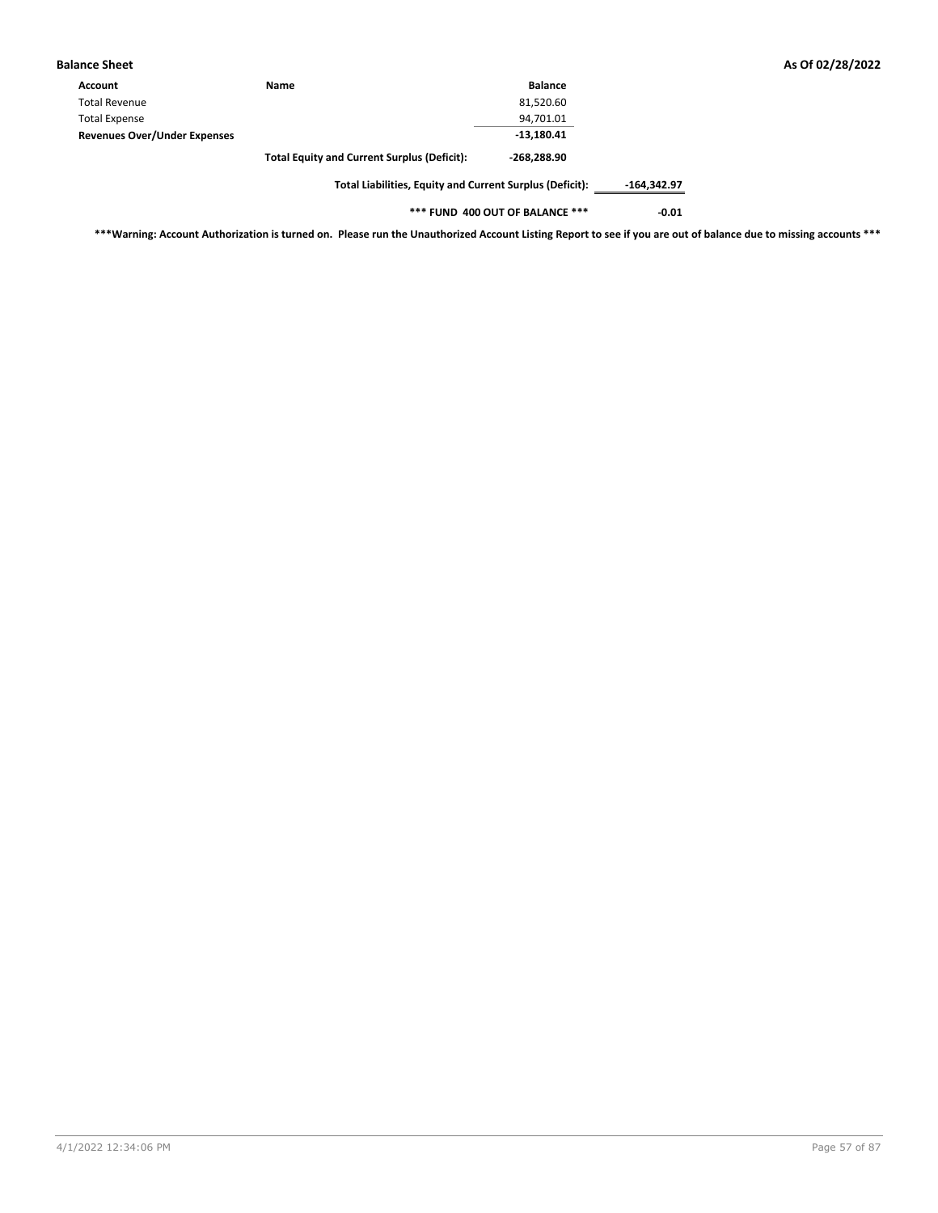| <b>Balance Sheet</b>                |                                                    |                |
|-------------------------------------|----------------------------------------------------|----------------|
| Account                             | Name                                               | <b>Balance</b> |
| <b>Total Revenue</b>                |                                                    | 81,520.60      |
| <b>Total Expense</b>                |                                                    | 94,701.01      |
| <b>Revenues Over/Under Expenses</b> |                                                    | $-13,180.41$   |
|                                     | <b>Total Equity and Current Surplus (Deficit):</b> | $-268,288.90$  |
|                                     |                                                    |                |

**Total Liabilities, Equity and Current Surplus (Deficit): -164,342.97**

**\*\*\* FUND 400 OUT OF BALANCE \*\*\* -0.01**

**\*\*\*Warning: Account Authorization is turned on. Please run the Unauthorized Account Listing Report to see if you are out of balance due to missing accounts \*\*\***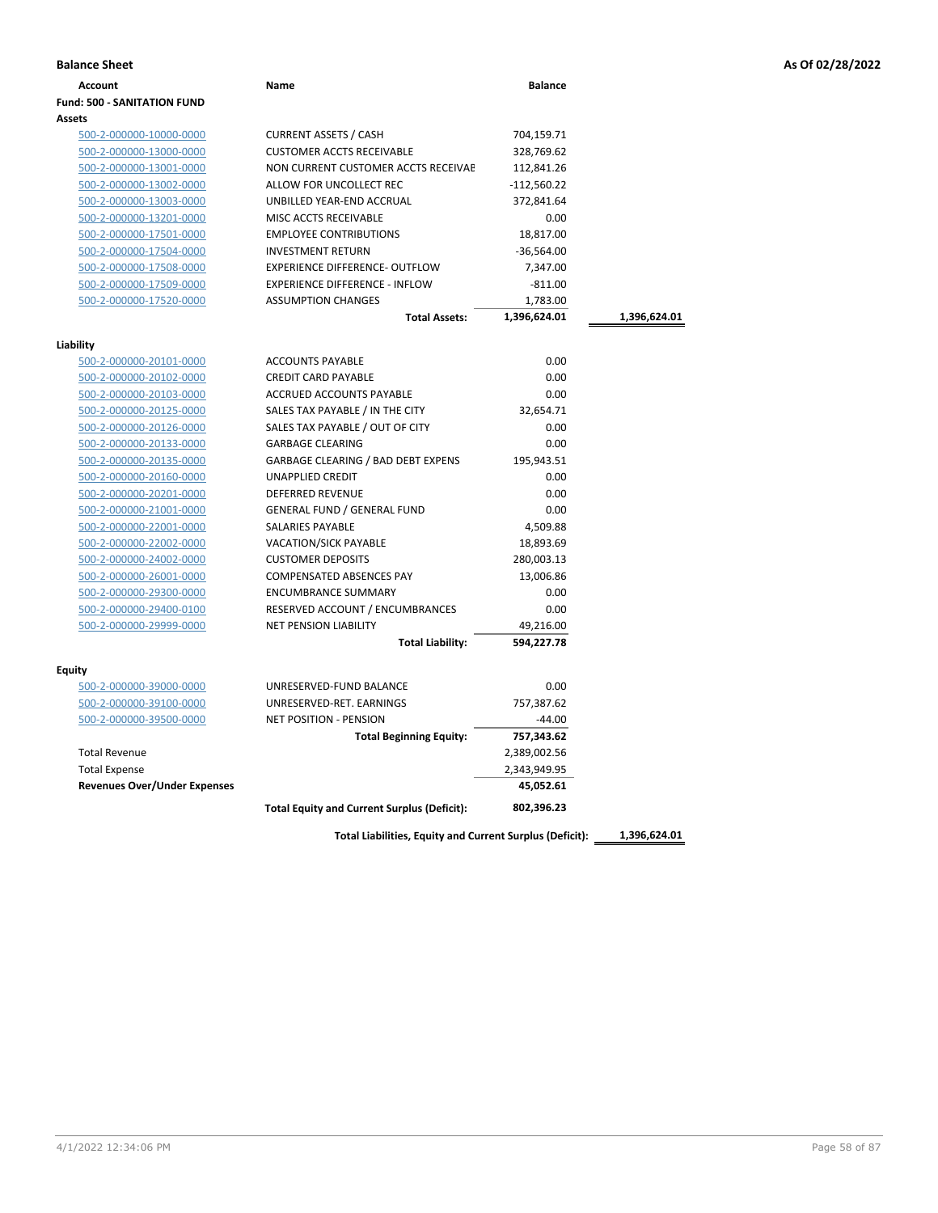|  |  |  |  | As Of 02/28/2022 |
|--|--|--|--|------------------|
|--|--|--|--|------------------|

| <b>Balance Sheet</b>                |                                                    |                |              | As Of 02/28/2022 |
|-------------------------------------|----------------------------------------------------|----------------|--------------|------------------|
| <b>Account</b>                      | Name                                               | <b>Balance</b> |              |                  |
| <b>Fund: 500 - SANITATION FUND</b>  |                                                    |                |              |                  |
| <b>Assets</b>                       |                                                    |                |              |                  |
| 500-2-000000-10000-0000             | <b>CURRENT ASSETS / CASH</b>                       | 704,159.71     |              |                  |
| 500-2-000000-13000-0000             | <b>CUSTOMER ACCTS RECEIVABLE</b>                   | 328,769.62     |              |                  |
| 500-2-000000-13001-0000             | NON CURRENT CUSTOMER ACCTS RECEIVAE                | 112,841.26     |              |                  |
| 500-2-000000-13002-0000             | ALLOW FOR UNCOLLECT REC                            | $-112,560.22$  |              |                  |
| 500-2-000000-13003-0000             | UNBILLED YEAR-END ACCRUAL                          | 372,841.64     |              |                  |
| 500-2-000000-13201-0000             | MISC ACCTS RECEIVABLE                              | 0.00           |              |                  |
| 500-2-000000-17501-0000             | <b>EMPLOYEE CONTRIBUTIONS</b>                      | 18,817.00      |              |                  |
| 500-2-000000-17504-0000             | <b>INVESTMENT RETURN</b>                           | $-36,564.00$   |              |                  |
| 500-2-000000-17508-0000             | <b>EXPERIENCE DIFFERENCE- OUTFLOW</b>              | 7,347.00       |              |                  |
| 500-2-000000-17509-0000             | <b>EXPERIENCE DIFFERENCE - INFLOW</b>              | $-811.00$      |              |                  |
| 500-2-000000-17520-0000             | <b>ASSUMPTION CHANGES</b>                          | 1,783.00       |              |                  |
|                                     | <b>Total Assets:</b>                               | 1,396,624.01   | 1,396,624.01 |                  |
| Liability                           |                                                    |                |              |                  |
| 500-2-000000-20101-0000             | <b>ACCOUNTS PAYABLE</b>                            | 0.00           |              |                  |
| 500-2-000000-20102-0000             | <b>CREDIT CARD PAYABLE</b>                         | 0.00           |              |                  |
| 500-2-000000-20103-0000             | ACCRUED ACCOUNTS PAYABLE                           | 0.00           |              |                  |
| 500-2-000000-20125-0000             | SALES TAX PAYABLE / IN THE CITY                    | 32,654.71      |              |                  |
| 500-2-000000-20126-0000             | SALES TAX PAYABLE / OUT OF CITY                    | 0.00           |              |                  |
| 500-2-000000-20133-0000             | <b>GARBAGE CLEARING</b>                            | 0.00           |              |                  |
| 500-2-000000-20135-0000             | <b>GARBAGE CLEARING / BAD DEBT EXPENS</b>          | 195,943.51     |              |                  |
| 500-2-000000-20160-0000             | <b>UNAPPLIED CREDIT</b>                            | 0.00           |              |                  |
| 500-2-000000-20201-0000             | DEFERRED REVENUE                                   | 0.00           |              |                  |
| 500-2-000000-21001-0000             | <b>GENERAL FUND / GENERAL FUND</b>                 | 0.00           |              |                  |
| 500-2-000000-22001-0000             | SALARIES PAYABLE                                   | 4,509.88       |              |                  |
| 500-2-000000-22002-0000             | <b>VACATION/SICK PAYABLE</b>                       | 18,893.69      |              |                  |
| 500-2-000000-24002-0000             | <b>CUSTOMER DEPOSITS</b>                           | 280,003.13     |              |                  |
| 500-2-000000-26001-0000             | COMPENSATED ABSENCES PAY                           | 13,006.86      |              |                  |
| 500-2-000000-29300-0000             | <b>ENCUMBRANCE SUMMARY</b>                         | 0.00           |              |                  |
| 500-2-000000-29400-0100             | RESERVED ACCOUNT / ENCUMBRANCES                    | 0.00           |              |                  |
| 500-2-000000-29999-0000             | <b>NET PENSION LIABILITY</b>                       | 49,216.00      |              |                  |
|                                     | <b>Total Liability:</b>                            | 594,227.78     |              |                  |
| Equity                              |                                                    |                |              |                  |
| 500-2-000000-39000-0000             | UNRESERVED-FUND BALANCE                            | 0.00           |              |                  |
| 500-2-000000-39100-0000             | UNRESERVED-RET. EARNINGS                           | 757,387.62     |              |                  |
| 500-2-000000-39500-0000             | <b>NET POSITION - PENSION</b>                      | $-44.00$       |              |                  |
|                                     | <b>Total Beginning Equity:</b>                     | 757,343.62     |              |                  |
| <b>Total Revenue</b>                |                                                    | 2,389,002.56   |              |                  |
| <b>Total Expense</b>                |                                                    | 2,343,949.95   |              |                  |
| <b>Revenues Over/Under Expenses</b> |                                                    | 45,052.61      |              |                  |
|                                     | <b>Total Equity and Current Surplus (Deficit):</b> | 802,396.23     |              |                  |
|                                     |                                                    |                |              |                  |

**Total Liabilities, Equity and Current Surplus (Deficit): 1,396,624.01**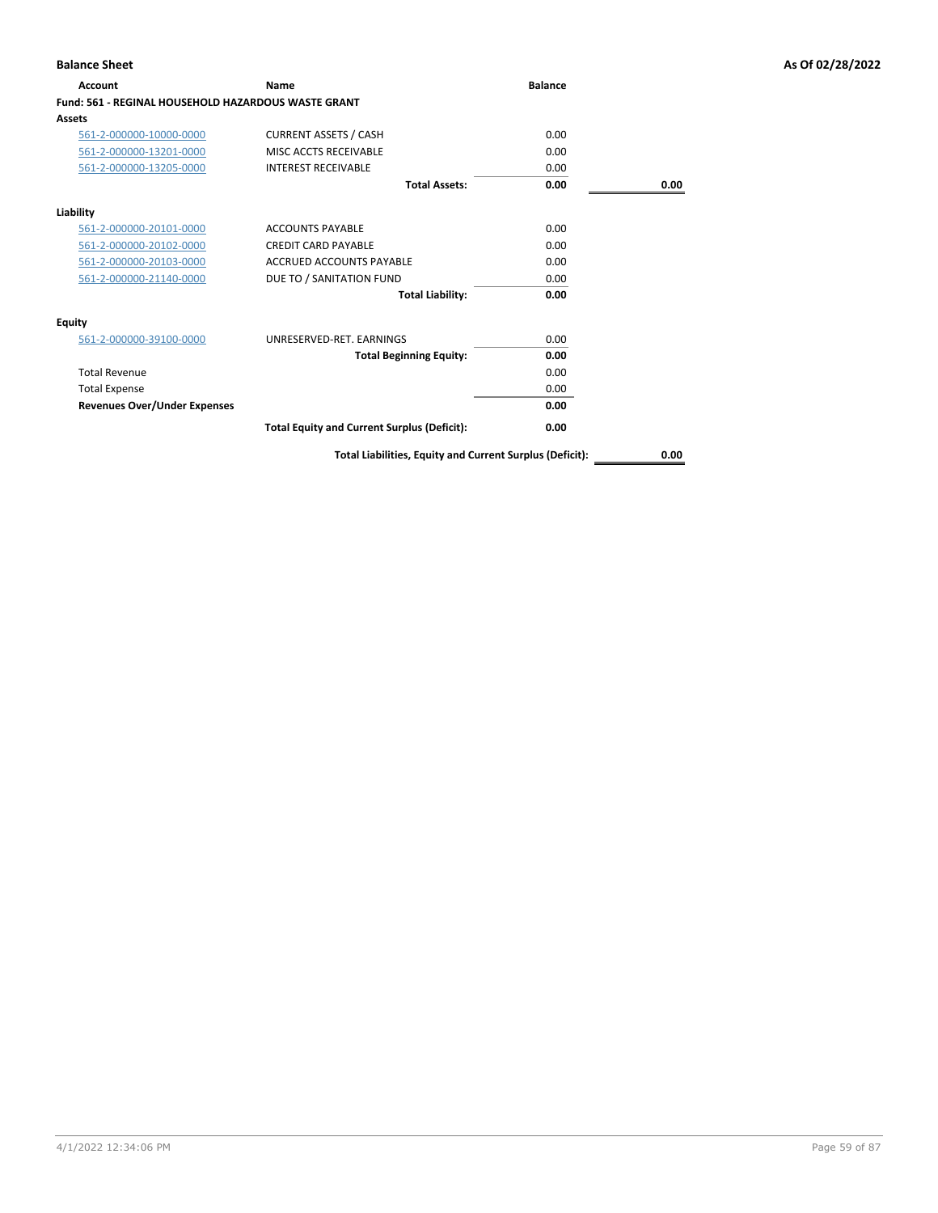| <b>Account</b>                                      | Name                                               | <b>Balance</b> |      |
|-----------------------------------------------------|----------------------------------------------------|----------------|------|
| Fund: 561 - REGINAL HOUSEHOLD HAZARDOUS WASTE GRANT |                                                    |                |      |
| Assets                                              |                                                    |                |      |
| 561-2-000000-10000-0000                             | <b>CURRENT ASSETS / CASH</b>                       | 0.00           |      |
| 561-2-000000-13201-0000                             | MISC ACCTS RECEIVABLE                              | 0.00           |      |
| 561-2-000000-13205-0000                             | <b>INTEREST RECEIVABLE</b>                         | 0.00           |      |
|                                                     | <b>Total Assets:</b>                               | 0.00           | 0.00 |
| Liability                                           |                                                    |                |      |
| 561-2-000000-20101-0000                             | <b>ACCOUNTS PAYABLE</b>                            | 0.00           |      |
| 561-2-000000-20102-0000                             | <b>CREDIT CARD PAYABLE</b>                         | 0.00           |      |
| 561-2-000000-20103-0000                             | ACCRUED ACCOUNTS PAYABLE                           | 0.00           |      |
| 561-2-000000-21140-0000                             | DUE TO / SANITATION FUND                           | 0.00           |      |
|                                                     | <b>Total Liability:</b>                            | 0.00           |      |
| <b>Equity</b>                                       |                                                    |                |      |
| 561-2-000000-39100-0000                             | UNRESERVED-RET, EARNINGS                           | 0.00           |      |
|                                                     | <b>Total Beginning Equity:</b>                     | 0.00           |      |
| <b>Total Revenue</b>                                |                                                    | 0.00           |      |
| <b>Total Expense</b>                                |                                                    | 0.00           |      |
| <b>Revenues Over/Under Expenses</b>                 |                                                    | 0.00           |      |
|                                                     | <b>Total Equity and Current Surplus (Deficit):</b> | 0.00           |      |
|                                                     |                                                    |                |      |

**Total Liabilities, Equity and Current Surplus (Deficit): 0.00**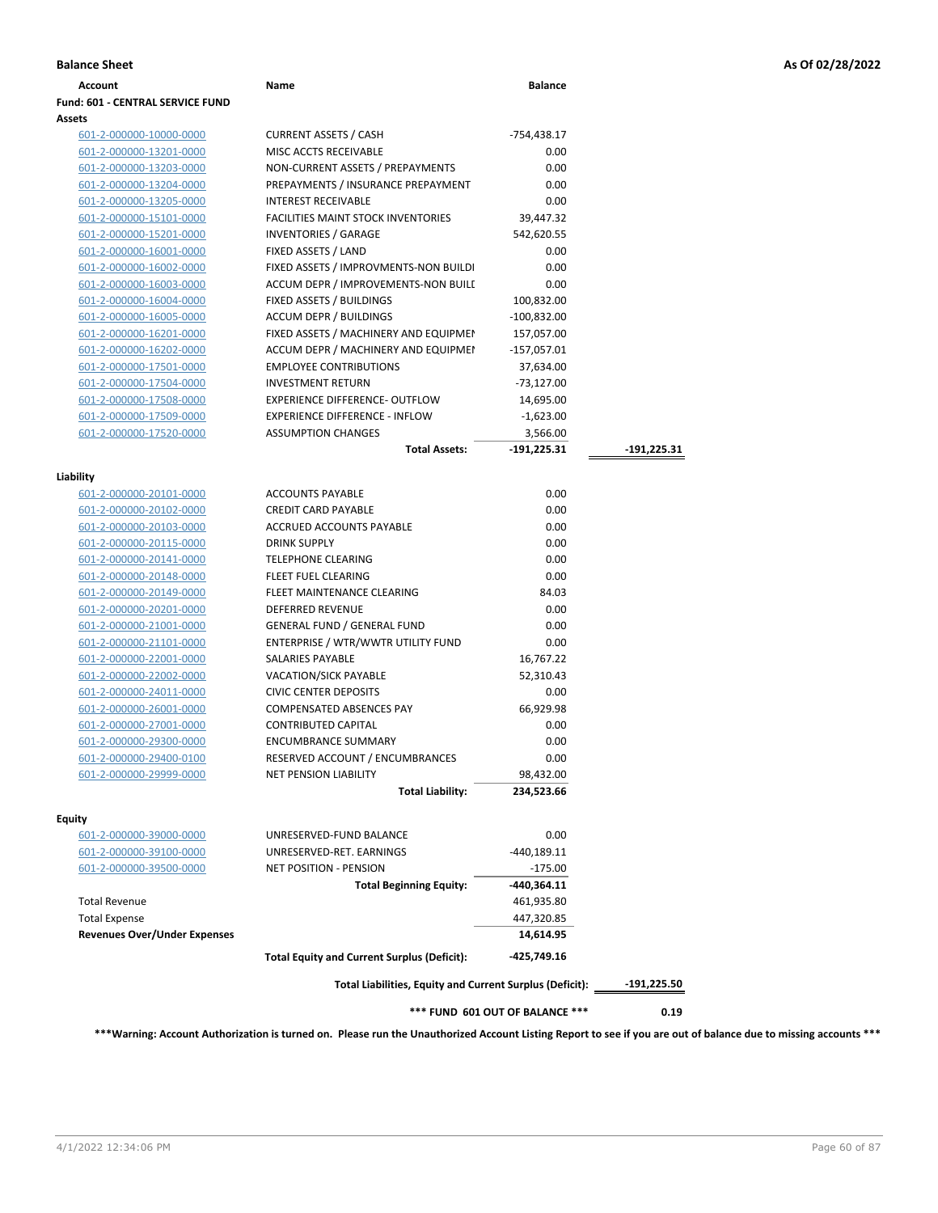### **Fund: 601 - CENTRAL SERVICE FUND Assets** 601-2-000000-10000-0000 CURRENT ASSETS / CASH -754,438.17 601-2-000000-13201-0000 MISC ACCTS RECEIVABLE 0.00 601-2-000000-13203-0000 NON-CURRENT ASSETS / PREPAYMENTS 0.00 601-2-000000-13204-0000 PREPAYMENTS / INSURANCE PREPAYMENT 0.00 601-2-000000-13205-0000 INTEREST RECEIVABLE 0.00 601-2-000000-15101-0000 FACILITIES MAINT STOCK INVENTORIES 39,447.32 601-2-000000-15201-0000 INVENTORIES / GARAGE 542,620.55 601-2-000000-16001-0000 FIXED ASSETS / LAND 0.00 601-2-000000-16002-0000 FIXED ASSETS / IMPROVMENTS-NON BUILDI 0.00 601-2-000000-16003-0000 ACCUM DEPR / IMPROVEMENTS-NON BUILDINGS 0.00 601-2-000000-16004-0000 FIXED ASSETS / BUILDINGS 100,832.00 601-2-000000-16005-0000 ACCUM DEPR / BUILDINGS -100,832.00 601-2-000000-16201-0000 FIXED ASSETS / MACHINERY AND EQUIPMEN 157,057.00 601-2-000000-16202-0000 ACCUM DEPR / MACHINERY AND EQUIPMEI -157,057.01 601-2-000000-17501-0000 EMPLOYEE CONTRIBUTIONS 37,634.00 601-2-000000-17504-0000 INVESTMENT RETURN -73,127.00 601-2-000000-17508-0000 EXPERIENCE DIFFERENCE- OUTFLOW 14,695.00 601-2-000000-17509-0000 EXPERIENCE DIFFERENCE - INFLOW -1,623.00 601-2-000000-17520-0000 ASSUMPTION CHANGES 3,566.00 **Total Assets: -191,225.31 -191,225.31 Liability** 601-2-000000-20101-0000 ACCOUNTS PAYABLE 0.00 601-2-000000-20102-0000 CREDIT CARD PAYABLE 0.00 601-2-000000-20103-0000 ACCRUED ACCOUNTS PAYABLE 0.00 601-2-000000-20115-0000 DRINK SUPPLY 0.00 601-2-000000-20141-0000 TELEPHONE CLEARING 0.00 601-2-000000-20148-0000 FLEET FUEL CLEARING 0.00 601-2-000000-20149-0000 FLEET MAINTENANCE CLEARING 84.03 601-2-000000-20201-0000 DEFERRED REVENUE 0.00 601-2-000000-21001-0000 GENERAL FUND / GENERAL FUND 0.00 601-2-000000-21101-0000 ENTERPRISE / WTR/WWTR UTILITY FUND 0.00 601-2-000000-22001-0000 SALARIES PAYABLE 16,767.22 601-2-000000-22002-0000 VACATION/SICK PAYABLE 52,310.43 601-2-000000-24011-0000 CIVIC CENTER DEPOSITS 0.00 601-2-000000-26001-0000 COMPENSATED ABSENCES PAY 66,929.98 601-2-000000-27001-0000 CONTRIBUTED CAPITAL 0.00 601-2-000000-29300-0000 ENCUMBRANCE SUMMARY 0.00 601-2-000000-29400-0100 RESERVED ACCOUNT / ENCUMBRANCES 0.00 601-2-000000-29999-0000 NET PENSION LIABILITY 98,432.00 **Total Liability: 234,523.66 Equity** 601-2-000000-39000-0000 UNRESERVED-FUND BALANCE 0.00 601-2-000000-39100-0000 UNRESERVED-RET. EARNINGS -440,189.11 601-2-000000-39500-0000 NET POSITION - PENSION -175.00 **Total Beginning Equity: -440,364.11** Total Revenue 461,935.80 Total Expense 447,320.85 **Revenues Over/Under Expenses 14,614.95 Total Equity and Current Surplus (Deficit): -425,749.16**

**Account Name Balance**

**Total Liabilities, Equity and Current Surplus (Deficit): -191,225.50**

**\*\*\* FUND 601 OUT OF BALANCE \*\*\* 0.19**

**\*\*\*Warning: Account Authorization is turned on. Please run the Unauthorized Account Listing Report to see if you are out of balance due to missing accounts \*\*\***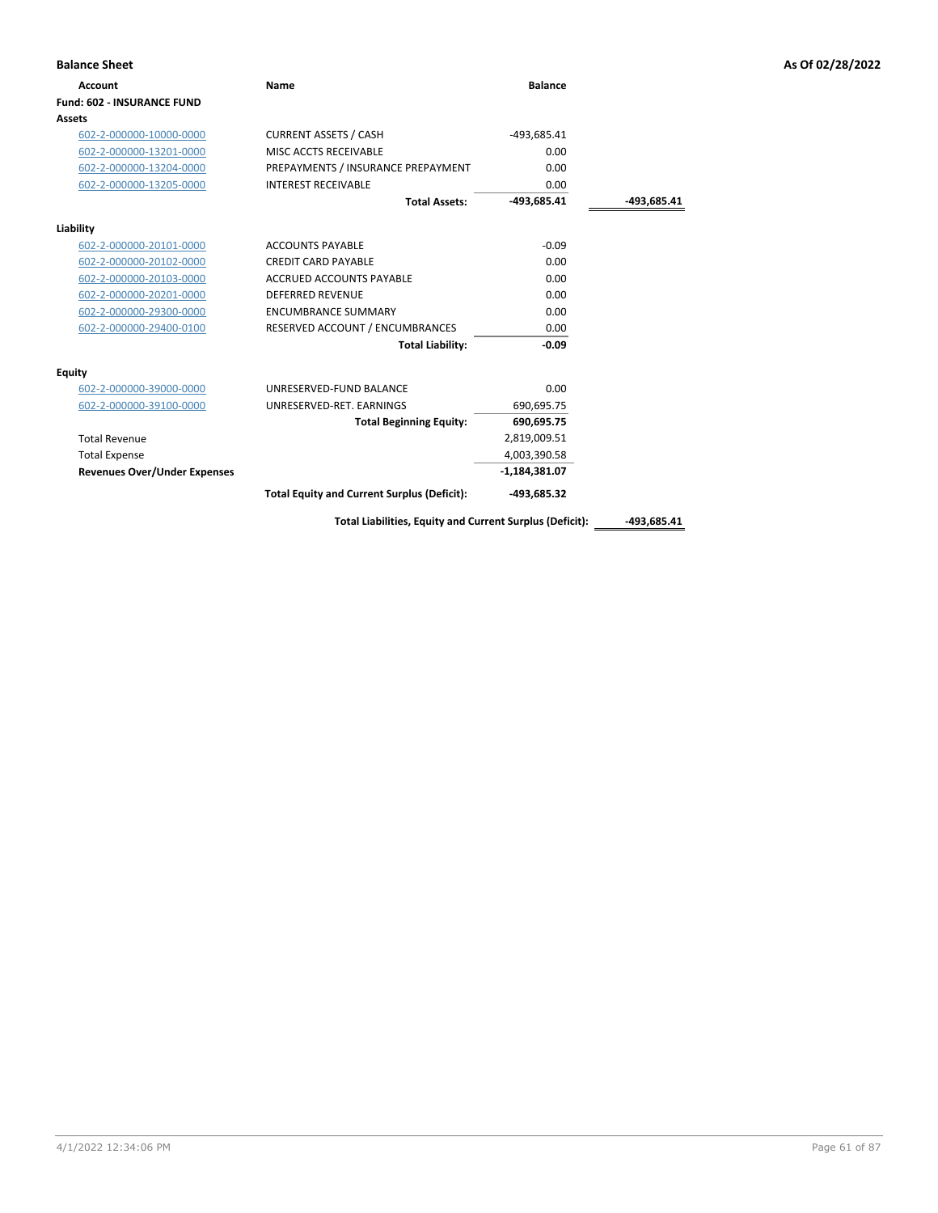| <b>Balance Sheet</b>                |                                                    |                 |             | As Of 02/28/2022 |
|-------------------------------------|----------------------------------------------------|-----------------|-------------|------------------|
| Account                             | <b>Name</b>                                        | <b>Balance</b>  |             |                  |
| Fund: 602 - INSURANCE FUND          |                                                    |                 |             |                  |
| Assets                              |                                                    |                 |             |                  |
| 602-2-000000-10000-0000             | <b>CURRENT ASSETS / CASH</b>                       | -493,685.41     |             |                  |
| 602-2-000000-13201-0000             | MISC ACCTS RECEIVABLE                              | 0.00            |             |                  |
| 602-2-000000-13204-0000             | PREPAYMENTS / INSURANCE PREPAYMENT                 | 0.00            |             |                  |
| 602-2-000000-13205-0000             | <b>INTEREST RECEIVABLE</b>                         | 0.00            |             |                  |
|                                     | <b>Total Assets:</b>                               | $-493,685.41$   | -493,685.41 |                  |
| Liability                           |                                                    |                 |             |                  |
| 602-2-000000-20101-0000             | <b>ACCOUNTS PAYABLE</b>                            | $-0.09$         |             |                  |
| 602-2-000000-20102-0000             | <b>CREDIT CARD PAYABLE</b>                         | 0.00            |             |                  |
| 602-2-000000-20103-0000             | <b>ACCRUED ACCOUNTS PAYABLE</b>                    | 0.00            |             |                  |
| 602-2-000000-20201-0000             | <b>DEFERRED REVENUE</b>                            | 0.00            |             |                  |
| 602-2-000000-29300-0000             | <b>ENCUMBRANCE SUMMARY</b>                         | 0.00            |             |                  |
| 602-2-000000-29400-0100             | RESERVED ACCOUNT / ENCUMBRANCES                    | 0.00            |             |                  |
|                                     | <b>Total Liability:</b>                            | $-0.09$         |             |                  |
| <b>Equity</b>                       |                                                    |                 |             |                  |
| 602-2-000000-39000-0000             | UNRESERVED-FUND BALANCE                            | 0.00            |             |                  |
| 602-2-000000-39100-0000             | UNRESERVED-RET. EARNINGS                           | 690,695.75      |             |                  |
|                                     | <b>Total Beginning Equity:</b>                     | 690,695.75      |             |                  |
| <b>Total Revenue</b>                |                                                    | 2,819,009.51    |             |                  |
| <b>Total Expense</b>                |                                                    | 4,003,390.58    |             |                  |
| <b>Revenues Over/Under Expenses</b> |                                                    | $-1,184,381.07$ |             |                  |
|                                     | <b>Total Equity and Current Surplus (Deficit):</b> | -493,685.32     |             |                  |

Total Liabilities, Equity and Current Surplus (Deficit): \_\_\_\_\_\_-493,685.41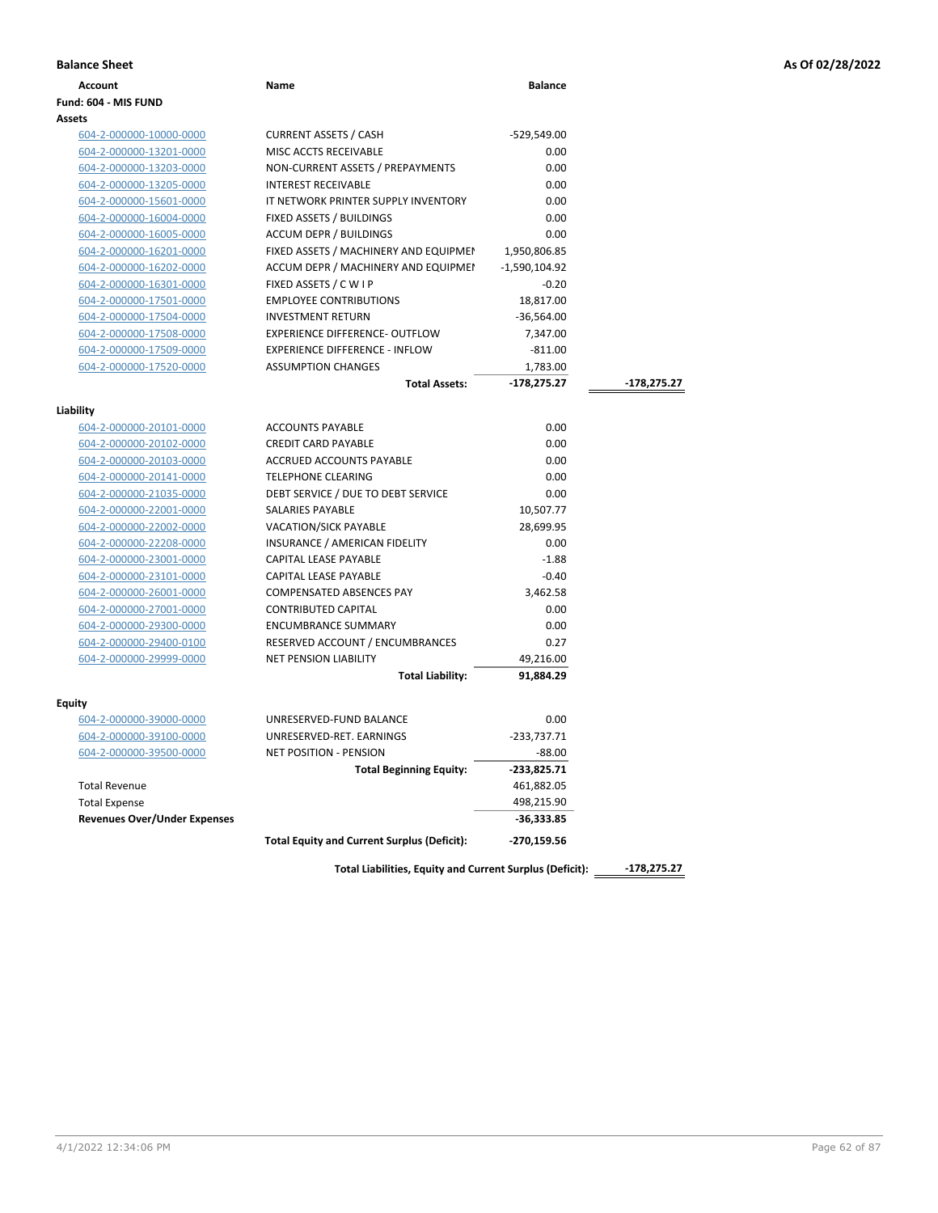|  |  |  |  | As Of 02/28/2022 |
|--|--|--|--|------------------|
|--|--|--|--|------------------|

| <b>Balance Sheet</b>                |                                                          |                |               | As Of 02/28/2022 |
|-------------------------------------|----------------------------------------------------------|----------------|---------------|------------------|
| Account                             | Name                                                     | <b>Balance</b> |               |                  |
| Fund: 604 - MIS FUND                |                                                          |                |               |                  |
| Assets                              |                                                          |                |               |                  |
| 604-2-000000-10000-0000             | <b>CURRENT ASSETS / CASH</b>                             | -529,549.00    |               |                  |
| 604-2-000000-13201-0000             | MISC ACCTS RECEIVABLE                                    | 0.00           |               |                  |
| 604-2-000000-13203-0000             | NON-CURRENT ASSETS / PREPAYMENTS                         | 0.00           |               |                  |
| 604-2-000000-13205-0000             | <b>INTEREST RECEIVABLE</b>                               | 0.00           |               |                  |
| 604-2-000000-15601-0000             | IT NETWORK PRINTER SUPPLY INVENTORY                      | 0.00           |               |                  |
| 604-2-000000-16004-0000             | FIXED ASSETS / BUILDINGS                                 | 0.00           |               |                  |
| 604-2-000000-16005-0000             | <b>ACCUM DEPR / BUILDINGS</b>                            | 0.00           |               |                  |
| 604-2-000000-16201-0000             | FIXED ASSETS / MACHINERY AND EQUIPMEN                    | 1,950,806.85   |               |                  |
| 604-2-000000-16202-0000             | ACCUM DEPR / MACHINERY AND EQUIPMEI                      | -1,590,104.92  |               |                  |
| 604-2-000000-16301-0000             | FIXED ASSETS / C W I P                                   | $-0.20$        |               |                  |
| 604-2-000000-17501-0000             | <b>EMPLOYEE CONTRIBUTIONS</b>                            | 18,817.00      |               |                  |
| 604-2-000000-17504-0000             | <b>INVESTMENT RETURN</b>                                 | $-36,564.00$   |               |                  |
| 604-2-000000-17508-0000             | <b>EXPERIENCE DIFFERENCE- OUTFLOW</b>                    | 7,347.00       |               |                  |
| 604-2-000000-17509-0000             | <b>EXPERIENCE DIFFERENCE - INFLOW</b>                    | $-811.00$      |               |                  |
| 604-2-000000-17520-0000             | <b>ASSUMPTION CHANGES</b>                                | 1,783.00       |               |                  |
|                                     | <b>Total Assets:</b>                                     | -178,275.27    | -178,275.27   |                  |
| Liability                           |                                                          |                |               |                  |
| 604-2-000000-20101-0000             | <b>ACCOUNTS PAYABLE</b>                                  | 0.00           |               |                  |
| 604-2-000000-20102-0000             | <b>CREDIT CARD PAYABLE</b>                               | 0.00           |               |                  |
| 604-2-000000-20103-0000             | ACCRUED ACCOUNTS PAYABLE                                 | 0.00           |               |                  |
| 604-2-000000-20141-0000             | <b>TELEPHONE CLEARING</b>                                | 0.00           |               |                  |
| 604-2-000000-21035-0000             | DEBT SERVICE / DUE TO DEBT SERVICE                       | 0.00           |               |                  |
| 604-2-000000-22001-0000             | SALARIES PAYABLE                                         | 10,507.77      |               |                  |
| 604-2-000000-22002-0000             | <b>VACATION/SICK PAYABLE</b>                             | 28,699.95      |               |                  |
| 604-2-000000-22208-0000             | INSURANCE / AMERICAN FIDELITY                            | 0.00           |               |                  |
| 604-2-000000-23001-0000             | CAPITAL LEASE PAYABLE                                    | $-1.88$        |               |                  |
| 604-2-000000-23101-0000             | CAPITAL LEASE PAYABLE                                    | $-0.40$        |               |                  |
| 604-2-000000-26001-0000             | <b>COMPENSATED ABSENCES PAY</b>                          | 3,462.58       |               |                  |
| 604-2-000000-27001-0000             | <b>CONTRIBUTED CAPITAL</b>                               | 0.00           |               |                  |
| 604-2-000000-29300-0000             | <b>ENCUMBRANCE SUMMARY</b>                               | 0.00           |               |                  |
| 604-2-000000-29400-0100             | RESERVED ACCOUNT / ENCUMBRANCES                          | 0.27           |               |                  |
| 604-2-000000-29999-0000             | <b>NET PENSION LIABILITY</b>                             | 49,216.00      |               |                  |
|                                     | <b>Total Liability:</b>                                  | 91,884.29      |               |                  |
| Equity                              |                                                          |                |               |                  |
| 604-2-000000-39000-0000             | UNRESERVED-FUND BALANCE                                  | 0.00           |               |                  |
| 604-2-000000-39100-0000             | UNRESERVED-RET. EARNINGS                                 | $-233,737.71$  |               |                  |
| 604-2-000000-39500-0000             | NET POSITION - PENSION                                   | -88.00         |               |                  |
|                                     | <b>Total Beginning Equity:</b>                           | $-233,825.71$  |               |                  |
| <b>Total Revenue</b>                |                                                          | 461,882.05     |               |                  |
| <b>Total Expense</b>                |                                                          | 498,215.90     |               |                  |
| <b>Revenues Over/Under Expenses</b> |                                                          | $-36,333.85$   |               |                  |
|                                     | <b>Total Equity and Current Surplus (Deficit):</b>       | -270,159.56    |               |                  |
|                                     |                                                          |                |               |                  |
|                                     | Total Liabilities, Equity and Current Surplus (Deficit): |                | $-178,275.27$ |                  |

4/1/2022 12:34:06 PM Page 62 of 87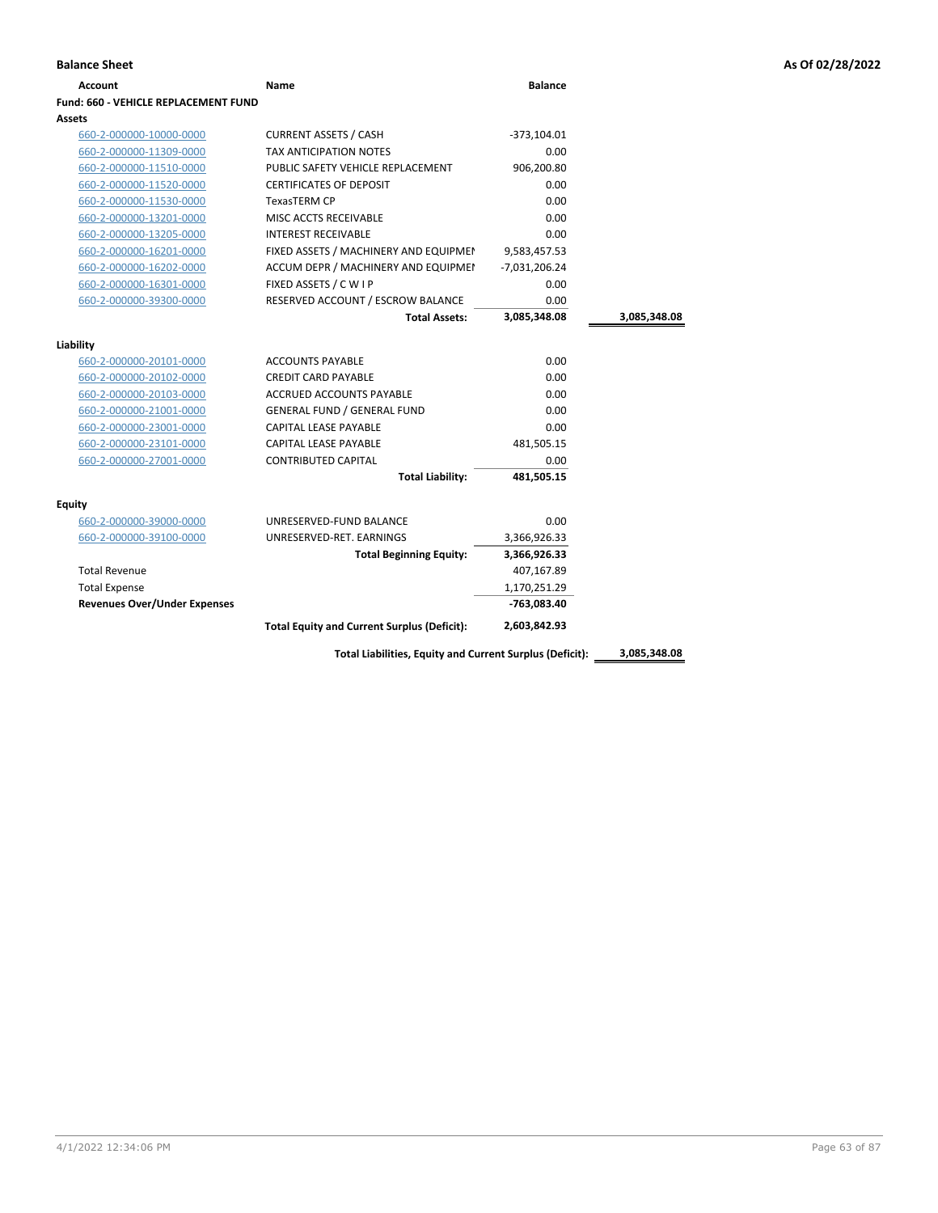| <b>Account</b>                       | Name                                               | <b>Balance</b> |              |
|--------------------------------------|----------------------------------------------------|----------------|--------------|
| Fund: 660 - VEHICLE REPLACEMENT FUND |                                                    |                |              |
| Assets                               |                                                    |                |              |
| 660-2-000000-10000-0000              | <b>CURRENT ASSETS / CASH</b>                       | $-373,104.01$  |              |
| 660-2-000000-11309-0000              | <b>TAX ANTICIPATION NOTES</b>                      | 0.00           |              |
| 660-2-000000-11510-0000              | PUBLIC SAFETY VEHICLE REPLACEMENT                  | 906,200.80     |              |
| 660-2-000000-11520-0000              | <b>CERTIFICATES OF DEPOSIT</b>                     | 0.00           |              |
| 660-2-000000-11530-0000              | <b>TexasTERM CP</b>                                | 0.00           |              |
| 660-2-000000-13201-0000              | MISC ACCTS RECEIVABLE                              | 0.00           |              |
| 660-2-000000-13205-0000              | <b>INTEREST RECEIVABLE</b>                         | 0.00           |              |
| 660-2-000000-16201-0000              | FIXED ASSETS / MACHINERY AND EQUIPMEN              | 9,583,457.53   |              |
| 660-2-000000-16202-0000              | ACCUM DEPR / MACHINERY AND EQUIPMEI                | -7,031,206.24  |              |
| 660-2-000000-16301-0000              | FIXED ASSETS / C W I P                             | 0.00           |              |
| 660-2-000000-39300-0000              | RESERVED ACCOUNT / ESCROW BALANCE                  | 0.00           |              |
|                                      | <b>Total Assets:</b>                               | 3,085,348.08   | 3,085,348.08 |
| Liability                            |                                                    |                |              |
| 660-2-000000-20101-0000              | <b>ACCOUNTS PAYABLE</b>                            | 0.00           |              |
| 660-2-000000-20102-0000              | <b>CREDIT CARD PAYABLE</b>                         | 0.00           |              |
| 660-2-000000-20103-0000              | <b>ACCRUED ACCOUNTS PAYABLE</b>                    | 0.00           |              |
| 660-2-000000-21001-0000              | <b>GENERAL FUND / GENERAL FUND</b>                 | 0.00           |              |
| 660-2-000000-23001-0000              | <b>CAPITAL LEASE PAYABLE</b>                       | 0.00           |              |
| 660-2-000000-23101-0000              | CAPITAL LEASE PAYABLE                              | 481,505.15     |              |
| 660-2-000000-27001-0000              | <b>CONTRIBUTED CAPITAL</b>                         | 0.00           |              |
|                                      | <b>Total Liability:</b>                            | 481,505.15     |              |
| Equity                               |                                                    |                |              |
| 660-2-000000-39000-0000              | UNRESERVED-FUND BALANCE                            | 0.00           |              |
| 660-2-000000-39100-0000              | UNRESERVED-RET. EARNINGS                           | 3,366,926.33   |              |
|                                      | <b>Total Beginning Equity:</b>                     | 3,366,926.33   |              |
| <b>Total Revenue</b>                 |                                                    | 407,167.89     |              |
| <b>Total Expense</b>                 |                                                    | 1,170,251.29   |              |
| <b>Revenues Over/Under Expenses</b>  |                                                    | -763,083.40    |              |
|                                      | <b>Total Equity and Current Surplus (Deficit):</b> | 2,603,842.93   |              |

**Total Liabilities, Equity and Current Surplus (Deficit): 3,085,348.08**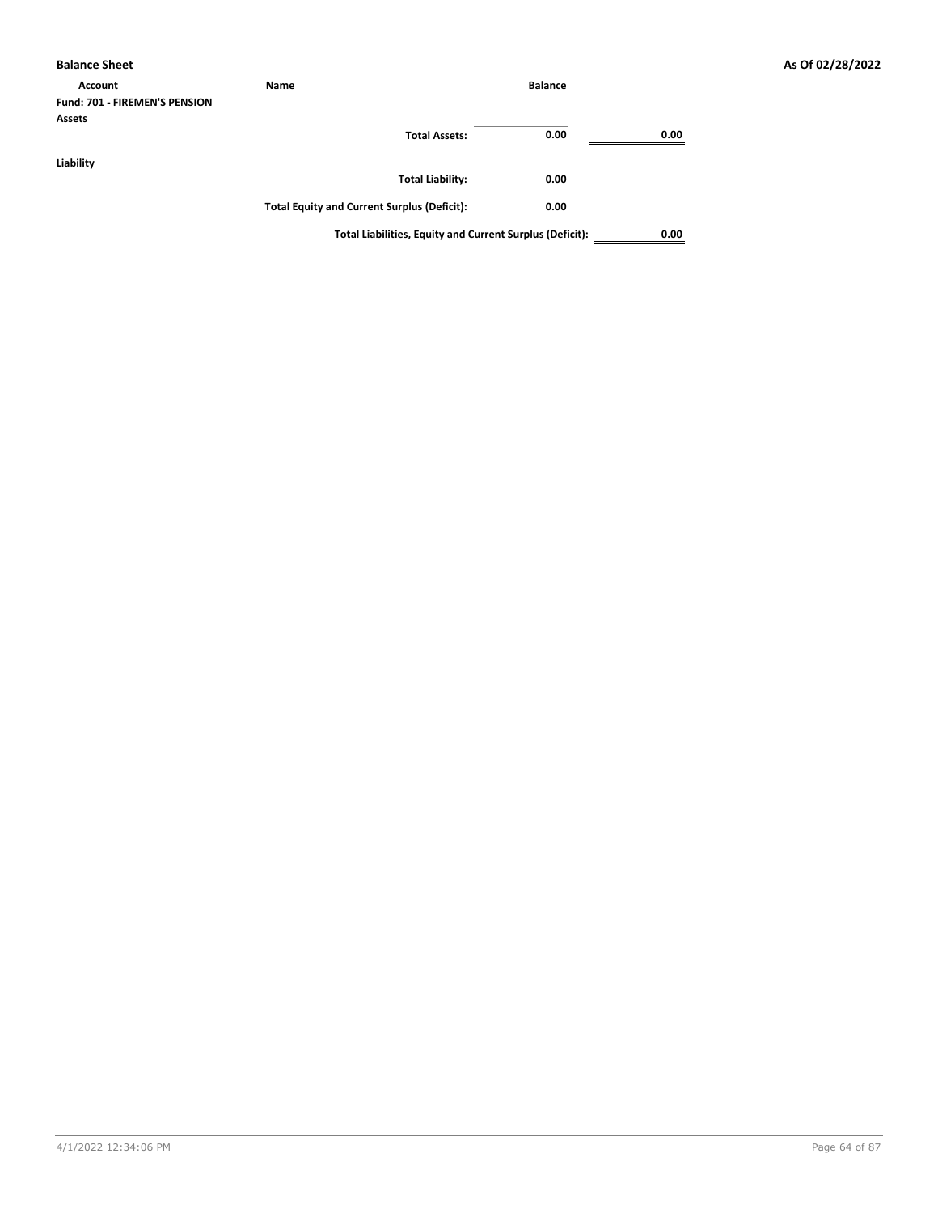| <b>Balance Sheet</b>          |                                                          |                |      |
|-------------------------------|----------------------------------------------------------|----------------|------|
| Account                       | Name                                                     | <b>Balance</b> |      |
| Fund: 701 - FIREMEN'S PENSION |                                                          |                |      |
| <b>Assets</b>                 |                                                          |                |      |
|                               | <b>Total Assets:</b>                                     | 0.00           | 0.00 |
| Liability                     |                                                          |                |      |
|                               | <b>Total Liability:</b>                                  | 0.00           |      |
|                               | <b>Total Equity and Current Surplus (Deficit):</b>       | 0.00           |      |
|                               | Total Liabilities, Equity and Current Surplus (Deficit): |                | 0.00 |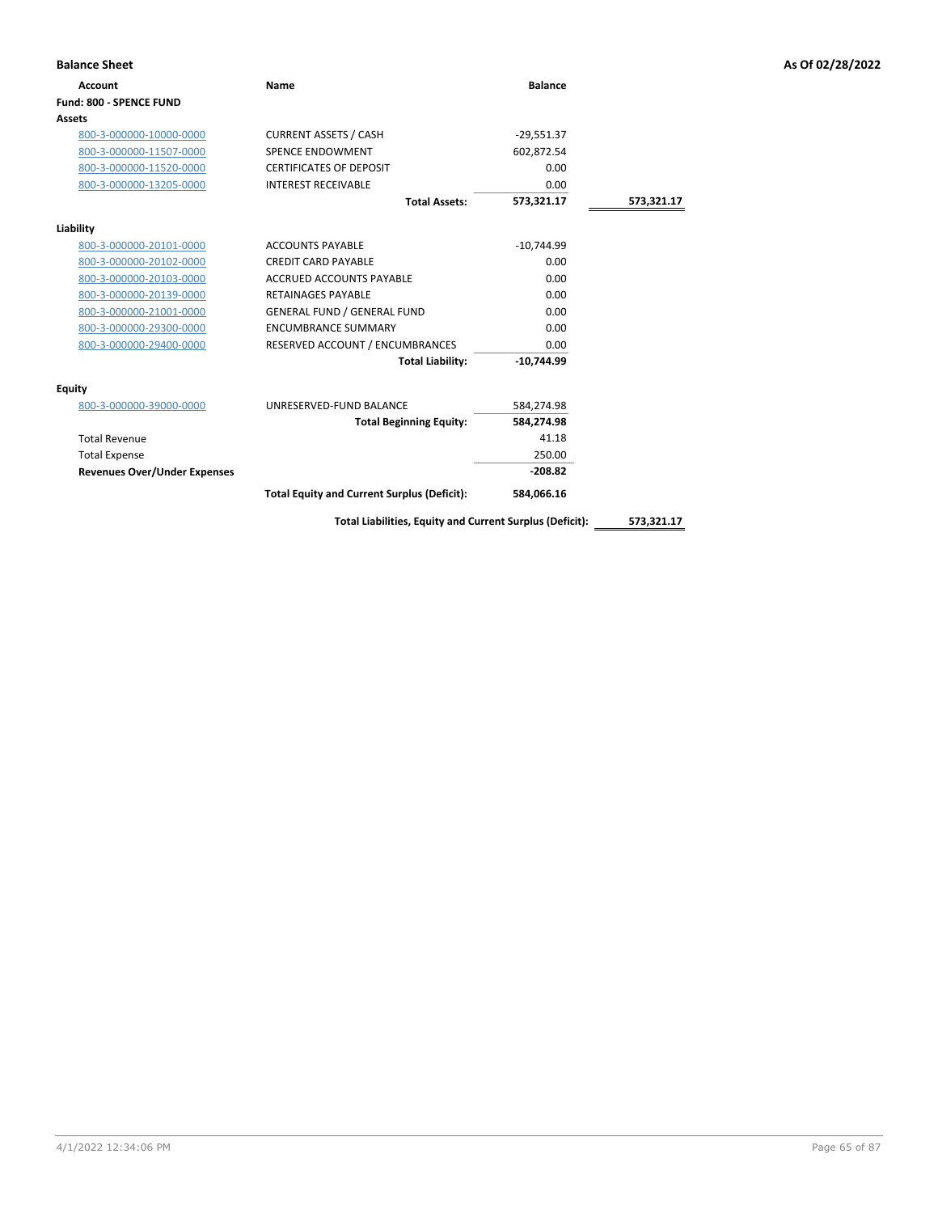| <b>Balance Sheet</b>                |                                                    |                |            | As Of 02/28/2022 |
|-------------------------------------|----------------------------------------------------|----------------|------------|------------------|
| Account                             | Name                                               | <b>Balance</b> |            |                  |
| Fund: 800 - SPENCE FUND             |                                                    |                |            |                  |
| Assets                              |                                                    |                |            |                  |
| 800-3-000000-10000-0000             | <b>CURRENT ASSETS / CASH</b>                       | $-29,551.37$   |            |                  |
| 800-3-000000-11507-0000             | <b>SPENCE ENDOWMENT</b>                            | 602,872.54     |            |                  |
| 800-3-000000-11520-0000             | <b>CERTIFICATES OF DEPOSIT</b>                     | 0.00           |            |                  |
| 800-3-000000-13205-0000             | <b>INTEREST RECEIVABLE</b>                         | 0.00           |            |                  |
|                                     | <b>Total Assets:</b>                               | 573,321.17     | 573,321.17 |                  |
| Liability                           |                                                    |                |            |                  |
| 800-3-000000-20101-0000             | <b>ACCOUNTS PAYABLE</b>                            | $-10,744.99$   |            |                  |
| 800-3-000000-20102-0000             | <b>CREDIT CARD PAYABLE</b>                         | 0.00           |            |                  |
| 800-3-000000-20103-0000             | <b>ACCRUED ACCOUNTS PAYABLE</b>                    | 0.00           |            |                  |
| 800-3-000000-20139-0000             | <b>RETAINAGES PAYABLE</b>                          | 0.00           |            |                  |
| 800-3-000000-21001-0000             | <b>GENERAL FUND / GENERAL FUND</b>                 | 0.00           |            |                  |
| 800-3-000000-29300-0000             | <b>ENCUMBRANCE SUMMARY</b>                         | 0.00           |            |                  |
| 800-3-000000-29400-0000             | RESERVED ACCOUNT / ENCUMBRANCES                    | 0.00           |            |                  |
|                                     | <b>Total Liability:</b>                            | $-10,744.99$   |            |                  |
| Equity                              |                                                    |                |            |                  |
| 800-3-000000-39000-0000             | UNRESERVED-FUND BALANCE                            | 584,274.98     |            |                  |
|                                     | <b>Total Beginning Equity:</b>                     | 584,274.98     |            |                  |
| <b>Total Revenue</b>                |                                                    | 41.18          |            |                  |
| <b>Total Expense</b>                |                                                    | 250.00         |            |                  |
| <b>Revenues Over/Under Expenses</b> |                                                    | $-208.82$      |            |                  |
|                                     | <b>Total Equity and Current Surplus (Deficit):</b> | 584,066.16     |            |                  |
|                                     |                                                    |                |            |                  |

**Total Liabilities, Equity and Current Surplus (Deficit): 573,321.17**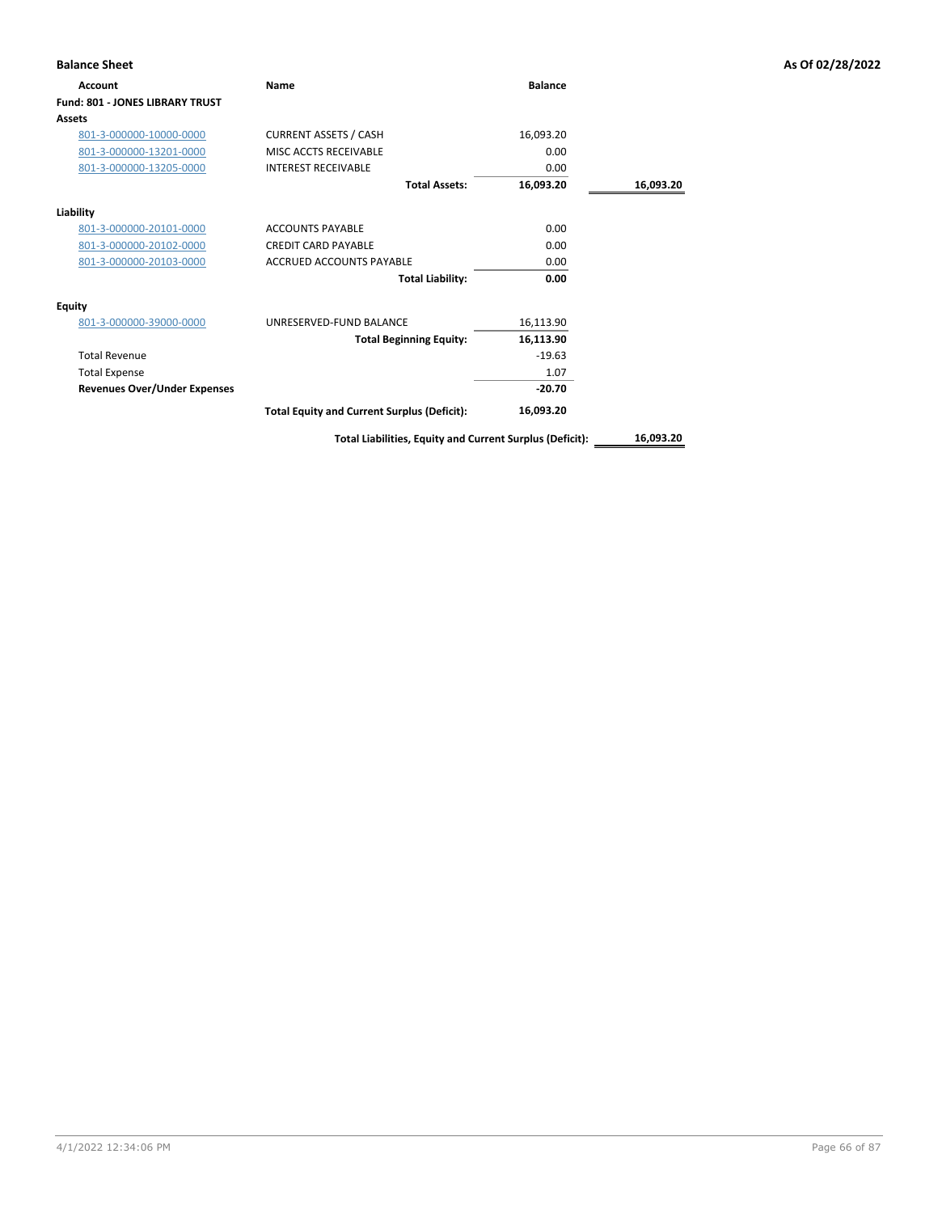| <b>Balance Sheet</b>                   |                                                          |                |           | As Of 02/28/2022 |
|----------------------------------------|----------------------------------------------------------|----------------|-----------|------------------|
| Account                                | Name                                                     | <b>Balance</b> |           |                  |
| <b>Fund: 801 - JONES LIBRARY TRUST</b> |                                                          |                |           |                  |
| Assets                                 |                                                          |                |           |                  |
| 801-3-000000-10000-0000                | <b>CURRENT ASSETS / CASH</b>                             | 16,093.20      |           |                  |
| 801-3-000000-13201-0000                | MISC ACCTS RECEIVABLE                                    | 0.00           |           |                  |
| 801-3-000000-13205-0000                | <b>INTEREST RECEIVABLE</b>                               | 0.00           |           |                  |
|                                        | <b>Total Assets:</b>                                     | 16,093.20      | 16,093.20 |                  |
| Liability                              |                                                          |                |           |                  |
| 801-3-000000-20101-0000                | <b>ACCOUNTS PAYABLE</b>                                  | 0.00           |           |                  |
| 801-3-000000-20102-0000                | <b>CREDIT CARD PAYABLE</b>                               | 0.00           |           |                  |
| 801-3-000000-20103-0000                | <b>ACCRUED ACCOUNTS PAYABLE</b>                          | 0.00           |           |                  |
|                                        | <b>Total Liability:</b>                                  | 0.00           |           |                  |
| <b>Equity</b>                          |                                                          |                |           |                  |
| 801-3-000000-39000-0000                | UNRESERVED-FUND BALANCE                                  | 16,113.90      |           |                  |
|                                        | <b>Total Beginning Equity:</b>                           | 16,113.90      |           |                  |
| <b>Total Revenue</b>                   |                                                          | $-19.63$       |           |                  |
| <b>Total Expense</b>                   |                                                          | 1.07           |           |                  |
| <b>Revenues Over/Under Expenses</b>    |                                                          | $-20.70$       |           |                  |
|                                        | <b>Total Equity and Current Surplus (Deficit):</b>       | 16,093.20      |           |                  |
|                                        | Total Liabilities, Equity and Current Surplus (Deficit): |                | 16,093.20 |                  |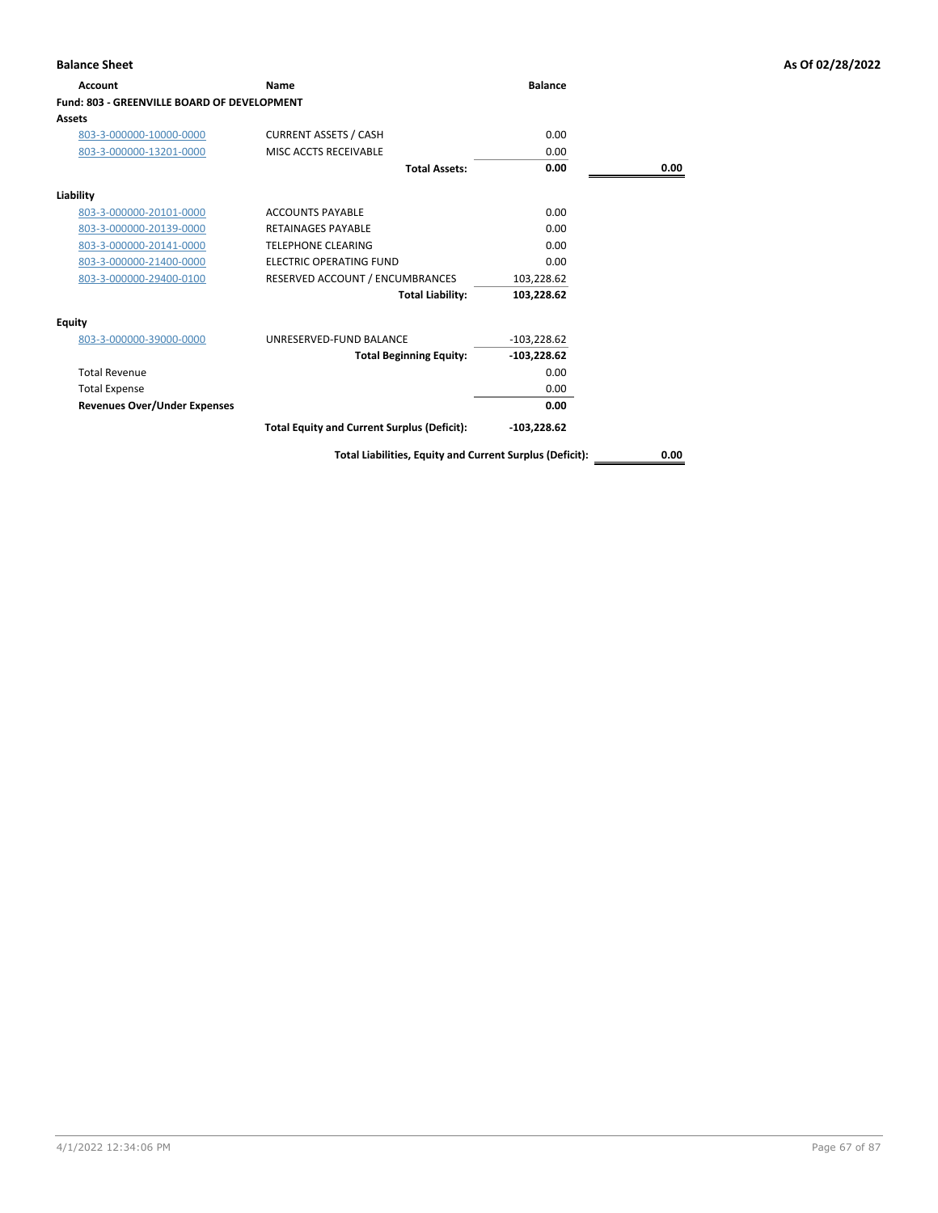| <b>Account</b>                              | <b>Name</b>                                              | <b>Balance</b> |      |
|---------------------------------------------|----------------------------------------------------------|----------------|------|
| Fund: 803 - GREENVILLE BOARD OF DEVELOPMENT |                                                          |                |      |
| <b>Assets</b>                               |                                                          |                |      |
| 803-3-000000-10000-0000                     | <b>CURRENT ASSETS / CASH</b>                             | 0.00           |      |
| 803-3-000000-13201-0000                     | MISC ACCTS RECEIVABLE                                    | 0.00           |      |
|                                             | <b>Total Assets:</b>                                     | 0.00           | 0.00 |
| Liability                                   |                                                          |                |      |
| 803-3-000000-20101-0000                     | <b>ACCOUNTS PAYABLE</b>                                  | 0.00           |      |
| 803-3-000000-20139-0000                     | <b>RETAINAGES PAYABLE</b>                                | 0.00           |      |
| 803-3-000000-20141-0000                     | <b>TELEPHONE CLEARING</b>                                | 0.00           |      |
| 803-3-000000-21400-0000                     | ELECTRIC OPERATING FUND                                  | 0.00           |      |
| 803-3-000000-29400-0100                     | RESERVED ACCOUNT / ENCUMBRANCES                          | 103,228.62     |      |
|                                             | <b>Total Liability:</b>                                  | 103,228.62     |      |
| <b>Equity</b>                               |                                                          |                |      |
| 803-3-000000-39000-0000                     | UNRESERVED-FUND BALANCE                                  | $-103,228.62$  |      |
|                                             | <b>Total Beginning Equity:</b>                           | $-103,228.62$  |      |
| <b>Total Revenue</b>                        |                                                          | 0.00           |      |
| <b>Total Expense</b>                        |                                                          | 0.00           |      |
| <b>Revenues Over/Under Expenses</b>         |                                                          | 0.00           |      |
|                                             | <b>Total Equity and Current Surplus (Deficit):</b>       | $-103,228.62$  |      |
|                                             | Total Liabilities, Equity and Current Surplus (Deficit): |                | 0.00 |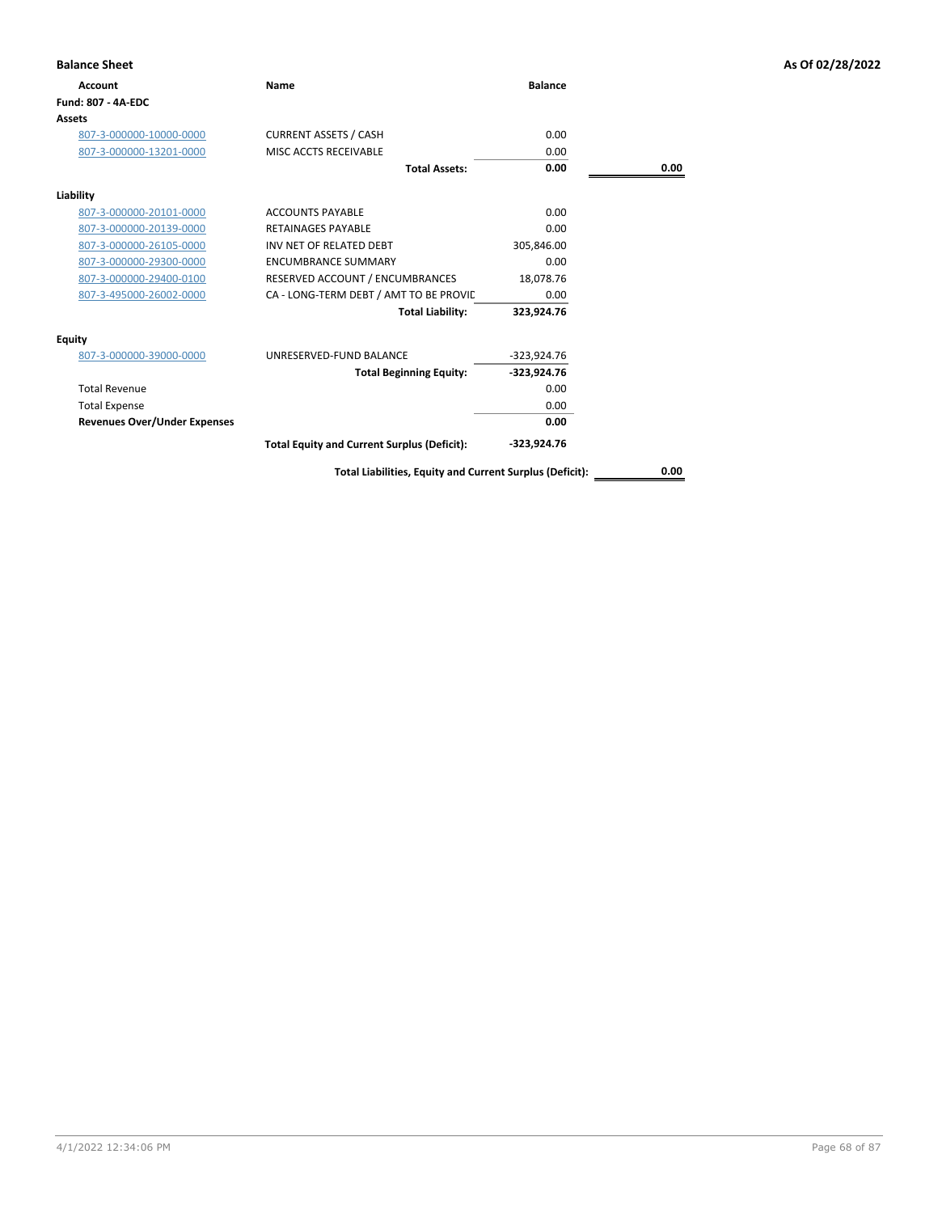| <b>Balance Sheet</b>                |                                                          |                |      | As Of 02/28/2022 |
|-------------------------------------|----------------------------------------------------------|----------------|------|------------------|
| Account                             | <b>Name</b>                                              | <b>Balance</b> |      |                  |
| Fund: 807 - 4A-EDC                  |                                                          |                |      |                  |
| Assets                              |                                                          |                |      |                  |
| 807-3-000000-10000-0000             | <b>CURRENT ASSETS / CASH</b>                             | 0.00           |      |                  |
| 807-3-000000-13201-0000             | MISC ACCTS RECEIVABLE                                    | 0.00           |      |                  |
|                                     | <b>Total Assets:</b>                                     | 0.00           | 0.00 |                  |
| Liability                           |                                                          |                |      |                  |
| 807-3-000000-20101-0000             | <b>ACCOUNTS PAYABLE</b>                                  | 0.00           |      |                  |
| 807-3-000000-20139-0000             | <b>RETAINAGES PAYABLE</b>                                | 0.00           |      |                  |
| 807-3-000000-26105-0000             | INV NET OF RELATED DEBT                                  | 305,846.00     |      |                  |
| 807-3-000000-29300-0000             | <b>ENCUMBRANCE SUMMARY</b>                               | 0.00           |      |                  |
| 807-3-000000-29400-0100             | RESERVED ACCOUNT / ENCUMBRANCES                          | 18,078.76      |      |                  |
| 807-3-495000-26002-0000             | CA - LONG-TERM DEBT / AMT TO BE PROVIL                   | 0.00           |      |                  |
|                                     | <b>Total Liability:</b>                                  | 323,924.76     |      |                  |
| <b>Equity</b>                       |                                                          |                |      |                  |
| 807-3-000000-39000-0000             | UNRESERVED-FUND BALANCE                                  | $-323,924.76$  |      |                  |
|                                     | <b>Total Beginning Equity:</b>                           | -323,924.76    |      |                  |
| <b>Total Revenue</b>                |                                                          | 0.00           |      |                  |
| <b>Total Expense</b>                |                                                          | 0.00           |      |                  |
| <b>Revenues Over/Under Expenses</b> |                                                          | 0.00           |      |                  |
|                                     | <b>Total Equity and Current Surplus (Deficit):</b>       | $-323,924.76$  |      |                  |
|                                     | Total Liabilities, Equity and Current Surplus (Deficit): |                | 0.00 |                  |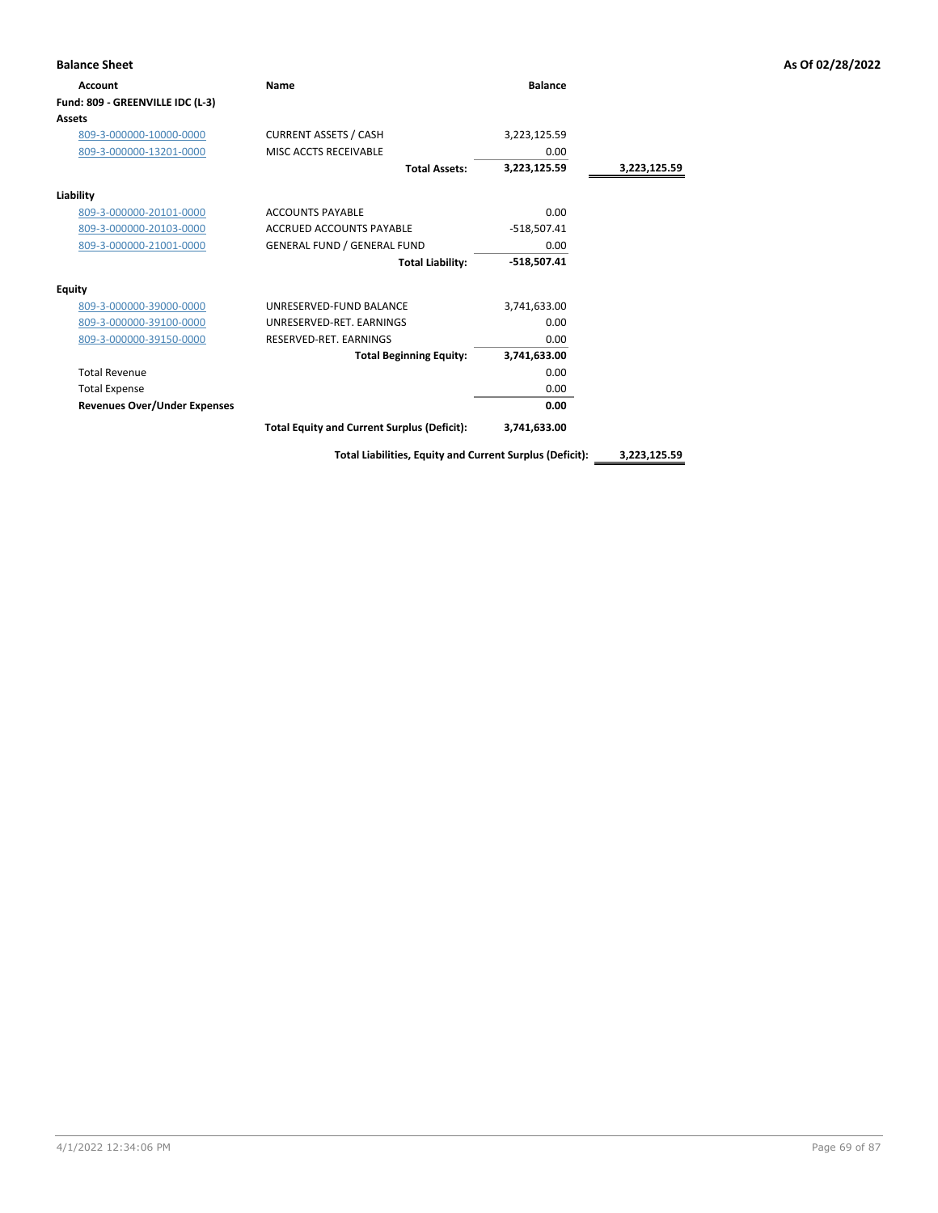| <b>Balance Sheet</b>                |                                                    |                |              | As Of 02/28/2022 |
|-------------------------------------|----------------------------------------------------|----------------|--------------|------------------|
| <b>Account</b>                      | Name                                               | <b>Balance</b> |              |                  |
| Fund: 809 - GREENVILLE IDC (L-3)    |                                                    |                |              |                  |
| <b>Assets</b>                       |                                                    |                |              |                  |
| 809-3-000000-10000-0000             | <b>CURRENT ASSETS / CASH</b>                       | 3,223,125.59   |              |                  |
| 809-3-000000-13201-0000             | MISC ACCTS RECEIVABLE                              | 0.00           |              |                  |
|                                     | <b>Total Assets:</b>                               | 3,223,125.59   | 3,223,125.59 |                  |
| Liability                           |                                                    |                |              |                  |
| 809-3-000000-20101-0000             | <b>ACCOUNTS PAYABLE</b>                            | 0.00           |              |                  |
| 809-3-000000-20103-0000             | ACCRUED ACCOUNTS PAYABLE                           | $-518,507.41$  |              |                  |
| 809-3-000000-21001-0000             | <b>GENERAL FUND / GENERAL FUND</b>                 | 0.00           |              |                  |
|                                     | <b>Total Liability:</b>                            | $-518,507.41$  |              |                  |
| <b>Equity</b>                       |                                                    |                |              |                  |
| 809-3-000000-39000-0000             | UNRESERVED-FUND BALANCE                            | 3,741,633.00   |              |                  |
| 809-3-000000-39100-0000             | UNRESERVED-RET. EARNINGS                           | 0.00           |              |                  |
| 809-3-000000-39150-0000             | RESERVED-RET. EARNINGS                             | 0.00           |              |                  |
|                                     | <b>Total Beginning Equity:</b>                     | 3,741,633.00   |              |                  |
| <b>Total Revenue</b>                |                                                    | 0.00           |              |                  |
| <b>Total Expense</b>                |                                                    | 0.00           |              |                  |
| <b>Revenues Over/Under Expenses</b> |                                                    | 0.00           |              |                  |
|                                     | <b>Total Equity and Current Surplus (Deficit):</b> | 3,741,633.00   |              |                  |

**Total Liabilities, Equity and Current Surplus (Deficit): 3,223,125.59**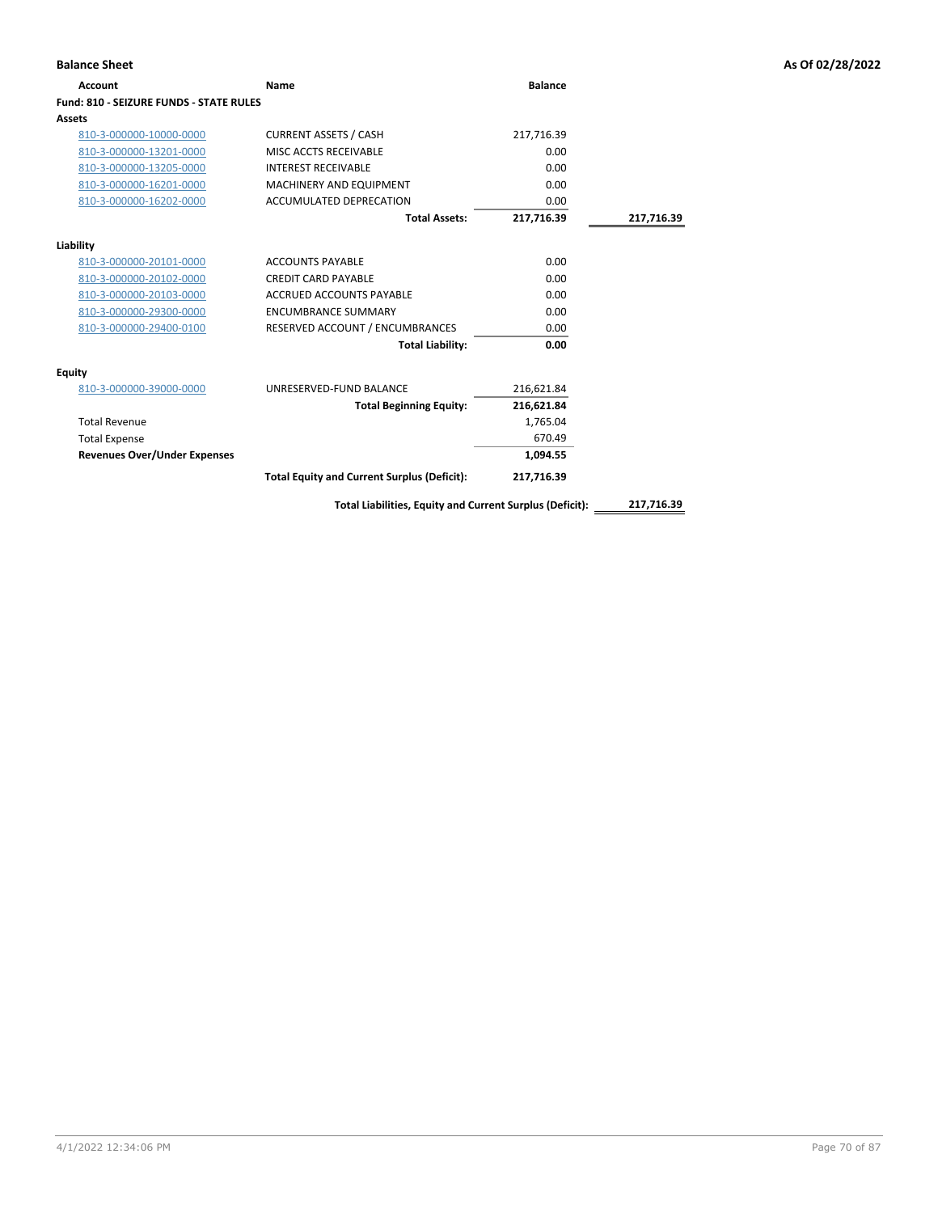| <b>Balance Sheet</b>                    |                                                          |                |            | As Of 02/28/2022 |
|-----------------------------------------|----------------------------------------------------------|----------------|------------|------------------|
| <b>Account</b>                          | Name                                                     | <b>Balance</b> |            |                  |
| Fund: 810 - SEIZURE FUNDS - STATE RULES |                                                          |                |            |                  |
| <b>Assets</b>                           |                                                          |                |            |                  |
| 810-3-000000-10000-0000                 | <b>CURRENT ASSETS / CASH</b>                             | 217,716.39     |            |                  |
| 810-3-000000-13201-0000                 | MISC ACCTS RECEIVABLE                                    | 0.00           |            |                  |
| 810-3-000000-13205-0000                 | <b>INTEREST RECEIVABLE</b>                               | 0.00           |            |                  |
| 810-3-000000-16201-0000                 | MACHINERY AND EQUIPMENT                                  | 0.00           |            |                  |
| 810-3-000000-16202-0000                 | ACCUMULATED DEPRECATION                                  | 0.00           |            |                  |
|                                         | <b>Total Assets:</b>                                     | 217,716.39     | 217,716.39 |                  |
| Liability                               |                                                          |                |            |                  |
| 810-3-000000-20101-0000                 | <b>ACCOUNTS PAYABLE</b>                                  | 0.00           |            |                  |
| 810-3-000000-20102-0000                 | <b>CREDIT CARD PAYABLE</b>                               | 0.00           |            |                  |
| 810-3-000000-20103-0000                 | ACCRUED ACCOUNTS PAYABLE                                 | 0.00           |            |                  |
| 810-3-000000-29300-0000                 | <b>ENCUMBRANCE SUMMARY</b>                               | 0.00           |            |                  |
| 810-3-000000-29400-0100                 | RESERVED ACCOUNT / ENCUMBRANCES                          | 0.00           |            |                  |
|                                         | <b>Total Liability:</b>                                  | 0.00           |            |                  |
| <b>Equity</b>                           |                                                          |                |            |                  |
| 810-3-000000-39000-0000                 | UNRESERVED-FUND BALANCE                                  | 216,621.84     |            |                  |
|                                         | <b>Total Beginning Equity:</b>                           | 216,621.84     |            |                  |
| <b>Total Revenue</b>                    |                                                          | 1,765.04       |            |                  |
| <b>Total Expense</b>                    |                                                          | 670.49         |            |                  |
| <b>Revenues Over/Under Expenses</b>     |                                                          | 1,094.55       |            |                  |
|                                         | <b>Total Equity and Current Surplus (Deficit):</b>       | 217,716.39     |            |                  |
|                                         | Total Liabilities, Equity and Current Surplus (Deficit): |                | 217,716.39 |                  |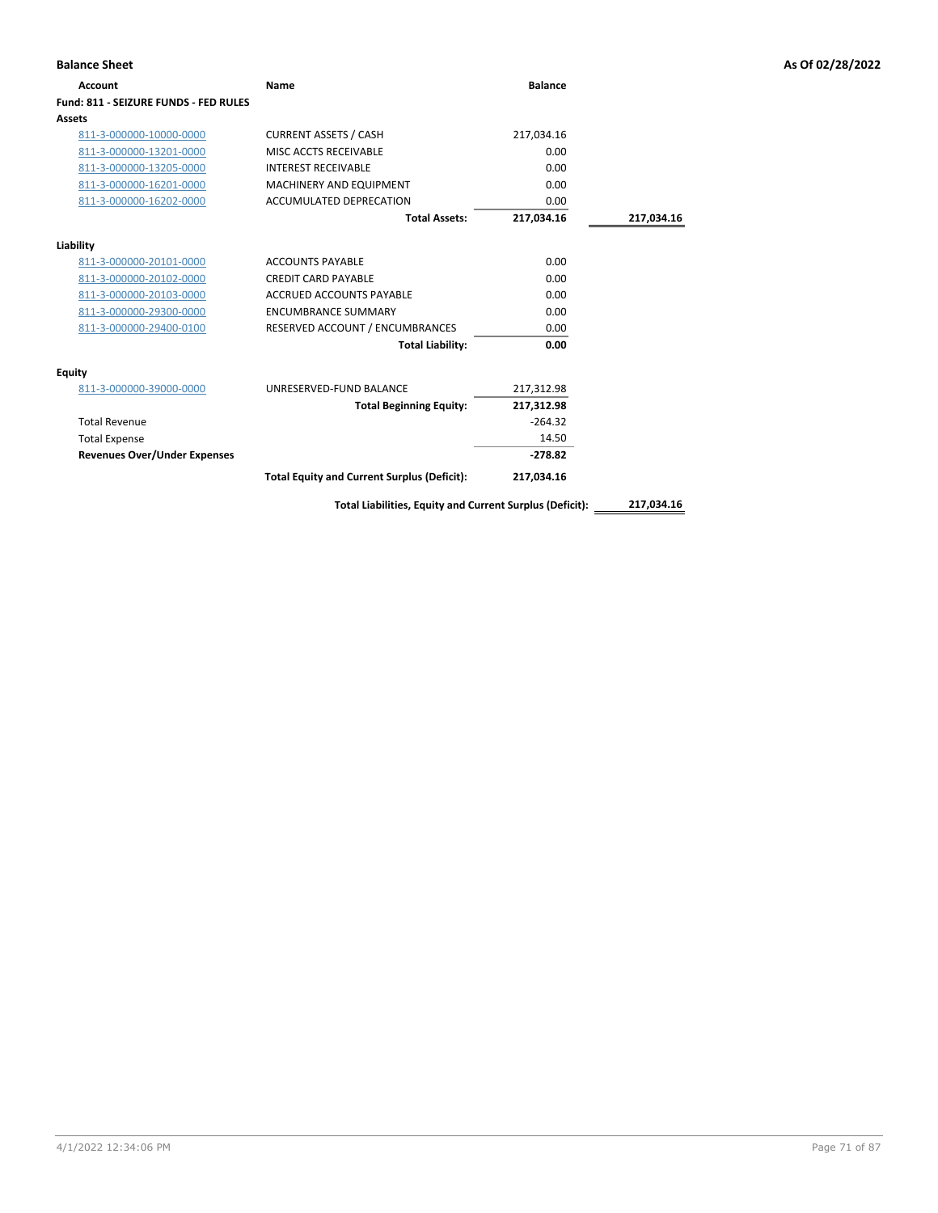| Account                               | Name                                                     | <b>Balance</b> |            |
|---------------------------------------|----------------------------------------------------------|----------------|------------|
| Fund: 811 - SEIZURE FUNDS - FED RULES |                                                          |                |            |
| Assets                                |                                                          |                |            |
| 811-3-000000-10000-0000               | <b>CURRENT ASSETS / CASH</b>                             | 217,034.16     |            |
| 811-3-000000-13201-0000               | MISC ACCTS RECEIVABLE                                    | 0.00           |            |
| 811-3-000000-13205-0000               | <b>INTEREST RECEIVABLE</b>                               | 0.00           |            |
| 811-3-000000-16201-0000               | MACHINERY AND EQUIPMENT                                  | 0.00           |            |
| 811-3-000000-16202-0000               | ACCUMULATED DEPRECATION                                  | 0.00           |            |
|                                       | <b>Total Assets:</b>                                     | 217,034.16     | 217,034.16 |
| Liability                             |                                                          |                |            |
| 811-3-000000-20101-0000               | <b>ACCOUNTS PAYABLE</b>                                  | 0.00           |            |
| 811-3-000000-20102-0000               | <b>CREDIT CARD PAYABLE</b>                               | 0.00           |            |
| 811-3-000000-20103-0000               | <b>ACCRUED ACCOUNTS PAYABLE</b>                          | 0.00           |            |
| 811-3-000000-29300-0000               | <b>ENCUMBRANCE SUMMARY</b>                               | 0.00           |            |
| 811-3-000000-29400-0100               | RESERVED ACCOUNT / ENCUMBRANCES                          | 0.00           |            |
|                                       | <b>Total Liability:</b>                                  | 0.00           |            |
| Equity                                |                                                          |                |            |
| 811-3-000000-39000-0000               | UNRESERVED-FUND BALANCE                                  | 217,312.98     |            |
|                                       | <b>Total Beginning Equity:</b>                           | 217,312.98     |            |
| <b>Total Revenue</b>                  |                                                          | $-264.32$      |            |
| <b>Total Expense</b>                  |                                                          | 14.50          |            |
| <b>Revenues Over/Under Expenses</b>   |                                                          | $-278.82$      |            |
|                                       | <b>Total Equity and Current Surplus (Deficit):</b>       | 217,034.16     |            |
|                                       | Total Liabilities, Equity and Current Surplus (Deficit): |                | 217,034.16 |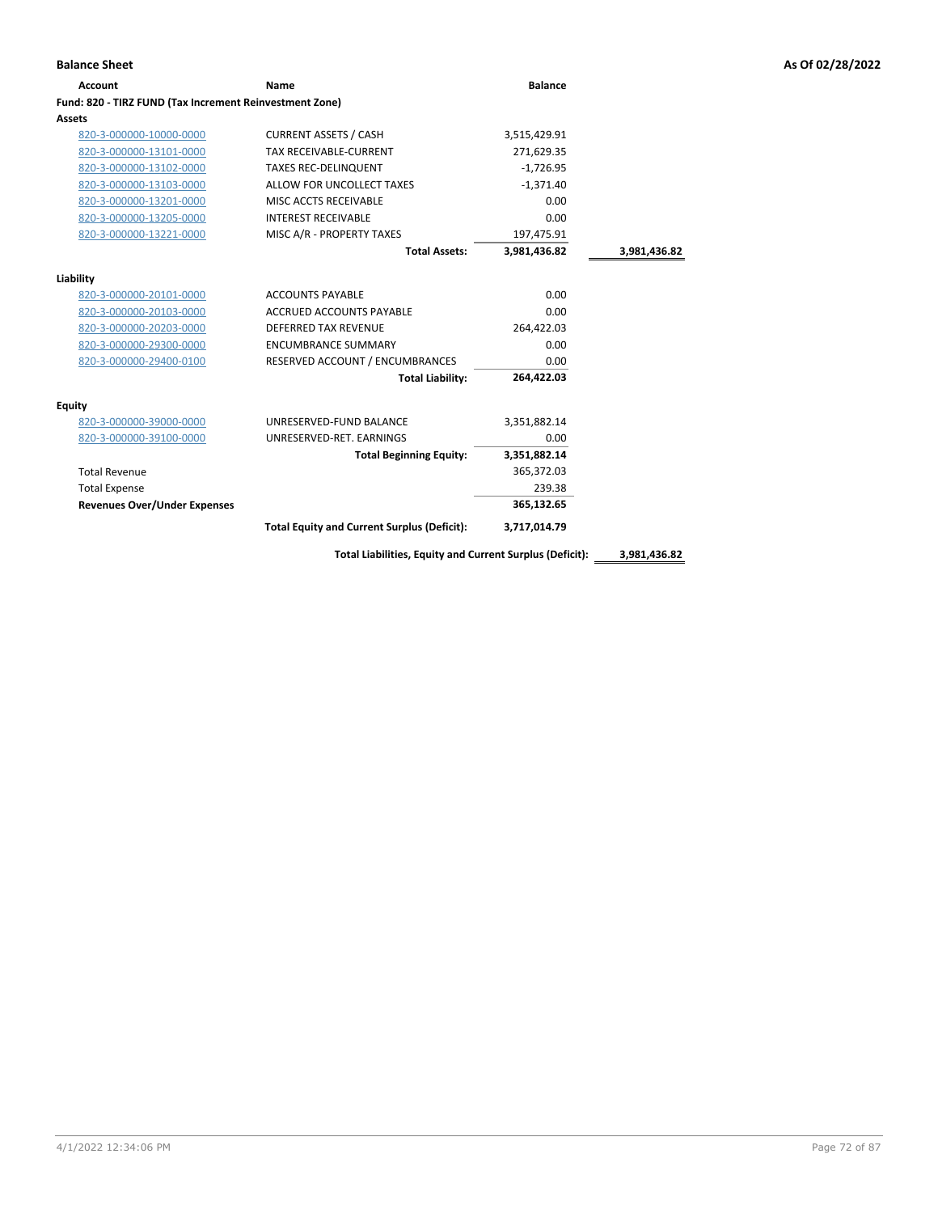| <b>Account</b>                                          | Name                                               | <b>Balance</b> |              |
|---------------------------------------------------------|----------------------------------------------------|----------------|--------------|
| Fund: 820 - TIRZ FUND (Tax Increment Reinvestment Zone) |                                                    |                |              |
| Assets                                                  |                                                    |                |              |
| 820-3-000000-10000-0000                                 | <b>CURRENT ASSETS / CASH</b>                       | 3,515,429.91   |              |
| 820-3-000000-13101-0000                                 | <b>TAX RECEIVABLE-CURRENT</b>                      | 271,629.35     |              |
| 820-3-000000-13102-0000                                 | <b>TAXES REC-DELINQUENT</b>                        | $-1,726.95$    |              |
| 820-3-000000-13103-0000                                 | ALLOW FOR UNCOLLECT TAXES                          | $-1,371.40$    |              |
| 820-3-000000-13201-0000                                 | MISC ACCTS RECEIVABLE                              | 0.00           |              |
| 820-3-000000-13205-0000                                 | <b>INTEREST RECEIVABLE</b>                         | 0.00           |              |
| 820-3-000000-13221-0000                                 | MISC A/R - PROPERTY TAXES                          | 197,475.91     |              |
|                                                         | <b>Total Assets:</b>                               | 3.981.436.82   | 3,981,436.82 |
| Liability                                               |                                                    |                |              |
| 820-3-000000-20101-0000                                 | <b>ACCOUNTS PAYABLE</b>                            | 0.00           |              |
| 820-3-000000-20103-0000                                 | ACCRUED ACCOUNTS PAYABLE                           | 0.00           |              |
| 820-3-000000-20203-0000                                 | <b>DEFERRED TAX REVENUE</b>                        | 264,422.03     |              |
| 820-3-000000-29300-0000                                 | <b>ENCUMBRANCE SUMMARY</b>                         | 0.00           |              |
| 820-3-000000-29400-0100                                 | RESERVED ACCOUNT / ENCUMBRANCES                    | 0.00           |              |
|                                                         | <b>Total Liability:</b>                            | 264.422.03     |              |
| Equity                                                  |                                                    |                |              |
| 820-3-000000-39000-0000                                 | UNRESERVED-FUND BALANCE                            | 3,351,882.14   |              |
| 820-3-000000-39100-0000                                 | UNRESERVED-RET, EARNINGS                           | 0.00           |              |
|                                                         | <b>Total Beginning Equity:</b>                     | 3,351,882.14   |              |
| <b>Total Revenue</b>                                    |                                                    | 365,372.03     |              |
| <b>Total Expense</b>                                    |                                                    | 239.38         |              |
| <b>Revenues Over/Under Expenses</b>                     |                                                    | 365,132.65     |              |
|                                                         | <b>Total Equity and Current Surplus (Deficit):</b> | 3,717,014.79   |              |
|                                                         |                                                    |                |              |

**Total Liabilities, Equity and Current Surplus (Deficit): 3,981,436.82**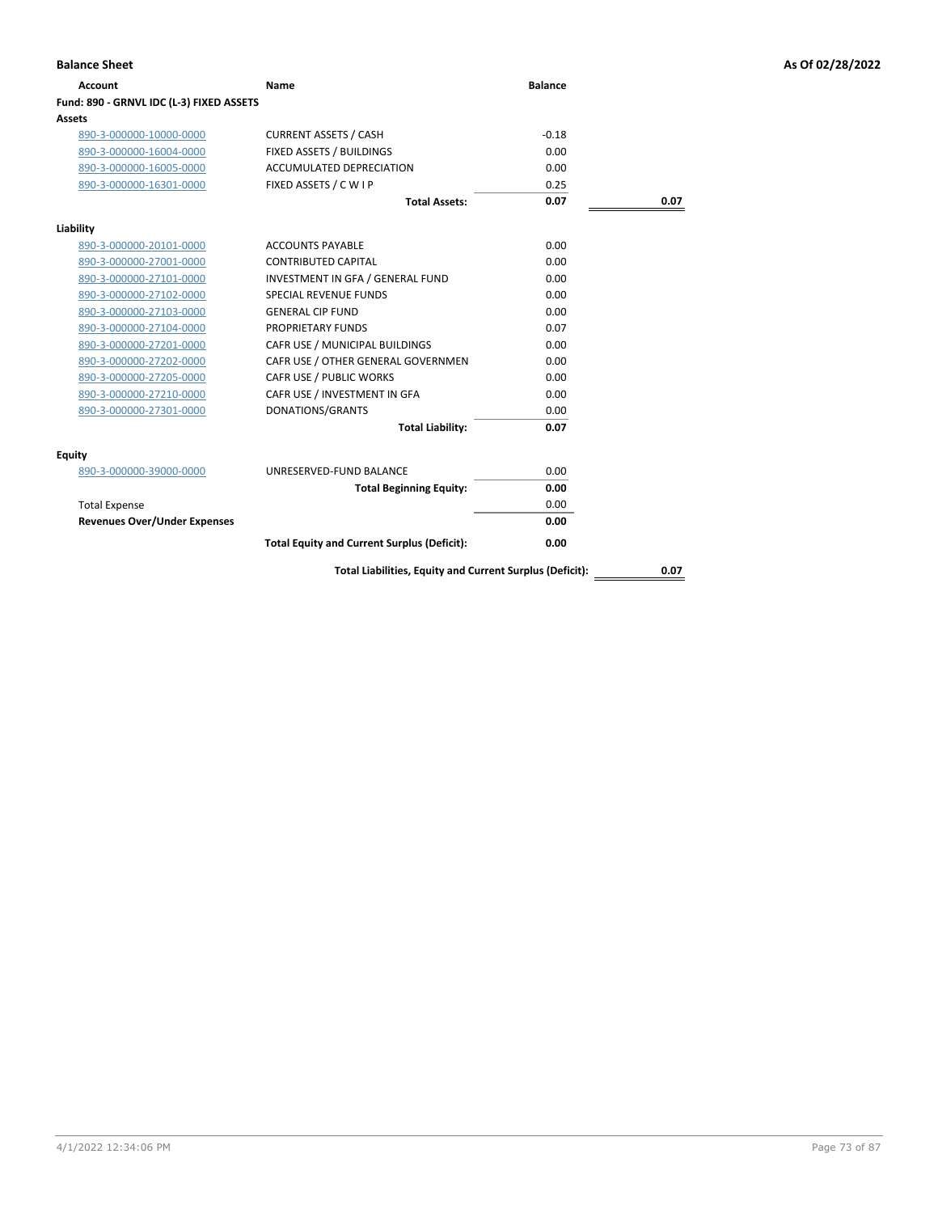| Account                                  | Name                                                     | <b>Balance</b> |      |
|------------------------------------------|----------------------------------------------------------|----------------|------|
| Fund: 890 - GRNVL IDC (L-3) FIXED ASSETS |                                                          |                |      |
| Assets                                   |                                                          |                |      |
| 890-3-000000-10000-0000                  | <b>CURRENT ASSETS / CASH</b>                             | $-0.18$        |      |
| 890-3-000000-16004-0000                  | FIXED ASSETS / BUILDINGS                                 | 0.00           |      |
| 890-3-000000-16005-0000                  | <b>ACCUMULATED DEPRECIATION</b>                          | 0.00           |      |
| 890-3-000000-16301-0000                  | FIXED ASSETS / C W I P                                   | 0.25           |      |
|                                          | <b>Total Assets:</b>                                     | 0.07           | 0.07 |
| Liability                                |                                                          |                |      |
| 890-3-000000-20101-0000                  | <b>ACCOUNTS PAYABLE</b>                                  | 0.00           |      |
| 890-3-000000-27001-0000                  | <b>CONTRIBUTED CAPITAL</b>                               | 0.00           |      |
| 890-3-000000-27101-0000                  | INVESTMENT IN GFA / GENERAL FUND                         | 0.00           |      |
| 890-3-000000-27102-0000                  | <b>SPECIAL REVENUE FUNDS</b>                             | 0.00           |      |
| 890-3-000000-27103-0000                  | <b>GENERAL CIP FUND</b>                                  | 0.00           |      |
| 890-3-000000-27104-0000                  | <b>PROPRIETARY FUNDS</b>                                 | 0.07           |      |
| 890-3-000000-27201-0000                  | CAFR USE / MUNICIPAL BUILDINGS                           | 0.00           |      |
| 890-3-000000-27202-0000                  | CAFR USE / OTHER GENERAL GOVERNMEN                       | 0.00           |      |
| 890-3-000000-27205-0000                  | CAFR USE / PUBLIC WORKS                                  | 0.00           |      |
| 890-3-000000-27210-0000                  | CAFR USE / INVESTMENT IN GFA                             | 0.00           |      |
| 890-3-000000-27301-0000                  | DONATIONS/GRANTS                                         | 0.00           |      |
|                                          | <b>Total Liability:</b>                                  | 0.07           |      |
| Equity                                   |                                                          |                |      |
| 890-3-000000-39000-0000                  | UNRESERVED-FUND BALANCE                                  | 0.00           |      |
|                                          | <b>Total Beginning Equity:</b>                           | 0.00           |      |
| <b>Total Expense</b>                     |                                                          | 0.00           |      |
| <b>Revenues Over/Under Expenses</b>      |                                                          | 0.00           |      |
|                                          | <b>Total Equity and Current Surplus (Deficit):</b>       | 0.00           |      |
|                                          | Total Liabilities, Equity and Current Surplus (Deficit): |                | 0.07 |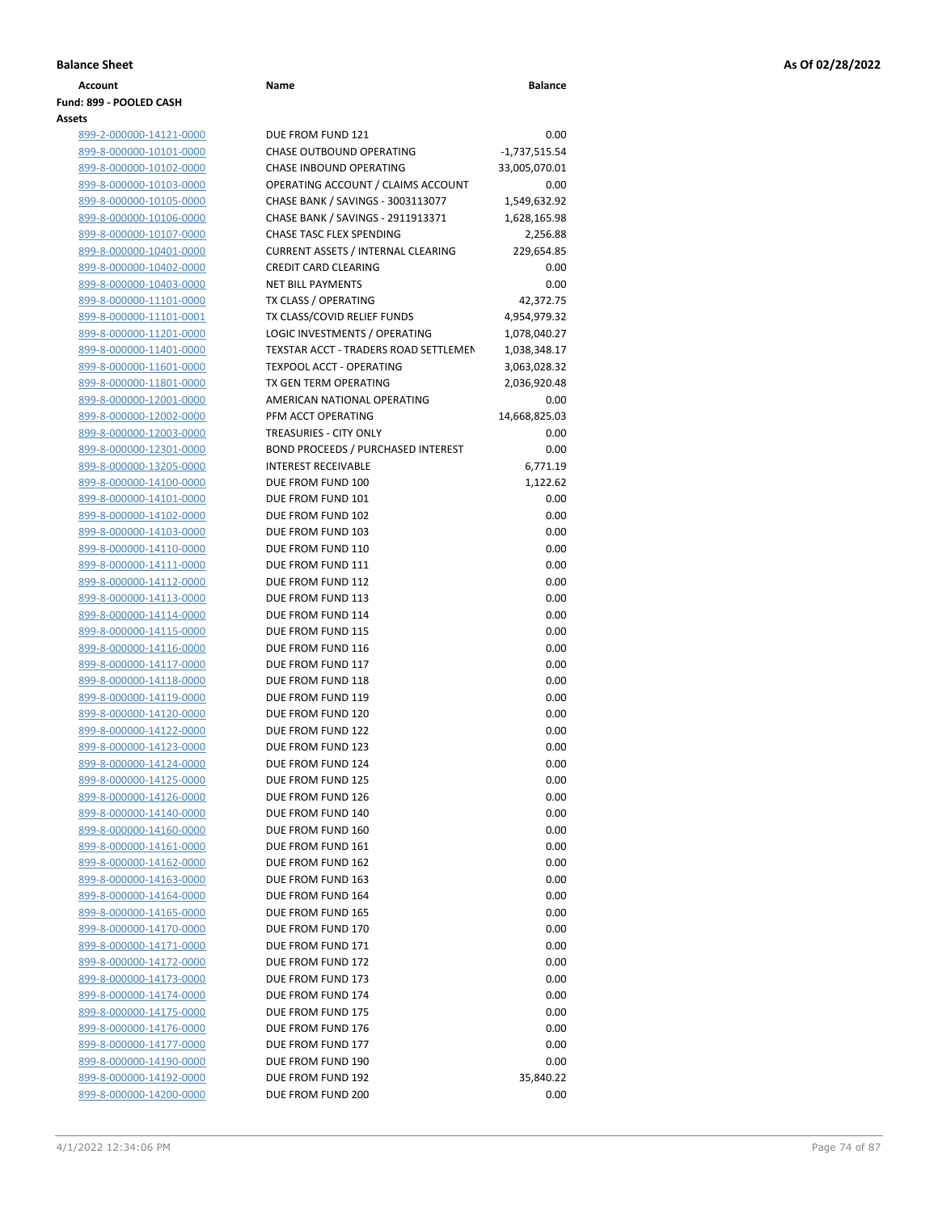| Account                 | Name                     | <b>Balance</b> |
|-------------------------|--------------------------|----------------|
| Fund: 899 - POOLED CASH |                          |                |
| Assets                  |                          |                |
| 899-2-000000-14121-0000 | DUE FROM FUND 121        | 0.00           |
| 899-8-000000-10101-0000 | CHASE OUTBOUND OPERATING | -1.737.515.54  |

| 99-2-000000-14121-0000                           | DUE         |
|--------------------------------------------------|-------------|
| 99-8-000000-10101-0000                           | CHA         |
| 99-8-000000-10102-0000                           | CHA         |
| 99-8-000000-10103-0000                           | OPE         |
| 99-8-000000-10105-0000                           | CHA         |
| 99-8-000000-10106-0000                           | CHA         |
| 99-8-000000-10107-0000                           | CHA         |
| 99-8-000000-10401-0000                           | CUR         |
| 99-8-000000-10402-0000                           | <b>CRE</b>  |
| 99-8-000000-10403-0000                           | NET         |
| 99-8-000000-11101-0000                           | TX C        |
| 99-8-000000-11101-0001                           | TX C        |
| 99-8-000000-11201-0000                           | LOG         |
| 99-8-000000-11401-0000                           | <b>TEXS</b> |
| 99-8-000000-11601-0000                           | <b>TEXI</b> |
| 99-8-000000-11801-0000                           | TX G        |
| 99-8-000000-12001-0000                           | AMI         |
| 99-8-000000-12002-0000                           | PFM         |
| 99-8-000000-12003-0000                           | TRE/        |
| 99-8-000000-12301-0000                           | <b>BON</b>  |
| 99-8-000000-13205-0000                           | INTE        |
| 99-8-000000-14100-0000                           | DUE         |
| 99-8-000000-14101-0000                           | DUE         |
| 99-8-000000-14102-0000                           | <b>DUE</b>  |
| 99-8-000000-14103-0000                           | DUE         |
| 99-8-000000-14110-0000                           | DUE         |
| 99-8-000000-14111-0000                           | DUE         |
| 99-8-000000-14112-0000                           | DUE         |
| 99-8-000000-14113-0000                           | DUE         |
| 99-8-000000-14114-0000<br>99-8-000000-14115-0000 | DUE<br>DUE  |
| 99-8-000000-14116-0000                           | DUE         |
| 99-8-000000-14117-0000                           | DUE         |
| 99-8-000000-14118-0000                           | DUE         |
| 99-8-000000-14119-0000                           | DUE         |
| 99-8-000000-14120-0000                           | DUE         |
| 99-8-000000-14122-0000                           | DUE         |
| 99-8-000000-14123-0000                           | DUE         |
| 99-8-000000-14124-0000                           | DUE         |
| 99-8-000000-14125-0000                           | <b>DUE</b>  |
| 99-8-000000-14126-0000                           | DUE         |
| 99-8-000000-14140-0000                           | due         |
| 99-8-000000-14160-0000                           | DUE         |
| 99-8-000000-14161-0000                           | DUE         |
| 99-8-000000-14162-0000                           | DUE         |
| 99-8-000000-14163-0000                           | DUE         |
| 99-8-000000-14164-0000                           | DUE         |
| 99-8-000000-14165-0000                           | DUE         |
| 99-8-000000-14170-0000                           | DUE         |
| 99-8-000000-14171-0000                           | DUE         |
| 99-8-000000-14172-0000                           | DUE         |
| 99-8-000000-14173-0000                           | DUE         |
| 99-8-000000-14174-0000                           | DUE         |
| 99-8-000000-14175-0000                           | DUE         |
| 99-8-000000-14176-0000                           | DUE         |
| 99-8-000000-14177-0000                           | DUE         |
| 99-8-000000-14190-0000                           | DUE         |
| 99-8-000000-14192-0000                           | DUE         |
| 99-8-000000-14200-0000                           | DUE         |

| ets                                                |                                           |                 |
|----------------------------------------------------|-------------------------------------------|-----------------|
| 899-2-000000-14121-0000                            | DUE FROM FUND 121                         | 0.00            |
| 899-8-000000-10101-0000                            | <b>CHASE OUTBOUND OPERATING</b>           | $-1,737,515.54$ |
| 899-8-000000-10102-0000                            | <b>CHASE INBOUND OPERATING</b>            | 33,005,070.01   |
| 899-8-000000-10103-0000                            | OPERATING ACCOUNT / CLAIMS ACCOUNT        | 0.00            |
| 899-8-000000-10105-0000                            | CHASE BANK / SAVINGS - 3003113077         | 1,549,632.92    |
| 899-8-000000-10106-0000                            | CHASE BANK / SAVINGS - 2911913371         | 1,628,165.98    |
| 899-8-000000-10107-0000                            | CHASE TASC FLEX SPENDING                  | 2,256.88        |
| 899-8-000000-10401-0000                            | <b>CURRENT ASSETS / INTERNAL CLEARING</b> | 229,654.85      |
| 899-8-000000-10402-0000                            | <b>CREDIT CARD CLEARING</b>               | 0.00            |
| 899-8-000000-10403-0000                            | <b>NET BILL PAYMENTS</b>                  | 0.00            |
| 899-8-000000-11101-0000                            | TX CLASS / OPERATING                      | 42,372.75       |
| 899-8-000000-11101-0001                            | TX CLASS/COVID RELIEF FUNDS               | 4,954,979.32    |
| 899-8-000000-11201-0000                            | LOGIC INVESTMENTS / OPERATING             | 1,078,040.27    |
| 899-8-000000-11401-0000                            | TEXSTAR ACCT - TRADERS ROAD SETTLEMEN     | 1,038,348.17    |
| 899-8-000000-11601-0000                            | TEXPOOL ACCT - OPERATING                  | 3,063,028.32    |
| 899-8-000000-11801-0000                            | TX GEN TERM OPERATING                     | 2,036,920.48    |
| 899-8-000000-12001-0000                            | AMERICAN NATIONAL OPERATING               | 0.00            |
| 899-8-000000-12002-0000                            | PFM ACCT OPERATING                        | 14,668,825.03   |
| 899-8-000000-12003-0000                            | <b>TREASURIES - CITY ONLY</b>             | 0.00            |
| 899-8-000000-12301-0000                            | <b>BOND PROCEEDS / PURCHASED INTEREST</b> | 0.00            |
| 899-8-000000-13205-0000                            | <b>INTEREST RECEIVABLE</b>                | 6,771.19        |
| 899-8-000000-14100-0000                            | DUE FROM FUND 100                         | 1,122.62        |
| 899-8-000000-14101-0000                            | DUE FROM FUND 101<br>DUE FROM FUND 102    | 0.00            |
| 899-8-000000-14102-0000<br>899-8-000000-14103-0000 | DUE FROM FUND 103                         | 0.00<br>0.00    |
| 899-8-000000-14110-0000                            | DUE FROM FUND 110                         | 0.00            |
| 899-8-000000-14111-0000                            | DUE FROM FUND 111                         | 0.00            |
| 899-8-000000-14112-0000                            | DUE FROM FUND 112                         | 0.00            |
| 899-8-000000-14113-0000                            | DUE FROM FUND 113                         | 0.00            |
| 899-8-000000-14114-0000                            | DUE FROM FUND 114                         | 0.00            |
| 899-8-000000-14115-0000                            | DUE FROM FUND 115                         | 0.00            |
| 899-8-000000-14116-0000                            | DUE FROM FUND 116                         | 0.00            |
| 899-8-000000-14117-0000                            | DUE FROM FUND 117                         | 0.00            |
| 899-8-000000-14118-0000                            | DUE FROM FUND 118                         | 0.00            |
| 899-8-000000-14119-0000                            | DUE FROM FUND 119                         | 0.00            |
| 899-8-000000-14120-0000                            | DUE FROM FUND 120                         | 0.00            |
| 899-8-000000-14122-0000                            | DUE FROM FUND 122                         | 0.00            |
| 899-8-000000-14123-0000                            | DUE FROM FUND 123                         | 0.00            |
| 899-8-000000-14124-0000                            | DUE FROM FUND 124                         | 0.00            |
| 899-8-000000-14125-0000                            | DUE FROM FUND 125                         | 0.00            |
| 899-8-000000-14126-0000                            | DUE FROM FUND 126                         | 0.00            |
| 899-8-000000-14140-0000                            | DUE FROM FUND 140                         | 0.00            |
| 899-8-000000-14160-0000                            | DUE FROM FUND 160                         | 0.00            |
| 899-8-000000-14161-0000                            | DUE FROM FUND 161                         | 0.00            |
| 899-8-000000-14162-0000                            | DUE FROM FUND 162                         | 0.00            |
| <u>899-8-000000-14163-0000</u>                     | DUE FROM FUND 163                         | 0.00            |
| <u>899-8-000000-14164-0000</u>                     | DUE FROM FUND 164                         | 0.00            |
| 899-8-000000-14165-0000                            | DUE FROM FUND 165                         | 0.00            |
| 899-8-000000-14170-0000                            | DUE FROM FUND 170                         | 0.00            |
| 899-8-000000-14171-0000                            | DUE FROM FUND 171                         | 0.00            |
| <u>899-8-000000-14172-0000</u>                     | DUE FROM FUND 172                         | 0.00            |
| 899-8-000000-14173-0000                            | DUE FROM FUND 173                         | 0.00            |
| 899-8-000000-14174-0000                            | DUE FROM FUND 174                         | 0.00            |
| 899-8-000000-14175-0000                            | DUE FROM FUND 175                         | 0.00            |
| 899-8-000000-14176-0000                            | DUE FROM FUND 176                         | 0.00            |
| <u>899-8-000000-14177-0000</u>                     | DUE FROM FUND 177                         | 0.00            |
| <u>899-8-000000-14190-0000</u>                     | DUE FROM FUND 190                         | 0.00            |
| 899-8-000000-14192-0000                            | DUE FROM FUND 192                         | 35,840.22       |
| 899-8-000000-14200-0000                            | DUE FROM FUND 200                         | 0.00            |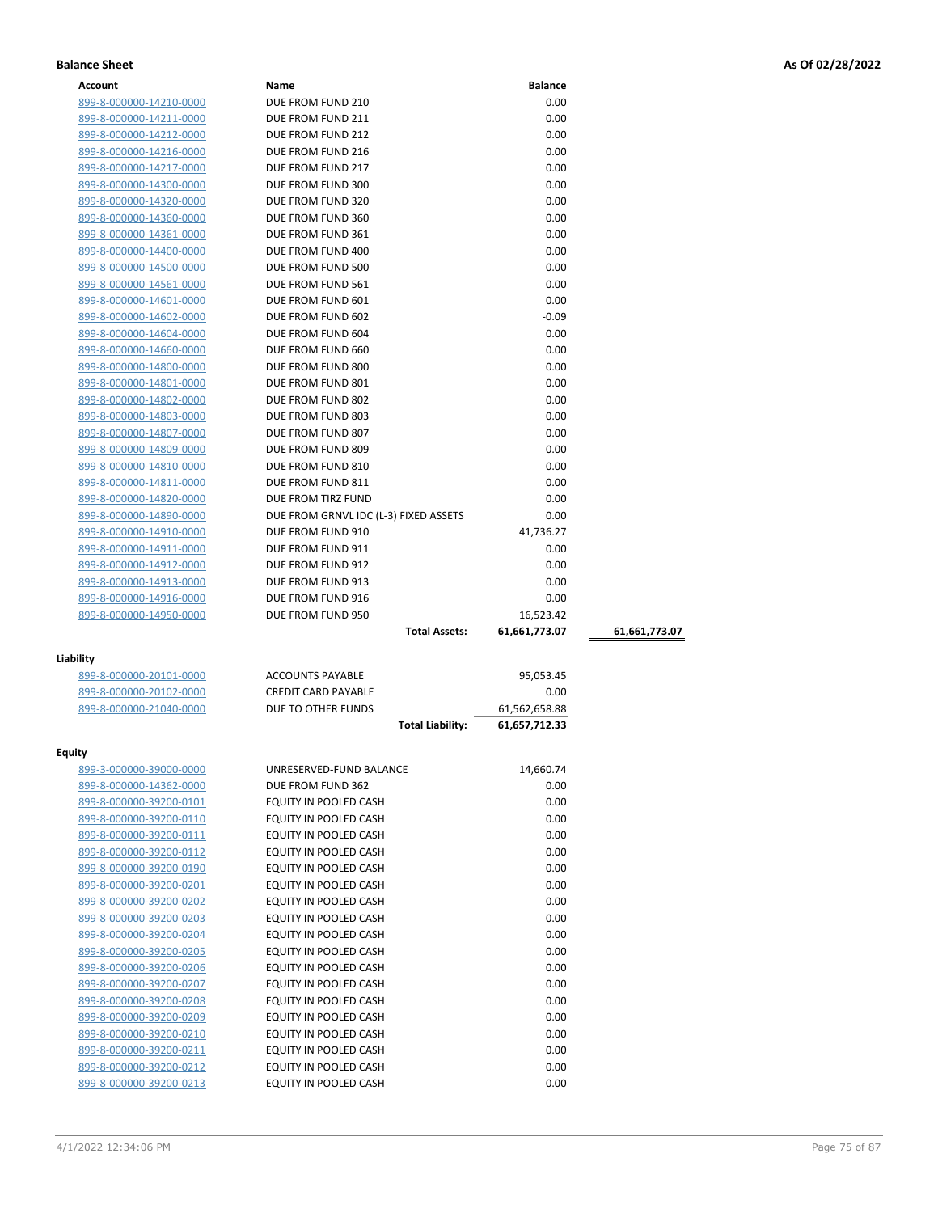| <b>Account</b>          | Name                                  | <b>Balance</b> |               |
|-------------------------|---------------------------------------|----------------|---------------|
| 899-8-000000-14210-0000 | DUE FROM FUND 210                     | 0.00           |               |
| 899-8-000000-14211-0000 | DUE FROM FUND 211                     | 0.00           |               |
| 899-8-000000-14212-0000 | DUE FROM FUND 212                     | 0.00           |               |
| 899-8-000000-14216-0000 | DUE FROM FUND 216                     | 0.00           |               |
| 899-8-000000-14217-0000 | DUE FROM FUND 217                     | 0.00           |               |
| 899-8-000000-14300-0000 | DUE FROM FUND 300                     | 0.00           |               |
| 899-8-000000-14320-0000 | DUE FROM FUND 320                     | 0.00           |               |
| 899-8-000000-14360-0000 | DUE FROM FUND 360                     | 0.00           |               |
| 899-8-000000-14361-0000 | DUE FROM FUND 361                     | 0.00           |               |
| 899-8-000000-14400-0000 | DUE FROM FUND 400                     | 0.00           |               |
| 899-8-000000-14500-0000 | DUE FROM FUND 500                     | 0.00           |               |
| 899-8-000000-14561-0000 | DUE FROM FUND 561                     | 0.00           |               |
| 899-8-000000-14601-0000 | DUE FROM FUND 601                     | 0.00           |               |
| 899-8-000000-14602-0000 | DUE FROM FUND 602                     | $-0.09$        |               |
| 899-8-000000-14604-0000 | DUE FROM FUND 604                     | 0.00           |               |
| 899-8-000000-14660-0000 | DUE FROM FUND 660                     | 0.00           |               |
| 899-8-000000-14800-0000 | DUE FROM FUND 800                     | 0.00           |               |
| 899-8-000000-14801-0000 | DUE FROM FUND 801                     | 0.00           |               |
| 899-8-000000-14802-0000 | DUE FROM FUND 802                     | 0.00           |               |
| 899-8-000000-14803-0000 | DUE FROM FUND 803                     | 0.00           |               |
| 899-8-000000-14807-0000 | DUE FROM FUND 807                     | 0.00           |               |
| 899-8-000000-14809-0000 | DUE FROM FUND 809                     | 0.00           |               |
| 899-8-000000-14810-0000 | DUE FROM FUND 810                     | 0.00           |               |
| 899-8-000000-14811-0000 | DUE FROM FUND 811                     | 0.00           |               |
| 899-8-000000-14820-0000 | DUE FROM TIRZ FUND                    | 0.00           |               |
| 899-8-000000-14890-0000 | DUE FROM GRNVL IDC (L-3) FIXED ASSETS | 0.00           |               |
| 899-8-000000-14910-0000 | DUE FROM FUND 910                     | 41,736.27      |               |
| 899-8-000000-14911-0000 | DUE FROM FUND 911                     | 0.00           |               |
| 899-8-000000-14912-0000 | DUE FROM FUND 912                     | 0.00           |               |
| 899-8-000000-14913-0000 | DUE FROM FUND 913                     | 0.00           |               |
| 899-8-000000-14916-0000 | DUE FROM FUND 916                     | 0.00           |               |
| 899-8-000000-14950-0000 | DUE FROM FUND 950                     | 16,523.42      |               |
|                         | <b>Total Assets:</b>                  | 61,661,773.07  | 61,661,773.07 |
| Liability               |                                       |                |               |
| 899-8-000000-20101-0000 | <b>ACCOUNTS PAYABLE</b>               | 95,053.45      |               |
| 899-8-000000-20102-0000 | <b>CREDIT CARD PAYABLE</b>            | 0.00           |               |
| 899-8-000000-21040-0000 | DUE TO OTHER FUNDS                    | 61,562,658.88  |               |
|                         | <b>Total Liability:</b>               | 61,657,712.33  |               |
|                         |                                       |                |               |
| Equity                  |                                       |                |               |
| 899-3-000000-39000-0000 | UNRESERVED-FUND BALANCE               | 14,660.74      |               |
| 899-8-000000-14362-0000 | DUE FROM FUND 362                     | 0.00           |               |
| 899-8-000000-39200-0101 | EQUITY IN POOLED CASH                 | 0.00           |               |
| 899-8-000000-39200-0110 | EQUITY IN POOLED CASH                 | 0.00           |               |
| 899-8-000000-39200-0111 | EQUITY IN POOLED CASH                 | 0.00           |               |
| 899-8-000000-39200-0112 | EQUITY IN POOLED CASH                 | 0.00           |               |
| 899-8-000000-39200-0190 | EQUITY IN POOLED CASH                 | 0.00           |               |
| 899-8-000000-39200-0201 | EQUITY IN POOLED CASH                 | 0.00           |               |
| 899-8-000000-39200-0202 | <b>EQUITY IN POOLED CASH</b>          | 0.00           |               |
| 899-8-000000-39200-0203 | EQUITY IN POOLED CASH                 | 0.00           |               |
| 899-8-000000-39200-0204 | EQUITY IN POOLED CASH                 | 0.00           |               |
| 899-8-000000-39200-0205 | EQUITY IN POOLED CASH                 | 0.00           |               |
| 899-8-000000-39200-0206 | EQUITY IN POOLED CASH                 | 0.00           |               |
| 899-8-000000-39200-0207 | EQUITY IN POOLED CASH                 | 0.00           |               |
| 899-8-000000-39200-0208 | EQUITY IN POOLED CASH                 | 0.00           |               |
| 899-8-000000-39200-0209 | EQUITY IN POOLED CASH                 | 0.00           |               |

899-8-000000-39200-0210 EQUITY IN POOLED CASH 0.00 899-8-000000-39200-0211 EQUITY IN POOLED CASH 0.00 899-8-000000-39200-0212 EQUITY IN POOLED CASH 0.00 899-8-000000-39200-0213 EQUITY IN POOLED CASH 0.00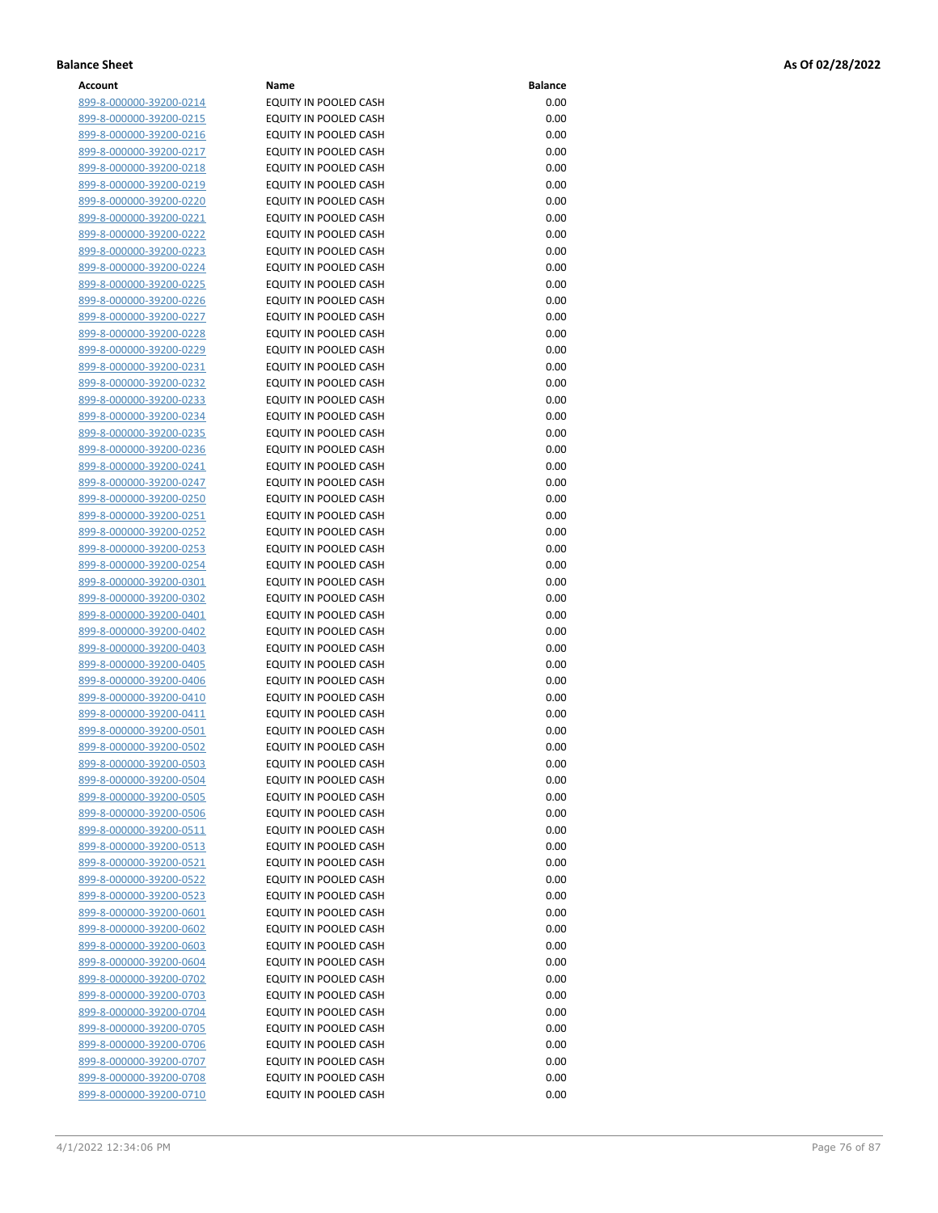| Account                        | Name                         | <b>Balance</b> |
|--------------------------------|------------------------------|----------------|
| 899-8-000000-39200-0214        | EQUITY IN POOLED CASH        | 0.00           |
| 899-8-000000-39200-0215        | EQUITY IN POOLED CASH        | 0.00           |
| 899-8-000000-39200-0216        | EQUITY IN POOLED CASH        | 0.00           |
| 899-8-000000-39200-0217        | EQUITY IN POOLED CASH        | 0.00           |
| 899-8-000000-39200-0218        | EQUITY IN POOLED CASH        | 0.00           |
|                                | <b>EQUITY IN POOLED CASH</b> | 0.00           |
| 899-8-000000-39200-0219        |                              |                |
| 899-8-000000-39200-0220        | EQUITY IN POOLED CASH        | 0.00           |
| 899-8-000000-39200-0221        | EQUITY IN POOLED CASH        | 0.00           |
| 899-8-000000-39200-0222        | EQUITY IN POOLED CASH        | 0.00           |
| 899-8-000000-39200-0223        | EQUITY IN POOLED CASH        | 0.00           |
| 899-8-000000-39200-0224        | EQUITY IN POOLED CASH        | 0.00           |
| 899-8-000000-39200-0225        | EQUITY IN POOLED CASH        | 0.00           |
| 899-8-000000-39200-0226        | EQUITY IN POOLED CASH        | 0.00           |
| 899-8-000000-39200-0227        | EQUITY IN POOLED CASH        | 0.00           |
| 899-8-000000-39200-0228        | EQUITY IN POOLED CASH        | 0.00           |
| 899-8-000000-39200-0229        | EQUITY IN POOLED CASH        | 0.00           |
| 899-8-000000-39200-0231        | EQUITY IN POOLED CASH        | 0.00           |
| 899-8-000000-39200-0232        | EQUITY IN POOLED CASH        | 0.00           |
| 899-8-000000-39200-0233        | EQUITY IN POOLED CASH        | 0.00           |
| 899-8-000000-39200-0234        | EQUITY IN POOLED CASH        | 0.00           |
| 899-8-000000-39200-0235        | EQUITY IN POOLED CASH        | 0.00           |
| 899-8-000000-39200-0236        | EQUITY IN POOLED CASH        | 0.00           |
| 899-8-000000-39200-0241        | EQUITY IN POOLED CASH        | 0.00           |
| 899-8-000000-39200-0247        | EQUITY IN POOLED CASH        | 0.00           |
|                                | EQUITY IN POOLED CASH        | 0.00           |
| 899-8-000000-39200-0250        |                              |                |
| <u>899-8-000000-39200-0251</u> | <b>EQUITY IN POOLED CASH</b> | 0.00           |
| 899-8-000000-39200-0252        | EQUITY IN POOLED CASH        | 0.00           |
| 899-8-000000-39200-0253        | EQUITY IN POOLED CASH        | 0.00           |
| 899-8-000000-39200-0254        | EQUITY IN POOLED CASH        | 0.00           |
| 899-8-000000-39200-0301        | EQUITY IN POOLED CASH        | 0.00           |
| 899-8-000000-39200-0302        | EQUITY IN POOLED CASH        | 0.00           |
| 899-8-000000-39200-0401        | EQUITY IN POOLED CASH        | 0.00           |
| 899-8-000000-39200-0402        | EQUITY IN POOLED CASH        | 0.00           |
| 899-8-000000-39200-0403        | EQUITY IN POOLED CASH        | 0.00           |
| 899-8-000000-39200-0405        | EQUITY IN POOLED CASH        | 0.00           |
| 899-8-000000-39200-0406        | <b>EQUITY IN POOLED CASH</b> | 0.00           |
| 899-8-000000-39200-0410        | EQUITY IN POOLED CASH        | 0.00           |
| 899-8-000000-39200-0411        | EQUITY IN POOLED CASH        | 0.00           |
| 899-8-000000-39200-0501        | EQUITY IN POOLED CASH        | 0.00           |
| 899-8-000000-39200-0502        | EQUITY IN POOLED CASH        | 0.00           |
| <u>899-8-000000-39200-0503</u> | EQUITY IN POOLED CASH        | 0.00           |
| 899-8-000000-39200-0504        | EQUITY IN POOLED CASH        | 0.00           |
| 899-8-000000-39200-0505        | <b>EQUITY IN POOLED CASH</b> | 0.00           |
| 899-8-000000-39200-0506        | EQUITY IN POOLED CASH        | 0.00           |
| 899-8-000000-39200-0511        | EQUITY IN POOLED CASH        | 0.00           |
| 899-8-000000-39200-0513        | EQUITY IN POOLED CASH        | 0.00           |
| 899-8-000000-39200-0521        | EQUITY IN POOLED CASH        | 0.00           |
| <u>899-8-000000-39200-0522</u> | EQUITY IN POOLED CASH        | 0.00           |
|                                | EQUITY IN POOLED CASH        | 0.00           |
| 899-8-000000-39200-0523        |                              |                |
| 899-8-000000-39200-0601        | EQUITY IN POOLED CASH        | 0.00           |
| 899-8-000000-39200-0602        | EQUITY IN POOLED CASH        | 0.00           |
| 899-8-000000-39200-0603        | EQUITY IN POOLED CASH        | 0.00           |
| <u>899-8-000000-39200-0604</u> | EQUITY IN POOLED CASH        | 0.00           |
| 899-8-000000-39200-0702        | EQUITY IN POOLED CASH        | 0.00           |
| 899-8-000000-39200-0703        | EQUITY IN POOLED CASH        | 0.00           |
| 899-8-000000-39200-0704        | EQUITY IN POOLED CASH        | 0.00           |
| 899-8-000000-39200-0705        | EQUITY IN POOLED CASH        | 0.00           |
| <u>899-8-000000-39200-0706</u> | EQUITY IN POOLED CASH        | 0.00           |
| 899-8-000000-39200-0707        | EQUITY IN POOLED CASH        | 0.00           |
| 899-8-000000-39200-0708        | EQUITY IN POOLED CASH        | 0.00           |
| 899-8-000000-39200-0710        | EQUITY IN POOLED CASH        | 0.00           |
|                                |                              |                |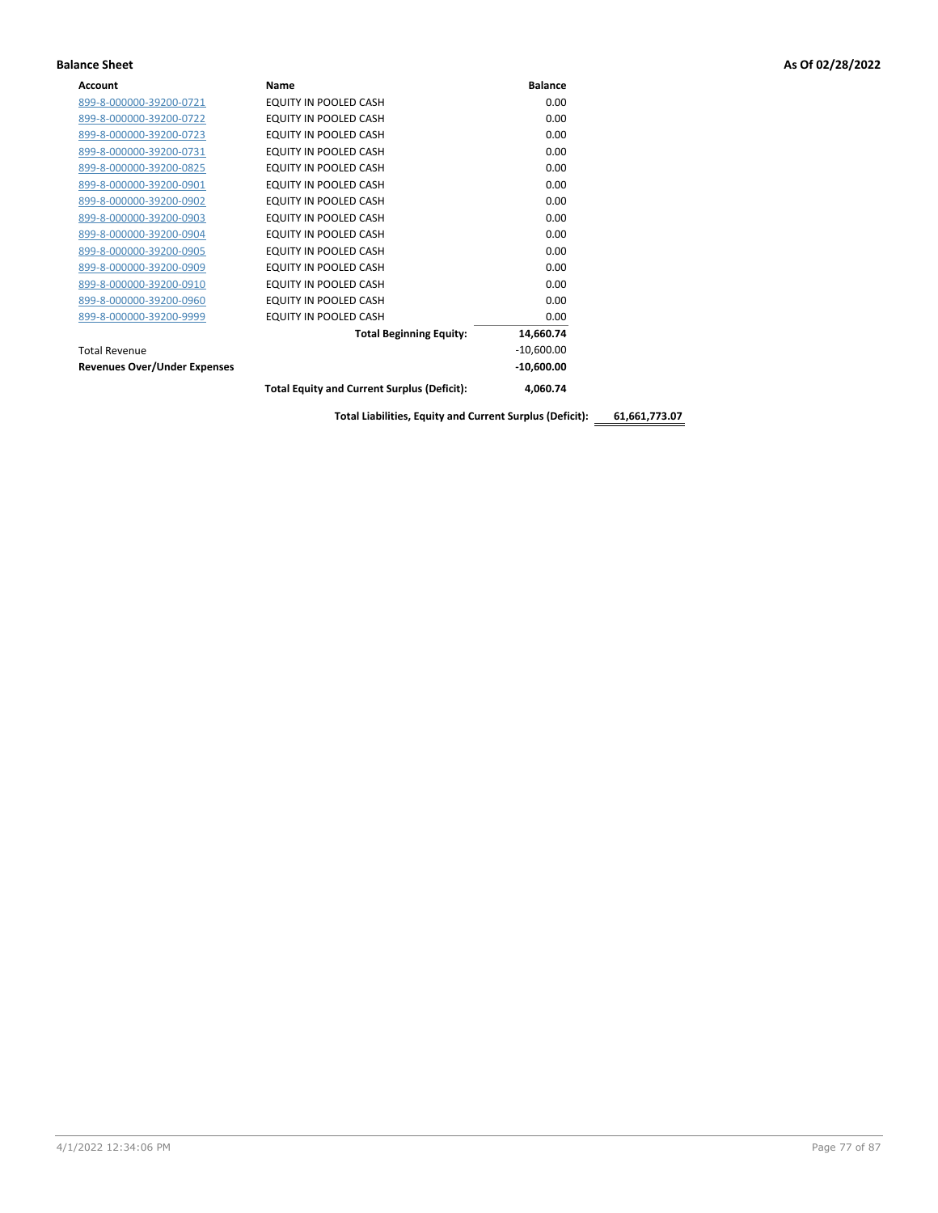| <b>Account</b>                      | <b>Name</b>                                        | <b>Balance</b> |
|-------------------------------------|----------------------------------------------------|----------------|
| 899-8-000000-39200-0721             | EQUITY IN POOLED CASH                              | 0.00           |
| 899-8-000000-39200-0722             | EQUITY IN POOLED CASH                              | 0.00           |
| 899-8-000000-39200-0723             | EQUITY IN POOLED CASH                              | 0.00           |
| 899-8-000000-39200-0731             | EQUITY IN POOLED CASH                              | 0.00           |
| 899-8-000000-39200-0825             | EQUITY IN POOLED CASH                              | 0.00           |
| 899-8-000000-39200-0901             | EQUITY IN POOLED CASH                              | 0.00           |
| 899-8-000000-39200-0902             | EQUITY IN POOLED CASH                              | 0.00           |
| 899-8-000000-39200-0903             | EQUITY IN POOLED CASH                              | 0.00           |
| 899-8-000000-39200-0904             | EQUITY IN POOLED CASH                              | 0.00           |
| 899-8-000000-39200-0905             | EQUITY IN POOLED CASH                              | 0.00           |
| 899-8-000000-39200-0909             | EQUITY IN POOLED CASH                              | 0.00           |
| 899-8-000000-39200-0910             | EQUITY IN POOLED CASH                              | 0.00           |
| 899-8-000000-39200-0960             | EQUITY IN POOLED CASH                              | 0.00           |
| 899-8-000000-39200-9999             | EQUITY IN POOLED CASH                              | 0.00           |
|                                     | <b>Total Beginning Equity:</b>                     | 14,660.74      |
| <b>Total Revenue</b>                |                                                    | $-10,600.00$   |
| <b>Revenues Over/Under Expenses</b> |                                                    | $-10,600.00$   |
|                                     | <b>Total Equity and Current Surplus (Deficit):</b> | 4,060.74       |

**Total Liabilities, Equity and Current Surplus (Deficit): 61,661,773.07**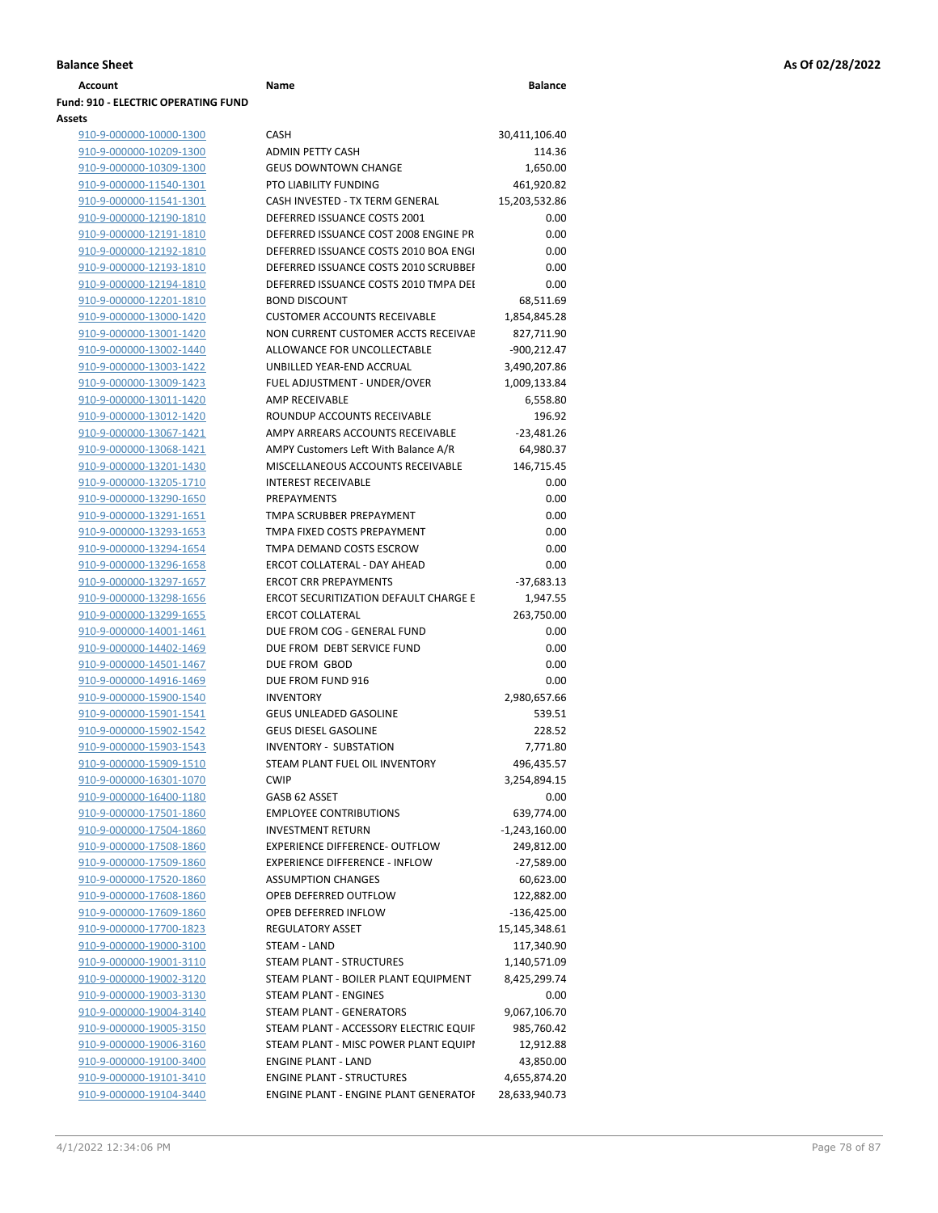| <b>Account</b>                      | Name                                   | <b>Balance</b>  |
|-------------------------------------|----------------------------------------|-----------------|
| Fund: 910 - ELECTRIC OPERATING FUND |                                        |                 |
| Assets                              |                                        |                 |
| 910-9-000000-10000-1300             | <b>CASH</b>                            | 30,411,106.40   |
| 910-9-000000-10209-1300             | <b>ADMIN PETTY CASH</b>                | 114.36          |
| 910-9-000000-10309-1300             | <b>GEUS DOWNTOWN CHANGE</b>            | 1,650.00        |
| 910-9-000000-11540-1301             | PTO LIABILITY FUNDING                  | 461,920.82      |
| 910-9-000000-11541-1301             | CASH INVESTED - TX TERM GENERAL        | 15,203,532.86   |
| 910-9-000000-12190-1810             | DEFERRED ISSUANCE COSTS 2001           | 0.00            |
| 910-9-000000-12191-1810             | DEFERRED ISSUANCE COST 2008 ENGINE PR  | 0.00            |
| 910-9-000000-12192-1810             | DEFERRED ISSUANCE COSTS 2010 BOA ENGI  | 0.00            |
| 910-9-000000-12193-1810             | DEFERRED ISSUANCE COSTS 2010 SCRUBBEI  | 0.00            |
| 910-9-000000-12194-1810             | DEFERRED ISSUANCE COSTS 2010 TMPA DEI  | 0.00            |
| 910-9-000000-12201-1810             | <b>BOND DISCOUNT</b>                   | 68,511.69       |
| 910-9-000000-13000-1420             | <b>CUSTOMER ACCOUNTS RECEIVABLE</b>    | 1,854,845.28    |
| 910-9-000000-13001-1420             | NON CURRENT CUSTOMER ACCTS RECEIVAE    | 827,711.90      |
| 910-9-000000-13002-1440             | ALLOWANCE FOR UNCOLLECTABLE            | $-900,212.47$   |
| 910-9-000000-13003-1422             | UNBILLED YEAR-END ACCRUAL              | 3,490,207.86    |
| 910-9-000000-13009-1423             | FUEL ADJUSTMENT - UNDER/OVER           | 1,009,133.84    |
| 910-9-000000-13011-1420             | <b>AMP RECEIVABLE</b>                  | 6,558.80        |
| 910-9-000000-13012-1420             | ROUNDUP ACCOUNTS RECEIVABLE            | 196.92          |
| 910-9-000000-13067-1421             | AMPY ARREARS ACCOUNTS RECEIVABLE       | $-23,481.26$    |
| 910-9-000000-13068-1421             | AMPY Customers Left With Balance A/R   | 64,980.37       |
| 910-9-000000-13201-1430             | MISCELLANEOUS ACCOUNTS RECEIVABLE      | 146,715.45      |
| 910-9-000000-13205-1710             | <b>INTEREST RECEIVABLE</b>             | 0.00            |
| 910-9-000000-13290-1650             | <b>PREPAYMENTS</b>                     | 0.00            |
| 910-9-000000-13291-1651             | TMPA SCRUBBER PREPAYMENT               | 0.00            |
| 910-9-000000-13293-1653             | TMPA FIXED COSTS PREPAYMENT            | 0.00            |
| 910-9-000000-13294-1654             | TMPA DEMAND COSTS ESCROW               | 0.00            |
| 910-9-000000-13296-1658             | ERCOT COLLATERAL - DAY AHEAD           | 0.00            |
| 910-9-000000-13297-1657             | <b>ERCOT CRR PREPAYMENTS</b>           | $-37,683.13$    |
| 910-9-000000-13298-1656             | ERCOT SECURITIZATION DEFAULT CHARGE E  | 1,947.55        |
| 910-9-000000-13299-1655             | <b>ERCOT COLLATERAL</b>                | 263,750.00      |
| 910-9-000000-14001-1461             | DUE FROM COG - GENERAL FUND            | 0.00            |
| 910-9-000000-14402-1469             | DUE FROM DEBT SERVICE FUND             | 0.00            |
| 910-9-000000-14501-1467             | DUE FROM GBOD                          | 0.00            |
| 910-9-000000-14916-1469             | DUE FROM FUND 916                      | 0.00            |
| 910-9-000000-15900-1540             | <b>INVENTORY</b>                       | 2,980,657.66    |
| 910-9-000000-15901-1541             | <b>GEUS UNLEADED GASOLINE</b>          | 539.51          |
| 910-9-000000-15902-1542             | <b>GEUS DIESEL GASOLINE</b>            | 228.52          |
| 910-9-000000-15903-1543             | <b>INVENTORY - SUBSTATION</b>          | 7,771.80        |
| 910-9-000000-15909-1510             | STEAM PLANT FUEL OIL INVENTORY         | 496,435.57      |
| 910-9-000000-16301-1070             | <b>CWIP</b>                            | 3,254,894.15    |
| 910-9-000000-16400-1180             | GASB 62 ASSET                          | 0.00            |
| 910-9-000000-17501-1860             | <b>EMPLOYEE CONTRIBUTIONS</b>          | 639,774.00      |
| 910-9-000000-17504-1860             | <b>INVESTMENT RETURN</b>               | $-1,243,160.00$ |
| 910-9-000000-17508-1860             | <b>EXPERIENCE DIFFERENCE- OUTFLOW</b>  | 249,812.00      |
| 910-9-000000-17509-1860             | <b>EXPERIENCE DIFFERENCE - INFLOW</b>  | $-27,589.00$    |
| 910-9-000000-17520-1860             | <b>ASSUMPTION CHANGES</b>              | 60,623.00       |
| 910-9-000000-17608-1860             | OPEB DEFERRED OUTFLOW                  | 122,882.00      |
| 910-9-000000-17609-1860             | OPEB DEFERRED INFLOW                   | $-136,425.00$   |
| 910-9-000000-17700-1823             | <b>REGULATORY ASSET</b>                | 15,145,348.61   |
| 910-9-000000-19000-3100             | STEAM - LAND                           | 117,340.90      |
| 910-9-000000-19001-3110             | STEAM PLANT - STRUCTURES               | 1,140,571.09    |
| 910-9-000000-19002-3120             | STEAM PLANT - BOILER PLANT EQUIPMENT   | 8,425,299.74    |
| 910-9-000000-19003-3130             | STEAM PLANT - ENGINES                  | 0.00            |
| 910-9-000000-19004-3140             | STEAM PLANT - GENERATORS               | 9,067,106.70    |
| 910-9-000000-19005-3150             | STEAM PLANT - ACCESSORY ELECTRIC EQUIF | 985,760.42      |
| 910-9-000000-19006-3160             | STEAM PLANT - MISC POWER PLANT EQUIPI  | 12,912.88       |
| 910-9-000000-19100-3400             | <b>ENGINE PLANT - LAND</b>             | 43,850.00       |
|                                     |                                        |                 |

| 910-9-000000-10309-1300 | <b>GEUS DOWNTOWN CHANGE</b>                  | 1,650.00        |
|-------------------------|----------------------------------------------|-----------------|
| 910-9-000000-11540-1301 | PTO LIABILITY FUNDING                        | 461,920.82      |
| 910-9-000000-11541-1301 | CASH INVESTED - TX TERM GENERAL              | 15,203,532.86   |
| 910-9-000000-12190-1810 | DEFERRED ISSUANCE COSTS 2001                 | 0.00            |
| 910-9-000000-12191-1810 | DEFERRED ISSUANCE COST 2008 ENGINE PR        | 0.00            |
| 910-9-000000-12192-1810 | DEFERRED ISSUANCE COSTS 2010 BOA ENGI        | 0.00            |
| 910-9-000000-12193-1810 | DEFERRED ISSUANCE COSTS 2010 SCRUBBEI        | 0.00            |
| 910-9-000000-12194-1810 | DEFERRED ISSUANCE COSTS 2010 TMPA DEI        | 0.00            |
| 910-9-000000-12201-1810 | <b>BOND DISCOUNT</b>                         | 68,511.69       |
| 910-9-000000-13000-1420 | <b>CUSTOMER ACCOUNTS RECEIVABLE</b>          | 1,854,845.28    |
| 910-9-000000-13001-1420 | NON CURRENT CUSTOMER ACCTS RECEIVAE          | 827,711.90      |
| 910-9-000000-13002-1440 | ALLOWANCE FOR UNCOLLECTABLE                  | $-900,212.47$   |
| 910-9-000000-13003-1422 | UNBILLED YEAR-END ACCRUAL                    | 3,490,207.86    |
| 910-9-000000-13009-1423 | FUEL ADJUSTMENT - UNDER/OVER                 | 1,009,133.84    |
| 910-9-000000-13011-1420 | <b>AMP RECEIVABLE</b>                        | 6,558.80        |
| 910-9-000000-13012-1420 | ROUNDUP ACCOUNTS RECEIVABLE                  | 196.92          |
| 910-9-000000-13067-1421 | AMPY ARREARS ACCOUNTS RECEIVABLE             | $-23,481.26$    |
| 910-9-000000-13068-1421 | AMPY Customers Left With Balance A/R         | 64,980.37       |
| 910-9-000000-13201-1430 | MISCELLANEOUS ACCOUNTS RECEIVABLE            | 146,715.45      |
| 910-9-000000-13205-1710 | <b>INTEREST RECEIVABLE</b>                   | 0.00            |
| 910-9-000000-13290-1650 | PREPAYMENTS                                  | 0.00            |
| 910-9-000000-13291-1651 | TMPA SCRUBBER PREPAYMENT                     | 0.00            |
| 910-9-000000-13293-1653 | TMPA FIXED COSTS PREPAYMENT                  | 0.00            |
| 910-9-000000-13294-1654 | TMPA DEMAND COSTS ESCROW                     | 0.00            |
| 910-9-000000-13296-1658 | ERCOT COLLATERAL - DAY AHEAD                 | 0.00            |
| 910-9-000000-13297-1657 | <b>ERCOT CRR PREPAYMENTS</b>                 | $-37,683.13$    |
| 910-9-000000-13298-1656 | <b>ERCOT SECURITIZATION DEFAULT CHARGE E</b> | 1,947.55        |
| 910-9-000000-13299-1655 | <b>ERCOT COLLATERAL</b>                      | 263,750.00      |
| 910-9-000000-14001-1461 | DUE FROM COG - GENERAL FUND                  | 0.00            |
| 910-9-000000-14402-1469 | DUE FROM DEBT SERVICE FUND                   | 0.00            |
| 910-9-000000-14501-1467 | DUE FROM GBOD                                | 0.00            |
| 910-9-000000-14916-1469 | DUE FROM FUND 916                            | 0.00            |
| 910-9-000000-15900-1540 | <b>INVENTORY</b>                             | 2,980,657.66    |
| 910-9-000000-15901-1541 | <b>GEUS UNLEADED GASOLINE</b>                | 539.51          |
| 910-9-000000-15902-1542 | <b>GEUS DIESEL GASOLINE</b>                  | 228.52          |
| 910-9-000000-15903-1543 | <b>INVENTORY - SUBSTATION</b>                | 7,771.80        |
| 910-9-000000-15909-1510 | STEAM PLANT FUEL OIL INVENTORY               | 496,435.57      |
| 910-9-000000-16301-1070 | <b>CWIP</b>                                  | 3,254,894.15    |
| 910-9-000000-16400-1180 | GASB 62 ASSET                                | 0.00            |
| 910-9-000000-17501-1860 | <b>EMPLOYEE CONTRIBUTIONS</b>                | 639,774.00      |
| 910-9-000000-17504-1860 | <b>INVESTMENT RETURN</b>                     | $-1,243,160.00$ |
| 910-9-000000-17508-1860 | EXPERIENCE DIFFERENCE- OUTFLOW               | 249,812.00      |
| 910-9-000000-17509-1860 | <b>EXPERIENCE DIFFERENCE - INFLOW</b>        | $-27,589.00$    |
| 910-9-000000-17520-1860 | <b>ASSUMPTION CHANGES</b>                    | 60,623.00       |
| 910-9-000000-17608-1860 | OPEB DEFERRED OUTFLOW                        | 122,882.00      |
| 910-9-000000-17609-1860 | OPEB DEFERRED INFLOW                         | $-136,425.00$   |
| 910-9-000000-17700-1823 | <b>REGULATORY ASSET</b>                      | 15,145,348.61   |
| 910-9-000000-19000-3100 | STEAM - LAND                                 | 117,340.90      |
| 910-9-000000-19001-3110 | STEAM PLANT - STRUCTURES                     | 1,140,571.09    |
| 910-9-000000-19002-3120 | STEAM PLANT - BOILER PLANT EQUIPMENT         | 8,425,299.74    |
| 910-9-000000-19003-3130 | STEAM PLANT - ENGINES                        | 0.00            |
| 910-9-000000-19004-3140 | STEAM PLANT - GENERATORS                     | 9,067,106.70    |
| 910-9-000000-19005-3150 | STEAM PLANT - ACCESSORY ELECTRIC EQUIF       | 985,760.42      |
| 910-9-000000-19006-3160 | STEAM PLANT - MISC POWER PLANT EQUIPI        | 12,912.88       |
| 910-9-000000-19100-3400 | <b>ENGINE PLANT - LAND</b>                   | 43,850.00       |
| 910-9-000000-19101-3410 | <b>ENGINE PLANT - STRUCTURES</b>             | 4,655,874.20    |
| 910-9-000000-19104-3440 | ENGINE PLANT - ENGINE PLANT GENERATOF        | 28,633,940.73   |
|                         |                                              |                 |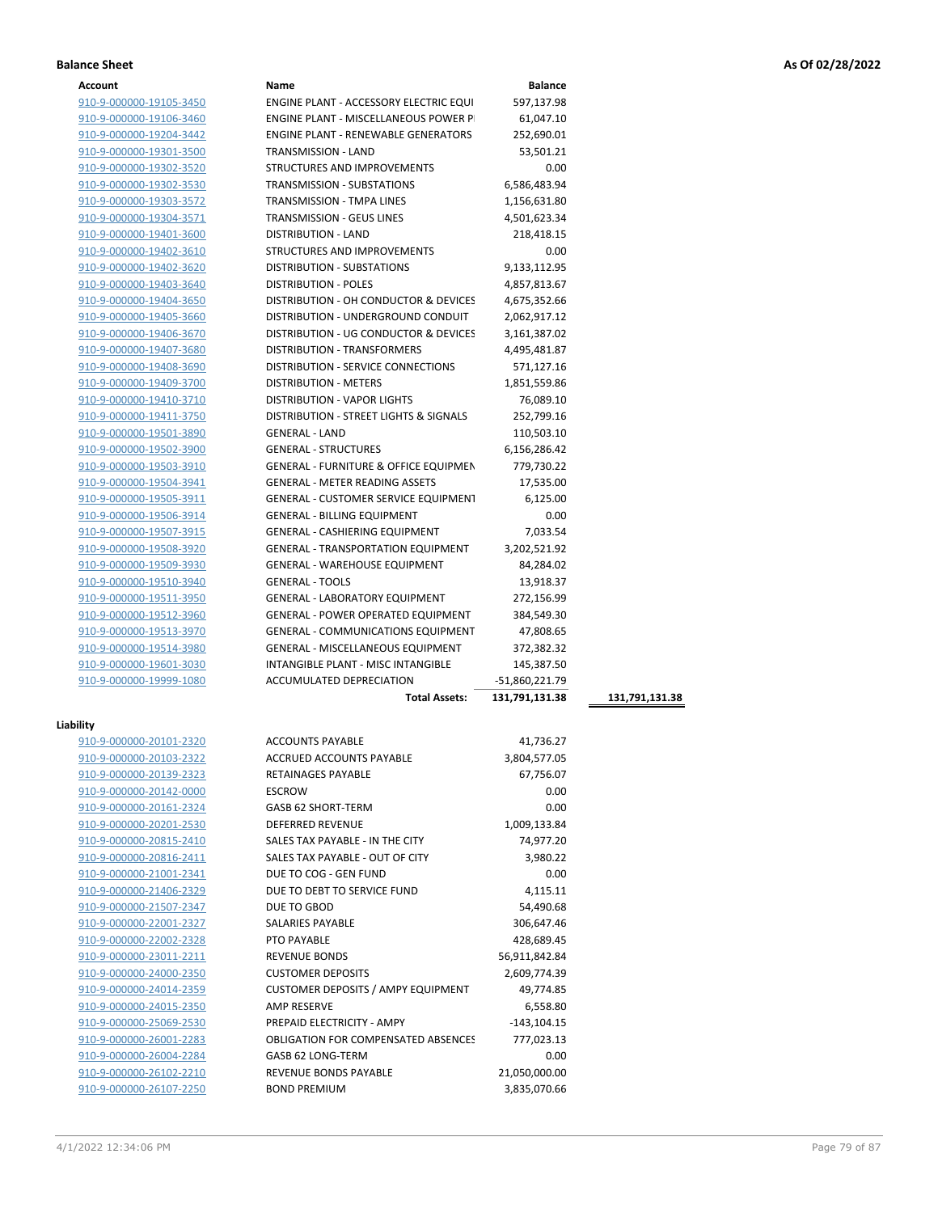| Account |
|---------|
|---------|

| Account                 | Name                                             | <b>Balance</b> |                |
|-------------------------|--------------------------------------------------|----------------|----------------|
| 910-9-000000-19105-3450 | ENGINE PLANT - ACCESSORY ELECTRIC EQUI           | 597,137.98     |                |
| 910-9-000000-19106-3460 | <b>ENGINE PLANT - MISCELLANEOUS POWER P</b>      | 61,047.10      |                |
| 910-9-000000-19204-3442 | <b>ENGINE PLANT - RENEWABLE GENERATORS</b>       | 252,690.01     |                |
| 910-9-000000-19301-3500 | <b>TRANSMISSION - LAND</b>                       | 53,501.21      |                |
| 910-9-000000-19302-3520 | <b>STRUCTURES AND IMPROVEMENTS</b>               | 0.00           |                |
| 910-9-000000-19302-3530 | <b>TRANSMISSION - SUBSTATIONS</b>                | 6,586,483.94   |                |
| 910-9-000000-19303-3572 | TRANSMISSION - TMPA LINES                        | 1,156,631.80   |                |
| 910-9-000000-19304-3571 | TRANSMISSION - GEUS LINES                        | 4,501,623.34   |                |
| 910-9-000000-19401-3600 | <b>DISTRIBUTION - LAND</b>                       | 218,418.15     |                |
| 910-9-000000-19402-3610 | STRUCTURES AND IMPROVEMENTS                      | 0.00           |                |
| 910-9-000000-19402-3620 | <b>DISTRIBUTION - SUBSTATIONS</b>                | 9,133,112.95   |                |
| 910-9-000000-19403-3640 | <b>DISTRIBUTION - POLES</b>                      | 4,857,813.67   |                |
| 910-9-000000-19404-3650 | DISTRIBUTION - OH CONDUCTOR & DEVICES            | 4,675,352.66   |                |
| 910-9-000000-19405-3660 | DISTRIBUTION - UNDERGROUND CONDUIT               | 2,062,917.12   |                |
| 910-9-000000-19406-3670 | DISTRIBUTION - UG CONDUCTOR & DEVICES            | 3,161,387.02   |                |
| 910-9-000000-19407-3680 | <b>DISTRIBUTION - TRANSFORMERS</b>               | 4,495,481.87   |                |
| 910-9-000000-19408-3690 | DISTRIBUTION - SERVICE CONNECTIONS               | 571,127.16     |                |
| 910-9-000000-19409-3700 | <b>DISTRIBUTION - METERS</b>                     | 1,851,559.86   |                |
| 910-9-000000-19410-3710 | <b>DISTRIBUTION - VAPOR LIGHTS</b>               | 76,089.10      |                |
| 910-9-000000-19411-3750 | DISTRIBUTION - STREET LIGHTS & SIGNALS           | 252,799.16     |                |
| 910-9-000000-19501-3890 | <b>GENERAL - LAND</b>                            | 110,503.10     |                |
| 910-9-000000-19502-3900 | <b>GENERAL - STRUCTURES</b>                      | 6,156,286.42   |                |
| 910-9-000000-19503-3910 | <b>GENERAL - FURNITURE &amp; OFFICE EQUIPMEN</b> | 779,730.22     |                |
| 910-9-000000-19504-3941 | <b>GENERAL - METER READING ASSETS</b>            | 17,535.00      |                |
| 910-9-000000-19505-3911 | <b>GENERAL - CUSTOMER SERVICE EQUIPMENT</b>      | 6,125.00       |                |
| 910-9-000000-19506-3914 | <b>GENERAL - BILLING EQUIPMENT</b>               | 0.00           |                |
| 910-9-000000-19507-3915 | <b>GENERAL - CASHIERING EQUIPMENT</b>            | 7,033.54       |                |
| 910-9-000000-19508-3920 | <b>GENERAL - TRANSPORTATION EQUIPMENT</b>        | 3,202,521.92   |                |
| 910-9-000000-19509-3930 | <b>GENERAL - WAREHOUSE EQUIPMENT</b>             | 84,284.02      |                |
| 910-9-000000-19510-3940 | <b>GENERAL - TOOLS</b>                           | 13,918.37      |                |
| 910-9-000000-19511-3950 | <b>GENERAL - LABORATORY EQUIPMENT</b>            | 272,156.99     |                |
| 910-9-000000-19512-3960 | <b>GENERAL - POWER OPERATED EQUIPMENT</b>        | 384,549.30     |                |
| 910-9-000000-19513-3970 | <b>GENERAL - COMMUNICATIONS EQUIPMENT</b>        | 47,808.65      |                |
| 910-9-000000-19514-3980 | <b>GENERAL - MISCELLANEOUS EQUIPMENT</b>         | 372,382.32     |                |
| 910-9-000000-19601-3030 | INTANGIBLE PLANT - MISC INTANGIBLE               | 145,387.50     |                |
| 910-9-000000-19999-1080 | ACCUMULATED DEPRECIATION                         | -51,860,221.79 |                |
|                         | <b>Total Assets:</b>                             | 131,791,131.38 | 131,791,131.38 |
| Liability               |                                                  |                |                |
| 910-9-000000-20101-2320 | <b>ACCOUNTS PAYABLE</b>                          | 41,736.27      |                |
| 910-9-000000-20103-2322 | ACCRUED ACCOUNTS PAYABLE                         | 3,804,577.05   |                |
| 910-9-000000-20139-2323 | <b>RETAINAGES PAYABLE</b>                        | 67,756.07      |                |
|                         |                                                  |                |                |

| 910-9-000000-20103-2322 |
|-------------------------|
| 910-9-000000-20139-2323 |
| 910-9-000000-20142-0000 |
| 910-9-000000-20161-2324 |
| 910-9-000000-20201-2530 |
| 910-9-000000-20815-2410 |
| 910-9-000000-20816-2411 |
| 910-9-000000-21001-2341 |
| 910-9-000000-21406-2329 |
| 910-9-000000-21507-2347 |
| 910-9-000000-22001-2327 |
| 910-9-000000-22002-2328 |
| 910-9-000000-23011-2211 |
| 910-9-000000-24000-2350 |
| 910-9-000000-24014-2359 |
| 910-9-000000-24015-2350 |
| 910-9-000000-25069-2530 |
| 910-9-000000-26001-2283 |
| 910-9-000000-26004-2284 |
| 910-9-000000-26102-2210 |
| 910-9-000000-26107-2250 |
|                         |

| 910-9-000000-20103-2322 | <b>ACCRUED ACCOUNTS PAYABLE</b>            | 3,804,577.05   |
|-------------------------|--------------------------------------------|----------------|
| 910-9-000000-20139-2323 | <b>RETAINAGES PAYABLE</b>                  | 67,756.07      |
| 910-9-000000-20142-0000 | <b>ESCROW</b>                              | 0.00           |
| 910-9-000000-20161-2324 | <b>GASB 62 SHORT-TERM</b>                  | 0.00           |
| 910-9-000000-20201-2530 | <b>DEFERRED REVENUE</b>                    | 1,009,133.84   |
| 910-9-000000-20815-2410 | SALES TAX PAYABLE - IN THE CITY            | 74,977.20      |
| 910-9-000000-20816-2411 | SALES TAX PAYABLE - OUT OF CITY            | 3,980.22       |
| 910-9-000000-21001-2341 | DUE TO COG - GEN FUND                      | 0.00           |
| 910-9-000000-21406-2329 | DUE TO DEBT TO SERVICE FUND                | 4,115.11       |
| 910-9-000000-21507-2347 | DUE TO GBOD                                | 54,490.68      |
| 910-9-000000-22001-2327 | <b>SALARIES PAYABLE</b>                    | 306,647.46     |
| 910-9-000000-22002-2328 | PTO PAYABLE                                | 428,689.45     |
| 910-9-000000-23011-2211 | <b>REVENUE BONDS</b>                       | 56,911,842.84  |
| 910-9-000000-24000-2350 | <b>CUSTOMER DEPOSITS</b>                   | 2,609,774.39   |
| 910-9-000000-24014-2359 | CUSTOMER DEPOSITS / AMPY EQUIPMENT         | 49,774.85      |
| 910-9-000000-24015-2350 | <b>AMP RESERVE</b>                         | 6,558.80       |
| 910-9-000000-25069-2530 | PREPAID ELECTRICITY - AMPY                 | $-143, 104.15$ |
| 910-9-000000-26001-2283 | <b>OBLIGATION FOR COMPENSATED ABSENCES</b> | 777,023.13     |
| 910-9-000000-26004-2284 | GASB 62 LONG-TERM                          | 0.00           |
| 910-9-000000-26102-2210 | <b>REVENUE BONDS PAYABLE</b>               | 21,050,000.00  |
| 910-9-000000-26107-2250 | <b>BOND PREMIUM</b>                        | 3,835,070.66   |
|                         |                                            |                |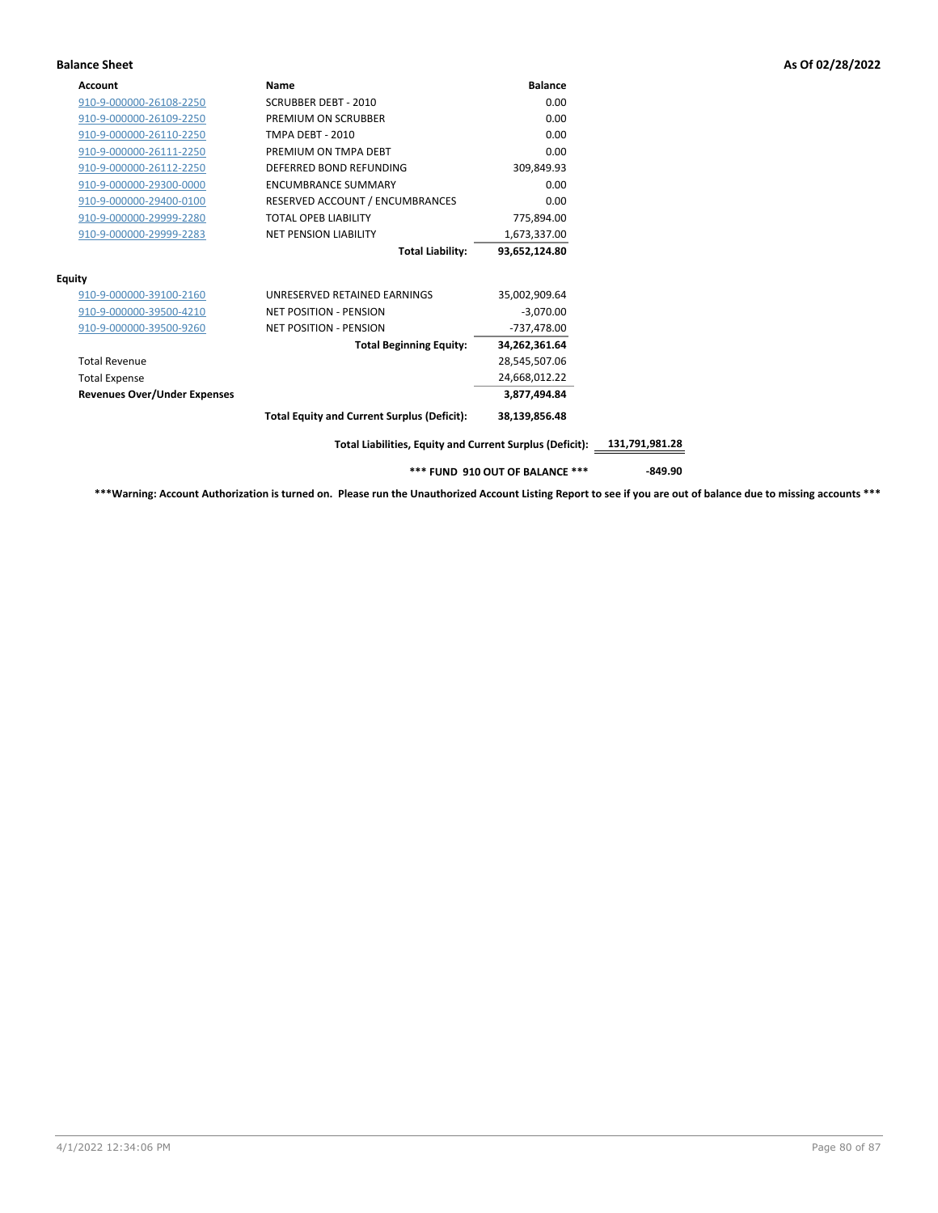| <b>Account</b>                      | Name                                                     | <b>Balance</b> |                |
|-------------------------------------|----------------------------------------------------------|----------------|----------------|
| 910-9-000000-26108-2250             | <b>SCRUBBER DEBT - 2010</b>                              | 0.00           |                |
| 910-9-000000-26109-2250             | PREMIUM ON SCRUBBER                                      | 0.00           |                |
| 910-9-000000-26110-2250             | <b>TMPA DEBT - 2010</b>                                  | 0.00           |                |
| 910-9-000000-26111-2250             | PREMIUM ON TMPA DEBT                                     | 0.00           |                |
| 910-9-000000-26112-2250             | DEFERRED BOND REFUNDING                                  | 309,849.93     |                |
| 910-9-000000-29300-0000             | <b>ENCUMBRANCE SUMMARY</b>                               | 0.00           |                |
| 910-9-000000-29400-0100             | RESERVED ACCOUNT / ENCUMBRANCES                          | 0.00           |                |
| 910-9-000000-29999-2280             | <b>TOTAL OPEB LIABILITY</b>                              | 775,894.00     |                |
| 910-9-000000-29999-2283             | <b>NET PENSION LIABILITY</b>                             | 1,673,337.00   |                |
|                                     | <b>Total Liability:</b>                                  | 93,652,124.80  |                |
| Equity                              |                                                          |                |                |
| 910-9-000000-39100-2160             | UNRESERVED RETAINED EARNINGS                             | 35.002.909.64  |                |
| 910-9-000000-39500-4210             | <b>NET POSITION - PENSION</b>                            | $-3,070.00$    |                |
| 910-9-000000-39500-9260             | <b>NET POSITION - PENSION</b>                            | -737,478.00    |                |
|                                     | <b>Total Beginning Equity:</b>                           | 34,262,361.64  |                |
| <b>Total Revenue</b>                |                                                          | 28,545,507.06  |                |
| <b>Total Expense</b>                |                                                          | 24,668,012.22  |                |
| <b>Revenues Over/Under Expenses</b> |                                                          | 3.877.494.84   |                |
|                                     | <b>Total Equity and Current Surplus (Deficit):</b>       | 38,139,856.48  |                |
|                                     | Total Liabilities, Equity and Current Surplus (Deficit): |                | 131,791,981.28 |

**\*\*\* FUND 910 OUT OF BALANCE \*\*\* -849.90**

**\*\*\*Warning: Account Authorization is turned on. Please run the Unauthorized Account Listing Report to see if you are out of balance due to missing accounts \*\*\***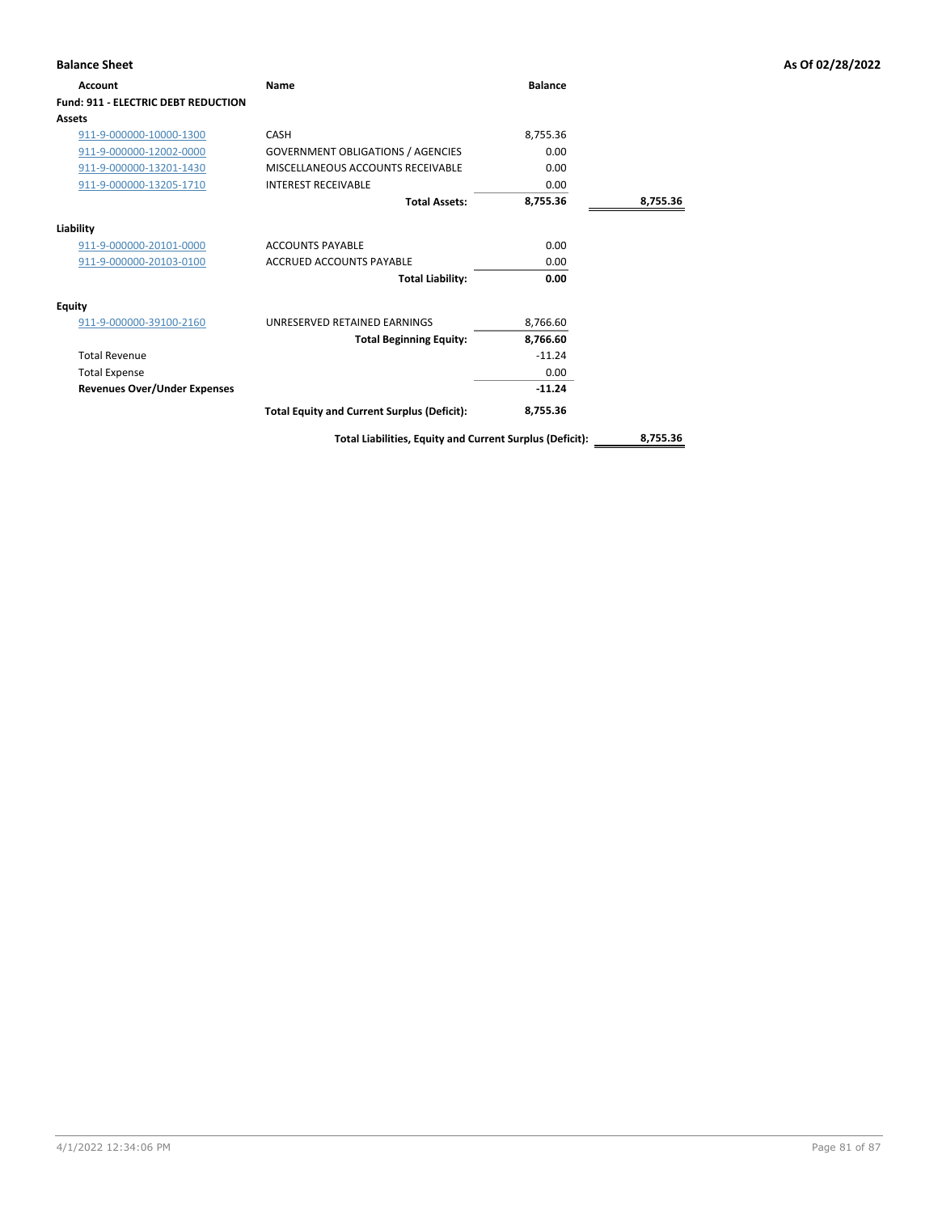| <b>Balance Sheet</b>                       |                                                          |                |          | As Of 02/28/2022 |
|--------------------------------------------|----------------------------------------------------------|----------------|----------|------------------|
| Account                                    | <b>Name</b>                                              | <b>Balance</b> |          |                  |
| <b>Fund: 911 - ELECTRIC DEBT REDUCTION</b> |                                                          |                |          |                  |
| Assets                                     |                                                          |                |          |                  |
| 911-9-000000-10000-1300                    | CASH                                                     | 8,755.36       |          |                  |
| 911-9-000000-12002-0000                    | <b>GOVERNMENT OBLIGATIONS / AGENCIES</b>                 | 0.00           |          |                  |
| 911-9-000000-13201-1430                    | MISCELLANEOUS ACCOUNTS RECEIVABLE                        | 0.00           |          |                  |
| 911-9-000000-13205-1710                    | <b>INTEREST RECEIVABLE</b>                               | 0.00           |          |                  |
|                                            | <b>Total Assets:</b>                                     | 8,755.36       | 8,755.36 |                  |
| Liability                                  |                                                          |                |          |                  |
| 911-9-000000-20101-0000                    | <b>ACCOUNTS PAYABLE</b>                                  | 0.00           |          |                  |
| 911-9-000000-20103-0100                    | ACCRUED ACCOUNTS PAYABLE                                 | 0.00           |          |                  |
|                                            | <b>Total Liability:</b>                                  | 0.00           |          |                  |
| <b>Equity</b>                              |                                                          |                |          |                  |
| 911-9-000000-39100-2160                    | UNRESERVED RETAINED EARNINGS                             | 8,766.60       |          |                  |
|                                            | <b>Total Beginning Equity:</b>                           | 8,766.60       |          |                  |
| <b>Total Revenue</b>                       |                                                          | $-11.24$       |          |                  |
| <b>Total Expense</b>                       |                                                          | 0.00           |          |                  |
| <b>Revenues Over/Under Expenses</b>        |                                                          | $-11.24$       |          |                  |
|                                            | <b>Total Equity and Current Surplus (Deficit):</b>       | 8,755.36       |          |                  |
|                                            | Total Liabilities, Equity and Current Surplus (Deficit): |                | 8,755.36 |                  |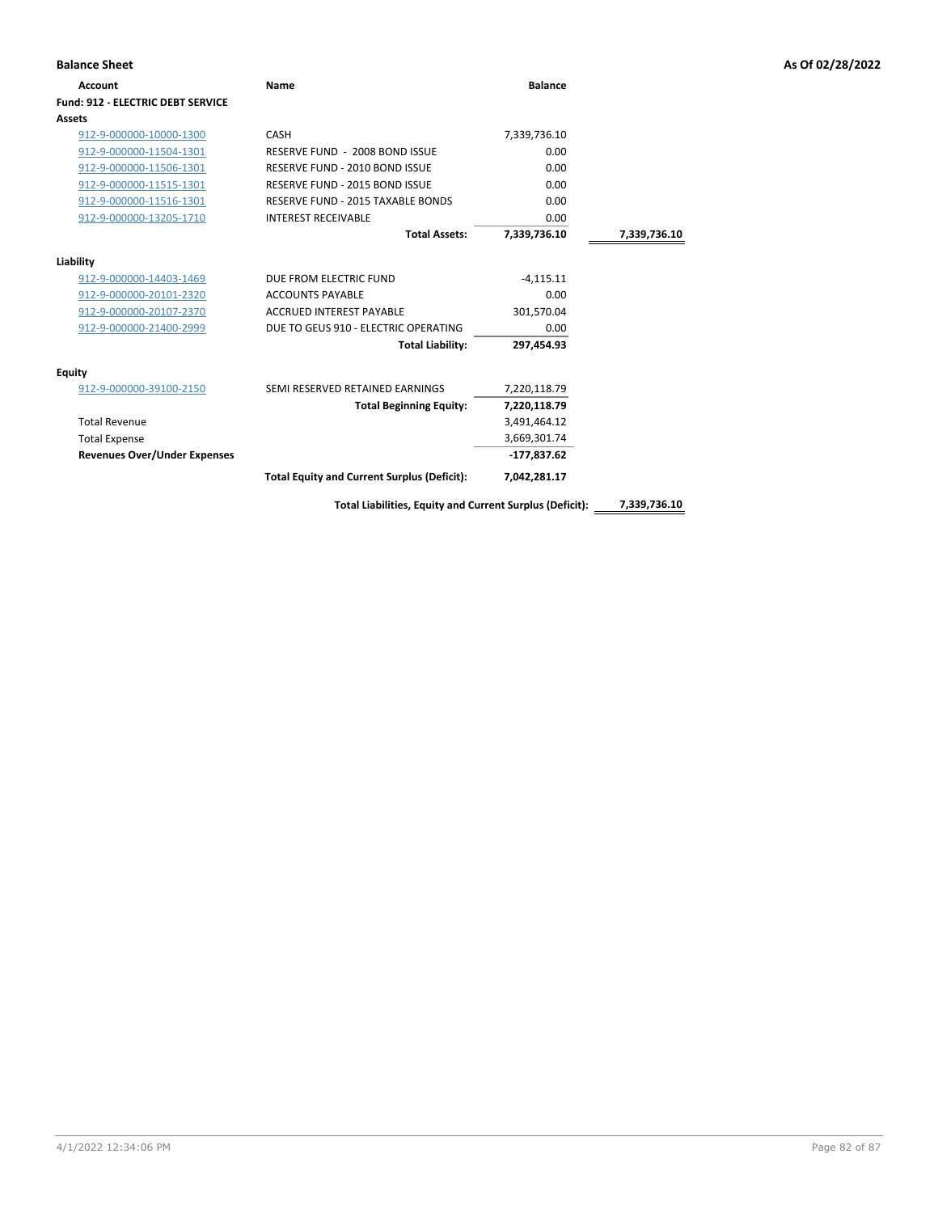| <b>Balance Sheet</b>                     |                                                          |                |              | As Of 02/28/2022 |
|------------------------------------------|----------------------------------------------------------|----------------|--------------|------------------|
| <b>Account</b>                           | Name                                                     | <b>Balance</b> |              |                  |
| <b>Fund: 912 - ELECTRIC DEBT SERVICE</b> |                                                          |                |              |                  |
| <b>Assets</b>                            |                                                          |                |              |                  |
| 912-9-000000-10000-1300                  | CASH                                                     | 7,339,736.10   |              |                  |
| 912-9-000000-11504-1301                  | RESERVE FUND - 2008 BOND ISSUE                           | 0.00           |              |                  |
| 912-9-000000-11506-1301                  | RESERVE FUND - 2010 BOND ISSUE                           | 0.00           |              |                  |
| 912-9-000000-11515-1301                  | RESERVE FUND - 2015 BOND ISSUE                           | 0.00           |              |                  |
| 912-9-000000-11516-1301                  | RESERVE FUND - 2015 TAXABLE BONDS                        | 0.00           |              |                  |
| 912-9-000000-13205-1710                  | <b>INTEREST RECEIVABLE</b>                               | 0.00           |              |                  |
|                                          | <b>Total Assets:</b>                                     | 7,339,736.10   | 7,339,736.10 |                  |
| Liability                                |                                                          |                |              |                  |
| 912-9-000000-14403-1469                  | DUE FROM ELECTRIC FUND                                   | $-4,115.11$    |              |                  |
| 912-9-000000-20101-2320                  | <b>ACCOUNTS PAYABLE</b>                                  | 0.00           |              |                  |
| 912-9-000000-20107-2370                  | ACCRUED INTEREST PAYABLE                                 | 301,570.04     |              |                  |
| 912-9-000000-21400-2999                  | DUE TO GEUS 910 - ELECTRIC OPERATING                     | 0.00           |              |                  |
|                                          | <b>Total Liability:</b>                                  | 297,454.93     |              |                  |
| <b>Equity</b>                            |                                                          |                |              |                  |
| 912-9-000000-39100-2150                  | SEMI RESERVED RETAINED EARNINGS                          | 7,220,118.79   |              |                  |
|                                          | <b>Total Beginning Equity:</b>                           | 7,220,118.79   |              |                  |
| <b>Total Revenue</b>                     |                                                          | 3,491,464.12   |              |                  |
| <b>Total Expense</b>                     |                                                          | 3,669,301.74   |              |                  |
| <b>Revenues Over/Under Expenses</b>      |                                                          | $-177,837.62$  |              |                  |
|                                          | <b>Total Equity and Current Surplus (Deficit):</b>       | 7,042,281.17   |              |                  |
|                                          | Total Liabilities, Equity and Current Surplus (Deficit): |                | 7,339,736.10 |                  |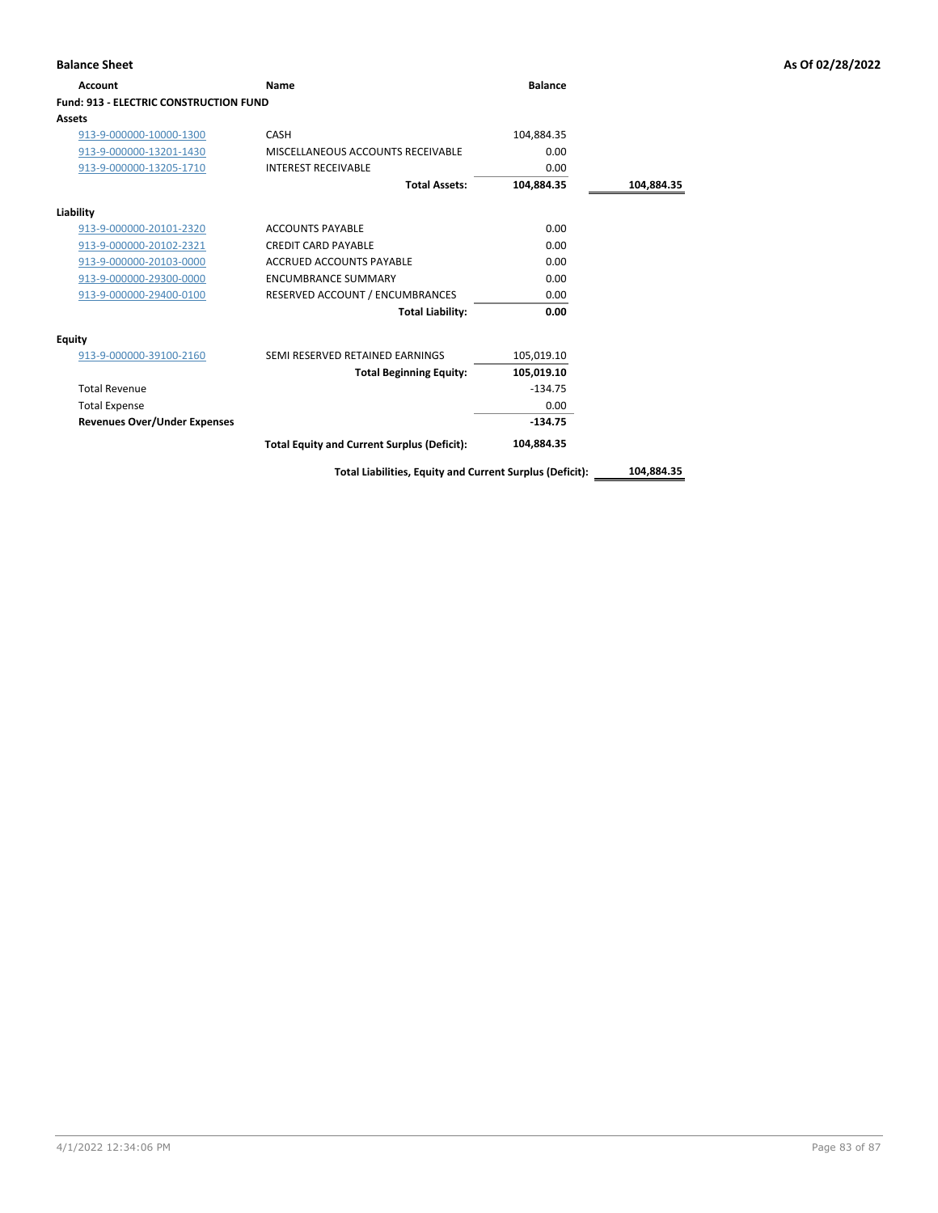| <b>Account</b>                                | Name                                               | <b>Balance</b> |            |
|-----------------------------------------------|----------------------------------------------------|----------------|------------|
| <b>Fund: 913 - ELECTRIC CONSTRUCTION FUND</b> |                                                    |                |            |
| Assets                                        |                                                    |                |            |
| 913-9-000000-10000-1300                       | CASH                                               | 104,884.35     |            |
| 913-9-000000-13201-1430                       | MISCELLANEOUS ACCOUNTS RECEIVABLE                  | 0.00           |            |
| 913-9-000000-13205-1710                       | <b>INTEREST RECEIVABLE</b>                         | 0.00           |            |
|                                               | <b>Total Assets:</b>                               | 104,884.35     | 104,884.35 |
| Liability                                     |                                                    |                |            |
| 913-9-000000-20101-2320                       | <b>ACCOUNTS PAYABLE</b>                            | 0.00           |            |
| 913-9-000000-20102-2321                       | <b>CREDIT CARD PAYABLE</b>                         | 0.00           |            |
| 913-9-000000-20103-0000                       | <b>ACCRUED ACCOUNTS PAYABLE</b>                    | 0.00           |            |
| 913-9-000000-29300-0000                       | <b>ENCUMBRANCE SUMMARY</b>                         | 0.00           |            |
| 913-9-000000-29400-0100                       | RESERVED ACCOUNT / ENCUMBRANCES                    | 0.00           |            |
|                                               | <b>Total Liability:</b>                            | 0.00           |            |
| <b>Equity</b>                                 |                                                    |                |            |
| 913-9-000000-39100-2160                       | SEMI RESERVED RETAINED EARNINGS                    | 105,019.10     |            |
|                                               | <b>Total Beginning Equity:</b>                     | 105,019.10     |            |
| <b>Total Revenue</b>                          |                                                    | $-134.75$      |            |
| <b>Total Expense</b>                          |                                                    | 0.00           |            |
| <b>Revenues Over/Under Expenses</b>           |                                                    | $-134.75$      |            |
|                                               | <b>Total Equity and Current Surplus (Deficit):</b> | 104,884.35     |            |

**Total Liabilities, Equity and Current Surplus (Deficit): 104,884.35**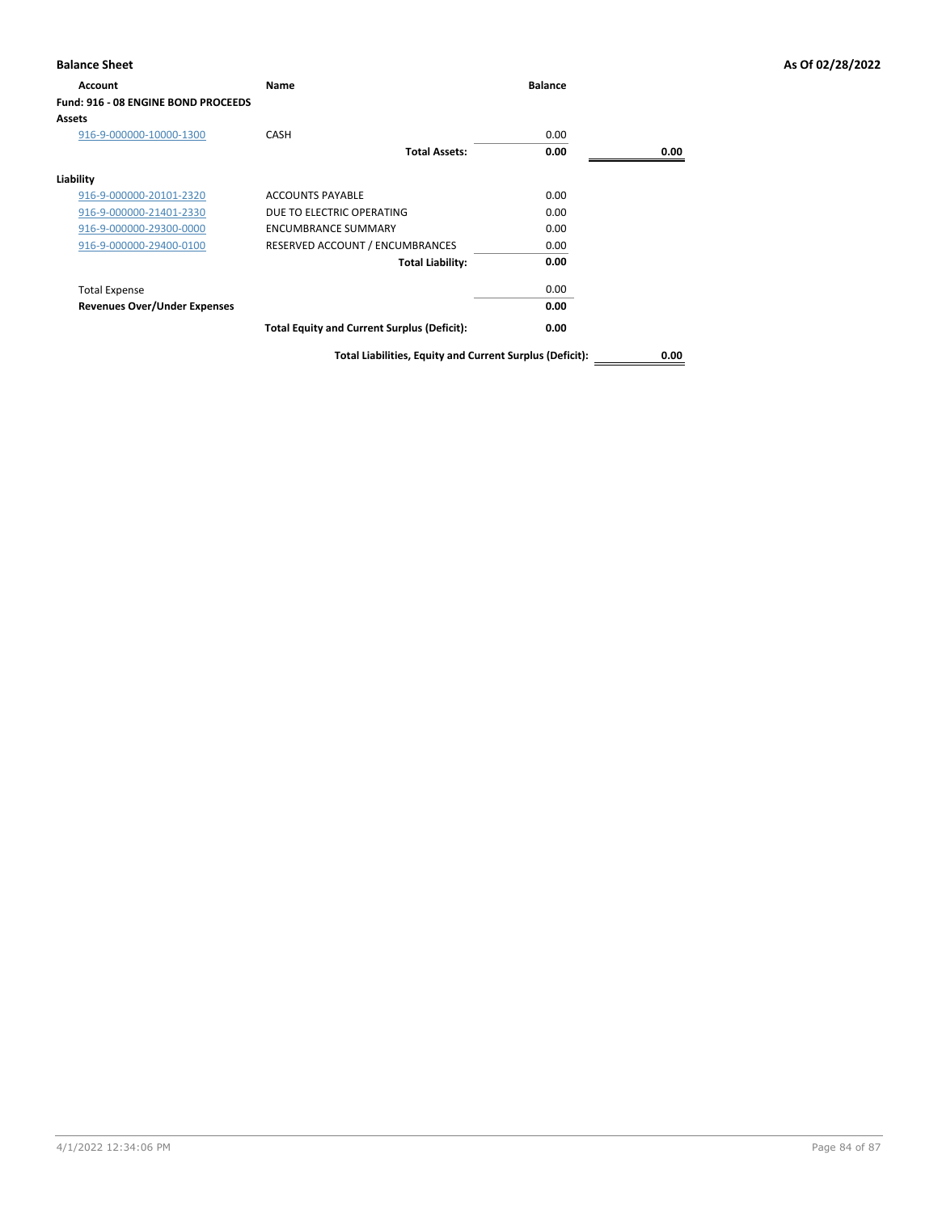| <b>Account</b>                      | Name                                               | <b>Balance</b> |      |
|-------------------------------------|----------------------------------------------------|----------------|------|
| Fund: 916 - 08 ENGINE BOND PROCEEDS |                                                    |                |      |
| <b>Assets</b>                       |                                                    |                |      |
| 916-9-000000-10000-1300             | <b>CASH</b>                                        | 0.00           |      |
|                                     | <b>Total Assets:</b>                               | 0.00           | 0.00 |
| Liability                           |                                                    |                |      |
| 916-9-000000-20101-2320             | <b>ACCOUNTS PAYABLE</b>                            | 0.00           |      |
| 916-9-000000-21401-2330             | DUE TO ELECTRIC OPERATING                          | 0.00           |      |
| 916-9-000000-29300-0000             | ENCUMBRANCE SUMMARY                                | 0.00           |      |
| 916-9-000000-29400-0100             | RESERVED ACCOUNT / ENCUMBRANCES                    | 0.00           |      |
|                                     | <b>Total Liability:</b>                            | 0.00           |      |
| <b>Total Expense</b>                |                                                    | 0.00           |      |
| <b>Revenues Over/Under Expenses</b> |                                                    | 0.00           |      |
|                                     | <b>Total Equity and Current Surplus (Deficit):</b> | 0.00           |      |

**Total Liabilities, Equity and Current Surplus (Deficit): 0.00**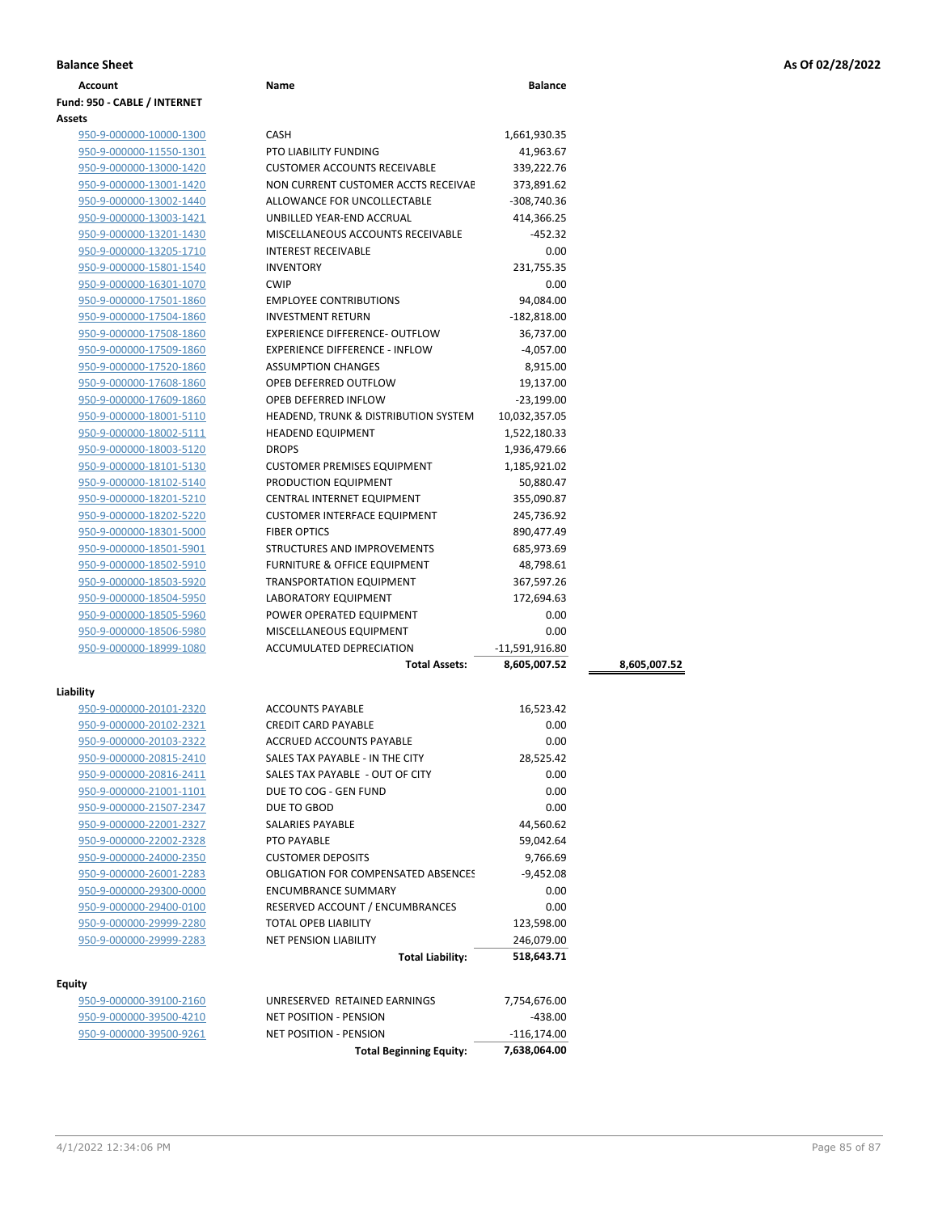**Fund: 950 - CABLE / INTERNET**

| Assets                  |   |
|-------------------------|---|
| 950-9-000000-10000-1300 | C |
| 950-9-000000-11550-1301 | F |
| 950-9-000000-13000-1420 | C |
| 950-9-000000-13001-1420 | N |
| 950-9-000000-13002-1440 | f |
| 950-9-000000-13003-1421 | ι |
| 950-9-000000-13201-1430 | N |
| 950-9-000000-13205-1710 | Π |
| 950-9-000000-15801-1540 | Π |
| 950-9-000000-16301-1070 | C |
| 950-9-000000-17501-1860 | E |
| 950-9-000000-17504-1860 | I |
| 950-9-000000-17508-1860 | Е |
| 950-9-000000-17509-1860 | Е |
| 950-9-000000-17520-1860 | f |
| 950-9-000000-17608-1860 | C |
| 950-9-000000-17609-1860 | C |
| 950-9-000000-18001-5110 | ۲ |
| 950-9-000000-18002-5111 | ۲ |
| 950-9-000000-18003-5120 | с |
| 950-9-000000-18101-5130 | C |
| 950-9-000000-18102-5140 | F |
| 950-9-000000-18201-5210 | C |
| 950-9-000000-18202-5220 | C |
| 950-9-000000-18301-5000 | F |
| 950-9-000000-18501-5901 | Ś |
| 950-9-000000-18502-5910 | F |
| 950-9-000000-18503-5920 | T |
| 950-9-000000-18504-5950 | L |
| 950-9-000000-18505-5960 | F |
| 950-9-000000-18506-5980 | Ν |
| 950-9-000000-18999-1080 | F |

| Liability |                      |
|-----------|----------------------|
|           | 950-9-000000-20101-2 |
|           | 950-9-000000-20102-2 |
|           | 950-9-000000-20103-2 |
|           | 950-9-000000-20815-2 |
|           | 950-9-000000-20816-2 |
|           | 950-9-000000-21001-1 |
|           | 950-9-000000-21507-2 |
|           | 950-9-000000-22001-2 |
|           |                      |

| 950-9-000000-21507-2347 |
|-------------------------|
| 950-9-000000-22001-2327 |
| 950-9-000000-22002-2328 |
| 950-9-000000-24000-2350 |
| 950-9-000000-26001-2283 |
| 950-9-000000-29300-0000 |
| 950-9-000000-29400-0100 |
| 950-9-000000-29999-2280 |
| 950-9-000000-29999-2283 |
|                         |

# **Equity**

950-9-000000-39100-2160 950-9-000000-39500-9261

| litv                                               |                                                                     |                         |              |
|----------------------------------------------------|---------------------------------------------------------------------|-------------------------|--------------|
|                                                    | <b>Total Assets:</b>                                                | 8,605,007.52            | 8,605,007.52 |
| 950-9-000000-18999-1080                            | ACCUMULATED DEPRECIATION                                            | $-11,591,916.80$        |              |
| 950-9-000000-18506-5980                            | MISCELLANEOUS EQUIPMENT                                             | 0.00                    |              |
| 950-9-000000-18505-5960                            | POWER OPERATED EQUIPMENT                                            | 0.00                    |              |
| 950-9-000000-18504-5950                            | <b>LABORATORY EQUIPMENT</b>                                         | 172,694.63              |              |
| 950-9-000000-18503-5920                            | <b>TRANSPORTATION EQUIPMENT</b>                                     | 367,597.26              |              |
| 950-9-000000-18502-5910                            | FURNITURE & OFFICE EQUIPMENT                                        | 48,798.61               |              |
| 950-9-000000-18501-5901                            | STRUCTURES AND IMPROVEMENTS                                         | 685,973.69              |              |
| 950-9-000000-18301-5000                            | <b>FIBER OPTICS</b>                                                 | 890,477.49              |              |
| 950-9-000000-18202-5220                            | <b>CUSTOMER INTERFACE EQUIPMENT</b>                                 | 245,736.92              |              |
| 950-9-000000-18201-5210                            | CENTRAL INTERNET EQUIPMENT                                          | 355,090.87              |              |
| 950-9-000000-18102-5140                            | PRODUCTION EQUIPMENT                                                | 50,880.47               |              |
| 950-9-000000-18101-5130                            | <b>CUSTOMER PREMISES EQUIPMENT</b>                                  | 1,185,921.02            |              |
| 950-9-000000-18003-5120                            | <b>DROPS</b>                                                        | 1,936,479.66            |              |
| 950-9-000000-18002-5111                            | <b>HEADEND EQUIPMENT</b>                                            | 1,522,180.33            |              |
| 950-9-000000-18001-5110                            | HEADEND, TRUNK & DISTRIBUTION SYSTEM                                | 10,032,357.05           |              |
| 950-9-000000-17609-1860                            | OPEB DEFERRED INFLOW                                                | $-23,199.00$            |              |
| 950-9-000000-17608-1860                            | OPEB DEFERRED OUTFLOW                                               | 19,137.00               |              |
| 950-9-000000-17520-1860                            | <b>ASSUMPTION CHANGES</b>                                           | 8,915.00                |              |
| 950-9-000000-17509-1860                            | <b>EXPERIENCE DIFFERENCE - INFLOW</b>                               | $-4,057.00$             |              |
| 950-9-000000-17508-1860                            | <b>EXPERIENCE DIFFERENCE- OUTFLOW</b>                               | 36,737.00               |              |
| 950-9-000000-17504-1860                            | <b>INVESTMENT RETURN</b>                                            | $-182,818.00$           |              |
| 950-9-000000-17501-1860                            | <b>EMPLOYEE CONTRIBUTIONS</b>                                       | 94,084.00               |              |
| 950-9-000000-16301-1070                            | <b>CWIP</b>                                                         | 0.00                    |              |
| 950-9-000000-15801-1540                            | <b>INVENTORY</b>                                                    | 231,755.35              |              |
| 950-9-000000-13205-1710                            | <b>INTEREST RECEIVABLE</b>                                          | 0.00                    |              |
| 950-9-000000-13201-1430                            | MISCELLANEOUS ACCOUNTS RECEIVABLE                                   | $-452.32$               |              |
| 950-9-000000-13003-1421                            | UNBILLED YEAR-END ACCRUAL                                           | 414,366.25              |              |
| 950-9-000000-13002-1440                            | ALLOWANCE FOR UNCOLLECTABLE                                         | -308,740.36             |              |
| 950-9-000000-13001-1420                            | NON CURRENT CUSTOMER ACCTS RECEIVAE                                 | 373,891.62              |              |
| 950-9-000000-11550-1301<br>950-9-000000-13000-1420 | <b>PTO LIABILITY FUNDING</b><br><b>CUSTOMER ACCOUNTS RECEIVABLE</b> | 41,963.67<br>339,222.76 |              |
| 950-9-000000-10000-1300                            |                                                                     | 1,661,930.35            |              |
| ts                                                 | CASH                                                                |                         |              |
|                                                    |                                                                     |                         |              |

**Account Name Balance**

| 950-9-000000-20101-2320 | <b>ACCOUNTS PAYABLE</b>                    | 16,523.42    |
|-------------------------|--------------------------------------------|--------------|
| 950-9-000000-20102-2321 | <b>CREDIT CARD PAYABLE</b>                 | 0.00         |
| 950-9-000000-20103-2322 | <b>ACCRUED ACCOUNTS PAYABLE</b>            | 0.00         |
| 950-9-000000-20815-2410 | SALES TAX PAYABLE - IN THE CITY            | 28,525.42    |
| 950-9-000000-20816-2411 | SALES TAX PAYABLE - OUT OF CITY            | 0.00         |
| 950-9-000000-21001-1101 | DUE TO COG - GEN FUND                      | 0.00         |
| 950-9-000000-21507-2347 | DUE TO GBOD                                | 0.00         |
| 950-9-000000-22001-2327 | SALARIES PAYABLE                           | 44,560.62    |
| 950-9-000000-22002-2328 | PTO PAYABLE                                | 59,042.64    |
| 950-9-000000-24000-2350 | <b>CUSTOMER DEPOSITS</b>                   | 9,766.69     |
| 950-9-000000-26001-2283 | <b>OBLIGATION FOR COMPENSATED ABSENCES</b> | $-9,452.08$  |
| 950-9-000000-29300-0000 | <b>ENCUMBRANCE SUMMARY</b>                 | 0.00         |
| 950-9-000000-29400-0100 | RESERVED ACCOUNT / ENCUMBRANCES            | 0.00         |
| 950-9-000000-29999-2280 | <b>TOTAL OPEB LIABILITY</b>                | 123,598.00   |
| 950-9-000000-29999-2283 | <b>NET PENSION LIABILITY</b>               | 246,079.00   |
|                         | <b>Total Liability:</b>                    | 518,643.71   |
| tv                      |                                            |              |
| 950-9-000000-39100-2160 | UNRESERVED RETAINED EARNINGS               | 7,754,676.00 |
|                         | NIET BOCITION BENICION                     | 120.00       |

|                         | <b>Total Beginning Equity:</b>       | 7.638.064.00     |
|-------------------------|--------------------------------------|------------------|
| 950-9-000000-39500-9261 | NET POSITION - PENSION               | -116,174.00      |
| 950-9-000000-39500-4210 | NET POSITION - PENSION               | -438.00          |
|                         | <b>UNILULINED ILIAINLD LAINNINGS</b> | 1,1,1,1,0,1,0.00 |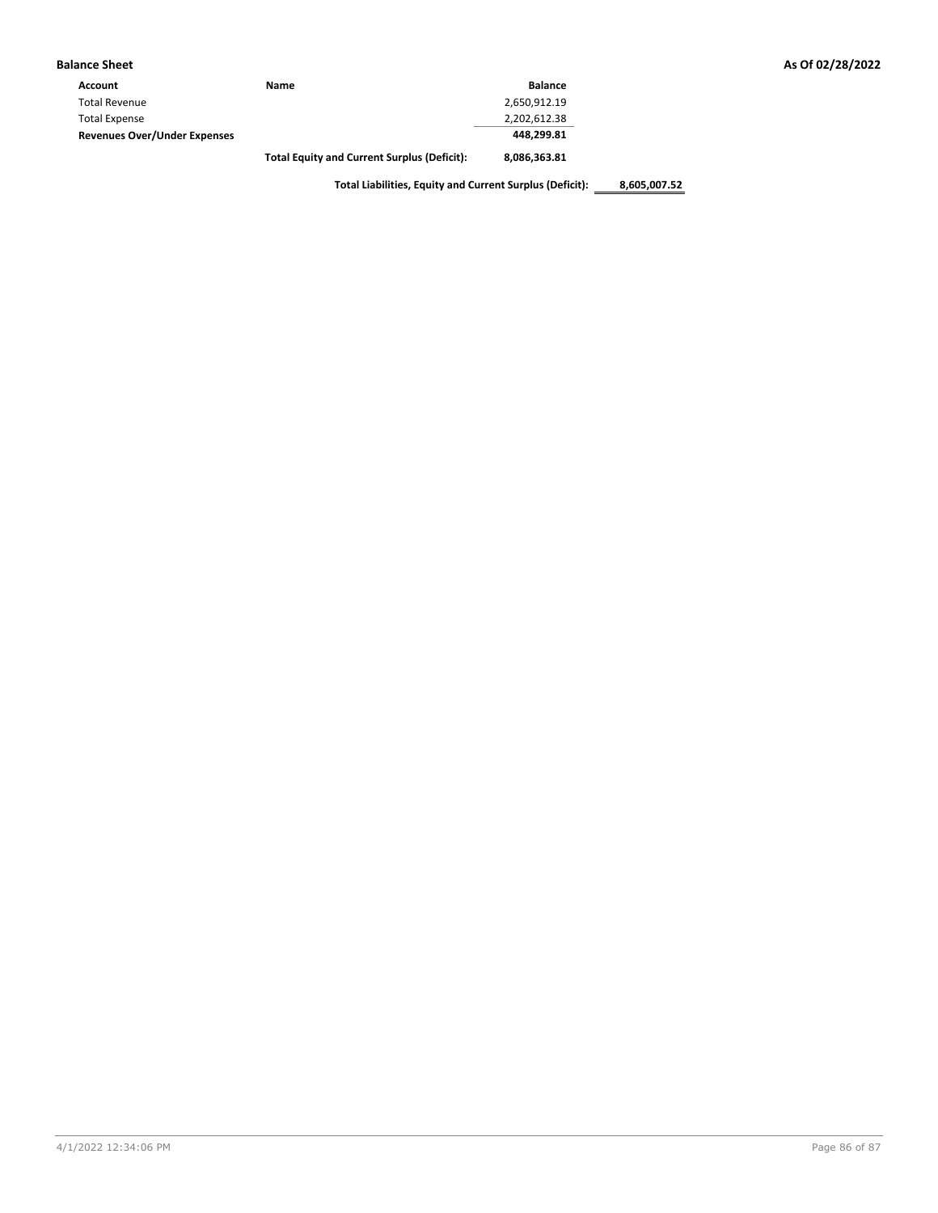| <b>Balance Sheet</b>                |                                                    |                |
|-------------------------------------|----------------------------------------------------|----------------|
| Account                             | Name                                               | <b>Balance</b> |
| <b>Total Revenue</b>                |                                                    | 2,650,912.19   |
| <b>Total Expense</b>                |                                                    | 2,202,612.38   |
| <b>Revenues Over/Under Expenses</b> |                                                    | 448,299.81     |
|                                     | <b>Total Equity and Current Surplus (Deficit):</b> | 8,086,363.81   |

**Total Liabilities, Equity and Current Surplus (Deficit): 8,605,007.52**